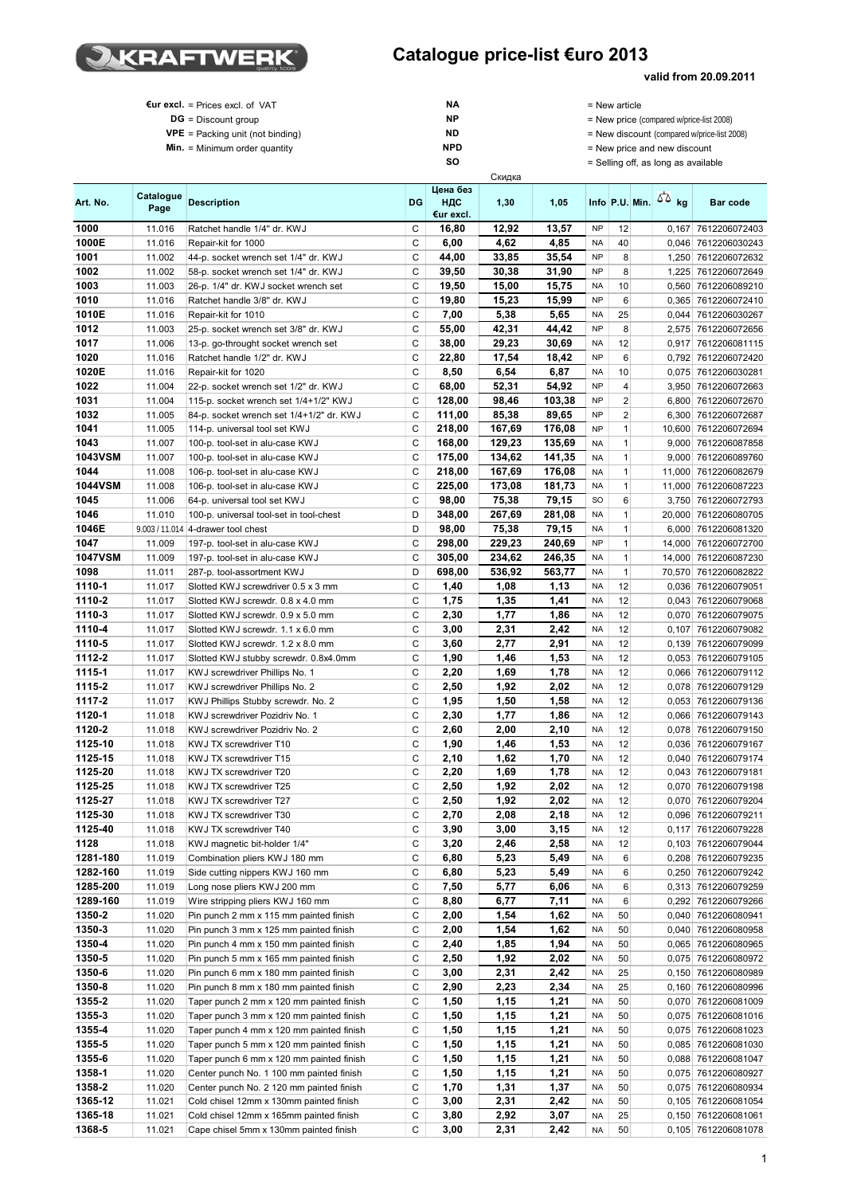

## **valid from 20.09.2011**

| €ur excl. = Prices excl. of VAT      | NΑ         | $=$ New article                             |
|--------------------------------------|------------|---------------------------------------------|
|                                      |            |                                             |
| $DG = Discount$ group                | <b>NP</b>  | $=$ New price (compared w/price-list 2008)  |
| $VPE =$ Packing unit (not binding)   | <b>ND</b>  | = New discount (compared w/price-list 2008) |
| <b>Min.</b> = Minimum order quantity | <b>NPD</b> | = New price and new discount                |
|                                      | SΟ         | = Selling off, as long as available         |
|                                      | Скидка     |                                             |

| Art. No.         | Catalogue<br>Page | <b>Description</b>                                                   | <b>DG</b> | Цена без<br>НДС<br>€ur excl. | 1,30         | 1,05         |                        | Info P.U. Min.    | 50 <sub>kg</sub> | Bar code                                   |
|------------------|-------------------|----------------------------------------------------------------------|-----------|------------------------------|--------------|--------------|------------------------|-------------------|------------------|--------------------------------------------|
| 1000             | 11.016            | Ratchet handle 1/4" dr. KWJ                                          | С         | 16,80                        | 12,92        | 13,57        | <b>NP</b>              | 12                | 0.167            | 7612206072403                              |
| 1000E            | 11.016            | Repair-kit for 1000                                                  | С         | 6,00                         | 4,62         | 4,85         | <b>NA</b>              | 40                |                  | 0,046 7612206030243                        |
| 1001             | 11.002            | 44-p. socket wrench set 1/4" dr. KWJ                                 | С         | 44,00                        | 33,85        | 35,54        | <b>NP</b>              | 8                 |                  | 1,250 7612206072632                        |
| 1002             | 11.002            | 58-p. socket wrench set 1/4" dr. KWJ                                 | C         | 39,50                        | 30,38        | 31,90        | <b>NP</b>              | 8                 |                  | 1,225 7612206072649                        |
| 1003             | 11.003            | 26-p. 1/4" dr. KWJ socket wrench set                                 | C         | 19,50                        | 15,00        | 15,75        | <b>NA</b>              | 10                | 0,560            | 7612206089210                              |
| 1010             | 11.016            | Ratchet handle 3/8" dr. KWJ                                          | C         | 19,80                        | 15,23        | 15,99        | <b>NP</b>              | 6                 |                  | 0,365 7612206072410                        |
| 1010E            | 11.016            | Repair-kit for 1010                                                  | C         | 7,00                         | 5,38         | 5,65         | <b>NA</b>              | 25                |                  | 0,044 7612206030267                        |
| 1012             | 11.003            | 25-p. socket wrench set 3/8" dr. KWJ                                 | C         | 55,00                        | 42,31        | 44,42        | <b>NP</b>              | 8                 |                  | 2,575 7612206072656                        |
| 1017             | 11.006            | 13-p. go-throught socket wrench set                                  | C         | 38,00                        | 29,23        | 30,69        | NA                     | 12                | 0,917            | 7612206081115                              |
| 1020             | 11.016            | Ratchet handle 1/2" dr. KWJ                                          | C         | 22,80                        | 17,54        | 18,42        | <b>NP</b>              | 6                 |                  | 0,792 7612206072420                        |
| 1020E            | 11.016            | Repair-kit for 1020                                                  | C         | 8,50                         | 6,54         | 6,87         | <b>NA</b>              | 10                |                  | 0,075 7612206030281                        |
| 1022             | 11.004            | 22-p. socket wrench set 1/2" dr. KWJ                                 | C         | 68,00                        | 52,31        | 54,92        | <b>NP</b>              | 4                 |                  | 3,950 7612206072663                        |
| 1031             | 11.004            | 115-p. socket wrench set 1/4+1/2" KWJ                                | С         | 128,00                       | 98,46        | 103,38       | <b>NP</b>              | $\overline{c}$    |                  | 6,800 7612206072670                        |
| 1032             | 11.005            | 84-p. socket wrench set 1/4+1/2" dr. KWJ                             | C         | 111,00                       | 85,38        | 89,65        | <b>NP</b>              | $\overline{c}$    |                  | 6,300 7612206072687                        |
| 1041             | 11.005            | 114-p. universal tool set KWJ                                        | C         | 218,00                       | 167,69       | 176,08       | <b>NP</b>              | $\mathbf{1}$      |                  | 10,600 7612206072694                       |
| 1043             | 11.007            | 100-p. tool-set in alu-case KWJ                                      | C         | 168,00                       | 129,23       | 135,69       | NA                     | $\mathbf{1}$      |                  | 9,000 7612206087858                        |
| <b>1043VSM</b>   | 11.007            | 100-p. tool-set in alu-case KWJ                                      | C         | 175,00                       | 134,62       | 141,35       | <b>NA</b>              | $\mathbf{1}$      |                  | 9,000 7612206089760                        |
| 1044             | 11.008            | 106-p. tool-set in alu-case KWJ                                      | C         | 218,00                       | 167,69       | 176,08       | <b>NA</b>              | $\mathbf{1}$      |                  | 11,000 7612206082679                       |
| <b>1044VSM</b>   | 11.008            | 106-p. tool-set in alu-case KWJ                                      | C         | 225,00                       | 173,08       | 181,73       | NA                     | $\mathbf{1}$      |                  | 11,000 7612206087223                       |
| 1045             | 11.006            | 64-p. universal tool set KWJ                                         | C         | 98,00                        | 75,38        | 79,15        | <b>SO</b>              | 6                 |                  | 3,750 7612206072793                        |
| 1046             | 11.010            | 100-p. universal tool-set in tool-chest                              | D         | 348,00                       | 267,69       | 281,08       | <b>NA</b>              | $\mathbf{1}$      |                  | 20,000 7612206080705                       |
| 1046E            |                   | 9.003 / 11.014 4-drawer tool chest                                   | D         | 98,00                        | 75,38        | 79,15        | <b>NA</b>              | $\mathbf{1}$      |                  | 6,000 7612206081320                        |
| 1047             | 11.009            | 197-p. tool-set in alu-case KWJ                                      | C         | 298,00                       | 229,23       | 240,69       | <b>NP</b>              | $\mathbf{1}$      |                  | 14.000 7612206072700                       |
| <b>1047VSM</b>   | 11.009            | 197-p. tool-set in alu-case KWJ                                      | C         | 305,00                       | 234,62       | 246,35       | <b>NA</b>              | $\mathbf{1}$      |                  | 14,000 7612206087230                       |
| 1098             | 11.011            | 287-p. tool-assortment KWJ                                           | D         | 698,00                       | 536,92       | 563,77       | NA                     | $\mathbf{1}$      |                  | 70,570 7612206082822                       |
| 1110-1           | 11.017            | Slotted KWJ screwdriver 0.5 x 3 mm                                   | C         | 1,40                         | 1,08         | 1,13         | <b>NA</b>              | 12                |                  | 0,036 7612206079051                        |
| 1110-2           | 11.017            | Slotted KWJ screwdr, 0.8 x 4.0 mm                                    | C         | 1,75                         | 1,35         | 1,41         | NA                     | 12                |                  | 0,043 7612206079068                        |
| 1110-3           | 11.017            | Slotted KWJ screwdr. 0.9 x 5.0 mm                                    | C         | 2,30                         | 1,77         | 1,86         | NA                     | 12                |                  | 0,070 7612206079075                        |
| 1110-4           | 11.017            | Slotted KWJ screwdr. 1.1 x 6.0 mm                                    | C         | 3,00                         | 2,31         | 2,42         | <b>NA</b>              | 12                |                  | 0,107 7612206079082                        |
| 1110-5           | 11.017            | Slotted KWJ screwdr. 1.2 x 8.0 mm                                    | C         | 3,60                         | 2,77         | 2,91         | <b>NA</b>              | 12                |                  | 0,139 7612206079099                        |
| 1112-2<br>1115-1 | 11.017            | Slotted KWJ stubby screwdr. 0.8x4.0mm                                | C<br>C    | 1,90                         | 1,46         | 1,53<br>1,78 | <b>NA</b>              | 12<br>12          |                  | 0,053 7612206079105                        |
| 1115-2           | 11.017            | KWJ screwdriver Phillips No. 1                                       | C         | 2,20                         | 1,69         | 2,02         | NA                     | 12                |                  | 0,066 7612206079112                        |
| 1117-2           | 11.017<br>11.017  | KWJ screwdriver Phillips No. 2                                       | C         | 2,50                         | 1,92<br>1,50 | 1,58         | <b>NA</b><br><b>NA</b> | 12                |                  | 0,078 7612206079129<br>0,053 7612206079136 |
| 1120-1           | 11.018            | KWJ Phillips Stubby screwdr. No. 2<br>KWJ screwdriver Pozidriv No. 1 | C         | 1,95<br>2,30                 | 1,77         | 1,86         | <b>NA</b>              | 12                |                  | 0,066 7612206079143                        |
| 1120-2           | 11.018            | KWJ screwdriver Pozidriv No. 2                                       | C         | 2,60                         | 2,00         | 2,10         | NA                     | 12                |                  | 0,078 7612206079150                        |
| 1125-10          | 11.018            | KWJ TX screwdriver T10                                               | C         | 1,90                         | 1,46         | 1,53         | <b>NA</b>              | 12                |                  | 0,036 7612206079167                        |
| 1125-15          | 11.018            | KWJ TX screwdriver T15                                               | C         | 2,10                         | 1,62         | 1,70         | <b>NA</b>              | 12                |                  | 0,040 7612206079174                        |
| 1125-20          | 11.018            | KWJ TX screwdriver T20                                               | C         | 2,20                         | 1,69         | 1,78         | <b>NA</b>              | 12                |                  | 0.043 7612206079181                        |
| 1125-25          | 11.018            | KWJ TX screwdriver T25                                               | C         | 2,50                         | 1,92         | 2,02         | NA                     | 12                |                  | 0,070 7612206079198                        |
| 1125-27          | 11.018            | KWJ TX screwdriver T27                                               | С         | 2,50                         | 1,92         | 2,02         | <b>NA</b>              | 12                |                  | 0,070 7612206079204                        |
| 1125-30          | 11.018            | KWJ TX screwdriver T30                                               | C         | 2,70                         | 2,08         | 2,18         | <b>NA</b>              | 12                |                  | 0,096 7612206079211                        |
| 1125-40          | 11.018            | KWJ TX screwdriver T40                                               | С         | 3,90                         | 3,00         | 3,15         | NA                     | $12 \overline{ }$ |                  | 0,117 7612206079228                        |
| 1128             | 11.018            | KWJ magnetic bit-holder 1/4"                                         | C         | 3,20                         | 2,46         | 2,58         | NA                     | 12                |                  | 0,103 7612206079044                        |
| 1281-180         | 11.019            | Combination pliers KWJ 180 mm                                        | C         | 6,80                         | 5,23         | 5,49         | NA                     | 6                 |                  | 0,208 7612206079235                        |
| 1282-160         | 11.019            | Side cutting nippers KWJ 160 mm                                      | С         | 6,80                         | 5,23         | 5,49         | NA                     | 6                 |                  | 0,250 7612206079242                        |
| 1285-200         | 11.019            | Long nose pliers KWJ 200 mm                                          | С         | 7,50                         | 5,77         | 6,06         | NA                     | 6                 |                  | 0,313 7612206079259                        |
| 1289-160         | 11.019            | Wire stripping pliers KWJ 160 mm                                     | C         | 8,80                         | 6,77         | 7,11         | NA                     | 6                 |                  | 0,292 7612206079266                        |
| 1350-2           | 11.020            | Pin punch 2 mm x 115 mm painted finish                               | С         | 2,00                         | 1,54         | 1,62         | NA                     | 50                |                  | 0,040 7612206080941                        |
| 1350-3           | 11.020            | Pin punch 3 mm x 125 mm painted finish                               | С         | 2,00                         | 1,54         | 1,62         | NA                     | 50                |                  | 0,040 7612206080958                        |
| 1350-4           | 11.020            | Pin punch 4 mm x 150 mm painted finish                               | C         | 2,40                         | 1,85         | 1,94         | NA                     | 50                |                  | 0,065 7612206080965                        |
| 1350-5           | 11.020            | Pin punch 5 mm x 165 mm painted finish                               | С         | 2,50                         | 1,92         | 2,02         | NA                     | 50                |                  | 0,075 7612206080972                        |
| 1350-6           | 11.020            | Pin punch 6 mm x 180 mm painted finish                               | С         | 3,00                         | 2,31         | 2,42         | NA                     | 25                |                  | 0,150 7612206080989                        |
| 1350-8           | 11.020            | Pin punch 8 mm x 180 mm painted finish                               | C         | 2,90                         | 2,23         | 2,34         | NA                     | 25                |                  | 0,160 7612206080996                        |
| 1355-2           | 11.020            | Taper punch 2 mm x 120 mm painted finish                             | С         | 1,50                         | 1,15         | 1,21         | NA                     | 50                |                  | 0,070 7612206081009                        |
| 1355-3           | 11.020            | Taper punch 3 mm x 120 mm painted finish                             | С         | 1,50                         | 1,15         | 1,21         | NA                     | 50                |                  | 0,075 7612206081016                        |
| 1355-4           | 11.020            | Taper punch 4 mm x 120 mm painted finish                             | С         | 1,50                         | 1,15         | 1,21         | NA                     | 50                |                  | 0,075 7612206081023                        |
| 1355-5           | 11.020            | Taper punch 5 mm x 120 mm painted finish                             | С         | 1,50                         | 1,15         | 1,21         | NA                     | 50                |                  | 0,085 7612206081030                        |
| 1355-6           | 11.020            | Taper punch 6 mm x 120 mm painted finish                             | С         | 1,50                         | 1,15         | 1,21         | NA                     | 50                |                  | 0,088 7612206081047                        |
| 1358-1           | 11.020            | Center punch No. 1 100 mm painted finish                             | С         | 1,50                         | 1,15         | 1,21         | NA                     | 50                |                  | 0,075 7612206080927                        |
| 1358-2           | 11.020            | Center punch No. 2 120 mm painted finish                             | С         | 1,70                         | 1,31         | 1,37         | NA                     | 50                |                  | 0,075 7612206080934                        |
| 1365-12          | 11.021            | Cold chisel 12mm x 130mm painted finish                              | C         | 3,00                         | 2,31         | 2,42         | NA                     | 50                |                  | 0,105 7612206081054                        |
| 1365-18          | 11.021            | Cold chisel 12mm x 165mm painted finish                              | С         | 3,80                         | 2,92         | 3,07         | NA                     | 25                |                  | 0,150 7612206081061                        |
| 1368-5           | 11.021            | Cape chisel 5mm x 130mm painted finish                               | C         | 3,00                         | 2,31         | 2,42         | NA                     | 50                |                  | 0,105 7612206081078                        |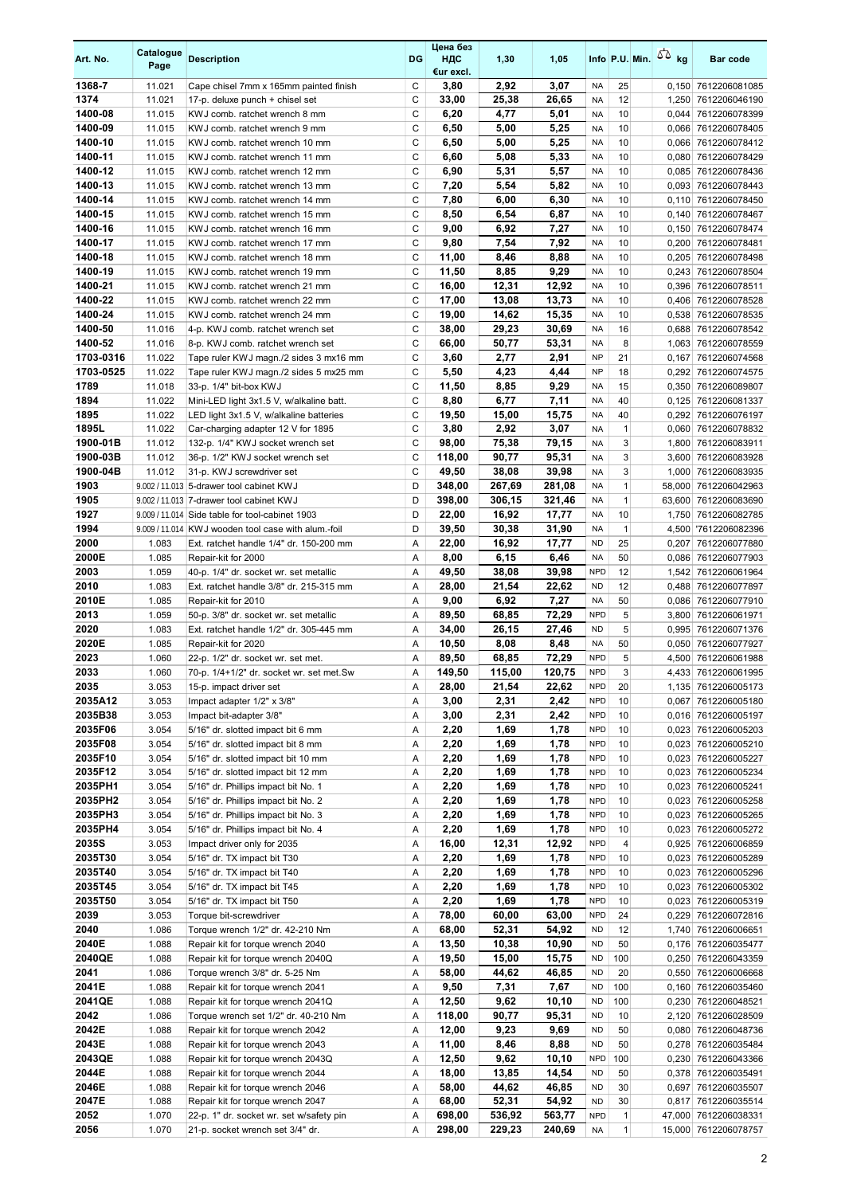| Art. No.           | Catalogue<br>Page | <b>Description</b>                                                           | DG          | Цена без<br>ндс<br>€ur excl. | 1,30             | 1,05             |                          |                              | Info P.U. Min. $\sqrt{2}$ kg | <b>Bar code</b>                              |
|--------------------|-------------------|------------------------------------------------------------------------------|-------------|------------------------------|------------------|------------------|--------------------------|------------------------------|------------------------------|----------------------------------------------|
| 1368-7             | 11.021            | Cape chisel 7mm x 165mm painted finish                                       | C           | 3,80                         | 2,92             | 3,07             | <b>NA</b>                | 25                           |                              | 0,150 7612206081085                          |
| 1374               | 11.021            | 17-p. deluxe punch + chisel set                                              | C           | 33,00                        | 25,38            | 26,65            | NA                       | 12                           |                              | 1,250 7612206046190                          |
| 1400-08            | 11.015            | KWJ comb. ratchet wrench 8 mm                                                | C           | 6,20                         | 4,77             | 5,01             | <b>NA</b>                | 10                           |                              | 0,044 7612206078399                          |
| 1400-09            | 11.015            | KWJ comb. ratchet wrench 9 mm                                                | C           | 6,50                         | 5,00             | 5,25             | <b>NA</b>                | 10                           |                              | 0,066 7612206078405                          |
| 1400-10            | 11.015            | KWJ comb. ratchet wrench 10 mm                                               | C           | 6,50                         | 5,00             | 5,25             | <b>NA</b>                | 10                           |                              | 0,066 7612206078412                          |
| 1400-11            | 11.015            | KWJ comb. ratchet wrench 11 mm                                               | C           | 6,60                         | 5,08             | 5,33             | <b>NA</b>                | 10                           |                              | 0,080 7612206078429                          |
| 1400-12            | 11.015            | KWJ comb. ratchet wrench 12 mm                                               | C           | 6,90                         | 5,31             | 5,57             | <b>NA</b>                | 10                           |                              | 0,085 7612206078436                          |
| 1400-13            | 11.015            | KWJ comb. ratchet wrench 13 mm                                               | $\mathsf C$ | 7,20                         | 5,54             | 5,82             | <b>NA</b>                | 10                           |                              | 0,093 7612206078443                          |
| 1400-14            | 11.015            | KWJ comb. ratchet wrench 14 mm                                               | C           | 7,80                         | 6,00             | 6,30             | NA                       | 10                           |                              | 0,110 7612206078450                          |
| 1400-15            | 11.015            | KWJ comb. ratchet wrench 15 mm                                               | C           | 8,50                         | 6,54             | 6,87             | <b>NA</b>                | 10                           |                              | 0.140 7612206078467                          |
| 1400-16            | 11.015            | KWJ comb. ratchet wrench 16 mm                                               | C           | 9,00                         | 6,92             | 7,27             | <b>NA</b>                | 10                           |                              | 0,150 7612206078474                          |
| 1400-17            | 11.015            | KWJ comb. ratchet wrench 17 mm                                               | C           | 9,80                         | 7,54             | 7,92             | <b>NA</b>                | 10                           |                              | 0,200 7612206078481                          |
| 1400-18<br>1400-19 | 11.015<br>11.015  | KWJ comb. ratchet wrench 18 mm<br>KWJ comb. ratchet wrench 19 mm             | С<br>C      | 11,00<br>11,50               | 8,46<br>8,85     | 8,88<br>9,29     | <b>NA</b><br><b>NA</b>   | 10<br>10                     |                              | 0,205 7612206078498<br>0,243 7612206078504   |
| 1400-21            | 11.015            | KWJ comb. ratchet wrench 21 mm                                               | C           | 16,00                        | 12,31            | 12,92            | <b>NA</b>                | 10                           |                              | 0,396 7612206078511                          |
| 1400-22            | 11.015            | KWJ comb. ratchet wrench 22 mm                                               | C           | 17,00                        | 13,08            | 13,73            | <b>NA</b>                | 10                           |                              | 0,406 7612206078528                          |
| 1400-24            | 11.015            | KWJ comb. ratchet wrench 24 mm                                               | C           | 19,00                        | 14,62            | 15,35            | <b>NA</b>                | 10                           |                              | 0,538 7612206078535                          |
| 1400-50            | 11.016            | 4-p. KWJ comb. ratchet wrench set                                            | C           | 38,00                        | 29,23            | 30,69            | <b>NA</b>                | 16                           |                              | 0,688 7612206078542                          |
| 1400-52            | 11.016            | 8-p. KWJ comb. ratchet wrench set                                            | C           | 66,00                        | 50,77            | 53,31            | <b>NA</b>                | 8                            |                              | 1,063 7612206078559                          |
| 1703-0316          | 11.022            | Tape ruler KWJ magn./2 sides 3 mx16 mm                                       | C           | 3,60                         | 2,77             | 2,91             | <b>NP</b>                | 21                           |                              | 0,167 7612206074568                          |
| 1703-0525          | 11.022            | Tape ruler KWJ magn./2 sides 5 mx25 mm                                       | C           | 5,50                         | 4,23             | 4,44             | <b>NP</b>                | 18                           |                              | 0,292 7612206074575                          |
| 1789               | 11.018            | 33-p. 1/4" bit-box KWJ                                                       | C           | 11,50                        | 8,85             | 9,29             | <b>NA</b>                | 15                           |                              | 0,350 7612206089807                          |
| 1894               | 11.022            | Mini-LED light 3x1.5 V, w/alkaline batt.                                     | C           | 8,80                         | 6,77             | 7,11             | <b>NA</b>                | 40                           |                              | 0,125 7612206081337                          |
| 1895               | 11.022            | LED light 3x1.5 V, w/alkaline batteries                                      | C           | 19,50                        | 15,00            | 15,75            | <b>NA</b>                | 40                           |                              | 0,292 7612206076197                          |
| 1895L              | 11.022            | Car-charging adapter 12 V for 1895                                           | C           | 3,80                         | 2,92             | 3,07             | <b>NA</b>                | $\mathbf{1}$                 |                              | 0,060 7612206078832                          |
| 1900-01B           | 11.012            | 132-p. 1/4" KWJ socket wrench set                                            | C           | 98,00                        | 75,38            | 79,15            | <b>NA</b>                | 3                            |                              | 1,800 7612206083911                          |
| 1900-03B           | 11.012            | 36-p. 1/2" KWJ socket wrench set                                             | C           | 118,00                       | 90,77            | 95,31            | <b>NA</b>                | 3                            |                              | 3,600 7612206083928                          |
| 1900-04B           | 11.012            | 31-p. KWJ screwdriver set                                                    | C           | 49,50                        | 38,08            | 39,98            | <b>NA</b>                | 3                            |                              | 1,000 7612206083935                          |
| 1903               |                   | 9.002 / 11.013 5-drawer tool cabinet KWJ                                     | D           | 348,00                       | 267,69           | 281,08           | <b>NA</b>                | $\mathbf{1}$                 |                              | 58,000 7612206042963                         |
| 1905               |                   | 9.002 / 11.013 7-drawer tool cabinet KWJ                                     | D           | 398,00                       | 306,15           | 321,46           | <b>NA</b>                | $\mathbf{1}$                 |                              | 63,600 7612206083690                         |
| 1927               |                   | 9.009 / 11.014 Side table for tool-cabinet 1903                              | D           | 22,00                        | 16,92            | 17,77            | <b>NA</b>                | 10                           |                              | 1,750 7612206082785                          |
| 1994               |                   | 9.009 / 11.014 KWJ wooden tool case with alum.-foil                          | D           | 39,50                        | 30,38            | 31,90            | <b>NA</b>                | $\mathbf{1}$                 |                              | 4,500 7612206082396                          |
| 2000               | 1.083             | Ext. ratchet handle 1/4" dr. 150-200 mm                                      | Α           | 22,00                        | 16,92            | 17,77            | <b>ND</b>                | 25                           |                              | 0,207 7612206077880                          |
| 2000E              | 1.085             | Repair-kit for 2000                                                          | Α           | 8,00                         | 6,15             | 6,46             | <b>NA</b>                | 50                           |                              | 0,086 7612206077903                          |
| 2003               | 1.059             | 40-p. 1/4" dr. socket wr. set metallic                                       | Α           | 49,50                        | 38,08            | 39,98            | <b>NPD</b>               | 12                           |                              | 1,542 7612206061964                          |
| 2010<br>2010E      | 1.083<br>1.085    | Ext. ratchet handle 3/8" dr. 215-315 mm<br>Repair-kit for 2010               | Α<br>Α      | 28,00<br>9,00                | 21,54<br>6,92    | 22,62<br>7,27    | <b>ND</b><br><b>NA</b>   | 12<br>50                     |                              | 0.488 7612206077897<br>0,086 7612206077910   |
| 2013               | 1.059             | 50-p. 3/8" dr. socket wr. set metallic                                       | Α           | 89,50                        | 68,85            | 72,29            | <b>NPD</b>               | 5                            |                              | 3,800 7612206061971                          |
| 2020               | 1.083             | Ext. ratchet handle 1/2" dr. 305-445 mm                                      | Α           | 34,00                        | 26,15            | 27,46            | <b>ND</b>                | 5                            |                              | 0,995 7612206071376                          |
| 2020E              | 1.085             | Repair-kit for 2020                                                          | Α           | 10,50                        | 8,08             | 8,48             | <b>NA</b>                | 50                           |                              | 0,050 7612206077927                          |
| 2023               | 1.060             | 22-p. 1/2" dr. socket wr. set met.                                           | Α           | 89,50                        | 68,85            | 72,29            | <b>NPD</b>               | 5                            |                              | 4,500 7612206061988                          |
| 2033               | 1.060             | 70-p. 1/4+1/2" dr. socket wr. set met.Sw                                     | A           | 149,50                       | 115,00           | 120,75           | <b>NPD</b>               | 3                            |                              | 4,433 7612206061995                          |
| 2035               | 3.053             | 15-p. impact driver set                                                      | Α           | 28,00                        | 21,54            | 22,62            | <b>NPD</b>               | 20                           |                              | 1,135 7612206005173                          |
| 2035A12            | 3.053             | Impact adapter 1/2" x 3/8"                                                   | Α           | 3,00                         | 2,31             | 2,42             | <b>NPD</b>               | 10                           |                              | 0,067 7612206005180                          |
| 2035B38            | 3.053             | Impact bit-adapter 3/8"                                                      | Α           | 3,00                         | 2,31             | 2,42             | <b>NPD</b>               | 10                           |                              | 0,016 7612206005197                          |
| 2035F06            | 3.054             | 5/16" dr. slotted impact bit 6 mm                                            | Α           | 2,20                         | 1,69             | 1,78             | <b>NPD</b>               | 10                           |                              | 0,023 7612206005203                          |
| 2035F08            | 3.054             | 5/16" dr. slotted impact bit 8 mm                                            | Α           | 2,20                         | 1,69             | 1,78             | <b>NPD</b>               | 10                           |                              | 0,023 7612206005210                          |
| 2035F10            | 3.054             | 5/16" dr. slotted impact bit 10 mm                                           | Α           | 2,20                         | 1,69             | 1,78             | <b>NPD</b>               | 10                           |                              | 0,023 7612206005227                          |
| 2035F12            | 3.054             | 5/16" dr. slotted impact bit 12 mm                                           | Α           | 2,20                         | 1,69             | 1,78             | <b>NPD</b>               | 10                           |                              | 0,023 7612206005234                          |
| 2035PH1            | 3.054             | 5/16" dr. Phillips impact bit No. 1                                          | Α           | 2,20                         | 1,69             | 1,78             | <b>NPD</b>               | 10                           |                              | 0,023 7612206005241                          |
| 2035PH2            | 3.054             | 5/16" dr. Phillips impact bit No. 2                                          | Α           | 2,20                         | 1,69             | 1,78             | <b>NPD</b>               | 10                           |                              | 0,023 7612206005258                          |
| 2035PH3            | 3.054             | 5/16" dr. Phillips impact bit No. 3                                          | Α           | 2,20                         | 1,69             | 1,78             | <b>NPD</b>               | 10                           |                              | 0,023 7612206005265                          |
| 2035PH4            | 3.054             | 5/16" dr. Phillips impact bit No. 4                                          | Α           | 2,20                         | 1,69             | 1,78             | <b>NPD</b>               | 10                           |                              | 0,023 7612206005272                          |
| 2035S<br>2035T30   | 3.053<br>3.054    | Impact driver only for 2035<br>5/16" dr. TX impact bit T30                   | Α<br>Α      | 16,00<br>2,20                | 12,31<br>1,69    | 12,92<br>1,78    | <b>NPD</b><br><b>NPD</b> | $\overline{4}$<br>10         |                              | 0,925 7612206006859<br>0,023 7612206005289   |
| 2035T40            |                   |                                                                              |             |                              |                  |                  | <b>NPD</b>               |                              |                              |                                              |
| 2035T45            | 3.054<br>3.054    | 5/16" dr. TX impact bit T40<br>5/16" dr. TX impact bit T45                   | Α<br>Α      | 2,20<br>2,20                 | 1,69<br>1,69     | 1,78<br>1,78     | <b>NPD</b>               | 10<br>10                     |                              | 0,023 7612206005296<br>0,023 7612206005302   |
| 2035T50            | 3.054             | 5/16" dr. TX impact bit T50                                                  | Α           | 2,20                         | 1,69             | 1,78             | <b>NPD</b>               | 10                           |                              | 0,023 7612206005319                          |
| 2039               | 3.053             | Torque bit-screwdriver                                                       | Α           | 78,00                        | 60,00            | 63,00            | <b>NPD</b>               | 24                           |                              | 0,229 7612206072816                          |
| 2040               | 1.086             | Torque wrench 1/2" dr. 42-210 Nm                                             | Α           | 68,00                        | 52,31            | 54,92            | ND                       | 12                           |                              | 1,740 7612206006651                          |
| 2040E              | 1.088             | Repair kit for torque wrench 2040                                            | Α           | 13,50                        | 10,38            | 10,90            | <b>ND</b>                | 50                           |                              | 0,176 7612206035477                          |
| 2040QE             | 1.088             | Repair kit for torque wrench 2040Q                                           | Α           | 19,50                        | 15,00            | 15,75            | <b>ND</b>                | 100                          |                              | 0,250 7612206043359                          |
| 2041               | 1.086             | Torque wrench 3/8" dr. 5-25 Nm                                               | Α           | 58,00                        | 44,62            | 46,85            | <b>ND</b>                | 20                           |                              | 0,550 7612206006668                          |
| 2041E              | 1.088             | Repair kit for torque wrench 2041                                            | Α           | 9,50                         | 7,31             | 7,67             | <b>ND</b>                | 100                          |                              | 0,160 7612206035460                          |
| 2041QE             | 1.088             | Repair kit for torque wrench 2041Q                                           | Α           | 12,50                        | 9,62             | 10,10            | <b>ND</b>                | 100                          |                              | 0,230 7612206048521                          |
| 2042               | 1.086             | Torque wrench set 1/2" dr. 40-210 Nm                                         | Α           | 118,00                       | 90,77            | 95,31            | <b>ND</b>                | 10                           |                              | 2,120 7612206028509                          |
| 2042E              | 1.088             | Repair kit for torque wrench 2042                                            | Α           | 12,00                        | 9,23             | 9,69             | <b>ND</b>                | 50                           |                              | 0,080 7612206048736                          |
| 2043E              | 1.088             | Repair kit for torque wrench 2043                                            | Α           | 11,00                        | 8,46             | 8,88             | <b>ND</b>                | 50                           |                              | 0,278 7612206035484                          |
| 2043QE             | 1.088             | Repair kit for torque wrench 2043Q                                           | Α           | 12,50                        | 9,62             | 10,10            | <b>NPD</b>               | 100                          |                              | 0,230 7612206043366                          |
| 2044E              | 1.088             | Repair kit for torque wrench 2044                                            | Α           | 18,00                        | 13,85            | 14,54            | <b>ND</b>                | 50                           |                              | 0,378 7612206035491                          |
| 2046E              | 1.088             | Repair kit for torque wrench 2046                                            | Α           | 58,00                        | 44,62            | 46,85            | <b>ND</b>                | 30                           |                              | 0,697 7612206035507                          |
| 2047E              | 1.088             | Repair kit for torque wrench 2047                                            | Α           | 68,00                        | 52,31            | 54,92            | <b>ND</b>                | 30                           |                              | 0,817 7612206035514                          |
| 2052<br>2056       | 1.070<br>1.070    | 22-p. 1" dr. socket wr. set w/safety pin<br>21-p. socket wrench set 3/4" dr. | Α<br>Α      | 698,00<br>298,00             | 536,92<br>229,23 | 563,77<br>240,69 | <b>NPD</b><br>NA         | $\mathbf{1}$<br>$\mathbf{1}$ |                              | 47,000 7612206038331<br>15,000 7612206078757 |
|                    |                   |                                                                              |             |                              |                  |                  |                          |                              |                              |                                              |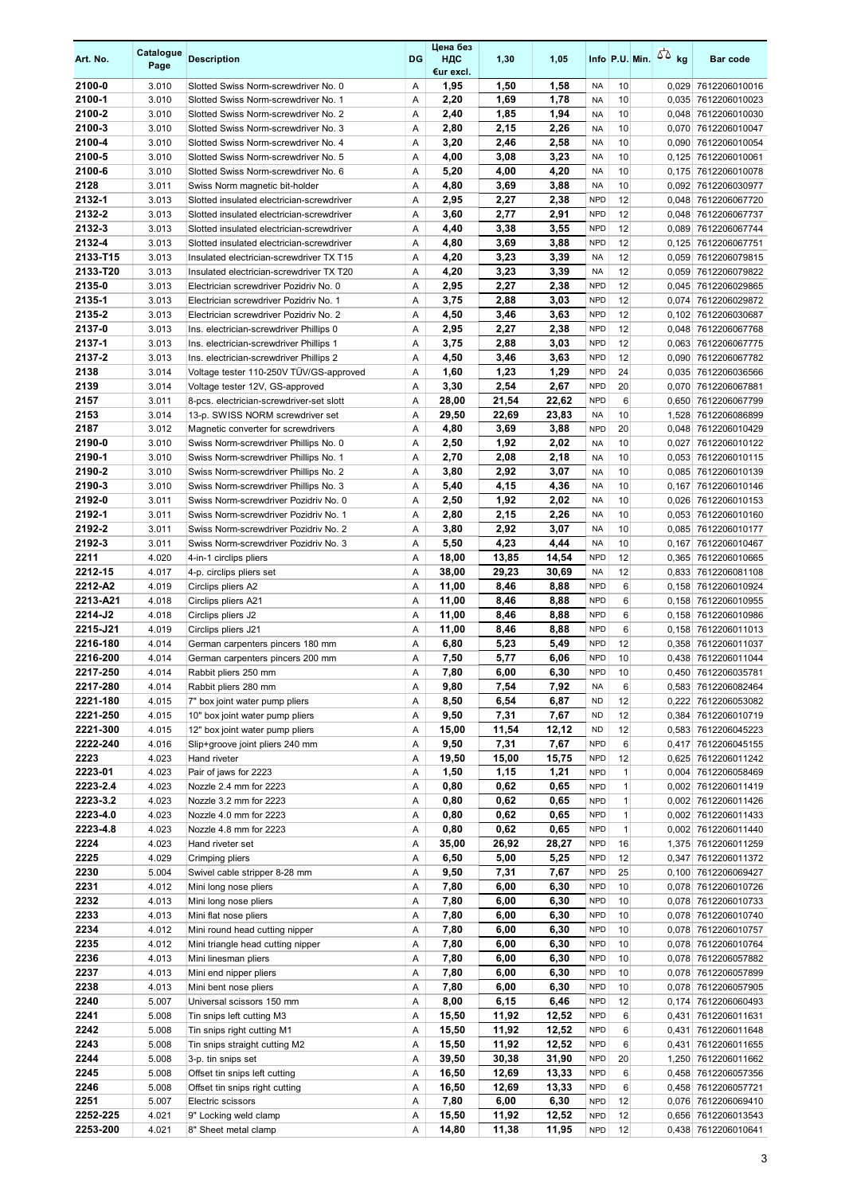| Art. No.             | Catalogue<br>Page | <b>Description</b>                                                                     | DG     | Цена без<br>ндс<br>€ur excl. | 1,30          | 1,05          |                          |                              | Info P.U. Min. $\sqrt{2}$ kg |       | <b>Bar code</b>                            |
|----------------------|-------------------|----------------------------------------------------------------------------------------|--------|------------------------------|---------------|---------------|--------------------------|------------------------------|------------------------------|-------|--------------------------------------------|
| 2100-0               | 3.010             | Slotted Swiss Norm-screwdriver No. 0                                                   | Α      | 1,95                         | 1,50          | 1,58          | NA                       | 10                           |                              |       | 0,029 7612206010016                        |
| 2100-1               | 3.010             | Slotted Swiss Norm-screwdriver No. 1                                                   | Α      | 2,20                         | 1,69          | 1,78          | NA                       | 10                           |                              |       | 0.035 7612206010023                        |
| 2100-2               | 3.010             | Slotted Swiss Norm-screwdriver No. 2                                                   | Α      | 2,40                         | 1,85          | 1,94          | <b>NA</b>                | 10                           |                              |       | 0,048 7612206010030                        |
| 2100-3               | 3.010             | Slotted Swiss Norm-screwdriver No. 3                                                   | Α      | 2,80                         | 2,15          | 2,26          | <b>NA</b>                | 10                           |                              |       | 0,070 7612206010047                        |
| 2100-4               | 3.010             | Slotted Swiss Norm-screwdriver No. 4                                                   | Α      | 3,20                         | 2,46          | 2,58          | <b>NA</b>                | 10                           |                              |       | 0,090 7612206010054                        |
| 2100-5               | 3.010             | Slotted Swiss Norm-screwdriver No. 5                                                   | Α      | 4,00                         | 3,08          | 3,23          | <b>NA</b>                | 10                           |                              |       | 0,125 7612206010061                        |
| 2100-6               | 3.010             | Slotted Swiss Norm-screwdriver No. 6                                                   | Α      | 5,20                         | 4,00          | 4,20          | <b>NA</b>                | 10                           |                              |       | 0,175 7612206010078                        |
| 2128                 | 3.011             | Swiss Norm magnetic bit-holder                                                         | Α      | 4,80                         | 3,69          | 3,88          | <b>NA</b>                | 10                           |                              |       | 0,092 7612206030977                        |
| 2132-1<br>2132-2     | 3.013<br>3.013    | Slotted insulated electrician-screwdriver<br>Slotted insulated electrician-screwdriver | Α<br>Α | 2,95<br>3,60                 | 2,27<br>2,77  | 2,38<br>2,91  | <b>NPD</b><br><b>NPD</b> | 12<br>12                     |                              |       | 0,048 7612206067720<br>0,048 7612206067737 |
| 2132-3               | 3.013             | Slotted insulated electrician-screwdriver                                              | Α      | 4,40                         | 3,38          | 3,55          | <b>NPD</b>               | 12                           |                              |       | 0,089 7612206067744                        |
| 2132-4               | 3.013             | Slotted insulated electrician-screwdriver                                              | Α      | 4,80                         | 3,69          | 3,88          | <b>NPD</b>               | 12                           |                              |       | 0,125 7612206067751                        |
| 2133-T15             | 3.013             | Insulated electrician-screwdriver TX T15                                               | Α      | 4,20                         | 3,23          | 3,39          | <b>NA</b>                | 12                           |                              |       | 0,059 7612206079815                        |
| 2133-T20             | 3.013             | Insulated electrician-screwdriver TX T20                                               | Α      | 4,20                         | 3,23          | 3,39          | <b>NA</b>                | 12                           |                              |       | 0,059 7612206079822                        |
| 2135-0               | 3.013             | Electrician screwdriver Pozidriv No. 0                                                 | Α      | 2,95                         | 2,27          | 2,38          | <b>NPD</b>               | 12                           |                              |       | 0,045 7612206029865                        |
| 2135-1               | 3.013             | Electrician screwdriver Pozidriv No. 1                                                 | Α      | 3,75                         | 2,88          | 3,03          | <b>NPD</b>               | 12                           |                              | 0,074 | 7612206029872                              |
| 2135-2               | 3.013             | Electrician screwdriver Pozidriv No. 2                                                 | Α      | 4,50                         | 3,46          | 3,63          | <b>NPD</b>               | 12                           |                              |       | 0,102 7612206030687                        |
| 2137-0               | 3.013             | Ins. electrician-screwdriver Phillips 0                                                | Α      | 2,95                         | 2,27          | 2,38          | <b>NPD</b>               | 12                           |                              |       | 0,048 7612206067768                        |
| 2137-1               | 3.013             | Ins. electrician-screwdriver Phillips 1                                                | Α      | 3,75                         | 2,88          | 3,03          | <b>NPD</b>               | 12                           |                              |       | 0,063 7612206067775                        |
| 2137-2               | 3.013             | Ins. electrician-screwdriver Phillips 2                                                | Α      | 4,50                         | 3,46          | 3,63          | <b>NPD</b>               | 12                           |                              |       | 0,090 7612206067782                        |
| 2138                 | 3.014             | Voltage tester 110-250V TÜV/GS-approved                                                | Α      | 1,60                         | 1,23          | 1,29          | <b>NPD</b>               | 24                           |                              |       | 0,035 7612206036566                        |
| 2139<br>2157         | 3.014             | Voltage tester 12V, GS-approved<br>8-pcs. electrician-screwdriver-set slott            | Α      | 3,30                         | 2,54<br>21,54 | 2,67<br>22,62 | <b>NPD</b><br><b>NPD</b> | 20<br>6                      |                              |       | 0,070 7612206067881                        |
| 2153                 | 3.011<br>3.014    | 13-p. SWISS NORM screwdriver set                                                       | Α<br>Α | 28,00<br>29,50               | 22,69         | 23,83         | <b>NA</b>                | 10                           |                              |       | 0,650 7612206067799<br>1,528 7612206086899 |
| 2187                 | 3.012             | Magnetic converter for screwdrivers                                                    | Α      | 4,80                         | 3,69          | 3,88          | <b>NPD</b>               | 20                           |                              |       | 0,048 7612206010429                        |
| 2190-0               | 3.010             | Swiss Norm-screwdriver Phillips No. 0                                                  | Α      | 2,50                         | 1,92          | 2,02          | <b>NA</b>                | 10                           |                              |       | 0,027 7612206010122                        |
| 2190-1               | 3.010             | Swiss Norm-screwdriver Phillips No. 1                                                  | Α      | 2,70                         | 2,08          | 2,18          | <b>NA</b>                | 10                           |                              |       | 0,053 7612206010115                        |
| 2190-2               | 3.010             | Swiss Norm-screwdriver Phillips No. 2                                                  | Α      | 3,80                         | 2,92          | 3,07          | <b>NA</b>                | 10                           |                              |       | 0,085 7612206010139                        |
| 2190-3               | 3.010             | Swiss Norm-screwdriver Phillips No. 3                                                  | Α      | 5,40                         | 4,15          | 4,36          | <b>NA</b>                | 10                           |                              |       | 0,167 7612206010146                        |
| 2192-0               | 3.011             | Swiss Norm-screwdriver Pozidriv No. 0                                                  | Α      | 2,50                         | 1,92          | 2,02          | <b>NA</b>                | 10                           |                              |       | 0,026 7612206010153                        |
| 2192-1               | 3.011             | Swiss Norm-screwdriver Pozidriv No. 1                                                  | Α      | 2,80                         | 2,15          | 2,26          | <b>NA</b>                | 10                           |                              |       | 0,053 7612206010160                        |
| 2192-2               | 3.011             | Swiss Norm-screwdriver Pozidriv No. 2                                                  | Α      | 3,80                         | 2,92          | 3,07          | <b>NA</b>                | 10                           |                              |       | 0,085 7612206010177                        |
| 2192-3               | 3.011             | Swiss Norm-screwdriver Pozidriv No. 3                                                  | Α      | 5,50                         | 4,23          | 4,44          | <b>NA</b>                | 10                           |                              |       | 0,167 7612206010467                        |
| 2211                 | 4.020             | 4-in-1 circlips pliers                                                                 | Α      | 18,00                        | 13,85         | 14,54         | <b>NPD</b>               | 12                           |                              |       | 0,365 7612206010665                        |
| 2212-15              | 4.017             | 4-p. circlips pliers set                                                               | Α      | 38,00                        | 29,23         | 30,69         | <b>NA</b>                | 12                           |                              |       | 0,833 7612206081108                        |
| 2212-A2              | 4.019             | Circlips pliers A2                                                                     | Α      | 11,00                        | 8,46          | 8,88          | <b>NPD</b>               | 6                            |                              |       | 0,158 7612206010924                        |
| 2213-A21<br>2214-J2  | 4.018             | Circlips pliers A21                                                                    | Α      | 11,00                        | 8,46          | 8,88          | <b>NPD</b><br><b>NPD</b> | 6<br>6                       |                              |       | 0,158 7612206010955                        |
| 2215-J21             | 4.018<br>4.019    | Circlips pliers J2<br>Circlips pliers J21                                              | Α<br>Α | 11,00<br>11,00               | 8,46<br>8,46  | 8,88<br>8,88  | <b>NPD</b>               | 6                            |                              |       | 0,158 7612206010986<br>0,158 7612206011013 |
| 2216-180             | 4.014             | German carpenters pincers 180 mm                                                       | Α      | 6,80                         | 5,23          | 5,49          | <b>NPD</b>               | 12                           |                              |       | 0,358 7612206011037                        |
| 2216-200             | 4.014             | German carpenters pincers 200 mm                                                       | Α      | 7,50                         | 5,77          | 6,06          | <b>NPD</b>               | 10                           |                              |       | 0,438 7612206011044                        |
| 2217-250             | 4.014             | Rabbit pliers 250 mm                                                                   | A      | 7,80                         | 6,00          | 6,30          | <b>NPD</b>               | 10                           |                              |       | 0,450 7612206035781                        |
| 2217-280             | 4.014             | Rabbit pliers 280 mm                                                                   | Α      | 9,80                         | 7,54          | 7,92          | <b>NA</b>                | 6                            |                              |       | 0,583 7612206082464                        |
| 2221-180             | 4.015             | 7" box joint water pump pliers                                                         | Α      | 8,50                         | 6,54          | 6,87          | <b>ND</b>                | 12                           |                              |       | 0,222 7612206053082                        |
| 2221-250             | 4.015             | 10" box joint water pump pliers                                                        | Α      | 9,50                         | 7,31          | 7,67          | <b>ND</b>                | 12                           |                              |       | 0,384 7612206010719                        |
| 2221-300             | 4.015             | 12" box joint water pump pliers                                                        | Α      | 15,00                        | 11,54         | 12,12         | <b>ND</b>                | 12                           |                              |       | 0,583 7612206045223                        |
| 2222-240             | 4.016             | Slip+groove joint pliers 240 mm                                                        | Α      | 9,50                         | 7,31          | 7,67          | <b>NPD</b>               | 6                            |                              |       | 0,417 7612206045155                        |
| 2223                 | 4.023             | Hand riveter                                                                           | Α      | 19,50                        | 15,00         | 15,75         | <b>NPD</b>               | 12                           |                              |       | 0,625 7612206011242                        |
| 2223-01              | 4.023             | Pair of jaws for 2223                                                                  | Α      | 1,50                         | 1,15          | 1,21          | <b>NPD</b>               | $\mathbf{1}$                 |                              |       | 0,004 7612206058469                        |
| 2223-2.4<br>2223-3.2 | 4.023<br>4.023    | Nozzle 2.4 mm for 2223<br>Nozzle 3.2 mm for 2223                                       | Α<br>Α | 0,80<br>0,80                 | 0,62<br>0,62  | 0,65<br>0,65  | <b>NPD</b><br><b>NPD</b> | $\mathbf{1}$<br>$\mathbf{1}$ |                              |       | 0,002 7612206011419                        |
| 2223-4.0             | 4.023             | Nozzle 4.0 mm for 2223                                                                 | Α      | 0,80                         | 0,62          | 0,65          | <b>NPD</b>               | $\mathbf{1}$                 |                              |       | 0,002 7612206011426<br>0,002 7612206011433 |
| 2223-4.8             | 4.023             | Nozzle 4.8 mm for 2223                                                                 | Α      | 0,80                         | 0,62          | 0,65          | <b>NPD</b>               | $\mathbf{1}$                 |                              |       | 0,002 7612206011440                        |
| 2224                 | 4.023             | Hand riveter set                                                                       | Α      | 35,00                        | 26,92         | 28,27         | <b>NPD</b>               | 16                           |                              |       | 1,375 7612206011259                        |
| 2225                 | 4.029             | Crimping pliers                                                                        | Α      | 6,50                         | 5,00          | 5,25          | <b>NPD</b>               | 12                           |                              |       | 0,347 7612206011372                        |
| 2230                 | 5.004             | Swivel cable stripper 8-28 mm                                                          | Α      | 9,50                         | 7,31          | 7,67          | <b>NPD</b>               | 25                           |                              |       | 0,100 7612206069427                        |
| 2231                 | 4.012             | Mini long nose pliers                                                                  | Α      | 7,80                         | 6,00          | 6,30          | <b>NPD</b>               | 10                           |                              |       | 0,078 7612206010726                        |
| 2232                 | 4.013             | Mini long nose pliers                                                                  | Α      | 7,80                         | 6,00          | 6,30          | <b>NPD</b>               | 10                           |                              |       | 0,078 7612206010733                        |
| 2233                 | 4.013             | Mini flat nose pliers                                                                  | Α      | 7,80                         | 6,00          | 6,30          | <b>NPD</b>               | 10                           |                              |       | 0,078 7612206010740                        |
| 2234                 | 4.012             | Mini round head cutting nipper                                                         | Α      | 7,80                         | 6,00          | 6,30          | <b>NPD</b>               | 10                           |                              |       | 0,078 7612206010757                        |
| 2235                 | 4.012             | Mini triangle head cutting nipper                                                      | Α      | 7,80                         | 6,00          | 6,30          | <b>NPD</b>               | 10                           |                              |       | 0,078 7612206010764                        |
| 2236                 | 4.013             | Mini linesman pliers                                                                   | Α      | 7,80                         | 6,00          | 6,30          | <b>NPD</b>               | 10                           |                              |       | 0,078 7612206057882                        |
| 2237                 | 4.013             | Mini end nipper pliers                                                                 | Α      | 7,80                         | 6,00          | 6,30          | <b>NPD</b><br><b>NPD</b> | 10                           |                              |       | 0,078 7612206057899                        |
| 2238<br>2240         | 4.013<br>5.007    | Mini bent nose pliers<br>Universal scissors 150 mm                                     | Α<br>Α | 7,80<br>8,00                 | 6,00<br>6,15  | 6,30<br>6,46  | <b>NPD</b>               | 10<br>12                     |                              | 0,174 | 0,078 7612206057905<br>7612206060493       |
| 2241                 | 5.008             | Tin snips left cutting M3                                                              | Α      | 15,50                        | 11,92         | 12,52         | <b>NPD</b>               | 6                            |                              |       | 0,431 7612206011631                        |
| 2242                 | 5.008             | Tin snips right cutting M1                                                             | Α      | 15,50                        | 11,92         | 12,52         | <b>NPD</b>               | 6                            |                              |       | 0,431 7612206011648                        |
| 2243                 | 5.008             | Tin snips straight cutting M2                                                          | Α      | 15,50                        | 11,92         | 12,52         | <b>NPD</b>               | 6                            |                              |       | 0,431 7612206011655                        |
| 2244                 | 5.008             | 3-p. tin snips set                                                                     | Α      | 39,50                        | 30,38         | 31,90         | <b>NPD</b>               | 20                           |                              |       | 1,250 7612206011662                        |
| 2245                 | 5.008             | Offset tin snips left cutting                                                          | Α      | 16,50                        | 12,69         | 13,33         | <b>NPD</b>               | 6                            |                              |       | 0,458 7612206057356                        |
| 2246                 | 5.008             | Offset tin snips right cutting                                                         | Α      | 16,50                        | 12,69         | 13,33         | <b>NPD</b>               | 6                            |                              |       | 0,458 7612206057721                        |
| 2251                 | 5.007             | Electric scissors                                                                      | Α      | 7,80                         | 6,00          | 6,30          | <b>NPD</b>               | 12                           |                              |       | 0,076 7612206069410                        |
| 2252-225             | 4.021             | 9" Locking weld clamp                                                                  | Α      | 15,50                        | 11,92         | 12,52         | <b>NPD</b>               | 12                           |                              |       | 0,656 7612206013543                        |
| 2253-200             | 4.021             | 8" Sheet metal clamp                                                                   | Α      | 14,80                        | 11,38         | 11,95         | <b>NPD</b>               | 12                           |                              |       | 0,438 7612206010641                        |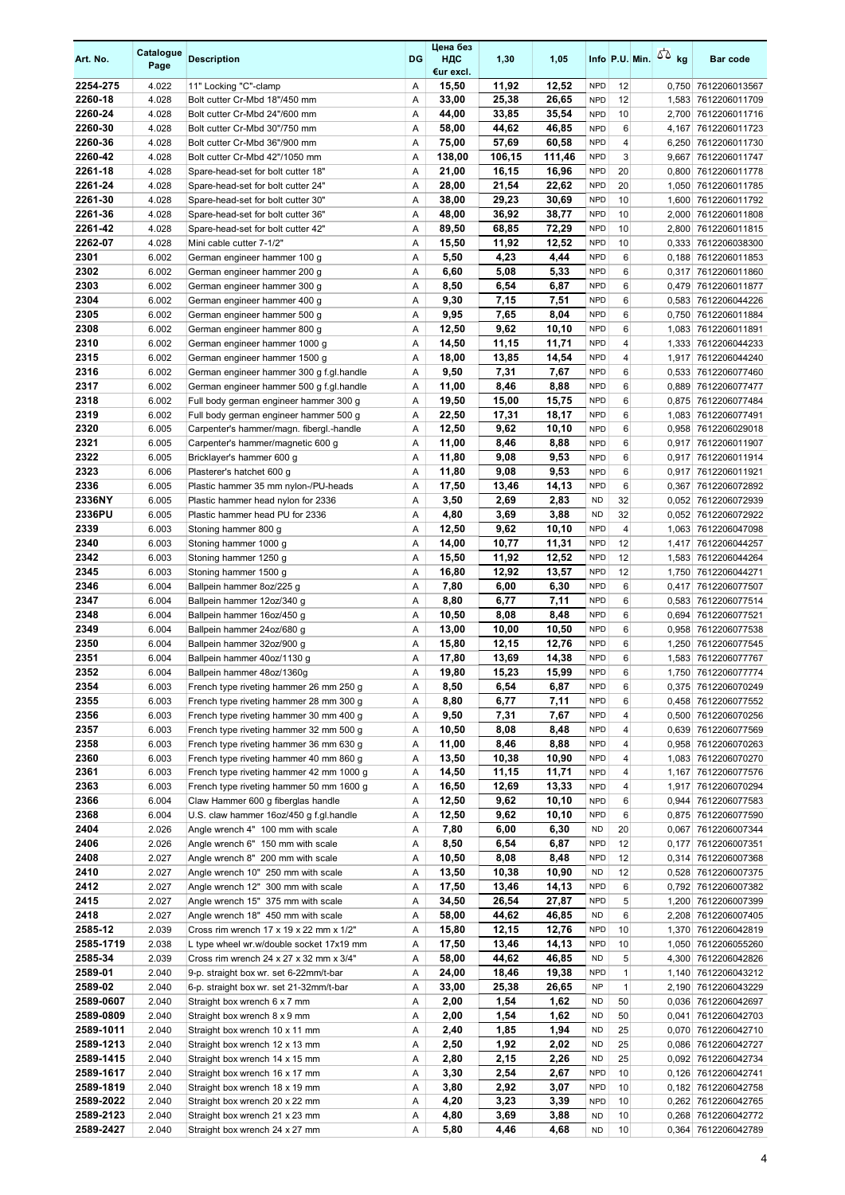| Art. No.           | Catalogue<br>Page | <b>Description</b>                                                                 | DG     | Цена без<br>ндс<br>€ur excl. | 1,30           | 1,05           |                          |                   | Info P.U. Min. $\sqrt{2}$ kg | Bar code                                   |
|--------------------|-------------------|------------------------------------------------------------------------------------|--------|------------------------------|----------------|----------------|--------------------------|-------------------|------------------------------|--------------------------------------------|
| 2254-275           | 4.022             | 11" Locking "C"-clamp                                                              | Α      | 15,50                        | 11,92          | 12,52          | <b>NPD</b>               | 12                |                              | 0,750 7612206013567                        |
| 2260-18            | 4.028             | Bolt cutter Cr-Mbd 18"/450 mm                                                      | A      | 33,00                        | 25,38          | 26,65          | <b>NPD</b>               | 12                |                              | 1,583 7612206011709                        |
| 2260-24<br>2260-30 | 4.028<br>4.028    | Bolt cutter Cr-Mbd 24"/600 mm                                                      | Α<br>Α | 44,00<br>58,00               | 33,85<br>44,62 | 35,54<br>46,85 | <b>NPD</b><br><b>NPD</b> | 10<br>6           |                              | 2,700 7612206011716<br>4,167 7612206011723 |
| 2260-36            | 4.028             | Bolt cutter Cr-Mbd 30"/750 mm<br>Bolt cutter Cr-Mbd 36"/900 mm                     | Α      | 75,00                        | 57,69          | 60,58          | <b>NPD</b>               | 4                 |                              | 6,250 7612206011730                        |
| 2260-42            | 4.028             | Bolt cutter Cr-Mbd 42"/1050 mm                                                     | Α      | 138,00                       | 106,15         | 111,46         | <b>NPD</b>               | 3                 |                              | 9,667 7612206011747                        |
| 2261-18            | 4.028             | Spare-head-set for bolt cutter 18"                                                 | Α      | 21,00                        | 16,15          | 16,96          | <b>NPD</b>               | 20                |                              | 0,800 7612206011778                        |
| 2261-24            | 4.028             | Spare-head-set for bolt cutter 24"                                                 | Α      | 28,00                        | 21,54          | 22,62          | <b>NPD</b>               | 20                |                              | 1,050 7612206011785                        |
| 2261-30            | 4.028             | Spare-head-set for bolt cutter 30"                                                 | A      | 38,00                        | 29,23          | 30,69          | <b>NPD</b>               | 10                |                              | 1,600 7612206011792                        |
| 2261-36            | 4.028             | Spare-head-set for bolt cutter 36"                                                 | Α      | 48,00                        | 36,92          | 38,77          | <b>NPD</b>               | 10                | 2,000                        | 7612206011808                              |
| 2261-42            | 4.028             | Spare-head-set for bolt cutter 42"                                                 | Α      | 89,50                        | 68,85          | 72,29          | <b>NPD</b>               | 10                |                              | 2,800 7612206011815                        |
| 2262-07<br>2301    | 4.028<br>6.002    | Mini cable cutter 7-1/2"                                                           | Α<br>Α | 15,50<br>5,50                | 11,92<br>4,23  | 12,52<br>4,44  | <b>NPD</b><br><b>NPD</b> | 10<br>6           |                              | 0,333 7612206038300<br>0,188 7612206011853 |
| 2302               | 6.002             | German engineer hammer 100 g<br>German engineer hammer 200 g                       | Α      | 6,60                         | 5,08           | 5,33           | <b>NPD</b>               | 6                 |                              | 0,317 7612206011860                        |
| 2303               | 6.002             | German engineer hammer 300 g                                                       | Α      | 8,50                         | 6,54           | 6,87           | <b>NPD</b>               | 6                 |                              | 0,479 7612206011877                        |
| 2304               | 6.002             | German engineer hammer 400 g                                                       | Α      | 9,30                         | 7,15           | 7,51           | <b>NPD</b>               | 6                 |                              | 0,583 7612206044226                        |
| 2305               | 6.002             | German engineer hammer 500 g                                                       | Α      | 9,95                         | 7,65           | 8,04           | <b>NPD</b>               | 6                 |                              | 0,750 7612206011884                        |
| 2308               | 6.002             | German engineer hammer 800 g                                                       | Α      | 12,50                        | 9,62           | 10,10          | <b>NPD</b>               | 6                 |                              | 1,083 7612206011891                        |
| 2310               | 6.002             | German engineer hammer 1000 g                                                      | Α      | 14,50                        | 11,15          | 11,71          | <b>NPD</b>               | 4                 |                              | 1,333 7612206044233                        |
| 2315               | 6.002             | German engineer hammer 1500 g                                                      | Α      | 18,00                        | 13,85          | 14,54          | <b>NPD</b>               | 4                 |                              | 1,917 7612206044240                        |
| 2316               | 6.002             | German engineer hammer 300 g f.gl.handle                                           | Α      | 9,50                         | 7,31           | 7,67           | <b>NPD</b>               | 6                 |                              | 0,533 7612206077460                        |
| 2317               | 6.002             | German engineer hammer 500 g f.gl.handle                                           | Α      | 11,00                        | 8,46           | 8,88           | <b>NPD</b>               | 6                 |                              | 0,889 7612206077477                        |
| 2318<br>2319       | 6.002<br>6.002    | Full body german engineer hammer 300 g<br>Full body german engineer hammer 500 g   | Α<br>Α | 19,50<br>22,50               | 15,00<br>17,31 | 15,75<br>18,17 | <b>NPD</b><br><b>NPD</b> | 6<br>6            |                              | 0,875 7612206077484<br>1,083 7612206077491 |
| 2320               | 6.005             | Carpenter's hammer/magn. fibergl.-handle                                           | Α      | 12,50                        | 9,62           | 10,10          | <b>NPD</b>               | 6                 |                              | 0,958 7612206029018                        |
| 2321               | 6.005             | Carpenter's hammer/magnetic 600 g                                                  | Α      | 11,00                        | 8,46           | 8,88           | <b>NPD</b>               | 6                 |                              | 0,917 7612206011907                        |
| 2322               | 6.005             | Bricklayer's hammer 600 g                                                          | Α      | 11,80                        | 9,08           | 9,53           | <b>NPD</b>               | 6                 |                              | 0,917 7612206011914                        |
| 2323               | 6.006             | Plasterer's hatchet 600 g                                                          | Α      | 11,80                        | 9,08           | 9,53           | <b>NPD</b>               | 6                 |                              | 0,917 7612206011921                        |
| 2336               | 6.005             | Plastic hammer 35 mm nylon-/PU-heads                                               | Α      | 17,50                        | 13,46          | 14,13          | <b>NPD</b>               | 6                 |                              | 0,367 7612206072892                        |
| 2336NY             | 6.005             | Plastic hammer head nylon for 2336                                                 | Α      | 3,50                         | 2,69           | 2,83           | <b>ND</b>                | 32                |                              | 0,052 7612206072939                        |
| 2336PU             | 6.005             | Plastic hammer head PU for 2336                                                    | Α      | 4,80                         | 3,69           | 3,88           | <b>ND</b>                | 32                |                              | 0,052 7612206072922                        |
| 2339               | 6.003             | Stoning hammer 800 g                                                               | Α      | 12,50                        | 9,62           | 10,10          | <b>NPD</b>               | 4                 |                              | 1,063 7612206047098                        |
| 2340<br>2342       | 6.003<br>6.003    | Stoning hammer 1000 g                                                              | Α<br>Α | 14,00<br>15,50               | 10,77<br>11,92 | 11,31<br>12,52 | <b>NPD</b><br><b>NPD</b> | 12<br>12          |                              | 1,417 7612206044257<br>1,583 7612206044264 |
| 2345               | 6.003             | Stoning hammer 1250 g<br>Stoning hammer 1500 g                                     | Α      | 16,80                        | 12,92          | 13,57          | <b>NPD</b>               | 12                |                              | 1,750 7612206044271                        |
| 2346               | 6.004             | Ballpein hammer 8oz/225 g                                                          | Α      | 7,80                         | 6,00           | 6,30           | <b>NPD</b>               | 6                 |                              | 0,417 7612206077507                        |
| 2347               | 6.004             | Ballpein hammer 12oz/340 g                                                         | Α      | 8,80                         | 6,77           | 7,11           | <b>NPD</b>               | 6                 |                              | 0,583 7612206077514                        |
| 2348               | 6.004             | Ballpein hammer 16oz/450 g                                                         | Α      | 10,50                        | 8,08           | 8,48           | <b>NPD</b>               | 6                 |                              | 0.694 7612206077521                        |
| 2349               | 6.004             | Ballpein hammer 24oz/680 g                                                         | Α      | 13,00                        | 10,00          | 10,50          | <b>NPD</b>               | 6                 |                              | 0,958 7612206077538                        |
| 2350               | 6.004             | Ballpein hammer 32oz/900 g                                                         | Α      | 15,80                        | 12,15          | 12,76          | <b>NPD</b>               | 6                 |                              | 1,250 7612206077545                        |
| 2351               | 6.004             | Ballpein hammer 40oz/1130 g                                                        | Α      | 17,80                        | 13,69          | 14,38          | <b>NPD</b>               | 6                 |                              | 1.583 7612206077767                        |
| 2352               | 6.004             | Ballpein hammer 48oz/1360g                                                         | Α      | 19,80                        | 15,23          | 15,99          | <b>NPD</b>               | 6                 |                              | 1,750 7612206077774                        |
| 2354<br>2355       | 6.003<br>6.003    | French type riveting hammer 26 mm 250 g<br>French type riveting hammer 28 mm 300 g | Α<br>Α | 8,50<br>8,80                 | 6,54<br>6,77   | 6,87<br>7,11   | <b>NPD</b><br><b>NPD</b> | 6<br>6            |                              | 0,375 7612206070249<br>0,458 7612206077552 |
| 2356               | 6.003             | French type riveting hammer 30 mm 400 g                                            | Α      | 9,50                         | 7,31           | 7,67           | <b>NPD</b>               | 4                 |                              | 0,500 7612206070256                        |
| 2357               | 6.003             | French type riveting hammer 32 mm 500 g                                            | Α      | 10,50                        | 8,08           | 8,48           | <b>NPD</b>               | 4                 |                              | 0,639 7612206077569                        |
| 2358               | 6.003             | French type riveting hammer 36 mm 630 g                                            | Α      | 11,00                        | 8,46           | 8,88           | <b>NPD</b>               | 4                 |                              | 0,958 7612206070263                        |
| 2360               | 6.003             | French type riveting hammer 40 mm 860 g                                            | Α      | 13,50                        | 10,38          | 10,90          | <b>NPD</b>               | 4                 |                              | 1,083 7612206070270                        |
| 2361               | 6.003             | French type riveting hammer 42 mm 1000 g                                           | Α      | 14,50                        | 11,15          | 11,71          | <b>NPD</b>               | 4                 |                              | 1,167 7612206077576                        |
| 2363               | 6.003             | French type riveting hammer 50 mm 1600 g                                           | Α      | 16,50                        | 12,69          | 13,33          | <b>NPD</b>               | 4                 |                              | 1,917 7612206070294                        |
| 2366               | 6.004             | Claw Hammer 600 g fiberglas handle                                                 | Α      | 12,50                        | 9,62           | 10,10          | <b>NPD</b>               | 6                 |                              | 0,944 7612206077583                        |
| 2368               | 6.004             | U.S. claw hammer 16oz/450 g f.gl.handle                                            | Α      | 12,50                        | 9,62           | 10,10          | <b>NPD</b>               | 6                 |                              | 0,875 7612206077590                        |
| 2404<br>2406       | 2.026<br>2.026    | Angle wrench 4" 100 mm with scale<br>Angle wrench 6" 150 mm with scale             | Α<br>Α | 7,80<br>8,50                 | 6,00<br>6,54   | 6,30<br>6,87   | <b>ND</b><br><b>NPD</b>  | 20<br>12          |                              | 0,067 7612206007344<br>0,177 7612206007351 |
| 2408               | 2.027             | Angle wrench 8" 200 mm with scale                                                  | Α      | 10,50                        | 8,08           | 8,48           | <b>NPD</b>               | 12                |                              | 0,314 7612206007368                        |
| 2410               | 2.027             | Angle wrench 10" 250 mm with scale                                                 | Α      | 13,50                        | 10,38          | 10,90          | <b>ND</b>                | 12                |                              | 0,528 7612206007375                        |
| 2412               | 2.027             | Angle wrench 12" 300 mm with scale                                                 | Α      | 17,50                        | 13,46          | 14,13          | <b>NPD</b>               | 6                 |                              | 0,792 7612206007382                        |
| 2415               | 2.027             | Angle wrench 15" 375 mm with scale                                                 | Α      | 34,50                        | 26,54          | 27,87          | <b>NPD</b>               | 5                 |                              | 1,200 7612206007399                        |
| 2418               | 2.027             | Angle wrench 18" 450 mm with scale                                                 | Α      | 58,00                        | 44,62          | 46,85          | <b>ND</b>                | 6                 |                              | 2,208 7612206007405                        |
| 2585-12            | 2.039             | Cross rim wrench 17 x 19 x 22 mm x 1/2"                                            | Α      | 15,80                        | 12,15          | 12,76          | <b>NPD</b>               | 10                |                              | 1,370 7612206042819                        |
| 2585-1719          | 2.038             | L type wheel wr.w/double socket 17x19 mm                                           | Α      | 17,50                        | 13,46          | 14,13          | <b>NPD</b>               | 10                |                              | 1,050 7612206055260                        |
| 2585-34<br>2589-01 | 2.039<br>2.040    | Cross rim wrench 24 x 27 x 32 mm x 3/4"<br>9-p. straight box wr. set 6-22mm/t-bar  | Α<br>Α | 58,00<br>24,00               | 44,62<br>18,46 | 46,85<br>19,38 | <b>ND</b><br><b>NPD</b>  | 5<br>$\mathbf{1}$ |                              | 4,300 7612206042826<br>1,140 7612206043212 |
| 2589-02            | 2.040             | 6-p. straight box wr. set 21-32mm/t-bar                                            | Α      | 33,00                        | 25,38          | 26,65          | <b>NP</b>                | $\mathbf{1}$      |                              | 2,190 7612206043229                        |
| 2589-0607          | 2.040             | Straight box wrench 6 x 7 mm                                                       | Α      | 2,00                         | 1,54           | 1,62           | <b>ND</b>                | 50                |                              | 0,036 7612206042697                        |
| 2589-0809          | 2.040             | Straight box wrench 8 x 9 mm                                                       | Α      | 2,00                         | 1,54           | 1,62           | <b>ND</b>                | 50                |                              | 0,041 7612206042703                        |
| 2589-1011          | 2.040             | Straight box wrench 10 x 11 mm                                                     | Α      | 2,40                         | 1,85           | 1,94           | <b>ND</b>                | 25                |                              | 0,070 7612206042710                        |
| 2589-1213          | 2.040             | Straight box wrench 12 x 13 mm                                                     | Α      | 2,50                         | 1,92           | 2,02           | <b>ND</b>                | 25                |                              | 0,086 7612206042727                        |
| 2589-1415          | 2.040             | Straight box wrench 14 x 15 mm                                                     | Α      | 2,80                         | 2,15           | 2,26           | <b>ND</b>                | 25                |                              | 0,092 7612206042734                        |
| 2589-1617          | 2.040             | Straight box wrench 16 x 17 mm                                                     | Α      | 3,30                         | 2,54           | 2,67           | <b>NPD</b>               | 10                |                              | 0,126 7612206042741                        |
| 2589-1819          | 2.040             | Straight box wrench 18 x 19 mm                                                     | Α      | 3,80                         | 2,92           | 3,07           | <b>NPD</b>               | 10                |                              | 0,182 7612206042758                        |
| 2589-2022          | 2.040             | Straight box wrench 20 x 22 mm                                                     | Α      | 4,20                         | 3,23           | 3,39           | <b>NPD</b>               | 10                |                              | 0,262 7612206042765                        |
| 2589-2123          | 2.040             | Straight box wrench 21 x 23 mm                                                     | Α      | 4,80                         | 3,69           | 3,88<br>4,68   | <b>ND</b><br><b>ND</b>   | 10                |                              | 0,268 7612206042772                        |
| 2589-2427          | 2.040             | Straight box wrench 24 x 27 mm                                                     | Α      | 5,80                         | 4,46           |                |                          | 10                |                              | 0,364 7612206042789                        |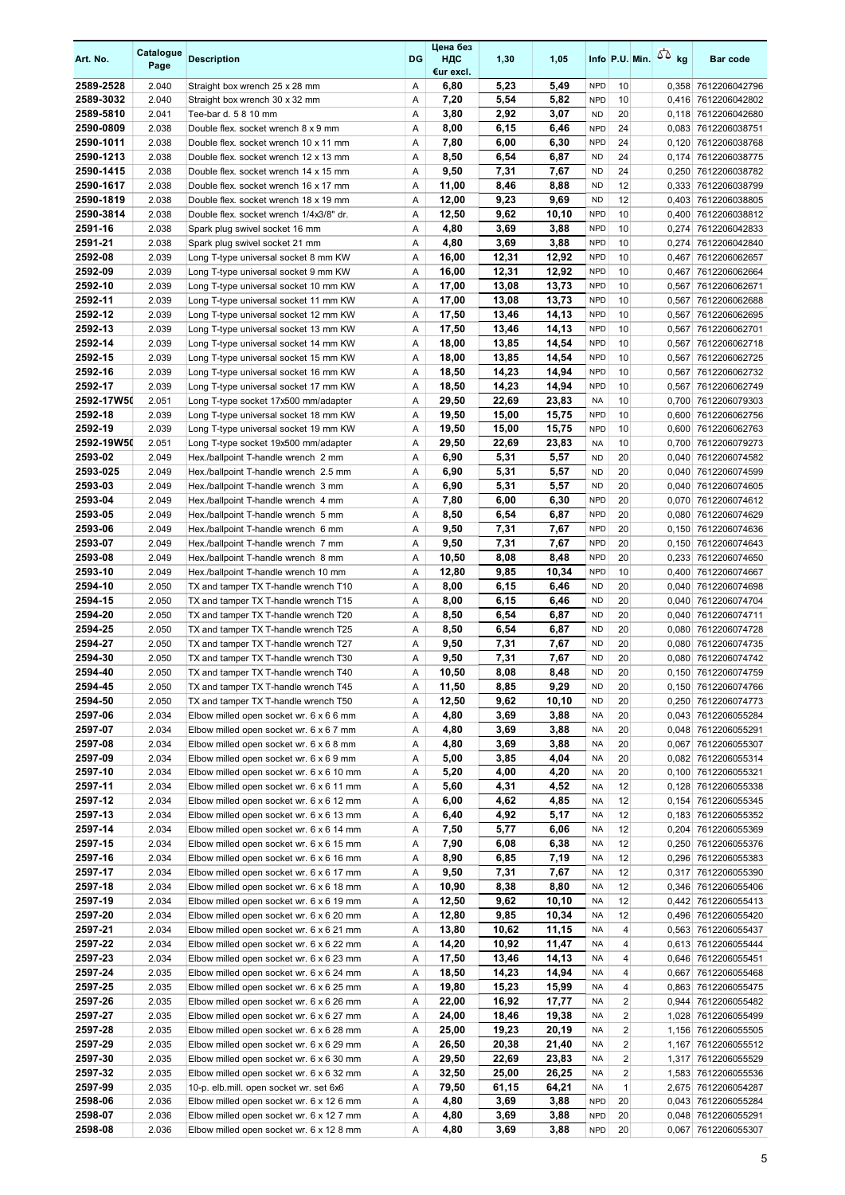| Art. No.               | Catalogue<br>Page | <b>Description</b>                                                                   | DG     | Цена без<br>ндс<br>€ur excl. | 1,30           | 1,05           |                          |                 | Info P.U. Min. $\sqrt{2}$ kg | <b>Bar code</b>                            |
|------------------------|-------------------|--------------------------------------------------------------------------------------|--------|------------------------------|----------------|----------------|--------------------------|-----------------|------------------------------|--------------------------------------------|
| 2589-2528              | 2.040             | Straight box wrench 25 x 28 mm                                                       | Α      | 6,80                         | 5,23           | 5,49           | <b>NPD</b>               | 10              |                              | 0,358 7612206042796                        |
| 2589-3032              | 2.040             | Straight box wrench 30 x 32 mm                                                       | Α      | 7,20                         | 5,54           | 5,82           | <b>NPD</b>               | 10              |                              | 0,416 7612206042802                        |
| 2589-5810              | 2.041             | Tee-bar d. 5 8 10 mm                                                                 | A      | 3,80                         | 2,92           | 3,07           | <b>ND</b>                | 20              |                              | 0,118 7612206042680                        |
| 2590-0809              | 2.038             | Double flex, socket wrench 8 x 9 mm                                                  | Α      | 8,00                         | 6,15           | 6,46           | <b>NPD</b>               | 24              |                              | 0,083 7612206038751                        |
| 2590-1011<br>2590-1213 | 2.038<br>2.038    | Double flex, socket wrench 10 x 11 mm<br>Double flex. socket wrench 12 x 13 mm       | Α<br>A | 7,80<br>8,50                 | 6,00<br>6,54   | 6,30<br>6,87   | <b>NPD</b><br><b>ND</b>  | 24<br>24        | 0,174                        | 0.120 7612206038768<br>7612206038775       |
| 2590-1415              | 2.038             | Double flex. socket wrench 14 x 15 mm                                                | Α      | 9,50                         | 7,31           | 7,67           | <b>ND</b>                | 24              |                              | 0,250 7612206038782                        |
| 2590-1617              | 2.038             | Double flex, socket wrench 16 x 17 mm                                                | Α      | 11,00                        | 8,46           | 8,88           | <b>ND</b>                | 12              |                              | 0,333 7612206038799                        |
| 2590-1819              | 2.038             | Double flex. socket wrench 18 x 19 mm                                                | Α      | 12,00                        | 9,23           | 9,69           | <b>ND</b>                | 12              |                              | 0,403 7612206038805                        |
| 2590-3814              | 2.038             | Double flex. socket wrench 1/4x3/8" dr.                                              | Α      | 12,50                        | 9,62           | 10,10          | <b>NPD</b>               | 10              |                              | 0,400 7612206038812                        |
| 2591-16                | 2.038             | Spark plug swivel socket 16 mm                                                       | Α      | 4,80                         | 3,69           | 3,88           | <b>NPD</b>               | 10              | 0,274                        | 7612206042833                              |
| 2591-21                | 2.038             | Spark plug swivel socket 21 mm                                                       | Α      | 4,80                         | 3,69           | 3,88           | <b>NPD</b>               | 10              | 0,274                        | 7612206042840                              |
| 2592-08                | 2.039             | Long T-type universal socket 8 mm KW                                                 | Α      | 16,00                        | 12,31          | 12,92          | <b>NPD</b>               | 10              |                              | 0,467 7612206062657                        |
| 2592-09<br>2592-10     | 2.039<br>2.039    | Long T-type universal socket 9 mm KW<br>Long T-type universal socket 10 mm KW        | Α<br>Α | 16,00<br>17,00               | 12,31<br>13,08 | 12,92<br>13,73 | <b>NPD</b><br><b>NPD</b> | 10<br>10        |                              | 0,467 7612206062664<br>0,567 7612206062671 |
| 2592-11                | 2.039             | Long T-type universal socket 11 mm KW                                                | Α      | 17,00                        | 13,08          | 13,73          | <b>NPD</b>               | 10              |                              | 0,567 7612206062688                        |
| 2592-12                | 2.039             | Long T-type universal socket 12 mm KW                                                | Α      | 17,50                        | 13,46          | 14,13          | <b>NPD</b>               | 10              |                              | 0,567 7612206062695                        |
| 2592-13                | 2.039             | Long T-type universal socket 13 mm KW                                                | Α      | 17,50                        | 13,46          | 14,13          | <b>NPD</b>               | 10              |                              | 0,567 7612206062701                        |
| 2592-14                | 2.039             | Long T-type universal socket 14 mm KW                                                | Α      | 18,00                        | 13,85          | 14,54          | <b>NPD</b>               | 10              | 0,567                        | 7612206062718                              |
| 2592-15                | 2.039             | Long T-type universal socket 15 mm KW                                                | Α      | 18,00                        | 13,85          | 14,54          | <b>NPD</b>               | 10              |                              | 0,567 7612206062725                        |
| 2592-16                | 2.039             | Long T-type universal socket 16 mm KW                                                | Α      | 18,50                        | 14,23          | 14,94          | <b>NPD</b>               | 10              |                              | 0,567 7612206062732                        |
| 2592-17                | 2.039             | Long T-type universal socket 17 mm KW                                                | Α      | 18,50                        | 14,23          | 14,94          | <b>NPD</b>               | 10              |                              | 0,567 7612206062749                        |
| 2592-17W50             | 2.051             | Long T-type socket 17x500 mm/adapter                                                 | Α      | 29,50                        | 22,69          | 23,83          | <b>NA</b>                | 10              |                              | 0,700 7612206079303                        |
| 2592-18                | 2.039             | Long T-type universal socket 18 mm KW                                                | Α      | 19,50                        | 15,00          | 15,75          | <b>NPD</b>               | 10              |                              | 0,600 7612206062756                        |
| 2592-19                | 2.039             | Long T-type universal socket 19 mm KW                                                | Α      | 19,50                        | 15,00          | 15,75          | <b>NPD</b>               | 10              |                              | 0,600 7612206062763                        |
| 2592-19W50<br>2593-02  | 2.051<br>2.049    | Long T-type socket 19x500 mm/adapter<br>Hex./ballpoint T-handle wrench 2 mm          | Α<br>Α | 29,50<br>6,90                | 22,69<br>5,31  | 23,83<br>5,57  | <b>NA</b><br><b>ND</b>   | 10<br>20        |                              | 0,700 7612206079273<br>0,040 7612206074582 |
| 2593-025               | 2.049             | Hex./ballpoint T-handle wrench 2.5 mm                                                | A      | 6,90                         | 5,31           | 5,57           | <b>ND</b>                | 20              | 0,040                        | 7612206074599                              |
| 2593-03                | 2.049             | Hex./ballpoint T-handle wrench 3 mm                                                  | Α      | 6,90                         | 5,31           | 5,57           | <b>ND</b>                | 20              | 0,040                        | 7612206074605                              |
| 2593-04                | 2.049             | Hex./ballpoint T-handle wrench 4 mm                                                  | Α      | 7,80                         | 6,00           | 6,30           | <b>NPD</b>               | 20              |                              | 0,070 7612206074612                        |
| 2593-05                | 2.049             | Hex./ballpoint T-handle wrench 5 mm                                                  | Α      | 8,50                         | 6,54           | 6,87           | <b>NPD</b>               | 20              |                              | 0,080 7612206074629                        |
| 2593-06                | 2.049             | Hex./ballpoint T-handle wrench 6 mm                                                  | Α      | 9,50                         | 7,31           | 7,67           | <b>NPD</b>               | 20              |                              | 0,150 7612206074636                        |
| 2593-07                | 2.049             | Hex./ballpoint T-handle wrench 7 mm                                                  | Α      | 9,50                         | 7,31           | 7,67           | <b>NPD</b>               | 20              |                              | 0,150 7612206074643                        |
| 2593-08                | 2.049             | Hex./ballpoint T-handle wrench 8 mm                                                  | Α      | 10,50                        | 8,08           | 8,48           | <b>NPD</b>               | 20              |                              | 0,233 7612206074650                        |
| 2593-10                | 2.049             | Hex./ballpoint T-handle wrench 10 mm                                                 | Α      | 12,80                        | 9,85           | 10,34          | <b>NPD</b>               | 10              |                              | 0,400 7612206074667                        |
| 2594-10<br>2594-15     | 2.050<br>2.050    | TX and tamper TX T-handle wrench T10<br>TX and tamper TX T-handle wrench T15         | Α<br>Α | 8,00<br>8,00                 | 6,15<br>6,15   | 6,46<br>6,46   | <b>ND</b><br><b>ND</b>   | 20<br>20        |                              | 0,040 7612206074698<br>0,040 7612206074704 |
| 2594-20                | 2.050             | TX and tamper TX T-handle wrench T20                                                 | Α      | 8,50                         | 6,54           | 6,87           | <b>ND</b>                | 20              |                              | 0,040 7612206074711                        |
| 2594-25                | 2.050             | TX and tamper TX T-handle wrench T25                                                 | Α      | 8,50                         | 6,54           | 6,87           | <b>ND</b>                | 20              |                              | 0,080 7612206074728                        |
| 2594-27                | 2.050             | TX and tamper TX T-handle wrench T27                                                 | Α      | 9,50                         | 7,31           | 7,67           | <b>ND</b>                | 20              |                              | 0.080 7612206074735                        |
| 2594-30                | 2.050             | TX and tamper TX T-handle wrench T30                                                 | Α      | 9,50                         | 7,31           | 7,67           | <b>ND</b>                | 20              |                              | 0,080 7612206074742                        |
| 2594-40                | 2.050             | TX and tamper TX T-handle wrench T40                                                 | A      | 10,50                        | 8,08           | 8.48           | <b>ND</b>                | 20              |                              | 0.150 7612206074759                        |
| 2594-45                | 2.050             | TX and tamper TX T-handle wrench T45                                                 | Α      | 11,50                        | 8,85           | 9,29           | <b>ND</b>                | 20              |                              | 0,150 7612206074766                        |
| 2594-50                | 2.050             | TX and tamper TX T-handle wrench T50                                                 | Α      | 12,50                        | 9,62           | 10,10          | <b>ND</b>                | 20              |                              | 0,250 7612206074773                        |
| 2597-06                | 2.034             | Elbow milled open socket wr. 6 x 6 6 mm                                              | Α      | 4,80                         | 3,69           | 3,88           | NA                       | 20              |                              | 0,043 7612206055284                        |
| 2597-07<br>2597-08     | 2.034<br>2.034    | Elbow milled open socket wr. 6 x 6 7 mm<br>Elbow milled open socket wr. 6 x 6 8 mm   | Α<br>Α | 4,80<br>4,80                 | 3,69<br>3,69   | 3,88<br>3,88   | <b>NA</b><br><b>NA</b>   | 20<br>20        |                              | 0,048 7612206055291                        |
| 2597-09                | 2.034             | Elbow milled open socket wr. 6 x 6 9 mm                                              | Α      | 5,00                         | 3,85           | 4,04           | NA                       | 20              |                              | 0,067 7612206055307<br>0,082 7612206055314 |
| 2597-10                | 2.034             | Elbow milled open socket wr. 6 x 6 10 mm                                             | Α      | 5,20                         | 4,00           | 4,20           | <b>NA</b>                | 20              |                              | 0,100 7612206055321                        |
| 2597-11                | 2.034             | Elbow milled open socket wr. 6 x 6 11 mm                                             | Α      | 5,60                         | 4,31           | 4,52           | NA                       | 12              |                              | 0,128 7612206055338                        |
| 2597-12                | 2.034             | Elbow milled open socket wr. 6 x 6 12 mm                                             | Α      | 6,00                         | 4,62           | 4,85           | NA                       | 12              |                              | 0,154 7612206055345                        |
| 2597-13                | 2.034             | Elbow milled open socket wr. 6 x 6 13 mm                                             | Α      | 6,40                         | 4,92           | 5,17           | <b>NA</b>                | 12              |                              | 0,183 7612206055352                        |
| 2597-14                | 2.034             | Elbow milled open socket wr. 6 x 6 14 mm                                             | Α      | 7,50                         | 5,77           | 6,06           | NA                       | 12              |                              | 0,204 7612206055369                        |
| 2597-15                | 2.034             | Elbow milled open socket wr. 6 x 6 15 mm                                             | Α      | 7,90                         | 6,08           | 6,38           | NA                       | 12              |                              | 0,250 7612206055376                        |
| 2597-16                | 2.034             | Elbow milled open socket wr. 6 x 6 16 mm                                             | Α      | 8,90                         | 6,85           | 7,19           | NA                       | 12              |                              | 0,296 7612206055383                        |
| 2597-17                | 2.034             | Elbow milled open socket wr. 6 x 6 17 mm                                             | Α      | 9,50                         | 7,31           | 7,67           | ΝA                       | 12              |                              | 0,317 7612206055390                        |
| 2597-18<br>2597-19     | 2.034<br>2.034    | Elbow milled open socket wr. 6 x 6 18 mm<br>Elbow milled open socket wr. 6 x 6 19 mm | Α<br>Α | 10,90<br>12,50               | 8,38<br>9,62   | 8,80<br>10,10  | NA<br><b>NA</b>          | 12<br>12        |                              | 0,346 7612206055406<br>0,442 7612206055413 |
| 2597-20                | 2.034             | Elbow milled open socket wr. 6 x 6 20 mm                                             | Α      | 12,80                        | 9,85           | 10,34          | <b>NA</b>                | 12              |                              | 0,496 7612206055420                        |
| 2597-21                | 2.034             | Elbow milled open socket wr. 6 x 6 21 mm                                             | Α      | 13,80                        | 10,62          | 11,15          | <b>NA</b>                | 4               |                              | 0,563 7612206055437                        |
| 2597-22                | 2.034             | Elbow milled open socket wr. 6 x 6 22 mm                                             | Α      | 14,20                        | 10,92          | 11,47          | <b>NA</b>                | 4               |                              | 0,613 7612206055444                        |
| 2597-23                | 2.034             | Elbow milled open socket wr. 6 x 6 23 mm                                             | Α      | 17,50                        | 13,46          | 14,13          | <b>NA</b>                | 4               |                              | 0,646 7612206055451                        |
| 2597-24                | 2.035             | Elbow milled open socket wr. 6 x 6 24 mm                                             | Α      | 18,50                        | 14,23          | 14,94          | NA                       | 4               |                              | 0,667 7612206055468                        |
| 2597-25                | 2.035             | Elbow milled open socket wr. 6 x 6 25 mm                                             | Α      | 19,80                        | 15,23          | 15,99          | NA                       | 4               |                              | 0,863 7612206055475                        |
| 2597-26                | 2.035             | Elbow milled open socket wr. 6 x 6 26 mm                                             | Α      | 22,00                        | 16,92          | 17,77          | <b>NA</b>                | $\sqrt{2}$      |                              | 0,944 7612206055482                        |
| 2597-27<br>2597-28     | 2.035<br>2.035    | Elbow milled open socket wr. 6 x 6 27 mm<br>Elbow milled open socket wr. 6 x 6 28 mm | Α<br>Α | 24,00<br>25,00               | 18,46<br>19,23 | 19,38<br>20,19 | <b>NA</b><br>NA          | $\sqrt{2}$<br>2 |                              | 1,028 7612206055499<br>1,156 7612206055505 |
| 2597-29                | 2.035             | Elbow milled open socket wr. 6 x 6 29 mm                                             | Α      | 26,50                        | 20,38          | 21,40          | NA                       | $\sqrt{2}$      |                              | 1,167 7612206055512                        |
| 2597-30                | 2.035             | Elbow milled open socket wr. 6 x 6 30 mm                                             | Α      | 29,50                        | 22,69          | 23,83          | <b>NA</b>                | 2               |                              | 1,317 7612206055529                        |
| 2597-32                | 2.035             | Elbow milled open socket wr. 6 x 6 32 mm                                             | Α      | 32,50                        | 25,00          | 26,25          | NA                       | $\overline{c}$  |                              | 1,583 7612206055536                        |
| 2597-99                | 2.035             | 10-p. elb.mill. open socket wr. set 6x6                                              | Α      | 79,50                        | 61,15          | 64,21          | <b>NA</b>                | $\mathbf{1}$    |                              | 2,675 7612206054287                        |
| 2598-06                | 2.036             | Elbow milled open socket wr. 6 x 12 6 mm                                             | Α      | 4,80                         | 3,69           | 3,88           | <b>NPD</b>               | 20              |                              | 0,043 7612206055284                        |
| 2598-07                | 2.036             | Elbow milled open socket wr. 6 x 12 7 mm                                             | Α      | 4,80                         | 3,69           | 3,88           | <b>NPD</b>               | 20              |                              | 0,048 7612206055291                        |
| 2598-08                | 2.036             | Elbow milled open socket wr. 6 x 12 8 mm                                             | Α      | 4,80                         | 3,69           | 3,88           | <b>NPD</b>               | 20              |                              | 0,067 7612206055307                        |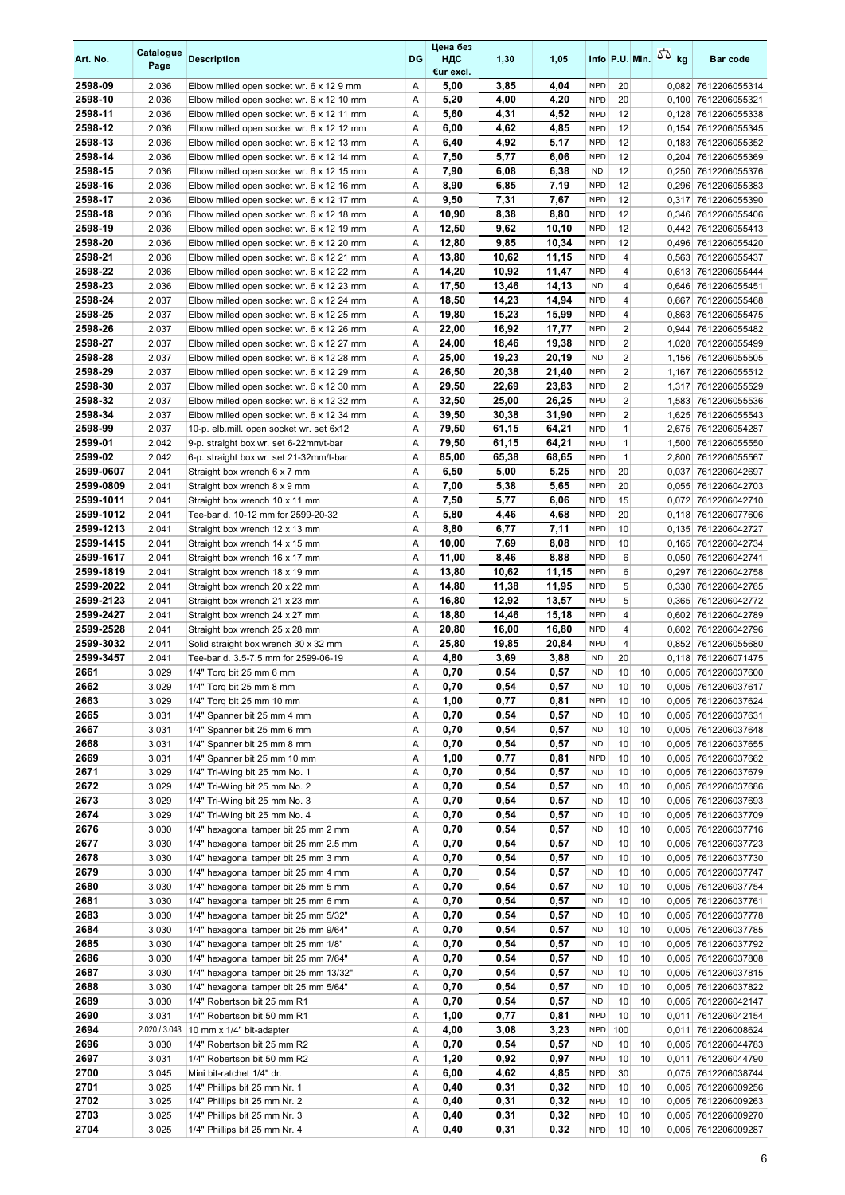| Art. No.           | Catalogue<br>Page | <b>Description</b>                                                                     | DG             | Цена без<br>ндс<br>€ur excl. | 1,30           | 1,05           |                          |                         |          | Info P.U. Min. $\sqrt{2}$ kg | Bar code                                   |
|--------------------|-------------------|----------------------------------------------------------------------------------------|----------------|------------------------------|----------------|----------------|--------------------------|-------------------------|----------|------------------------------|--------------------------------------------|
| 2598-09            | 2.036             | Elbow milled open socket wr. 6 x 12 9 mm                                               | Α              | 5,00                         | 3,85           | 4,04           | <b>NPD</b>               | 20                      |          |                              | 0,082 7612206055314                        |
| 2598-10            | 2.036             | Elbow milled open socket wr. 6 x 12 10 mm                                              | Α              | 5,20                         | 4,00           | 4,20           | <b>NPD</b>               | 20                      |          |                              | 0,100 7612206055321                        |
| 2598-11            | 2.036             | Elbow milled open socket wr. 6 x 12 11 mm                                              | $\overline{A}$ | 5,60                         | 4,31           | 4,52           | <b>NPD</b>               | 12                      |          |                              | 0,128 7612206055338                        |
| 2598-12            | 2.036             | Elbow milled open socket wr. 6 x 12 12 mm                                              | Α              | 6,00                         | 4,62           | 4,85           | <b>NPD</b>               | 12                      |          |                              | 0,154 7612206055345                        |
| 2598-13            | 2.036             | Elbow milled open socket wr. 6 x 12 13 mm                                              | Α              | 6,40                         | 4,92           | 5,17           | <b>NPD</b>               | 12                      |          |                              | 0,183 7612206055352                        |
| 2598-14            | 2.036             | Elbow milled open socket wr. 6 x 12 14 mm                                              | Α              | 7,50                         | 5,77           | 6,06           | <b>NPD</b>               | 12                      |          | 0,204                        | 7612206055369                              |
| 2598-15            | 2.036             | Elbow milled open socket wr. 6 x 12 15 mm                                              | Α              | 7,90                         | 6,08           | 6,38           | <b>ND</b>                | 12                      |          |                              | 0,250 7612206055376                        |
| 2598-16            | 2.036             | Elbow milled open socket wr. 6 x 12 16 mm                                              | Α              | 8,90                         | 6,85           | 7,19           | <b>NPD</b>               | 12                      |          |                              | 0,296 7612206055383                        |
| 2598-17            | 2.036             | Elbow milled open socket wr. 6 x 12 17 mm                                              | Α              | 9,50                         | 7,31           | 7,67           | <b>NPD</b>               | 12                      |          |                              | 0,317 7612206055390                        |
| 2598-18            | 2.036             | Elbow milled open socket wr. 6 x 12 18 mm                                              | Α              | 10,90                        | 8,38           | 8,80           | <b>NPD</b>               | 12                      |          |                              | 0,346 7612206055406                        |
| 2598-19            | 2.036             | Elbow milled open socket wr. 6 x 12 19 mm                                              | Α              | 12,50                        | 9,62           | 10,10          | <b>NPD</b>               | 12                      |          |                              | 0,442 7612206055413                        |
| 2598-20            | 2.036             | Elbow milled open socket wr. 6 x 12 20 mm                                              | Α              | 12,80                        | 9,85           | 10,34          | <b>NPD</b>               | 12                      |          |                              | 0,496 7612206055420                        |
| 2598-21<br>2598-22 | 2.036<br>2.036    | Elbow milled open socket wr. 6 x 12 21 mm                                              | Α              | 13,80                        | 10,62<br>10,92 | 11,15<br>11,47 | <b>NPD</b><br><b>NPD</b> | 4<br>4                  |          |                              | 0,563 7612206055437                        |
| 2598-23            | 2.036             | Elbow milled open socket wr. 6 x 12 22 mm<br>Elbow milled open socket wr. 6 x 12 23 mm | Α<br>Α         | 14,20<br>17,50               | 13,46          | 14,13          | <b>ND</b>                | 4                       |          |                              | 0,613 7612206055444<br>0,646 7612206055451 |
| 2598-24            | 2.037             | Elbow milled open socket wr. 6 x 12 24 mm                                              | Α              | 18,50                        | 14,23          | 14,94          | <b>NPD</b>               | 4                       |          |                              | 0,667 7612206055468                        |
| 2598-25            | 2.037             | Elbow milled open socket wr. 6 x 12 25 mm                                              | Α              | 19,80                        | 15,23          | 15,99          | <b>NPD</b>               | 4                       |          |                              | 0,863 7612206055475                        |
| 2598-26            | 2.037             | Elbow milled open socket wr. 6 x 12 26 mm                                              | Α              | 22,00                        | 16,92          | 17,77          | <b>NPD</b>               | $\overline{2}$          |          | 0,944                        | 7612206055482                              |
| 2598-27            | 2.037             | Elbow milled open socket wr. 6 x 12 27 mm                                              | Α              | 24,00                        | 18,46          | 19,38          | <b>NPD</b>               | $\overline{2}$          |          |                              | 1,028 7612206055499                        |
| 2598-28            | 2.037             | Elbow milled open socket wr. 6 x 12 28 mm                                              | Α              | 25,00                        | 19,23          | 20,19          | <b>ND</b>                | $\overline{\mathbf{c}}$ |          |                              | 1,156 7612206055505                        |
| 2598-29            | 2.037             | Elbow milled open socket wr. 6 x 12 29 mm                                              | Α              | 26,50                        | 20,38          | 21,40          | <b>NPD</b>               | $\overline{2}$          |          |                              | 1,167 7612206055512                        |
| 2598-30            | 2.037             | Elbow milled open socket wr. 6 x 12 30 mm                                              | Α              | 29,50                        | 22,69          | 23,83          | <b>NPD</b>               | $\overline{2}$          |          |                              | 1,317 7612206055529                        |
| 2598-32            | 2.037             | Elbow milled open socket wr. 6 x 12 32 mm                                              | A              | 32,50                        | 25,00          | 26,25          | <b>NPD</b>               | $\overline{2}$          |          |                              | 1,583 7612206055536                        |
| 2598-34            | 2.037             | Elbow milled open socket wr. 6 x 12 34 mm                                              | Α              | 39,50                        | 30,38          | 31,90          | <b>NPD</b>               | $\overline{2}$          |          |                              | 1,625 7612206055543                        |
| 2598-99            | 2.037             | 10-p. elb.mill. open socket wr. set 6x12                                               | Α              | 79,50                        | 61,15          | 64,21          | <b>NPD</b>               | $\mathbf{1}$            |          |                              | 2,675 7612206054287                        |
| 2599-01            | 2.042             | 9-p. straight box wr. set 6-22mm/t-bar                                                 | Α              | 79,50                        | 61,15          | 64,21          | <b>NPD</b>               | $\mathbf{1}$            |          |                              | 1,500 7612206055550                        |
| 2599-02            | 2.042             | 6-p. straight box wr. set 21-32mm/t-bar                                                | Α              | 85,00                        | 65,38          | 68,65          | <b>NPD</b>               | $\mathbf{1}$            |          |                              | 2,800 7612206055567                        |
| 2599-0607          | 2.041             | Straight box wrench 6 x 7 mm                                                           | Α              | 6,50                         | 5,00           | 5,25           | <b>NPD</b>               | 20                      |          | 0,037                        | 7612206042697                              |
| 2599-0809          | 2.041             | Straight box wrench 8 x 9 mm                                                           | Α              | 7,00                         | 5,38           | 5,65           | <b>NPD</b>               | 20                      |          |                              | 0,055 7612206042703                        |
| 2599-1011          | 2.041             | Straight box wrench 10 x 11 mm                                                         | Α              | 7,50                         | 5,77           | 6,06           | <b>NPD</b>               | 15                      |          |                              | 0,072 7612206042710                        |
| 2599-1012          | 2.041             | Tee-bar d. 10-12 mm for 2599-20-32                                                     | Α              | 5,80                         | 4,46           | 4,68           | <b>NPD</b>               | 20                      |          |                              | 0,118 7612206077606                        |
| 2599-1213          | 2.041             | Straight box wrench 12 x 13 mm                                                         | Α              | 8,80                         | 6,77           | 7,11           | <b>NPD</b>               | 10                      |          |                              | 0,135 7612206042727                        |
| 2599-1415          | 2.041             | Straight box wrench 14 x 15 mm                                                         | Α              | 10,00                        | 7,69           | 8,08           | <b>NPD</b>               | 10                      |          |                              | 0,165 7612206042734                        |
| 2599-1617          | 2.041             | Straight box wrench 16 x 17 mm                                                         | Α              | 11,00                        | 8,46           | 8,88           | <b>NPD</b>               | 6                       |          |                              | 0,050 7612206042741                        |
| 2599-1819          | 2.041             | Straight box wrench 18 x 19 mm                                                         | Α              | 13,80                        | 10,62          | 11,15          | <b>NPD</b>               | 6                       |          |                              | 0,297 7612206042758                        |
| 2599-2022          | 2.041             | Straight box wrench 20 x 22 mm                                                         | Α              | 14,80                        | 11,38          | 11,95          | <b>NPD</b>               | 5                       |          |                              | 0.330 7612206042765                        |
| 2599-2123          | 2.041             | Straight box wrench 21 x 23 mm                                                         | Α              | 16,80                        | 12,92          | 13,57          | <b>NPD</b>               | 5                       |          |                              | 0,365 7612206042772                        |
| 2599-2427          | 2.041             | Straight box wrench 24 x 27 mm                                                         | Α              | 18,80                        | 14,46          | 15,18          | <b>NPD</b>               | 4                       |          |                              | 0,602 7612206042789                        |
| 2599-2528          | 2.041             | Straight box wrench 25 x 28 mm                                                         | Α              | 20,80                        | 16,00          | 16,80          | <b>NPD</b>               | 4                       |          |                              | 0,602 7612206042796                        |
| 2599-3032          | 2.041             | Solid straight box wrench 30 x 32 mm                                                   | Α              | 25,80                        | 19,85          | 20,84          | <b>NPD</b>               | 4                       |          |                              | 0,852 7612206055680                        |
| 2599-3457          | 2.041             | Tee-bar d. 3.5-7.5 mm for 2599-06-19                                                   | Α              | 4,80                         | 3,69           | 3,88           | <b>ND</b>                | 20                      |          |                              | 0,118 7612206071475                        |
| 2661               | 3.029             | 1/4" Torg bit 25 mm 6 mm                                                               | A              | 0,70                         | 0,54           | 0,57           | <b>ND</b>                | 10                      | 10       |                              | 0,005 7612206037600                        |
| 2662               | 3.029             | 1/4" Torq bit 25 mm 8 mm                                                               | Α              | 0,70                         | 0,54           | 0,57           | <b>ND</b>                | 10                      | 10       |                              | 0,005 7612206037617                        |
| 2663               | 3.029             | 1/4" Torg bit 25 mm 10 mm                                                              | Α              | 1,00                         | 0,77           | 0,81           | <b>NPD</b>               | 10                      | 10       |                              | 0,005 7612206037624                        |
| 2665               | 3.031             | 1/4" Spanner bit 25 mm 4 mm                                                            | Α              | 0,70                         | 0,54           | 0,57           | <b>ND</b>                | 10                      | 10       |                              | 0,005 7612206037631                        |
| 2667               | 3.031             | 1/4" Spanner bit 25 mm 6 mm                                                            | Α              | 0,70                         | 0,54           | 0,57           | <b>ND</b>                | 10                      | 10       |                              | 0,005 7612206037648                        |
| 2668               | 3.031             | 1/4" Spanner bit 25 mm 8 mm                                                            | Α              | 0,70                         | 0,54           | 0,57           | <b>ND</b>                | 10                      | 10       |                              | 0,005 7612206037655                        |
| 2669               | 3.031             | 1/4" Spanner bit 25 mm 10 mm                                                           | Α              | 1,00                         | 0,77           | 0,81           | <b>NPD</b>               | 10                      | 10       |                              | 0,005 7612206037662                        |
| 2671               | 3.029             | 1/4" Tri-Wing bit 25 mm No. 1                                                          | Α              | 0,70                         | 0,54           | 0,57           | <b>ND</b>                | 10                      | 10       |                              | 0,005 7612206037679                        |
| 2672               | 3.029             | 1/4" Tri-Wing bit 25 mm No. 2                                                          | Α              | 0,70                         | 0,54           | 0,57           | <b>ND</b>                | 10                      | 10       |                              | 0,005 7612206037686                        |
| 2673               | 3.029             | 1/4" Tri-Wing bit 25 mm No. 3                                                          | Α              | 0,70                         | 0,54           | 0,57           | <b>ND</b>                | 10                      | 10       |                              | 0,005 7612206037693                        |
| 2674               | 3.029             | 1/4" Tri-Wing bit 25 mm No. 4                                                          | Α              | 0,70                         | 0,54           | 0,57           | <b>ND</b>                | 10                      | 10       |                              | 0,005 7612206037709                        |
| 2676               | 3.030             | 1/4" hexagonal tamper bit 25 mm 2 mm                                                   | Α              | 0,70                         | 0,54           | 0,57           | ND                       | 10                      | 10       |                              | 0,005 7612206037716                        |
| 2677               | 3.030             | 1/4" hexagonal tamper bit 25 mm 2.5 mm                                                 | Α              | 0,70                         | 0,54           | 0,57           | <b>ND</b>                | 10                      | 10       |                              | 0,005 7612206037723                        |
| 2678               | 3.030             | 1/4" hexagonal tamper bit 25 mm 3 mm                                                   | Α              | 0,70                         | 0,54           | 0,57           | <b>ND</b>                | 10                      | 10       |                              | 0,005 7612206037730                        |
| 2679               | 3.030             | 1/4" hexagonal tamper bit 25 mm 4 mm                                                   | Α              | 0,70                         | 0,54           | 0,57           | ND                       | 10                      | 10       |                              | 0,005 7612206037747                        |
| 2680               | 3.030             | 1/4" hexagonal tamper bit 25 mm 5 mm                                                   | Α              | 0,70                         | 0,54           | 0,57           | <b>ND</b>                | 10                      | 10       |                              | 0,005 7612206037754                        |
| 2681               | 3.030             | 1/4" hexagonal tamper bit 25 mm 6 mm                                                   | Α              | 0,70                         | 0,54           | 0,57           | <b>ND</b>                | 10                      | 10       |                              | 0,005 7612206037761                        |
| 2683               | 3.030             | 1/4" hexagonal tamper bit 25 mm 5/32"                                                  | Α              | 0,70                         | 0,54           | 0,57           | <b>ND</b>                | 10                      | 10       |                              | 0,005 7612206037778                        |
| 2684<br>2685       | 3.030<br>3.030    | 1/4" hexagonal tamper bit 25 mm 9/64"<br>1/4" hexagonal tamper bit 25 mm 1/8"          | Α<br>Α         | 0,70<br>0,70                 | 0,54<br>0,54   | 0,57<br>0,57   | <b>ND</b><br><b>ND</b>   | 10<br>10                | 10<br>10 |                              | 0,005 7612206037785                        |
| 2686               | 3.030             | 1/4" hexagonal tamper bit 25 mm 7/64"                                                  | Α              | 0,70                         | 0,54           | 0,57           | <b>ND</b>                | 10                      | 10       |                              | 0,005 7612206037792<br>0,005 7612206037808 |
| 2687               | 3.030             | 1/4" hexagonal tamper bit 25 mm 13/32"                                                 | Α              | 0,70                         | 0,54           | 0,57           | <b>ND</b>                | 10                      | 10       |                              | 0,005 7612206037815                        |
| 2688               | 3.030             | 1/4" hexagonal tamper bit 25 mm 5/64"                                                  | Α              | 0,70                         | 0,54           | 0,57           | <b>ND</b>                | 10                      | 10       |                              | 0,005 7612206037822                        |
| 2689               | 3.030             | 1/4" Robertson bit 25 mm R1                                                            | Α              | 0,70                         | 0,54           | 0,57           | <b>ND</b>                | 10                      | 10       |                              | 0,005 7612206042147                        |
| 2690               | 3.031             | 1/4" Robertson bit 50 mm R1                                                            | Α              | 1,00                         | 0,77           | 0,81           | <b>NPD</b>               | 10                      | 10       |                              | 0,011 7612206042154                        |
| 2694               | 2.020 / 3.043     | 10 mm x 1/4" bit-adapter                                                               | Α              | 4,00                         | 3,08           | 3,23           | <b>NPD</b>               | 100                     |          |                              | 0,011 7612206008624                        |
| 2696               | 3.030             | 1/4" Robertson bit 25 mm R2                                                            | Α              | 0,70                         | 0,54           | 0,57           | ND                       | 10                      | 10       |                              | 0,005 7612206044783                        |
| 2697               | 3.031             | 1/4" Robertson bit 50 mm R2                                                            | Α              | 1,20                         | 0,92           | 0,97           | <b>NPD</b>               | 10                      | 10       |                              | 0,011 7612206044790                        |
| 2700               | 3.045             | Mini bit-ratchet 1/4" dr.                                                              | Α              | 6,00                         | 4,62           | 4,85           | <b>NPD</b>               | 30                      |          |                              | 0,075 7612206038744                        |
| 2701               | 3.025             | 1/4" Phillips bit 25 mm Nr. 1                                                          | Α              | 0,40                         | 0,31           | 0,32           | <b>NPD</b>               | 10                      | 10       |                              | 0,005 7612206009256                        |
| 2702               | 3.025             | 1/4" Phillips bit 25 mm Nr. 2                                                          | Α              | 0,40                         | 0,31           | 0,32           | <b>NPD</b>               | 10                      | 10       |                              | 0,005 7612206009263                        |
| 2703               | 3.025             | 1/4" Phillips bit 25 mm Nr. 3                                                          | Α              | 0,40                         | 0,31           | 0,32           | <b>NPD</b>               | 10                      | 10       |                              | 0,005 7612206009270                        |
| 2704               | 3.025             | 1/4" Phillips bit 25 mm Nr. 4                                                          | Α              | 0,40                         | 0,31           | 0,32           | <b>NPD</b>               | 10                      | 10       |                              | 0,005 7612206009287                        |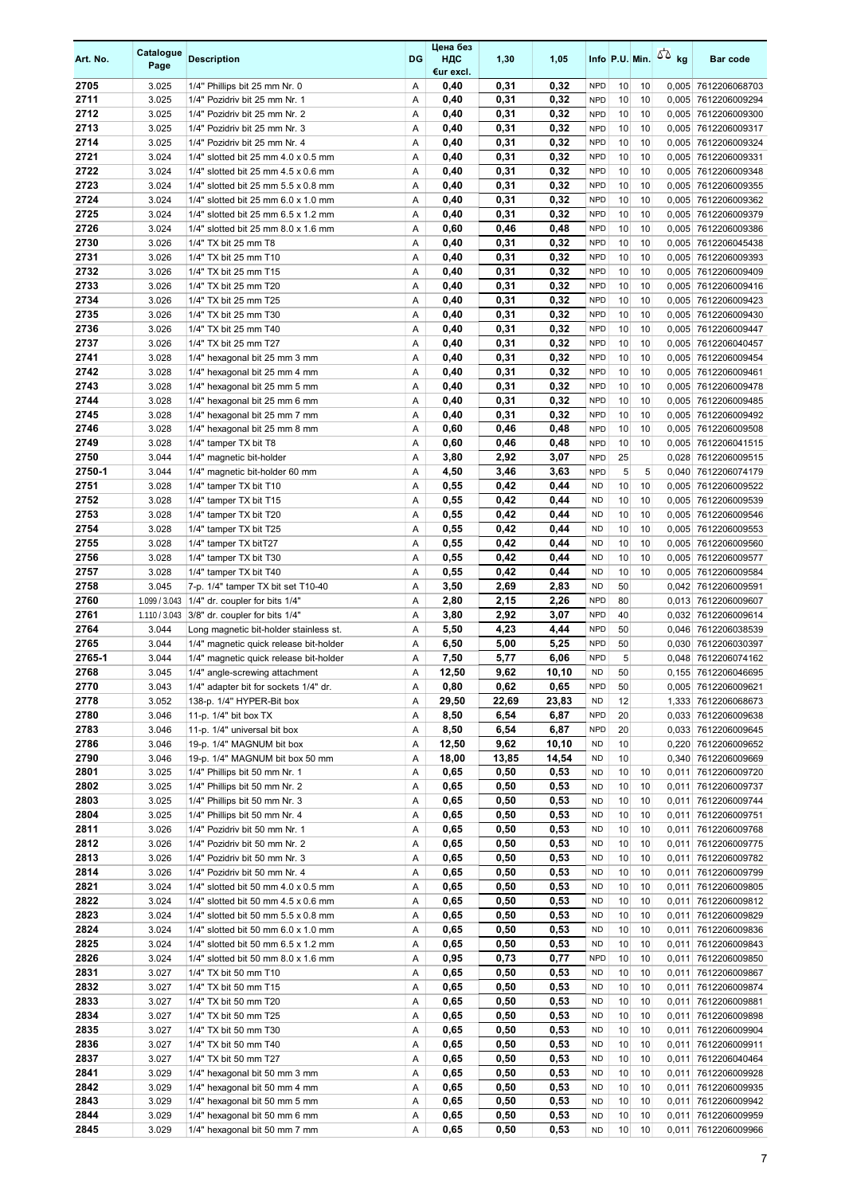| Art. No.     | Catalogue<br>Page | <b>Description</b>                              | DG     | Цена без<br>ндс<br>€ur excl. | 1,30         | 1,05         |                        |          |          | Info P.U. Min. $\sqrt{2}$ kg | <b>Bar code</b>                            |
|--------------|-------------------|-------------------------------------------------|--------|------------------------------|--------------|--------------|------------------------|----------|----------|------------------------------|--------------------------------------------|
| 2705         | 3.025             | 1/4" Phillips bit 25 mm Nr. 0                   | Α      | 0,40                         | 0,31         | 0,32         | <b>NPD</b>             | 10       | 10       |                              | 0,005 7612206068703                        |
| 2711         | 3.025             | 1/4" Pozidriv bit 25 mm Nr. 1                   | Α      | 0,40                         | 0,31         | 0,32         | <b>NPD</b>             | 10       | 10       |                              | 0,005 7612206009294                        |
| 2712         | 3.025             | 1/4" Pozidriv bit 25 mm Nr. 2                   | Α      | 0,40                         | 0,31         | 0,32         | <b>NPD</b>             | 10       | 10       |                              | 0,005 7612206009300                        |
| 2713         | 3.025             | 1/4" Pozidriv bit 25 mm Nr. 3                   | Α      | 0,40                         | 0,31         | 0,32         | <b>NPD</b>             | 10       | 10       |                              | 0,005 7612206009317                        |
| 2714         | 3.025             | 1/4" Pozidriv bit 25 mm Nr. 4                   | Α      | 0,40                         | 0,31         | 0,32         | <b>NPD</b>             | 10       | 10       |                              | 0,005 7612206009324                        |
| 2721         | 3.024             | 1/4" slotted bit 25 mm 4.0 x 0.5 mm             | Α      | 0,40                         | 0,31         | 0,32         | <b>NPD</b>             | 10       | 10       |                              | 0,005 7612206009331                        |
| 2722         | 3.024             | 1/4" slotted bit 25 mm 4.5 x 0.6 mm             | Α      | 0,40                         | 0,31         | 0,32         | <b>NPD</b>             | 10       | 10       |                              | 0,005 7612206009348                        |
| 2723         | 3.024             | 1/4" slotted bit 25 mm 5.5 x 0.8 mm             | Α      | 0,40                         | 0,31         | 0,32         | <b>NPD</b>             | 10       | 10       |                              | 0,005 7612206009355                        |
| 2724         | 3.024             | 1/4" slotted bit 25 mm 6.0 x 1.0 mm             | Α      | 0,40                         | 0,31         | 0,32         | <b>NPD</b>             | 10       | 10       |                              | 0,005 7612206009362                        |
| 2725         | 3.024             | 1/4" slotted bit 25 mm 6.5 x 1.2 mm             | Α      | 0,40                         | 0,31         | 0,32         | <b>NPD</b>             | 10       | 10       |                              | 0,005 7612206009379                        |
| 2726         | 3.024             | 1/4" slotted bit 25 mm 8.0 x 1.6 mm             | Α      | 0,60                         | 0,46         | 0,48         | <b>NPD</b>             | 10       | 10       |                              | 0,005 7612206009386                        |
| 2730         | 3.026             | 1/4" TX bit 25 mm T8                            | Α      | 0,40                         | 0,31         | 0,32         | <b>NPD</b>             | 10       | 10       |                              | 0,005 7612206045438                        |
| 2731         | 3.026             | 1/4" TX bit 25 mm T10                           | Α      | 0,40                         | 0,31         | 0,32         | <b>NPD</b>             | 10       | 10       |                              | 0,005 7612206009393                        |
| 2732         | 3.026             | 1/4" TX bit 25 mm T15                           | Α      | 0,40                         | 0,31         | 0,32         | <b>NPD</b>             | 10       | 10       |                              | 0,005 7612206009409                        |
| 2733         | 3.026             | 1/4" TX bit 25 mm T20                           | Α      | 0,40                         | 0,31         | 0,32         | <b>NPD</b>             | 10       | 10       |                              | 0,005 7612206009416                        |
| 2734         | 3.026             | 1/4" TX bit 25 mm T25                           | Α      | 0,40                         | 0,31         | 0,32         | <b>NPD</b>             | 10       | 10       |                              | 0,005 7612206009423                        |
| 2735         | 3.026             | 1/4" TX bit 25 mm T30                           | Α      | 0,40                         | 0,31         | 0,32         | <b>NPD</b>             | 10       | 10       |                              | 0,005 7612206009430                        |
| 2736         | 3.026             | 1/4" TX bit 25 mm T40                           | Α      | 0,40                         | 0,31         | 0,32         | <b>NPD</b>             | 10       | 10       |                              | 0,005 7612206009447                        |
| 2737         | 3.026             | 1/4" TX bit 25 mm T27                           | Α      | 0,40                         | 0,31         | 0,32         | <b>NPD</b>             | 10       | 10       |                              | 0,005 7612206040457                        |
| 2741         | 3.028             | 1/4" hexagonal bit 25 mm 3 mm                   | Α      | 0,40                         | 0,31         | 0,32         | <b>NPD</b>             | 10       | 10       |                              | 0,005 7612206009454                        |
| 2742         | 3.028             | 1/4" hexagonal bit 25 mm 4 mm                   | Α      | 0,40                         | 0,31         | 0,32         | <b>NPD</b>             | 10       | 10       |                              | 0,005 7612206009461                        |
| 2743         | 3.028             | 1/4" hexagonal bit 25 mm 5 mm                   | Α      | 0,40                         | 0,31         | 0,32         | <b>NPD</b>             | 10       | 10       |                              | 0,005 7612206009478                        |
| 2744         | 3.028             | 1/4" hexagonal bit 25 mm 6 mm                   | Α      | 0,40                         | 0,31         | 0,32         | <b>NPD</b>             | 10       | 10       |                              | 0,005 7612206009485                        |
| 2745         | 3.028             | 1/4" hexagonal bit 25 mm 7 mm                   | Α      | 0,40                         | 0,31         | 0,32         | <b>NPD</b>             | 10       | 10       |                              | 0,005 7612206009492                        |
| 2746         | 3.028             | 1/4" hexagonal bit 25 mm 8 mm                   | Α      | 0,60                         | 0,46         | 0,48         | <b>NPD</b>             | 10       | 10       |                              | 0,005 7612206009508                        |
| 2749         | 3.028             | 1/4" tamper TX bit T8                           | Α      | 0,60                         | 0,46         | 0,48         | <b>NPD</b>             | 10       | 10       |                              | 0,005 7612206041515                        |
| 2750         | 3.044             | 1/4" magnetic bit-holder                        | Α      | 3,80                         | 2,92         | 3,07         | <b>NPD</b>             | 25       |          |                              | 0,028 7612206009515                        |
| 2750-1       | 3.044             | 1/4" magnetic bit-holder 60 mm                  | Α      | 4,50                         | 3,46         | 3,63         | <b>NPD</b>             | 5        | 5        | 0,040                        | 7612206074179                              |
| 2751         | 3.028             | 1/4" tamper TX bit T10                          | Α      | 0,55                         | 0,42         | 0,44         | <b>ND</b>              | 10       | 10       |                              | 0,005 7612206009522                        |
| 2752         | 3.028             | 1/4" tamper TX bit T15                          | Α      | 0,55                         | 0,42         | 0,44         | <b>ND</b>              | 10       | 10       |                              | 0,005 7612206009539                        |
| 2753<br>2754 | 3.028<br>3.028    | 1/4" tamper TX bit T20                          | Α<br>Α | 0,55<br>0,55                 | 0,42<br>0,42 | 0,44<br>0,44 | <b>ND</b><br><b>ND</b> | 10<br>10 | 10<br>10 |                              | 0,005 7612206009546                        |
| 2755         | 3.028             | 1/4" tamper TX bit T25<br>1/4" tamper TX bitT27 | Α      | 0,55                         | 0,42         | 0,44         | <b>ND</b>              | 10       | 10       |                              | 0,005 7612206009553<br>0,005 7612206009560 |
| 2756         | 3.028             | 1/4" tamper TX bit T30                          | Α      | 0,55                         | 0,42         | 0,44         | <b>ND</b>              | 10       | 10       |                              | 0,005 7612206009577                        |
| 2757         | 3.028             | 1/4" tamper TX bit T40                          | Α      | 0,55                         | 0,42         | 0,44         | <b>ND</b>              | 10       | 10       |                              | 0,005 7612206009584                        |
| 2758         | 3.045             | 7-p. 1/4" tamper TX bit set T10-40              | Α      | 3,50                         | 2,69         | 2,83         | <b>ND</b>              | 50       |          |                              | 0,042 7612206009591                        |
| 2760         | 1.099 / 3.043     | 1/4" dr. coupler for bits 1/4"                  | Α      | 2,80                         | 2,15         | 2,26         | <b>NPD</b>             | 80       |          |                              | 0,013 7612206009607                        |
| 2761         | 1.110 / 3.043     | 3/8" dr. coupler for bits 1/4"                  | Α      | 3,80                         | 2,92         | 3,07         | <b>NPD</b>             | 40       |          |                              | 0,032 7612206009614                        |
| 2764         | 3.044             | Long magnetic bit-holder stainless st.          | Α      | 5,50                         | 4,23         | 4,44         | <b>NPD</b>             | 50       |          |                              | 0,046 7612206038539                        |
| 2765         | 3.044             | 1/4" magnetic quick release bit-holder          | Α      | 6,50                         | 5,00         | 5,25         | <b>NPD</b>             | 50       |          |                              | 0,030 7612206030397                        |
| 2765-1       | 3.044             | 1/4" magnetic quick release bit-holder          | Α      | 7,50                         | 5,77         | 6,06         | <b>NPD</b>             | 5        |          |                              | 0,048 7612206074162                        |
| 2768         | 3.045             | 1/4" angle-screwing attachment                  | A      | 12,50                        | 9,62         | 10,10        | <b>ND</b>              | 50       |          |                              | 0,155 7612206046695                        |
| 2770         | 3.043             | 1/4" adapter bit for sockets 1/4" dr.           | Α      | 0,80                         | 0,62         | 0,65         | <b>NPD</b>             | 50       |          |                              | 0,005 7612206009621                        |
| 2778         | 3.052             | 138-p. 1/4" HYPER-Bit box                       | Α      | 29,50                        | 22,69        | 23,83        | <b>ND</b>              | 12       |          |                              | 1,333 7612206068673                        |
| 2780         | 3.046             | 11-p. 1/4" bit box TX                           | Α      | 8,50                         | 6,54         | 6,87         | <b>NPD</b>             | 20       |          |                              | 0,033 7612206009638                        |
| 2783         | 3.046             | 11-p. 1/4" universal bit box                    | Α      | 8,50                         | 6,54         | 6,87         | <b>NPD</b>             | 20       |          |                              | 0,033 7612206009645                        |
| 2786         | 3.046             | 19-p. 1/4" MAGNUM bit box                       | Α      | 12,50                        | 9,62         | 10,10        | <b>ND</b>              | 10       |          |                              | 0,220 7612206009652                        |
| 2790         | 3.046             | 19-p. 1/4" MAGNUM bit box 50 mm                 | Α      | 18,00                        | 13,85        | 14,54        | <b>ND</b>              | 10       |          |                              | 0,340 7612206009669                        |
| 2801         | 3.025             | 1/4" Phillips bit 50 mm Nr. 1                   | Α      | 0,65                         | 0,50         | 0,53         | <b>ND</b>              | 10       | 10       |                              | 0,011 7612206009720                        |
| 2802         | 3.025             | 1/4" Phillips bit 50 mm Nr. 2                   | Α      | 0,65                         | 0,50         | 0,53         | <b>ND</b>              | 10       | 10       |                              | 0,011 7612206009737                        |
| 2803         | 3.025             | 1/4" Phillips bit 50 mm Nr. 3                   | Α      | 0,65                         | 0,50         | 0,53         | <b>ND</b>              | 10       | 10       |                              | 0,011 7612206009744                        |
| 2804         | 3.025             | 1/4" Phillips bit 50 mm Nr. 4                   | Α      | 0,65                         | 0,50         | 0,53         | <b>ND</b>              | 10       | 10       |                              | 0,011 7612206009751                        |
| 2811         | 3.026             | 1/4" Pozidriv bit 50 mm Nr. 1                   | Α      | 0,65                         | 0,50         | 0,53         | <b>ND</b>              | 10       | 10       |                              | 0,011 7612206009768                        |
| 2812         | 3.026             | 1/4" Pozidriv bit 50 mm Nr. 2                   | Α      | 0,65                         | 0,50         | 0,53         | <b>ND</b>              | 10       | 10       |                              | 0,011 7612206009775                        |
| 2813         | 3.026             | 1/4" Pozidriv bit 50 mm Nr. 3                   | Α      | 0,65                         | 0,50         | 0,53         | <b>ND</b>              | 10       | 10       |                              | 0,011 7612206009782                        |
| 2814         | 3.026             | 1/4" Pozidriv bit 50 mm Nr. 4                   | Α      | 0,65                         | 0,50         | 0,53         | <b>ND</b>              | 10       | 10       |                              | 0,011 7612206009799                        |
| 2821         | 3.024             | 1/4" slotted bit 50 mm 4.0 x 0.5 mm             | Α      | 0,65                         | 0,50         | 0,53         | <b>ND</b>              | 10       | 10       |                              | 0,011 7612206009805                        |
| 2822         | 3.024             | 1/4" slotted bit 50 mm 4.5 x 0.6 mm             | Α      | 0,65                         | 0,50         | 0,53         | <b>ND</b>              | 10       | 10       |                              | 0,011 7612206009812                        |
| 2823         | 3.024             | 1/4" slotted bit 50 mm 5.5 x 0.8 mm             | Α      | 0,65                         | 0,50         | 0,53         | <b>ND</b>              | 10       | 10       |                              | 0,011 7612206009829                        |
| 2824         | 3.024             | 1/4" slotted bit 50 mm 6.0 x 1.0 mm             | Α      | 0,65                         | 0,50         | 0,53         | <b>ND</b>              | 10       | 10       |                              | 0,011 7612206009836                        |
| 2825         | 3.024             | 1/4" slotted bit 50 mm 6.5 x 1.2 mm             | Α      | 0,65                         | 0,50         | 0,53         | <b>ND</b>              | 10       | 10       |                              | 0,011 7612206009843                        |
| 2826         | 3.024             | 1/4" slotted bit 50 mm 8.0 x 1.6 mm             | Α      | 0,95                         | 0,73         | 0,77         | <b>NPD</b>             | 10       | 10       |                              | 0,011 7612206009850                        |
| 2831         | 3.027             | 1/4" TX bit 50 mm T10                           | Α      | 0,65                         | 0,50         | 0,53         | <b>ND</b>              | 10       | 10       |                              | 0,011 7612206009867                        |
| 2832         | 3.027             | 1/4" TX bit 50 mm T15                           | Α      | 0,65                         | 0,50         | 0,53         | <b>ND</b>              | 10       | 10       |                              | 0,011 7612206009874                        |
| 2833         | 3.027             | 1/4" TX bit 50 mm T20                           | Α      | 0,65                         | 0,50         | 0,53         | <b>ND</b>              | 10       | 10       |                              | 0,011 7612206009881                        |
| 2834         | 3.027             | 1/4" TX bit 50 mm T25                           | Α      | 0,65                         | 0,50         | 0,53         | <b>ND</b>              | 10       | 10       |                              | 0,011 7612206009898                        |
| 2835         | 3.027             | 1/4" TX bit 50 mm T30                           | Α      | 0,65                         | 0,50         | 0,53         | <b>ND</b>              | 10       | 10       |                              | 0,011 7612206009904                        |
| 2836         | 3.027             | 1/4" TX bit 50 mm T40                           | Α      | 0,65                         | 0,50         | 0,53         | <b>ND</b>              | 10       | 10       |                              | 0,011 7612206009911                        |
| 2837         | 3.027             | 1/4" TX bit 50 mm T27                           | Α      | 0,65                         | 0,50         | 0,53         | <b>ND</b>              | 10       | 10       |                              | 0,011 7612206040464                        |
| 2841         | 3.029             | 1/4" hexagonal bit 50 mm 3 mm                   | Α      | 0,65                         | 0,50         | 0,53         | <b>ND</b>              | 10       | 10       |                              | 0,011 7612206009928                        |
| 2842         | 3.029             | 1/4" hexagonal bit 50 mm 4 mm                   | Α      | 0,65                         | 0,50         | 0,53         | <b>ND</b>              | 10       | 10       |                              | 0,011 7612206009935                        |
| 2843         | 3.029             | 1/4" hexagonal bit 50 mm 5 mm                   | Α      | 0,65                         | 0,50         | 0,53         | <b>ND</b>              | 10       | 10       | 0,011                        | 7612206009942                              |
| 2844         | 3.029             | 1/4" hexagonal bit 50 mm 6 mm                   | Α      | 0,65                         | 0,50         | 0,53         | <b>ND</b>              | 10       | 10       | 0,011                        | 7612206009959                              |
| 2845         | 3.029             | 1/4" hexagonal bit 50 mm 7 mm                   | Α      | 0,65                         | 0,50         | 0,53         | <b>ND</b>              | 10       | 10       |                              | 0,011 7612206009966                        |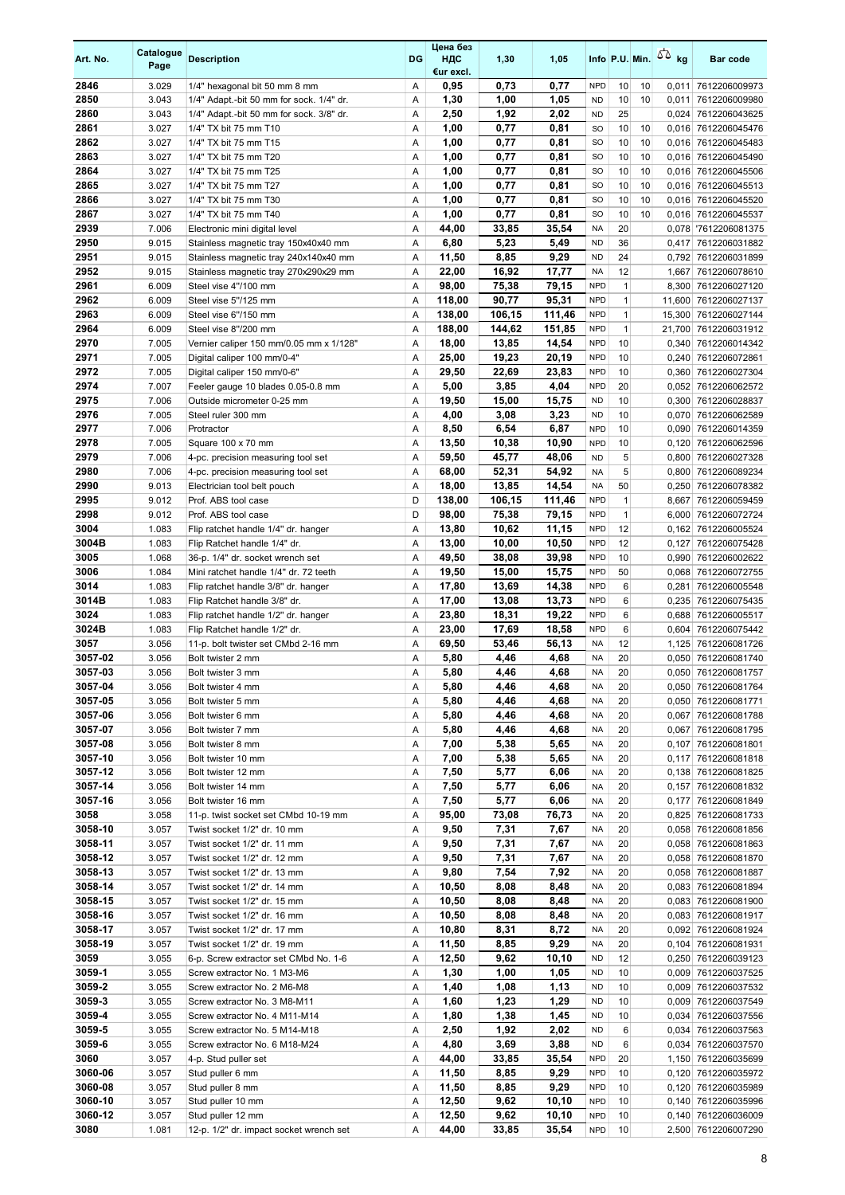| Art. No.           | Catalogue<br>Page | <b>Description</b>                           | DG     | Цена без<br>ндс<br>€ur excl. | 1,30           | 1,05           |                         |                    |    | Info P.U. Min. $\sqrt{2}$ kg | <b>Bar code</b>                             |
|--------------------|-------------------|----------------------------------------------|--------|------------------------------|----------------|----------------|-------------------------|--------------------|----|------------------------------|---------------------------------------------|
| 2846               | 3.029             | 1/4" hexagonal bit 50 mm 8 mm                | Α      | 0,95                         | 0,73           | 0,77           | <b>NPD</b>              | 10                 | 10 |                              | 0,011 7612206009973                         |
| 2850               | 3.043             | 1/4" Adapt.-bit 50 mm for sock. 1/4" dr.     | Α      | 1,30                         | 1,00           | 1,05           | <b>ND</b>               | 10                 | 10 |                              | 0,011 7612206009980                         |
| 2860               | 3.043             | 1/4" Adapt.-bit 50 mm for sock. 3/8" dr.     | A      | 2,50                         | 1,92           | 2,02           | <b>ND</b>               | 25                 |    |                              | 0,024 7612206043625                         |
| 2861               | 3.027             | 1/4" TX bit 75 mm T10                        | Α      | 1,00                         | 0,77           | 0,81           | <b>SO</b>               | 10                 | 10 |                              | 0,016 7612206045476                         |
| 2862               | 3.027             | 1/4" TX bit 75 mm T15                        | Α      | 1,00                         | 0,77           | 0,81           | <b>SO</b>               | 10                 | 10 |                              | 0,016 7612206045483                         |
| 2863               | 3.027             | 1/4" TX bit 75 mm T20                        | Α      | 1,00                         | 0,77           | 0,81           | <b>SO</b>               | 10                 | 10 |                              | 0,016 7612206045490                         |
| 2864               | 3.027             | 1/4" TX bit 75 mm T25                        | Α      | 1,00                         | 0,77           | 0,81           | <b>SO</b>               | 10                 | 10 |                              | 0,016 7612206045506                         |
| 2865               | 3.027             | 1/4" TX bit 75 mm T27                        | Α      | 1,00                         | 0,77           | 0,81           | <b>SO</b>               | 10                 | 10 |                              | 0,016 7612206045513                         |
| 2866               | 3.027             | 1/4" TX bit 75 mm T30                        | Α      | 1,00                         | 0,77           | 0,81           | <b>SO</b>               | 10                 | 10 |                              | 0,016 7612206045520                         |
| 2867               | 3.027             | 1/4" TX bit 75 mm T40                        | Α      | 1,00                         | 0,77           | 0,81           | <b>SO</b>               | 10                 | 10 |                              | 0,016 7612206045537                         |
| 2939               | 7.006             | Electronic mini digital level                | Α      | 44,00                        | 33,85          | 35,54          | <b>NA</b>               | 20                 |    |                              | 0,078 7612206081375                         |
| 2950               | 9.015             | Stainless magnetic tray 150x40x40 mm         | Α      | 6,80                         | 5,23           | 5,49           | <b>ND</b>               | 36                 |    |                              | 0,417 7612206031882                         |
| 2951               | 9.015             | Stainless magnetic tray 240x140x40 mm        | Α      | 11,50                        | 8,85           | 9,29           | <b>ND</b>               | 24                 |    |                              | 0,792 7612206031899                         |
| 2952<br>2961       | 9.015<br>6.009    | Stainless magnetic tray 270x290x29 mm        | Α<br>Α | 22,00                        | 16,92          | 17,77<br>79,15 | <b>NA</b><br><b>NPD</b> | 12<br>$\mathbf{1}$ |    |                              | 1,667 7612206078610                         |
| 2962               | 6.009             | Steel vise 4"/100 mm<br>Steel vise 5"/125 mm | Α      | 98,00<br>118,00              | 75,38<br>90,77 | 95,31          | <b>NPD</b>              | $\mathbf{1}$       |    |                              | 8,300 7612206027120<br>11,600 7612206027137 |
| 2963               | 6.009             | Steel vise 6"/150 mm                         | Α      | 138,00                       | 106,15         | 111,46         | <b>NPD</b>              | $\mathbf{1}$       |    |                              | 15,300 7612206027144                        |
| 2964               | 6.009             | Steel vise 8"/200 mm                         | Α      | 188,00                       | 144,62         | 151,85         | <b>NPD</b>              | $\mathbf{1}$       |    |                              | 21,700 7612206031912                        |
| 2970               | 7.005             | Vernier caliper 150 mm/0.05 mm x 1/128"      | Α      | 18,00                        | 13,85          | 14,54          | <b>NPD</b>              | 10                 |    |                              | 0,340 7612206014342                         |
| 2971               | 7.005             | Digital caliper 100 mm/0-4"                  | Α      | 25,00                        | 19,23          | 20,19          | <b>NPD</b>              | 10                 |    |                              | 0,240 7612206072861                         |
| 2972               | 7.005             | Digital caliper 150 mm/0-6"                  | Α      | 29,50                        | 22,69          | 23,83          | <b>NPD</b>              | 10                 |    |                              | 0,360 7612206027304                         |
| 2974               | 7.007             | Feeler gauge 10 blades 0.05-0.8 mm           | Α      | 5,00                         | 3,85           | 4,04           | <b>NPD</b>              | 20                 |    |                              | 0,052 7612206062572                         |
| 2975               | 7.006             | Outside micrometer 0-25 mm                   | Α      | 19,50                        | 15,00          | 15,75          | <b>ND</b>               | 10                 |    |                              | 0,300 7612206028837                         |
| 2976               | 7.005             | Steel ruler 300 mm                           | Α      | 4,00                         | 3,08           | 3,23           | <b>ND</b>               | 10                 |    |                              | 0,070 7612206062589                         |
| 2977               | 7.006             | Protractor                                   | Α      | 8,50                         | 6,54           | 6,87           | <b>NPD</b>              | 10                 |    | 0,090                        | 7612206014359                               |
| 2978               | 7.005             | Square 100 x 70 mm                           | Α      | 13,50                        | 10,38          | 10,90          | <b>NPD</b>              | 10                 |    |                              | 0,120 7612206062596                         |
| 2979               | 7.006             | 4-pc. precision measuring tool set           | Α      | 59,50                        | 45,77          | 48,06          | <b>ND</b>               | 5                  |    |                              | 0,800 7612206027328                         |
| 2980               | 7.006             | 4-pc. precision measuring tool set           | A      | 68,00                        | 52,31          | 54,92          | <b>NA</b>               | 5                  |    |                              | 0,800 7612206089234                         |
| 2990               | 9.013             | Electrician tool belt pouch                  | Α      | 18,00                        | 13,85          | 14,54          | <b>NA</b>               | 50                 |    |                              | 0,250 7612206078382                         |
| 2995               | 9.012             | Prof. ABS tool case                          | D      | 138,00                       | 106,15         | 111,46         | <b>NPD</b>              | $\mathbf{1}$       |    |                              | 8,667 7612206059459                         |
| 2998               | 9.012             | Prof. ABS tool case                          | D      | 98,00                        | 75,38          | 79,15          | <b>NPD</b>              | $\mathbf{1}$       |    | 6,000                        | 7612206072724                               |
| 3004               | 1.083             | Flip ratchet handle 1/4" dr. hanger          | Α      | 13,80                        | 10,62          | 11,15          | <b>NPD</b>              | 12                 |    |                              | 0,162 7612206005524                         |
| 3004B              | 1.083             | Flip Ratchet handle 1/4" dr.                 | Α      | 13,00                        | 10,00          | 10,50          | <b>NPD</b>              | 12                 |    |                              | 0,127 7612206075428                         |
| 3005               | 1.068             | 36-p. 1/4" dr. socket wrench set             | Α      | 49,50                        | 38,08          | 39,98          | <b>NPD</b>              | 10                 |    | 0,990                        | 7612206002622                               |
| 3006               | 1.084             | Mini ratchet handle 1/4" dr. 72 teeth        | Α      | 19,50                        | 15,00          | 15,75          | <b>NPD</b>              | 50                 |    |                              | 0,068 7612206072755                         |
| 3014               | 1.083             | Flip ratchet handle 3/8" dr. hanger          | Α      | 17,80                        | 13,69          | 14,38          | <b>NPD</b>              | 6                  |    |                              | 0,281 7612206005548                         |
| 3014B              | 1.083             | Flip Ratchet handle 3/8" dr.                 | Α      | 17,00                        | 13,08          | 13,73          | <b>NPD</b>              | 6                  |    |                              | 0,235 7612206075435                         |
| 3024               | 1.083             | Flip ratchet handle 1/2" dr. hanger          | Α      | 23,80                        | 18,31          | 19,22          | <b>NPD</b>              | 6                  |    |                              | 0,688 7612206005517                         |
| 3024B              | 1.083             | Flip Ratchet handle 1/2" dr.                 | Α      | 23,00                        | 17,69          | 18,58          | <b>NPD</b>              | 6                  |    |                              | 0,604 7612206075442                         |
| 3057               | 3.056             | 11-p. bolt twister set CMbd 2-16 mm          | Α      | 69,50                        | 53,46          | 56,13          | NA                      | 12                 |    |                              | 1,125 7612206081726                         |
| 3057-02            | 3.056             | Bolt twister 2 mm                            | Α      | 5,80                         | 4,46           | 4,68           | NA                      | 20                 |    |                              | 0,050 7612206081740                         |
| 3057-03            | 3.056             | Bolt twister 3 mm                            | A      | 5,80                         | 4,46           | 4.68           | <b>NA</b>               | 20                 |    |                              | 0,050 7612206081757                         |
| 3057-04            | 3.056             | Bolt twister 4 mm                            | Α      | 5,80                         | 4,46           | 4,68           | NA                      | 20                 |    |                              | 0,050 7612206081764                         |
| 3057-05            | 3.056             | Bolt twister 5 mm                            | Α      | 5,80                         | 4,46           | 4,68           | NA                      | 20                 |    |                              | 0,050 7612206081771                         |
| 3057-06            | 3.056             | Bolt twister 6 mm                            | Α      | 5,80                         | 4,46           | 4,68           | NA                      | 20                 |    |                              | 0,067 7612206081788                         |
| 3057-07            | 3.056             | Bolt twister 7 mm                            | Α      | 5,80                         | 4,46           | 4,68           | NA                      | 20                 |    |                              | 0,067 7612206081795                         |
| 3057-08            | 3.056             | Bolt twister 8 mm                            | Α      | 7,00                         | 5,38           | 5,65           | NA                      | 20                 |    |                              | 0,107 7612206081801                         |
| 3057-10<br>3057-12 | 3.056             | Bolt twister 10 mm<br>Bolt twister 12 mm     | Α<br>Α | 7,00                         | 5,38           | 5,65<br>6,06   | NA<br><b>NA</b>         | 20<br>20           |    |                              | 0,117 7612206081818                         |
| 3057-14            | 3.056<br>3.056    | Bolt twister 14 mm                           | Α      | 7,50<br>7,50                 | 5,77<br>5,77   | 6,06           | <b>NA</b>               | 20                 |    |                              | 0,138 7612206081825<br>0,157 7612206081832  |
| 3057-16            | 3.056             | Bolt twister 16 mm                           | Α      | 7,50                         | 5,77           | 6,06           | NA                      | 20                 |    |                              | 0,177 7612206081849                         |
| 3058               | 3.058             | 11-p. twist socket set CMbd 10-19 mm         | Α      | 95,00                        | 73,08          | 76,73          | <b>NA</b>               | 20                 |    |                              | 0,825 7612206081733                         |
| 3058-10            | 3.057             | Twist socket 1/2" dr. 10 mm                  | Α      | 9,50                         | 7,31           | 7,67           | NA                      | 20                 |    |                              | 0,058 7612206081856                         |
| 3058-11            | 3.057             | Twist socket 1/2" dr. 11 mm                  | Α      | 9,50                         | 7,31           | 7,67           | NA                      | 20                 |    |                              | 0,058 7612206081863                         |
| 3058-12            | 3.057             | Twist socket 1/2" dr. 12 mm                  | Α      | 9,50                         | 7,31           | 7,67           | NA                      | 20                 |    |                              | 0,058 7612206081870                         |
| 3058-13            | 3.057             | Twist socket 1/2" dr. 13 mm                  | Α      | 9,80                         | 7,54           | 7,92           | NA                      | 20                 |    |                              | 0,058 7612206081887                         |
| 3058-14            | 3.057             | Twist socket 1/2" dr. 14 mm                  | Α      | 10,50                        | 8,08           | 8,48           | NA                      | 20                 |    |                              | 0,083 7612206081894                         |
| 3058-15            | 3.057             | Twist socket 1/2" dr. 15 mm                  | Α      | 10,50                        | 8,08           | 8,48           | <b>NA</b>               | 20                 |    |                              | 0,083 7612206081900                         |
| 3058-16            | 3.057             | Twist socket 1/2" dr. 16 mm                  | Α      | 10,50                        | 8,08           | 8,48           | <b>NA</b>               | 20                 |    |                              | 0,083 7612206081917                         |
| 3058-17            | 3.057             | Twist socket 1/2" dr. 17 mm                  | Α      | 10,80                        | 8,31           | 8,72           | NA                      | 20                 |    |                              | 0,092 7612206081924                         |
| 3058-19            | 3.057             | Twist socket 1/2" dr. 19 mm                  | Α      | 11,50                        | 8,85           | 9,29           | <b>NA</b>               | 20                 |    |                              | 0,104 7612206081931                         |
| 3059               | 3.055             | 6-p. Screw extractor set CMbd No. 1-6        | Α      | 12,50                        | 9,62           | 10,10          | <b>ND</b>               | 12                 |    |                              | 0,250 7612206039123                         |
| 3059-1             | 3.055             | Screw extractor No. 1 M3-M6                  | Α      | 1,30                         | 1,00           | 1,05           | <b>ND</b>               | 10                 |    |                              | 0,009 7612206037525                         |
| 3059-2             | 3.055             | Screw extractor No. 2 M6-M8                  | Α      | 1,40                         | 1,08           | 1,13           | <b>ND</b>               | 10                 |    |                              | 0,009 7612206037532                         |
| 3059-3             | 3.055             | Screw extractor No. 3 M8-M11                 | Α      | 1,60                         | 1,23           | 1,29           | <b>ND</b>               | 10                 |    |                              | 0,009 7612206037549                         |
| 3059-4             | 3.055             | Screw extractor No. 4 M11-M14                | Α      | 1,80                         | 1,38           | 1,45           | <b>ND</b>               | 10                 |    |                              | 0,034 7612206037556                         |
| 3059-5             | 3.055             | Screw extractor No. 5 M14-M18                | Α      | 2,50                         | 1,92           | 2,02           | ND                      | 6                  |    |                              | 0,034 7612206037563                         |
| 3059-6             | 3.055             | Screw extractor No. 6 M18-M24                | Α      | 4,80                         | 3,69           | 3,88           | <b>ND</b>               | 6                  |    |                              | 0,034 7612206037570                         |
| 3060               | 3.057             | 4-p. Stud puller set                         | Α      | 44,00                        | 33,85          | 35,54          | <b>NPD</b>              | 20                 |    |                              | 1,150 7612206035699                         |
| 3060-06            | 3.057             | Stud puller 6 mm                             | Α      | 11,50                        | 8,85           | 9,29           | <b>NPD</b>              | 10                 |    |                              | 0,120 7612206035972                         |
| 3060-08            | 3.057             | Stud puller 8 mm                             | Α      | 11,50                        | 8,85           | 9,29           | <b>NPD</b>              | 10                 |    |                              | 0,120 7612206035989                         |
| 3060-10            | 3.057             | Stud puller 10 mm                            | Α      | 12,50                        | 9,62           | 10,10          | <b>NPD</b>              | 10                 |    |                              | 0,140 7612206035996                         |
| 3060-12            | 3.057             | Stud puller 12 mm                            | Α      | 12,50                        | 9,62           | 10,10          | <b>NPD</b>              | 10                 |    |                              | 0,140 7612206036009                         |
| 3080               | 1.081             | 12-p. 1/2" dr. impact socket wrench set      | Α      | 44,00                        | 33,85          | 35,54          | <b>NPD</b>              | 10                 |    |                              | 2,500 7612206007290                         |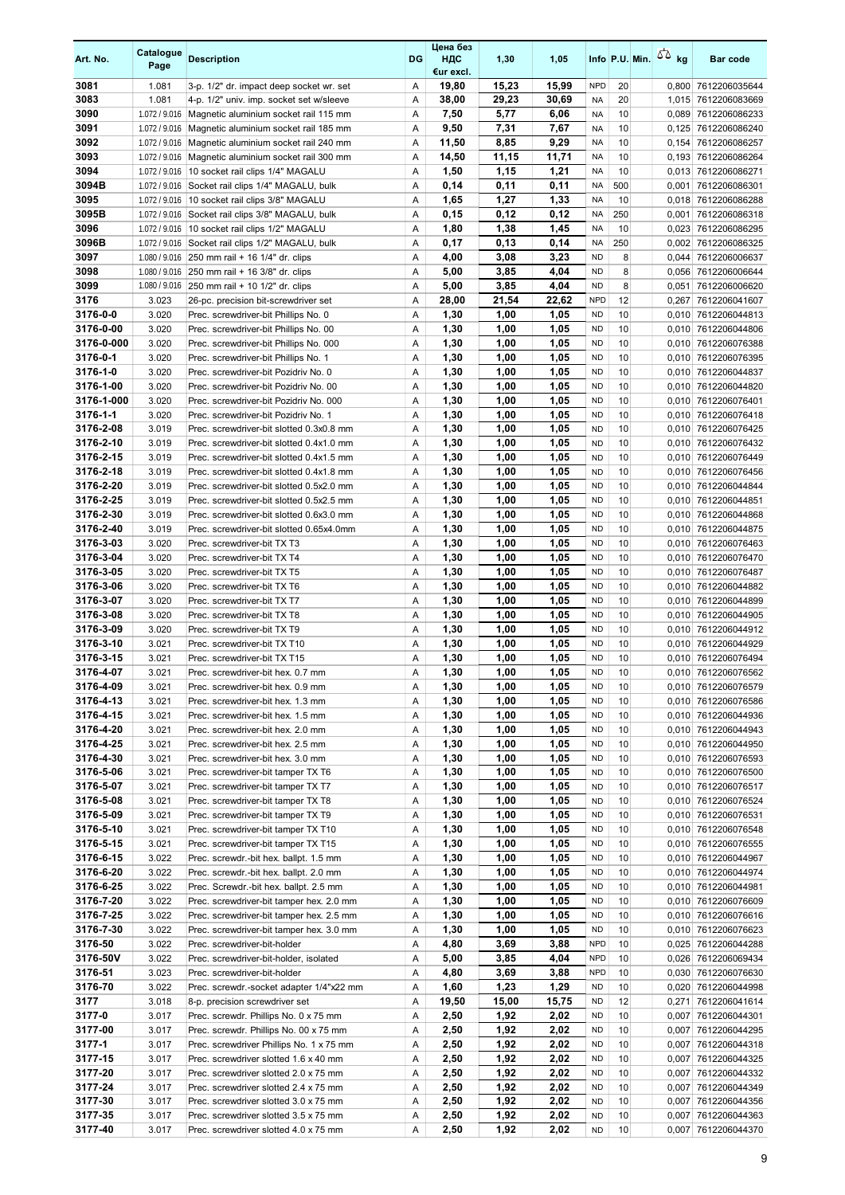| Art. No.               | Catalogue<br>Page              | <b>Description</b>                                                                   | <b>DG</b> | Цена без<br>ндс<br>€ur excl. | 1,30         | 1,05         |                        | Info P.U. Min. $\sqrt{2}$ kg |       | <b>Bar code</b>                            |
|------------------------|--------------------------------|--------------------------------------------------------------------------------------|-----------|------------------------------|--------------|--------------|------------------------|------------------------------|-------|--------------------------------------------|
| 3081                   | 1.081                          | 3-p. 1/2" dr. impact deep socket wr. set                                             | Α         | 19,80                        | 15,23        | 15,99        | <b>NPD</b>             | 20                           |       | 0,800 7612206035644                        |
| 3083                   | 1.081                          | 4-p. 1/2" univ. imp. socket set w/sleeve                                             | Α         | 38,00                        | 29,23        | 30,69        | <b>NA</b>              | 20                           |       | 1,015 7612206083669                        |
| 3090                   |                                | 1.072 / 9.016 Magnetic aluminium socket rail 115 mm                                  | A         | 7,50                         | 5,77         | 6,06         | <b>NA</b>              | 10                           | 0,089 | 7612206086233                              |
| 3091                   | 1.072 / 9.016                  | Magnetic aluminium socket rail 185 mm                                                | Α         | 9,50                         | 7,31         | 7,67         | <b>NA</b>              | 10                           |       | 0,125 7612206086240                        |
| 3092                   | 1.072 / 9.016                  | Magnetic aluminium socket rail 240 mm                                                | Α         | 11,50                        | 8,85         | 9,29         | <b>NA</b>              | 10                           |       | 0,154 7612206086257                        |
| 3093                   | 1.072 / 9.016                  | Magnetic aluminium socket rail 300 mm                                                | Α         | 14,50                        | 11,15        | 11,71        | <b>NA</b>              | 10                           |       | 0,193 7612206086264                        |
| 3094                   | 1.072 / 9.016                  | 10 socket rail clips 1/4" MAGALU                                                     | Α         | 1,50                         | 1,15         | 1,21         | <b>NA</b>              | 10                           |       | 0,013 7612206086271                        |
| 3094B                  | 1.072 / 9.016                  | Socket rail clips 1/4" MAGALU, bulk                                                  | Α         | 0,14                         | 0,11         | 0,11         | <b>NA</b>              | 500                          | 0,001 | 7612206086301                              |
| 3095                   | 1.072 / 9.016                  | 10 socket rail clips 3/8" MAGALU                                                     | Α         | 1,65                         | 1,27         | 1,33         | <b>NA</b>              | 10                           |       | 0,018 7612206086288                        |
| 3095B<br>3096          | 1.072 / 9.016<br>1.072 / 9.016 | Socket rail clips 3/8" MAGALU, bulk<br>10 socket rail clips 1/2" MAGALU              | Α<br>Α    | 0,15<br>1,80                 | 0,12<br>1,38 | 0,12<br>1,45 | <b>NA</b><br><b>NA</b> | 250<br>10                    | 0,001 | 7612206086318<br>0.023 7612206086295       |
| 3096B                  | 1.072 / 9.016                  | Socket rail clips 1/2" MAGALU, bulk                                                  | Α         | 0,17                         | 0,13         | 0,14         | <b>NA</b>              | 250                          |       | 0,002 7612206086325                        |
| 3097                   | 1.080 / 9.016                  | 250 mm rail + 16 1/4" dr. clips                                                      | Α         | 4,00                         | 3,08         | 3,23         | <b>ND</b>              | 8                            | 0,044 | 7612206006637                              |
| 3098                   |                                | 1.080 / 9.016 250 mm rail + 16 3/8" dr. clips                                        | Α         | 5,00                         | 3,85         | 4,04         | <b>ND</b>              | 8                            |       | 0,056 7612206006644                        |
| 3099                   |                                | 1.080 / 9.016 250 mm rail + 10 1/2" dr. clips                                        | Α         | 5,00                         | 3,85         | 4,04         | <b>ND</b>              | 8                            |       | 0,051 7612206006620                        |
| 3176                   | 3.023                          | 26-pc. precision bit-screwdriver set                                                 | Α         | 28,00                        | 21,54        | 22,62        | <b>NPD</b>             | 12                           | 0,267 | 7612206041607                              |
| 3176-0-0               | 3.020                          | Prec. screwdriver-bit Phillips No. 0                                                 | Α         | 1,30                         | 1,00         | 1,05         | <b>ND</b>              | 10                           |       | 0,010 7612206044813                        |
| 3176-0-00              | 3.020                          | Prec. screwdriver-bit Phillips No. 00                                                | Α         | 1,30                         | 1,00         | 1,05         | <b>ND</b>              | 10                           | 0,010 | 7612206044806                              |
| 3176-0-000             | 3.020                          | Prec. screwdriver-bit Phillips No. 000                                               | Α         | 1,30                         | 1,00         | 1,05         | <b>ND</b>              | 10                           |       | 0,010 7612206076388                        |
| 3176-0-1               | 3.020                          | Prec. screwdriver-bit Phillips No. 1                                                 | Α         | 1,30                         | 1,00         | 1,05         | <b>ND</b>              | 10                           | 0,010 | 7612206076395                              |
| 3176-1-0               | 3.020                          | Prec. screwdriver-bit Pozidriv No. 0                                                 | Α         | 1,30                         | 1,00         | 1,05         | <b>ND</b>              | 10                           | 0,010 | 7612206044837                              |
| 3176-1-00              | 3.020                          | Prec. screwdriver-bit Pozidriv No. 00                                                | Α         | 1,30                         | 1,00         | 1,05         | <b>ND</b>              | 10                           |       | 0,010 7612206044820                        |
| 3176-1-000             | 3.020                          | Prec. screwdriver-bit Pozidriv No. 000                                               | Α         | 1,30                         | 1,00         | 1,05         | <b>ND</b>              | 10                           |       | 0,010 7612206076401                        |
| 3176-1-1               | 3.020                          | Prec. screwdriver-bit Pozidriv No. 1                                                 | Α         | 1,30                         | 1,00         | 1,05         | <b>ND</b>              | 10                           | 0,010 | 7612206076418                              |
| 3176-2-08<br>3176-2-10 | 3.019<br>3.019                 | Prec. screwdriver-bit slotted 0.3x0.8 mm<br>Prec. screwdriver-bit slotted 0.4x1.0 mm | Α<br>Α    | 1,30<br>1,30                 | 1,00<br>1,00 | 1,05<br>1,05 | <b>ND</b><br><b>ND</b> | 10<br>10                     |       | 0,010 7612206076425<br>0,010 7612206076432 |
| 3176-2-15              | 3.019                          | Prec. screwdriver-bit slotted 0.4x1.5 mm                                             | Α         | 1,30                         | 1,00         | 1,05         | <b>ND</b>              | 10                           |       | 0,010 7612206076449                        |
| 3176-2-18              | 3.019                          | Prec. screwdriver-bit slotted 0.4x1.8 mm                                             | Α         | 1,30                         | 1,00         | 1.05         | <b>ND</b>              | 10                           | 0,010 | 7612206076456                              |
| 3176-2-20              | 3.019                          | Prec. screwdriver-bit slotted 0.5x2.0 mm                                             | Α         | 1,30                         | 1,00         | 1,05         | <b>ND</b>              | 10                           | 0,010 | 7612206044844                              |
| 3176-2-25              | 3.019                          | Prec. screwdriver-bit slotted 0.5x2.5 mm                                             | Α         | 1,30                         | 1,00         | 1,05         | <b>ND</b>              | 10                           |       | 0,010 7612206044851                        |
| 3176-2-30              | 3.019                          | Prec. screwdriver-bit slotted 0.6x3.0 mm                                             | Α         | 1,30                         | 1,00         | 1,05         | <b>ND</b>              | 10                           | 0,010 | 7612206044868                              |
| 3176-2-40              | 3.019                          | Prec. screwdriver-bit slotted 0.65x4.0mm                                             | Α         | 1,30                         | 1,00         | 1,05         | <b>ND</b>              | 10                           |       | 0,010 7612206044875                        |
| 3176-3-03              | 3.020                          | Prec. screwdriver-bit TX T3                                                          | Α         | 1,30                         | 1,00         | 1,05         | <b>ND</b>              | 10                           |       | 0,010 7612206076463                        |
| 3176-3-04              | 3.020                          | Prec. screwdriver-bit TX T4                                                          | Α         | 1,30                         | 1,00         | 1,05         | <b>ND</b>              | 10                           | 0,010 | 7612206076470                              |
| 3176-3-05              | 3.020                          | Prec. screwdriver-bit TX T5                                                          | Α         | 1,30                         | 1,00         | 1,05         | <b>ND</b>              | 10                           | 0,010 | 7612206076487                              |
| 3176-3-06              | 3.020                          | Prec. screwdriver-bit TX T6                                                          | Α         | 1,30                         | 1,00         | 1,05         | <b>ND</b>              | 10                           |       | 0,010 7612206044882                        |
| 3176-3-07              | 3.020                          | Prec. screwdriver-bit TX T7                                                          | Α         | 1,30                         | 1,00         | 1,05         | <b>ND</b>              | 10                           |       | 0,010 7612206044899                        |
| 3176-3-08              | 3.020                          | Prec. screwdriver-bit TX T8                                                          | Α         | 1,30                         | 1,00         | 1,05         | <b>ND</b>              | 10                           | 0,010 | 7612206044905                              |
| 3176-3-09<br>3176-3-10 | 3.020<br>3.021                 | Prec. screwdriver-bit TX T9<br>Prec. screwdriver-bit TX T10                          | Α<br>Α    | 1,30<br>1,30                 | 1,00<br>1,00 | 1,05<br>1,05 | <b>ND</b><br><b>ND</b> | 10<br>10                     |       | 0,010 7612206044912<br>0,010 7612206044929 |
| 3176-3-15              | 3.021                          | Prec. screwdriver-bit TX T15                                                         | Α         | 1,30                         | 1,00         | 1,05         | <b>ND</b>              | 10                           | 0,010 | 7612206076494                              |
| 3176-4-07              | 3.021                          | Prec. screwdriver-bit hex. 0.7 mm                                                    | A         | 1,30                         | 1,00         | 1.05         | <b>ND</b>              | 10                           |       | 0.010 7612206076562                        |
| 3176-4-09              | 3.021                          | Prec. screwdriver-bit hex. 0.9 mm                                                    | Α         | 1,30                         | 1,00         | 1,05         | <b>ND</b>              | 10                           |       | 0,010 7612206076579                        |
| 3176-4-13              | 3.021                          | Prec. screwdriver-bit hex. 1.3 mm                                                    | Α         | 1,30                         | 1,00         | 1,05         | <b>ND</b>              | 10                           |       | 0,010 7612206076586                        |
| 3176-4-15              | 3.021                          | Prec. screwdriver-bit hex. 1.5 mm                                                    | Α         | 1,30                         | 1,00         | 1,05         | <b>ND</b>              | 10                           |       | 0,010 7612206044936                        |
| 3176-4-20              | 3.021                          | Prec. screwdriver-bit hex. 2.0 mm                                                    | Α         | 1,30                         | 1,00         | 1,05         | <b>ND</b>              | 10                           |       | 0,010 7612206044943                        |
| 3176-4-25              | 3.021                          | Prec. screwdriver-bit hex. 2.5 mm                                                    | Α         | 1,30                         | 1,00         | 1,05         | <b>ND</b>              | 10                           |       | 0,010 7612206044950                        |
| 3176-4-30              | 3.021                          | Prec. screwdriver-bit hex. 3.0 mm                                                    | Α         | 1,30                         | 1,00         | 1,05         | <b>ND</b>              | 10                           |       | 0,010 7612206076593                        |
| 3176-5-06              | 3.021                          | Prec. screwdriver-bit tamper TX T6                                                   | Α         | 1,30                         | 1,00         | 1,05         | <b>ND</b>              | 10                           |       | 0,010 7612206076500                        |
| 3176-5-07              | 3.021                          | Prec. screwdriver-bit tamper TX T7                                                   | Α         | 1,30                         | 1,00         | 1,05         | <b>ND</b>              | 10                           |       | 0,010 7612206076517                        |
| 3176-5-08              | 3.021                          | Prec. screwdriver-bit tamper TX T8                                                   | Α         | 1,30                         | 1,00         | 1,05         | <b>ND</b>              | 10                           |       | 0,010 7612206076524                        |
| 3176-5-09              | 3.021                          | Prec. screwdriver-bit tamper TX T9                                                   | Α         | 1,30                         | 1,00         | 1,05         | <b>ND</b>              | 10                           |       | 0,010 7612206076531                        |
| 3176-5-10              | 3.021                          | Prec. screwdriver-bit tamper TX T10                                                  | Α         | 1,30                         | 1,00         | 1,05         | <b>ND</b>              | 10                           |       | 0,010 7612206076548                        |
| 3176-5-15<br>3176-6-15 | 3.021<br>3.022                 | Prec. screwdriver-bit tamper TX T15<br>Prec. screwdr.-bit hex. ballpt. 1.5 mm        | Α<br>Α    | 1,30<br>1,30                 | 1,00<br>1,00 | 1,05<br>1,05 | <b>ND</b><br><b>ND</b> | 10<br>10                     |       | 0,010 7612206076555<br>0,010 7612206044967 |
| 3176-6-20              | 3.022                          | Prec. screwdr.-bit hex. ballpt. 2.0 mm                                               | Α         | 1,30                         | 1,00         | 1,05         | <b>ND</b>              | 10                           |       | 0,010 7612206044974                        |
| 3176-6-25              | 3.022                          | Prec. Screwdr.-bit hex. ballpt. 2.5 mm                                               | Α         | 1,30                         | 1,00         | 1,05         | <b>ND</b>              | 10                           |       | 0,010 7612206044981                        |
| 3176-7-20              | 3.022                          | Prec. screwdriver-bit tamper hex. 2.0 mm                                             | Α         | 1,30                         | 1,00         | 1,05         | <b>ND</b>              | 10                           |       | 0,010 7612206076609                        |
| 3176-7-25              | 3.022                          | Prec. screwdriver-bit tamper hex. 2.5 mm                                             | Α         | 1,30                         | 1,00         | 1,05         | <b>ND</b>              | 10                           |       | 0,010 7612206076616                        |
| 3176-7-30              | 3.022                          | Prec. screwdriver-bit tamper hex. 3.0 mm                                             | Α         | 1,30                         | 1,00         | 1,05         | <b>ND</b>              | 10                           |       | 0,010 7612206076623                        |
| 3176-50                | 3.022                          | Prec. screwdriver-bit-holder                                                         | Α         | 4,80                         | 3,69         | 3,88         | <b>NPD</b>             | 10                           |       | 0,025 7612206044288                        |
| 3176-50V               | 3.022                          | Prec. screwdriver-bit-holder, isolated                                               | Α         | 5,00                         | 3,85         | 4,04         | <b>NPD</b>             | 10                           |       | 0,026 7612206069434                        |
| 3176-51                | 3.023                          | Prec. screwdriver-bit-holder                                                         | Α         | 4,80                         | 3,69         | 3,88         | <b>NPD</b>             | 10                           |       | 0,030 7612206076630                        |
| 3176-70                | 3.022                          | Prec. screwdr.-socket adapter 1/4"x22 mm                                             | Α         | 1,60                         | 1,23         | 1,29         | <b>ND</b>              | 10                           |       | 0,020 7612206044998                        |
| 3177                   | 3.018                          | 8-p. precision screwdriver set                                                       | Α         | 19,50                        | 15,00        | 15,75        | <b>ND</b>              | 12                           |       | 0,271 7612206041614                        |
| 3177-0                 | 3.017                          | Prec. screwdr. Phillips No. 0 x 75 mm                                                | Α         | 2,50                         | 1,92         | 2,02         | <b>ND</b>              | 10                           |       | 0,007 7612206044301                        |
| 3177-00                | 3.017                          | Prec. screwdr. Phillips No. 00 x 75 mm                                               | Α         | 2,50                         | 1,92         | 2,02         | <b>ND</b>              | 10                           |       | 0,007 7612206044295                        |
| 3177-1<br>3177-15      | 3.017<br>3.017                 | Prec. screwdriver Phillips No. 1 x 75 mm<br>Prec. screwdriver slotted 1.6 x 40 mm    | Α<br>Α    | 2,50<br>2,50                 | 1,92<br>1,92 | 2,02<br>2,02 | <b>ND</b><br><b>ND</b> | 10<br>10                     |       | 0,007 7612206044318<br>0,007 7612206044325 |
| 3177-20                | 3.017                          | Prec. screwdriver slotted 2.0 x 75 mm                                                | Α         | 2,50                         | 1,92         | 2,02         | <b>ND</b>              | 10                           |       | 0,007 7612206044332                        |
| 3177-24                | 3.017                          | Prec. screwdriver slotted 2.4 x 75 mm                                                | Α         | 2,50                         | 1,92         | 2,02         | <b>ND</b>              | 10                           |       | 0,007 7612206044349                        |
| 3177-30                | 3.017                          | Prec. screwdriver slotted 3.0 x 75 mm                                                | Α         | 2,50                         | 1,92         | 2,02         | <b>ND</b>              | 10                           |       | 0,007 7612206044356                        |
| 3177-35                | 3.017                          | Prec. screwdriver slotted 3.5 x 75 mm                                                | Α         | 2,50                         | 1,92         | 2,02         | <b>ND</b>              | 10                           |       | 0,007 7612206044363                        |
| 3177-40                | 3.017                          | Prec. screwdriver slotted 4.0 x 75 mm                                                | Α         | 2,50                         | 1,92         | 2,02         | <b>ND</b>              | 10                           |       | 0,007 7612206044370                        |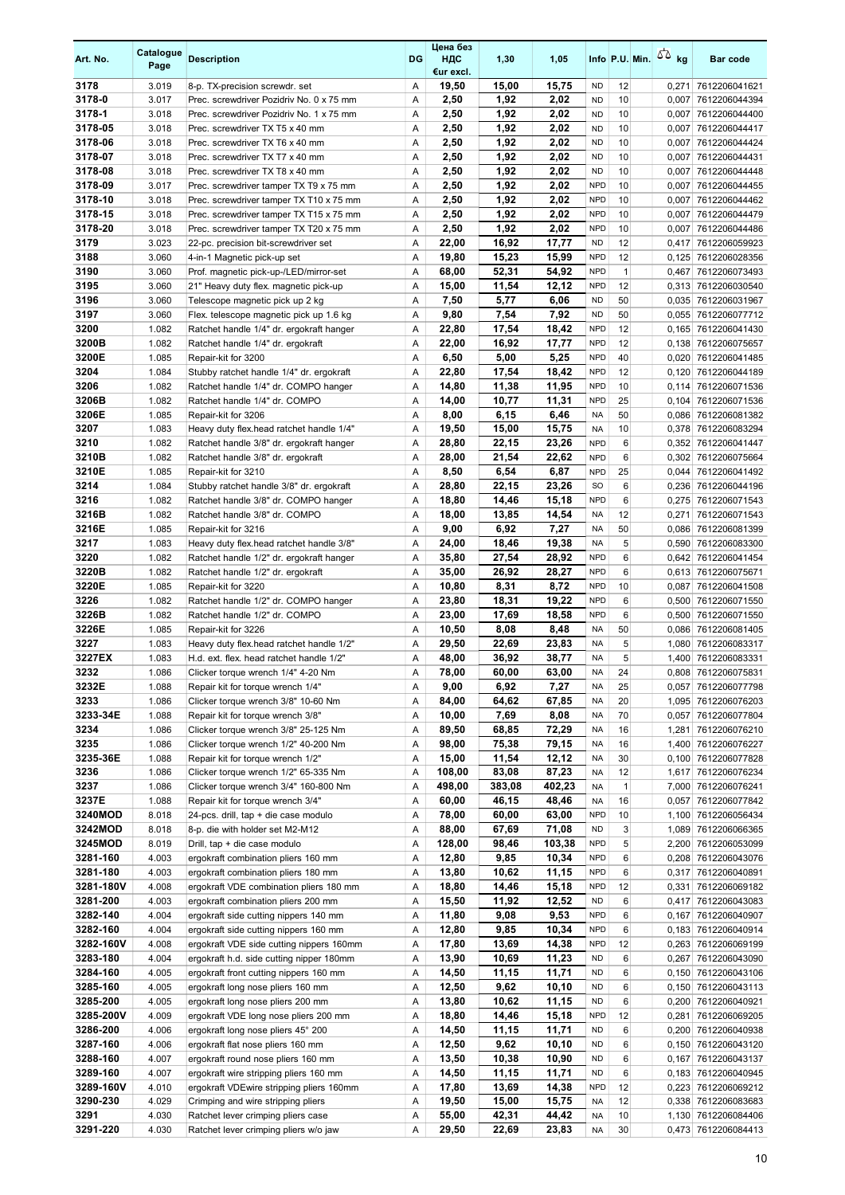| Art. No.              | Catalogue<br>Page | <b>Description</b>                                                         | DG     | Цена без<br>НДС<br>€ur excl. | 1,30          | 1,05           |                          |              | Info P.U. Min. $\sqrt{2}$ kg | <b>Bar code</b>                            |
|-----------------------|-------------------|----------------------------------------------------------------------------|--------|------------------------------|---------------|----------------|--------------------------|--------------|------------------------------|--------------------------------------------|
| 3178                  | 3.019             | 8-p. TX-precision screwdr. set                                             | Α      | 19,50                        | 15,00         | 15,75          | <b>ND</b>                | 12           | 0,271                        | 7612206041621                              |
| 3178-0                | 3.017             | Prec. screwdriver Pozidriv No. 0 x 75 mm                                   | Α      | 2,50                         | 1,92          | 2,02           | <b>ND</b>                | 10           | 0,007                        | 7612206044394                              |
| 3178-1                | 3.018             | Prec. screwdriver Pozidriv No. 1 x 75 mm                                   | Α      | 2,50                         | 1,92          | 2,02           | <b>ND</b>                | 10           | 0,007                        | 7612206044400                              |
| 3178-05               | 3.018             | Prec. screwdriver TX T5 x 40 mm                                            | Α      | 2,50                         | 1,92          | 2,02           | <b>ND</b>                | 10           |                              | 0,007 7612206044417                        |
| 3178-06               | 3.018             | Prec. screwdriver TX T6 x 40 mm                                            | Α      | 2,50                         | 1,92          | 2,02           | <b>ND</b>                | 10           |                              | 0,007 7612206044424                        |
| 3178-07<br>3178-08    | 3.018<br>3.018    | Prec. screwdriver TX T7 x 40 mm                                            | Α<br>Α | 2,50                         | 1,92<br>1,92  | 2,02<br>2,02   | <b>ND</b><br><b>ND</b>   | 10<br>10     | 0,007                        | 7612206044431<br>0,007 7612206044448       |
| 3178-09               | 3.017             | Prec. screwdriver TX T8 x 40 mm<br>Prec. screwdriver tamper TX T9 x 75 mm  | Α      | 2,50<br>2,50                 | 1,92          | 2,02           | <b>NPD</b>               | 10           | 0,007                        | 7612206044455                              |
| 3178-10               | 3.018             | Prec. screwdriver tamper TX T10 x 75 mm                                    | Α      | 2,50                         | 1,92          | 2,02           | <b>NPD</b>               | 10           |                              | 0,007 7612206044462                        |
| 3178-15               | 3.018             | Prec. screwdriver tamper TX T15 x 75 mm                                    | Α      | 2,50                         | 1,92          | 2,02           | <b>NPD</b>               | 10           | 0,007                        | 7612206044479                              |
| 3178-20               | 3.018             | Prec. screwdriver tamper TX T20 x 75 mm                                    | Α      | 2,50                         | 1,92          | 2,02           | <b>NPD</b>               | 10           | 0,007                        | 7612206044486                              |
| 3179                  | 3.023             | 22-pc. precision bit-screwdriver set                                       | Α      | 22,00                        | 16,92         | 17,77          | <b>ND</b>                | 12           |                              | 0,417 7612206059923                        |
| 3188                  | 3.060             | 4-in-1 Magnetic pick-up set                                                | Α      | 19,80                        | 15,23         | 15,99          | <b>NPD</b>               | 12           |                              | 0,125 7612206028356                        |
| 3190                  | 3.060             | Prof. magnetic pick-up-/LED/mirror-set                                     | Α      | 68,00                        | 52,31         | 54,92          | <b>NPD</b>               | $\mathbf{1}$ |                              | 0,467 7612206073493                        |
| 3195                  | 3.060             | 21" Heavy duty flex. magnetic pick-up                                      | Α      | 15,00                        | 11,54         | 12,12          | <b>NPD</b>               | 12           |                              | 0,313 7612206030540                        |
| 3196                  | 3.060             | Telescope magnetic pick up 2 kg                                            | Α      | 7,50                         | 5,77          | 6,06           | <b>ND</b>                | 50           |                              | 0,035 7612206031967                        |
| 3197                  | 3.060             | Flex. telescope magnetic pick up 1.6 kg                                    | Α      | 9,80                         | 7,54          | 7,92           | <b>ND</b>                | 50           |                              | 0,055 7612206077712                        |
| 3200                  | 1.082             | Ratchet handle 1/4" dr. ergokraft hanger                                   | Α      | 22,80                        | 17,54         | 18,42          | <b>NPD</b><br><b>NPD</b> | 12           |                              | 0,165 7612206041430                        |
| 3200B<br>3200E        | 1.082<br>1.085    | Ratchet handle 1/4" dr. ergokraft<br>Repair-kit for 3200                   | Α<br>Α | 22,00<br>6,50                | 16,92<br>5,00 | 17,77<br>5,25  | <b>NPD</b>               | 12<br>40     |                              | 0,138 7612206075657<br>0,020 7612206041485 |
| 3204                  | 1.084             | Stubby ratchet handle 1/4" dr. ergokraft                                   | Α      | 22,80                        | 17,54         | 18,42          | <b>NPD</b>               | 12           |                              | 0.120 7612206044189                        |
| 3206                  | 1.082             | Ratchet handle 1/4" dr. COMPO hanger                                       | Α      | 14,80                        | 11,38         | 11,95          | <b>NPD</b>               | 10           |                              | 0,114 7612206071536                        |
| 3206B                 | 1.082             | Ratchet handle 1/4" dr. COMPO                                              | A      | 14,00                        | 10,77         | 11,31          | <b>NPD</b>               | 25           |                              | 0,104 7612206071536                        |
| 3206E                 | 1.085             | Repair-kit for 3206                                                        | Α      | 8,00                         | 6,15          | 6,46           | <b>NA</b>                | 50           |                              | 0,086 7612206081382                        |
| 3207                  | 1.083             | Heavy duty flex head ratchet handle 1/4"                                   | Α      | 19,50                        | 15,00         | 15,75          | <b>NA</b>                | 10           |                              | 0,378 7612206083294                        |
| 3210                  | 1.082             | Ratchet handle 3/8" dr. ergokraft hanger                                   | Α      | 28,80                        | 22,15         | 23,26          | <b>NPD</b>               | 6            |                              | 0,352 7612206041447                        |
| 3210B                 | 1.082             | Ratchet handle 3/8" dr. ergokraft                                          | Α      | 28,00                        | 21,54         | 22,62          | <b>NPD</b>               | 6            |                              | 0,302 7612206075664                        |
| 3210E                 | 1.085             | Repair-kit for 3210                                                        | A      | 8,50                         | 6,54          | 6,87           | <b>NPD</b>               | 25           |                              | 0,044 7612206041492                        |
| 3214                  | 1.084             | Stubby ratchet handle 3/8" dr. ergokraft                                   | Α      | 28,80                        | 22,15         | 23,26          | <b>SO</b>                | 6            |                              | 0,236 7612206044196                        |
| 3216                  | 1.082             | Ratchet handle 3/8" dr. COMPO hanger                                       | Α      | 18,80                        | 14,46         | 15,18          | <b>NPD</b>               | 6            |                              | 0,275 7612206071543                        |
| 3216B<br>3216E        | 1.082<br>1.085    | Ratchet handle 3/8" dr. COMPO<br>Repair-kit for 3216                       | Α<br>Α | 18,00<br>9,00                | 13,85<br>6,92 | 14,54<br>7,27  | <b>NA</b><br><b>NA</b>   | 12<br>50     | 0,271                        | 7612206071543<br>0,086 7612206081399       |
| 3217                  | 1.083             | Heavy duty flex head ratchet handle 3/8"                                   | Α      | 24,00                        | 18,46         | 19,38          | <b>NA</b>                | 5            |                              | 0,590 7612206083300                        |
| 3220                  | 1.082             | Ratchet handle 1/2" dr. ergokraft hanger                                   | Α      | 35,80                        | 27,54         | 28,92          | <b>NPD</b>               | 6            |                              | 0,642 7612206041454                        |
| 3220B                 | 1.082             | Ratchet handle 1/2" dr. ergokraft                                          | Α      | 35,00                        | 26,92         | 28,27          | <b>NPD</b>               | 6            |                              | 0,613 7612206075671                        |
| 3220E                 | 1.085             | Repair-kit for 3220                                                        | Α      | 10,80                        | 8,31          | 8,72           | <b>NPD</b>               | 10           | 0,087                        | 7612206041508                              |
| 3226                  | 1.082             | Ratchet handle 1/2" dr. COMPO hanger                                       | Α      | 23,80                        | 18,31         | 19,22          | <b>NPD</b>               | 6            |                              | 0,500 7612206071550                        |
| 3226B                 | 1.082             | Ratchet handle 1/2" dr. COMPO                                              | Α      | 23,00                        | 17,69         | 18,58          | <b>NPD</b>               | 6            |                              | 0,500 7612206071550                        |
| 3226E                 | 1.085             | Repair-kit for 3226                                                        | Α      | 10,50                        | 8,08          | 8,48           | <b>NA</b>                | 50           |                              | 0,086 7612206081405                        |
| 3227                  | 1.083             | Heavy duty flex head ratchet handle 1/2"                                   | Α      | 29,50                        | 22,69         | 23,83          | <b>NA</b>                | 5            |                              | 1.080 7612206083317                        |
| 3227EX                | 1.083             | H.d. ext. flex. head ratchet handle 1/2"                                   | Α      | 48,00                        | 36,92         | 38,77          | <b>NA</b>                | 5            |                              | 1,400 7612206083331                        |
| 3232                  | 1.086             | Clicker torque wrench 1/4" 4-20 Nm                                         | A      | 78,00                        | 60.00         | 63.00          | <b>NA</b>                | 24           |                              | 0.808 7612206075831                        |
| 3232E<br>3233         | 1.088             | Repair kit for torque wrench 1/4"<br>Clicker torque wrench 3/8" 10-60 Nm   | Α      | 9,00                         | 6,92          | 7,27           | NA                       | 25           |                              | 0,057 7612206077798                        |
| 3233-34E              | 1.086<br>1.088    | Repair kit for torque wrench 3/8"                                          | Α<br>Α | 84,00<br>10,00               | 64,62<br>7,69 | 67,85<br>8,08  | <b>NA</b><br><b>NA</b>   | 20<br>70     |                              | 1,095 7612206076203<br>0,057 7612206077804 |
| 3234                  | 1.086             | Clicker torque wrench 3/8" 25-125 Nm                                       | Α      | 89,50                        | 68,85         | 72,29          | <b>NA</b>                | 16           |                              | 1,281 7612206076210                        |
| 3235                  | 1.086             | Clicker torque wrench 1/2" 40-200 Nm                                       | Α      | 98,00                        | 75,38         | 79,15          | <b>NA</b>                | 16           |                              | 1,400 7612206076227                        |
| 3235-36E              | 1.088             | Repair kit for torque wrench 1/2"                                          | Α      | 15,00                        | 11,54         | 12,12          | <b>NA</b>                | 30           |                              | 0,100 7612206077828                        |
| 3236                  | 1.086             | Clicker torque wrench 1/2" 65-335 Nm                                       | Α      | 108,00                       | 83,08         | 87,23          | <b>NA</b>                | 12           |                              | 1,617 7612206076234                        |
| 3237                  | 1.086             | Clicker torque wrench 3/4" 160-800 Nm                                      | Α      | 498,00                       | 383,08        | 402,23         | <b>NA</b>                | $\mathbf{1}$ |                              | 7,000 7612206076241                        |
| 3237E                 | 1.088             | Repair kit for torque wrench 3/4"                                          | Α      | 60,00                        | 46,15         | 48,46          | NA                       | 16           |                              | 0,057 7612206077842                        |
| 3240MOD               | 8.018             | 24-pcs. drill, tap + die case modulo                                       | Α      | 78,00                        | 60,00         | 63,00          | <b>NPD</b>               | 10           |                              | 1,100 7612206056434                        |
| 3242MOD               | 8.018             | 8-p. die with holder set M2-M12                                            | Α      | 88,00                        | 67,69         | 71,08          | <b>ND</b>                | 3            |                              | 1,089 7612206066365                        |
| 3245MOD               | 8.019             | Drill, tap + die case modulo                                               | Α      | 128,00                       | 98,46         | 103,38         | <b>NPD</b>               | 5            |                              | 2,200 7612206053099                        |
| 3281-160<br>3281-180  | 4.003<br>4.003    | ergokraft combination pliers 160 mm<br>ergokraft combination pliers 180 mm | Α<br>Α | 12,80<br>13,80               | 9,85<br>10,62 | 10,34          | <b>NPD</b><br><b>NPD</b> | 6<br>6       |                              | 0,208 7612206043076<br>0,317 7612206040891 |
| 3281-180V             | 4.008             | ergokraft VDE combination pliers 180 mm                                    | Α      | 18,80                        | 14,46         | 11,15<br>15,18 | <b>NPD</b>               | 12           |                              | 0,331 7612206069182                        |
| 3281-200              | 4.003             | ergokraft combination pliers 200 mm                                        | Α      | 15,50                        | 11,92         | 12,52          | <b>ND</b>                | 6            |                              | 0,417 7612206043083                        |
| 3282-140              | 4.004             | ergokraft side cutting nippers 140 mm                                      | Α      | 11,80                        | 9,08          | 9,53           | <b>NPD</b>               | 6            |                              | 0,167 7612206040907                        |
| 3282-160              | 4.004             | ergokraft side cutting nippers 160 mm                                      | Α      | 12,80                        | 9,85          | 10,34          | <b>NPD</b>               | 6            |                              | 0,183 7612206040914                        |
| 3282-160V             | 4.008             | ergokraft VDE side cutting nippers 160mm                                   | Α      | 17,80                        | 13,69         | 14,38          | <b>NPD</b>               | 12           |                              | 0,263 7612206069199                        |
| 3283-180              | 4.004             | ergokraft h.d. side cutting nipper 180mm                                   | Α      | 13,90                        | 10,69         | 11,23          | <b>ND</b>                | 6            |                              | 0,267 7612206043090                        |
| 3284-160              | 4.005             | ergokraft front cutting nippers 160 mm                                     | Α      | 14,50                        | 11,15         | 11,71          | <b>ND</b>                | 6            |                              | 0,150 7612206043106                        |
| 3285-160              | 4.005             | ergokraft long nose pliers 160 mm                                          | Α      | 12,50                        | 9,62          | 10,10          | <b>ND</b>                | 6            |                              | 0,150 7612206043113                        |
| 3285-200              | 4.005             | ergokraft long nose pliers 200 mm                                          | Α      | 13,80                        | 10,62         | 11,15          | <b>ND</b>                | 6            |                              | 0,200 7612206040921                        |
| 3285-200V<br>3286-200 | 4.009             | ergokraft VDE long nose pliers 200 mm                                      | Α      | 18,80                        | 14,46         | 15,18          | <b>NPD</b>               | 12<br>6      |                              | 0,281 7612206069205                        |
| 3287-160              | 4.006<br>4.006    | ergokraft long nose pliers 45° 200<br>ergokraft flat nose pliers 160 mm    | Α<br>Α | 14,50<br>12,50               | 11,15<br>9,62 | 11,71<br>10,10 | <b>ND</b><br><b>ND</b>   | 6            |                              | 0,200 7612206040938<br>0,150 7612206043120 |
| 3288-160              | 4.007             | ergokraft round nose pliers 160 mm                                         | Α      | 13,50                        | 10,38         | 10,90          | <b>ND</b>                | 6            |                              | 0,167 7612206043137                        |
| 3289-160              | 4.007             | ergokraft wire stripping pliers 160 mm                                     | Α      | 14,50                        | 11,15         | 11,71          | <b>ND</b>                | 6            |                              | 0,183 7612206040945                        |
| 3289-160V             | 4.010             | ergokraft VDEwire stripping pliers 160mm                                   | Α      | 17,80                        | 13,69         | 14,38          | <b>NPD</b>               | 12           |                              | 0,223 7612206069212                        |
| 3290-230              | 4.029             | Crimping and wire stripping pliers                                         | Α      | 19,50                        | 15,00         | 15,75          | <b>NA</b>                | 12           |                              | 0,338 7612206083683                        |
| 3291                  | 4.030             | Ratchet lever crimping pliers case                                         | Α      | 55,00                        | 42,31         | 44,42          | <b>NA</b>                | 10           |                              | 1,130 7612206084406                        |
| 3291-220              | 4.030             | Ratchet lever crimping pliers w/o jaw                                      | Α      | 29,50                        | 22,69         | 23,83          | <b>NA</b>                | 30           |                              | 0,473 7612206084413                        |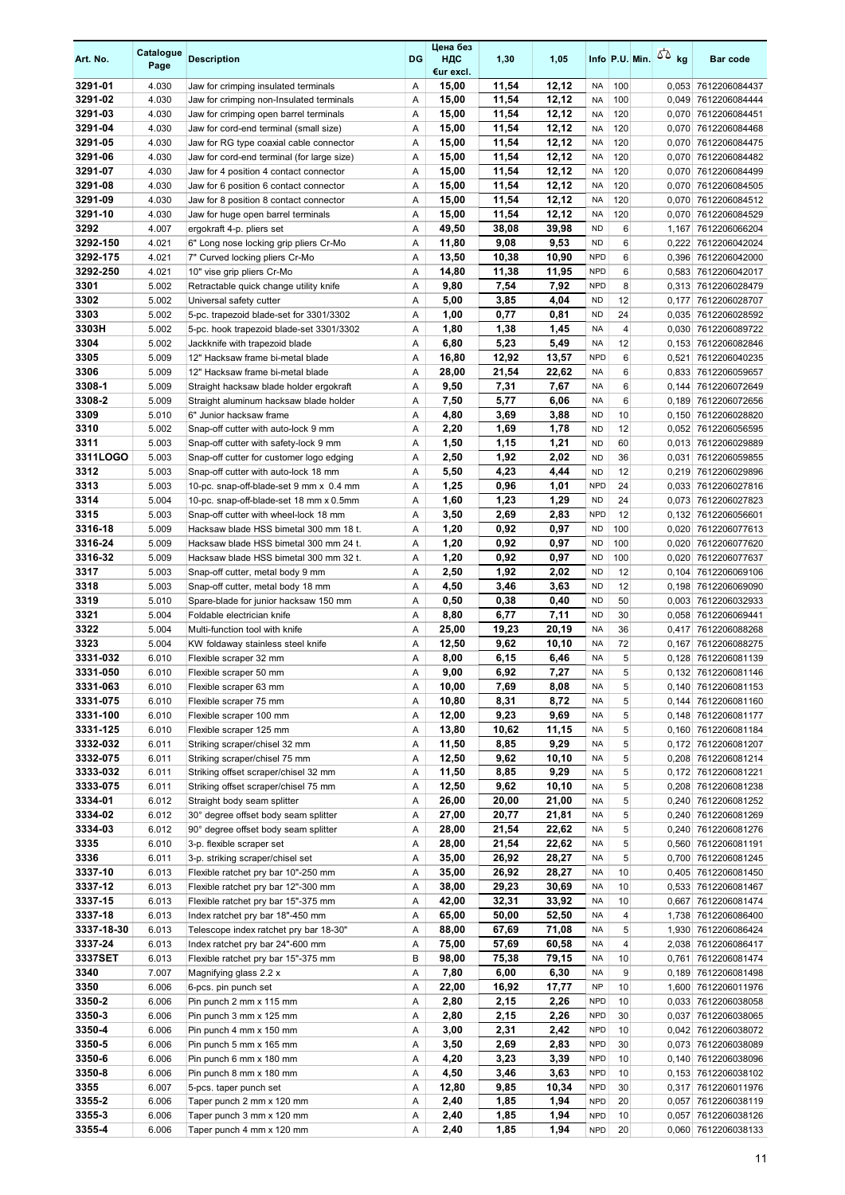| Art. No.             | Catalogue<br>Page | <b>Description</b>                                                                 | DG     | Цена без<br>ндс<br>€ur excl. | 1,30           | 1,05           |                          |                      | Info P.U. Min. $\sqrt{2}$ kg | <b>Bar code</b>                            |
|----------------------|-------------------|------------------------------------------------------------------------------------|--------|------------------------------|----------------|----------------|--------------------------|----------------------|------------------------------|--------------------------------------------|
| 3291-01              | 4.030             | Jaw for crimping insulated terminals                                               | Α      | 15,00                        | 11,54          | 12,12          | NA                       | 100                  |                              | 0,053 7612206084437                        |
| 3291-02              | 4.030             | Jaw for crimping non-Insulated terminals                                           | Α      | 15,00                        | 11,54          | 12,12          | <b>NA</b>                | 100                  |                              | 0,049 7612206084444                        |
| 3291-03<br>3291-04   | 4.030<br>4.030    | Jaw for crimping open barrel terminals                                             | Α<br>Α | 15,00<br>15,00               | 11,54<br>11,54 | 12.12<br>12,12 | <b>NA</b><br><b>NA</b>   | 120<br>120           |                              | 0,070 7612206084451                        |
| 3291-05              | 4.030             | Jaw for cord-end terminal (small size)<br>Jaw for RG type coaxial cable connector  | Α      | 15,00                        | 11,54          | 12,12          | <b>NA</b>                | 120                  |                              | 0,070 7612206084468<br>0,070 7612206084475 |
| 3291-06              | 4.030             | Jaw for cord-end terminal (for large size)                                         | Α      | 15,00                        | 11,54          | 12,12          | <b>NA</b>                | 120                  |                              | 0,070 7612206084482                        |
| 3291-07              | 4.030             | Jaw for 4 position 4 contact connector                                             | Α      | 15,00                        | 11,54          | 12,12          | <b>NA</b>                | 120                  |                              | 0,070 7612206084499                        |
| 3291-08              | 4.030             | Jaw for 6 position 6 contact connector                                             | Α      | 15,00                        | 11,54          | 12,12          | <b>NA</b>                | 120                  |                              | 0,070 7612206084505                        |
| 3291-09              | 4.030             | Jaw for 8 position 8 contact connector                                             | Α      | 15,00                        | 11,54          | 12,12          | <b>NA</b>                | 120                  |                              | 0,070 7612206084512                        |
| 3291-10              | 4.030             | Jaw for huge open barrel terminals                                                 | Α      | 15,00                        | 11,54          | 12,12          | <b>NA</b>                | 120                  | 0,070                        | 7612206084529                              |
| 3292                 | 4.007             | ergokraft 4-p. pliers set                                                          | Α      | 49,50                        | 38,08          | 39,98<br>9,53  | <b>ND</b>                | 6<br>6               | 1,167                        | 7612206066204                              |
| 3292-150<br>3292-175 | 4.021<br>4.021    | 6" Long nose locking grip pliers Cr-Mo<br>7" Curved locking pliers Cr-Mo           | Α<br>Α | 11,80<br>13,50               | 9,08<br>10,38  | 10,90          | <b>ND</b><br><b>NPD</b>  | 6                    |                              | 0,222 7612206042024<br>0,396 7612206042000 |
| 3292-250             | 4.021             | 10" vise grip pliers Cr-Mo                                                         | Α      | 14,80                        | 11,38          | 11,95          | <b>NPD</b>               | 6                    |                              | 0,583 7612206042017                        |
| 3301                 | 5.002             | Retractable quick change utility knife                                             | Α      | 9,80                         | 7,54           | 7,92           | <b>NPD</b>               | 8                    |                              | 0,313 7612206028479                        |
| 3302                 | 5.002             | Universal safety cutter                                                            | Α      | 5,00                         | 3,85           | 4,04           | <b>ND</b>                | 12                   | 0,177                        | 7612206028707                              |
| 3303                 | 5.002             | 5-pc. trapezoid blade-set for 3301/3302                                            | Α      | 1,00                         | 0,77           | 0,81           | <b>ND</b>                | 24                   |                              | 0,035 7612206028592                        |
| 3303H                | 5.002             | 5-pc. hook trapezoid blade-set 3301/3302                                           | Α      | 1,80                         | 1,38           | 1,45           | <b>NA</b>                | 4                    |                              | 0,030 7612206089722                        |
| 3304                 | 5.002             | Jackknife with trapezoid blade                                                     | Α      | 6,80                         | 5,23           | 5,49           | <b>NA</b>                | 12                   |                              | 0,153 7612206082846                        |
| 3305<br>3306         | 5.009<br>5.009    | 12" Hacksaw frame bi-metal blade<br>12" Hacksaw frame bi-metal blade               | Α<br>Α | 16,80<br>28,00               | 12,92<br>21,54 | 13,57<br>22,62 | <b>NPD</b><br><b>NA</b>  | 6<br>6               | 0,521                        | 7612206040235<br>0,833 7612206059657       |
| 3308-1               | 5.009             | Straight hacksaw blade holder ergokraft                                            | Α      | 9,50                         | 7,31           | 7,67           | <b>NA</b>                | 6                    |                              | 0,144 7612206072649                        |
| 3308-2               | 5.009             | Straight aluminum hacksaw blade holder                                             | Α      | 7,50                         | 5,77           | 6,06           | <b>NA</b>                | 6                    |                              | 0,189 7612206072656                        |
| 3309                 | 5.010             | 6" Junior hacksaw frame                                                            | Α      | 4,80                         | 3,69           | 3,88           | <b>ND</b>                | 10                   |                              | 0,150 7612206028820                        |
| 3310                 | 5.002             | Snap-off cutter with auto-lock 9 mm                                                | Α      | 2,20                         | 1,69           | 1,78           | <b>ND</b>                | 12                   |                              | 0,052 7612206056595                        |
| 3311                 | 5.003             | Snap-off cutter with safety-lock 9 mm                                              | Α      | 1,50                         | 1,15           | 1,21           | <b>ND</b>                | 60                   |                              | 0,013 7612206029889                        |
| 3311LOGO             | 5.003             | Snap-off cutter for customer logo edging                                           | Α      | 2,50                         | 1,92           | 2,02           | <b>ND</b>                | 36                   |                              | 0,031 7612206059855                        |
| 3312                 | 5.003             | Snap-off cutter with auto-lock 18 mm                                               | Α      | 5,50                         | 4,23           | 4,44           | <b>ND</b>                | 12                   |                              | 0,219 7612206029896                        |
| 3313<br>3314         | 5.003<br>5.004    | 10-pc. snap-off-blade-set 9 mm x 0.4 mm<br>10-pc. snap-off-blade-set 18 mm x 0.5mm | Α<br>Α | 1,25<br>1,60                 | 0,96<br>1,23   | 1,01<br>1,29   | <b>NPD</b><br><b>ND</b>  | 24<br>24             |                              | 0,033 7612206027816<br>0,073 7612206027823 |
| 3315                 | 5.003             | Snap-off cutter with wheel-lock 18 mm                                              | Α      | 3,50                         | 2,69           | 2,83           | <b>NPD</b>               | 12                   |                              | 0,132 7612206056601                        |
| 3316-18              | 5.009             | Hacksaw blade HSS bimetal 300 mm 18 t.                                             | Α      | 1,20                         | 0,92           | 0,97           | <b>ND</b>                | 100                  |                              | 0,020 7612206077613                        |
| 3316-24              | 5.009             | Hacksaw blade HSS bimetal 300 mm 24 t.                                             | Α      | 1,20                         | 0,92           | 0,97           | <b>ND</b>                | 100                  |                              | 0,020 7612206077620                        |
| 3316-32              | 5.009             | Hacksaw blade HSS bimetal 300 mm 32 t.                                             | Α      | 1,20                         | 0,92           | 0,97           | <b>ND</b>                | 100                  |                              | 0,020 7612206077637                        |
| 3317                 | 5.003             | Snap-off cutter, metal body 9 mm                                                   | Α      | 2,50                         | 1,92           | 2,02           | <b>ND</b>                | 12                   |                              | 0,104 7612206069106                        |
| 3318                 | 5.003             | Snap-off cutter, metal body 18 mm                                                  | Α      | 4,50                         | 3,46           | 3,63           | <b>ND</b>                | 12                   |                              | 0,198 7612206069090                        |
| 3319<br>3321         | 5.010             | Spare-blade for junior hacksaw 150 mm                                              | Α      | 0,50                         | 0,38           | 0,40<br>7,11   | <b>ND</b><br><b>ND</b>   | 50<br>30             |                              | 0,003 7612206032933                        |
| 3322                 | 5.004<br>5.004    | Foldable electrician knife<br>Multi-function tool with knife                       | Α<br>Α | 8,80<br>25,00                | 6,77<br>19,23  | 20,19          | <b>NA</b>                | 36                   |                              | 0,058 7612206069441<br>0,417 7612206088268 |
| 3323                 | 5.004             | KW foldaway stainless steel knife                                                  | A      | 12,50                        | 9,62           | 10,10          | <b>NA</b>                | 72                   |                              | 0,167 7612206088275                        |
| 3331-032             | 6.010             | Flexible scraper 32 mm                                                             | Α      | 8,00                         | 6,15           | 6,46           | <b>NA</b>                | 5                    |                              | 0,128 7612206081139                        |
| 3331-050             | 6.010             | Flexible scraper 50 mm                                                             | Α      | 9,00                         | 6,92           | 7,27           | <b>NA</b>                | 5                    |                              | 0.132 7612206081146                        |
| 3331-063             | 6.010             | Flexible scraper 63 mm                                                             | Α      | 10,00                        | 7,69           | 8,08           | <b>NA</b>                | 5                    |                              | 0,140 7612206081153                        |
| 3331-075             | 6.010             | Flexible scraper 75 mm                                                             | Α      | 10,80                        | 8,31           | 8,72           | <b>NA</b>                | 5                    |                              | 0,144 7612206081160                        |
| 3331-100<br>3331-125 | 6.010<br>6.010    | Flexible scraper 100 mm<br>Flexible scraper 125 mm                                 | Α<br>Α | 12,00<br>13,80               | 9,23<br>10,62  | 9,69<br>11,15  | <b>NA</b><br><b>NA</b>   | 5<br>5               |                              | 0,148 7612206081177<br>0,160 7612206081184 |
| 3332-032             | 6.011             | Striking scraper/chisel 32 mm                                                      | Α      | 11,50                        | 8,85           | 9,29           | <b>NA</b>                | 5                    |                              | 0,172 7612206081207                        |
| 3332-075             | 6.011             | Striking scraper/chisel 75 mm                                                      | Α      | 12,50                        | 9,62           | 10,10          | <b>NA</b>                | 5                    |                              | 0,208 7612206081214                        |
| 3333-032             | 6.011             | Striking offset scraper/chisel 32 mm                                               | Α      | 11,50                        | 8,85           | 9,29           | <b>NA</b>                | 5                    |                              | 0,172 7612206081221                        |
| 3333-075             | 6.011             | Striking offset scraper/chisel 75 mm                                               | Α      | 12,50                        | 9,62           | 10,10          | <b>NA</b>                | 5                    |                              | 0,208 7612206081238                        |
| 3334-01              | 6.012             | Straight body seam splitter                                                        | Α      | 26,00                        | 20,00          | 21,00          | <b>NA</b>                | 5                    |                              | 0,240 7612206081252                        |
| 3334-02              | 6.012             | 30° degree offset body seam splitter                                               | Α      | 27,00                        | 20,77          | 21,81          | <b>NA</b>                | 5                    |                              | 0,240 7612206081269                        |
| 3334-03<br>3335      | 6.012<br>6.010    | 90° degree offset body seam splitter<br>3-p. flexible scraper set                  | Α<br>Α | 28,00<br>28,00               | 21,54<br>21,54 | 22,62<br>22,62 | NA<br>NA                 | 5<br>5               |                              | 0,240 7612206081276<br>0,560 7612206081191 |
| 3336                 | 6.011             | 3-p. striking scraper/chisel set                                                   | Α      | 35,00                        | 26,92          | 28,27          | <b>NA</b>                | 5                    |                              | 0,700 7612206081245                        |
| 3337-10              | 6.013             | Flexible ratchet pry bar 10"-250 mm                                                | Α      | 35,00                        | 26,92          | 28,27          | NA                       | 10                   |                              | 0,405 7612206081450                        |
| 3337-12              | 6.013             | Flexible ratchet pry bar 12"-300 mm                                                | Α      | 38,00                        | 29,23          | 30,69          | NA                       | 10                   |                              | 0,533 7612206081467                        |
| 3337-15              | 6.013             | Flexible ratchet pry bar 15"-375 mm                                                | Α      | 42,00                        | 32,31          | 33,92          | <b>NA</b>                | 10                   |                              | 0,667 7612206081474                        |
| 3337-18              | 6.013             | Index ratchet pry bar 18"-450 mm                                                   | Α      | 65,00                        | 50,00          | 52,50          | <b>NA</b>                | 4                    |                              | 1,738 7612206086400                        |
| 3337-18-30           | 6.013             | Telescope index ratchet pry bar 18-30"                                             | Α      | 88,00                        | 67,69          | 71,08          | <b>NA</b>                | 5                    |                              | 1,930 7612206086424                        |
| 3337-24<br>3337SET   | 6.013<br>6.013    | Index ratchet pry bar 24"-600 mm                                                   | Α<br>B | 75,00<br>98,00               | 57,69<br>75,38 | 60,58<br>79,15 | <b>NA</b><br><b>NA</b>   | $\overline{4}$<br>10 |                              | 2,038 7612206086417<br>0,761 7612206081474 |
| 3340                 | 7.007             | Flexible ratchet pry bar 15"-375 mm<br>Magnifying glass 2.2 x                      | Α      | 7,80                         | 6,00           | 6,30           | <b>NA</b>                | 9                    |                              | 0,189 7612206081498                        |
| 3350                 | 6.006             | 6-pcs. pin punch set                                                               | Α      | 22,00                        | 16,92          | 17,77          | <b>NP</b>                | 10                   |                              | 1,600 7612206011976                        |
| 3350-2               | 6.006             | Pin punch 2 mm x 115 mm                                                            | Α      | 2,80                         | 2,15           | 2,26           | <b>NPD</b>               | 10                   |                              | 0,033 7612206038058                        |
| 3350-3               | 6.006             | Pin punch 3 mm x 125 mm                                                            | Α      | 2,80                         | 2,15           | 2,26           | <b>NPD</b>               | 30                   |                              | 0,037 7612206038065                        |
| 3350-4               | 6.006             | Pin punch 4 mm x 150 mm                                                            | Α      | 3,00                         | 2,31           | 2,42           | <b>NPD</b>               | 10                   |                              | 0,042 7612206038072                        |
| 3350-5               | 6.006             | Pin punch 5 mm x 165 mm                                                            | Α      | 3,50                         | 2,69           | 2,83           | <b>NPD</b>               | 30                   |                              | 0,073 7612206038089                        |
| 3350-6<br>3350-8     | 6.006             | Pin punch 6 mm x 180 mm<br>Pin punch 8 mm x 180 mm                                 | Α      | 4,20<br>4,50                 | 3,23<br>3,46   | 3,39<br>3,63   | <b>NPD</b><br><b>NPD</b> | 10<br>10             |                              | 0,140 7612206038096                        |
| 3355                 | 6.006<br>6.007    | 5-pcs. taper punch set                                                             | Α<br>Α | 12,80                        | 9,85           | 10,34          | <b>NPD</b>               | 30                   |                              | 0,153 7612206038102<br>0,317 7612206011976 |
| 3355-2               | 6.006             | Taper punch 2 mm x 120 mm                                                          | Α      | 2,40                         | 1,85           | 1,94           | <b>NPD</b>               | 20                   |                              | 0,057 7612206038119                        |
| 3355-3               | 6.006             | Taper punch 3 mm x 120 mm                                                          | Α      | 2,40                         | 1,85           | 1,94           | <b>NPD</b>               | 10                   |                              | 0,057 7612206038126                        |
| 3355-4               | 6.006             | Taper punch 4 mm x 120 mm                                                          | Α      | 2,40                         | 1,85           | 1,94           | <b>NPD</b>               | 20                   |                              | 0,060 7612206038133                        |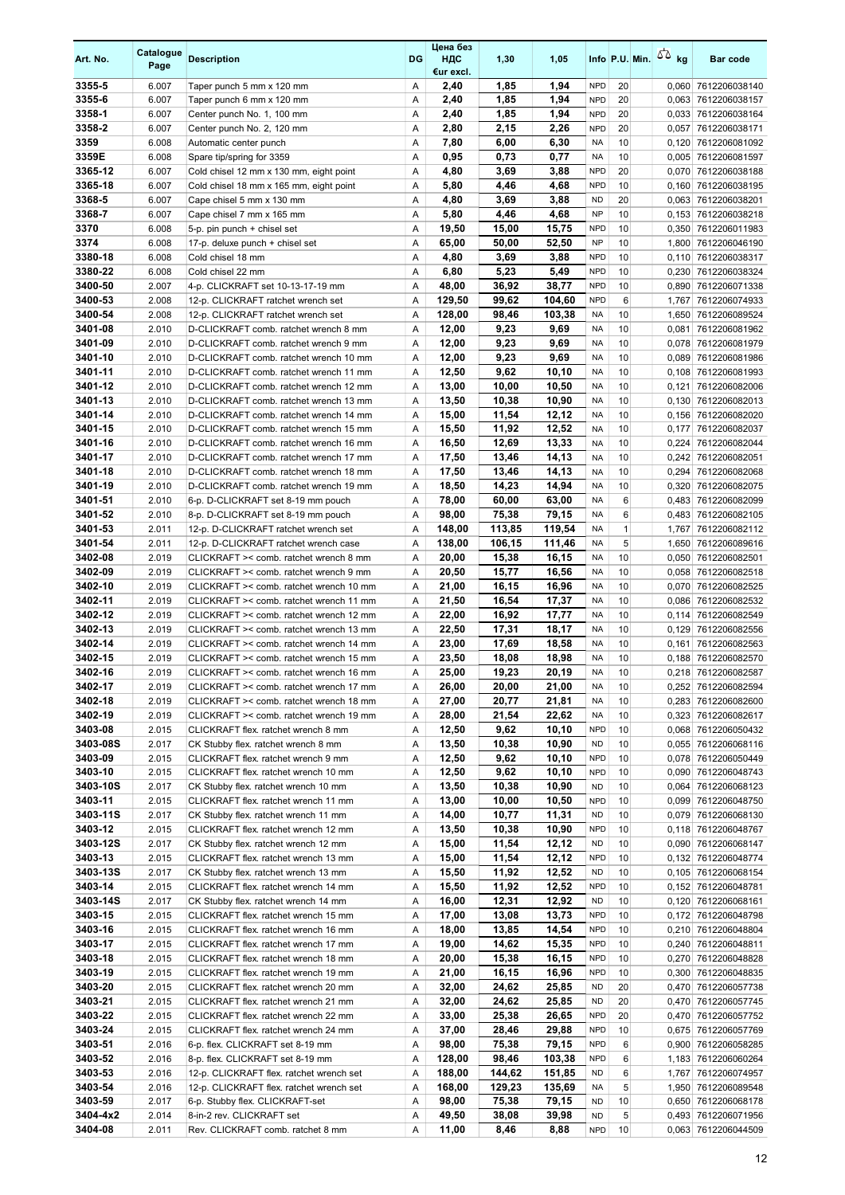| Art. No.            | Catalogue<br>Page | <b>Description</b>                                             | DG     | Цена без<br>НДС<br>€ur excl. | 1,30          | 1,05          |                          |              | Info P.U. Min. $55$ kg | <b>Bar code</b>                            |
|---------------------|-------------------|----------------------------------------------------------------|--------|------------------------------|---------------|---------------|--------------------------|--------------|------------------------|--------------------------------------------|
| 3355-5              | 6.007             | Taper punch 5 mm x 120 mm                                      | Α      | 2,40                         | 1,85          | 1,94          | <b>NPD</b>               | 20           |                        | 0,060 7612206038140                        |
| 3355-6              | 6.007             | Taper punch 6 mm x 120 mm                                      | Α      | 2,40                         | 1,85          | 1,94          | <b>NPD</b>               | 20           |                        | 0,063 7612206038157                        |
| 3358-1              | 6.007             | Center punch No. 1, 100 mm                                     | A      | 2,40                         | 1,85          | 1,94          | <b>NPD</b>               | 20           |                        | 0,033 7612206038164                        |
| 3358-2              | 6.007             | Center punch No. 2, 120 mm                                     | Α      | 2,80                         | 2,15          | 2,26          | <b>NPD</b>               | 20           |                        | 0,057 7612206038171                        |
| 3359                | 6.008             | Automatic center punch                                         | Α      | 7,80                         | 6,00          | 6,30          | <b>NA</b>                | 10           |                        | 0,120 7612206081092                        |
| 3359E               | 6.008             | Spare tip/spring for 3359                                      | Α      | 0,95                         | 0,73          | 0,77          | <b>NA</b>                | 10           |                        | 0,005 7612206081597                        |
| 3365-12             | 6.007             | Cold chisel 12 mm x 130 mm, eight point                        | Α      | 4,80                         | 3,69          | 3,88          | <b>NPD</b>               | 20           |                        | 0,070 7612206038188                        |
| 3365-18             | 6.007             | Cold chisel 18 mm x 165 mm, eight point                        | Α      | 5,80                         | 4,46          | 4,68          | <b>NPD</b>               | 10           |                        | 0,160 7612206038195                        |
| 3368-5              | 6.007             | Cape chisel 5 mm x 130 mm                                      | A      | 4,80                         | 3,69          | 3,88          | <b>ND</b>                | 20           |                        | 0,063 7612206038201                        |
| 3368-7              | 6.007             | Cape chisel 7 mm x 165 mm                                      | Α      | 5,80                         | 4,46          | 4,68          | <b>NP</b>                | 10           |                        | 0,153 7612206038218                        |
| 3370                | 6.008             | 5-p. pin punch + chisel set                                    | Α      | 19,50                        | 15,00         | 15,75         | <b>NPD</b>               | 10           |                        | 0,350 7612206011983                        |
| 3374                | 6.008             | 17-p. deluxe punch + chisel set                                | A      | 65,00                        | 50,00         | 52,50         | <b>NP</b>                | 10           |                        | 1,800 7612206046190                        |
| 3380-18             | 6.008             | Cold chisel 18 mm                                              | Α      | 4,80                         | 3,69          | 3,88          | <b>NPD</b><br><b>NPD</b> | 10<br>10     |                        | 0,110 7612206038317                        |
| 3380-22<br>3400-50  | 6.008<br>2.007    | Cold chisel 22 mm<br>4-p. CLICKRAFT set 10-13-17-19 mm         | Α<br>Α | 6,80<br>48,00                | 5,23<br>36,92 | 5,49<br>38,77 | <b>NPD</b>               | 10           |                        | 0,230 7612206038324<br>0,890 7612206071338 |
| 3400-53             | 2.008             | 12-p. CLICKRAFT ratchet wrench set                             | A      | 129,50                       | 99,62         | 104,60        | <b>NPD</b>               | 6            | 1,767                  | 7612206074933                              |
| 3400-54             | 2.008             | 12-p. CLICKRAFT ratchet wrench set                             | Α      | 128,00                       | 98,46         | 103,38        | <b>NA</b>                | 10           |                        | 1,650 7612206089524                        |
| 3401-08             | 2.010             | D-CLICKRAFT comb. ratchet wrench 8 mm                          | Α      | 12,00                        | 9,23          | 9,69          | <b>NA</b>                | 10           | 0,081                  | 7612206081962                              |
| 3401-09             | 2.010             | D-CLICKRAFT comb. ratchet wrench 9 mm                          | Α      | 12,00                        | 9,23          | 9,69          | <b>NA</b>                | 10           |                        | 0,078 7612206081979                        |
| 3401-10             | 2.010             | D-CLICKRAFT comb. ratchet wrench 10 mm                         | Α      | 12,00                        | 9,23          | 9,69          | <b>NA</b>                | 10           |                        | 0,089 7612206081986                        |
| 3401-11             | 2.010             | D-CLICKRAFT comb. ratchet wrench 11 mm                         | Α      | 12,50                        | 9,62          | 10,10         | <b>NA</b>                | 10           |                        | 0,108 7612206081993                        |
| 3401-12             | 2.010             | D-CLICKRAFT comb. ratchet wrench 12 mm                         | Α      | 13,00                        | 10,00         | 10,50         | <b>NA</b>                | 10           | 0,121                  | 7612206082006                              |
| 3401-13             | 2.010             | D-CLICKRAFT comb. ratchet wrench 13 mm                         | A      | 13,50                        | 10,38         | 10,90         | <b>NA</b>                | 10           |                        | 0,130 7612206082013                        |
| 3401-14             | 2.010             | D-CLICKRAFT comb. ratchet wrench 14 mm                         | Α      | 15,00                        | 11,54         | 12,12         | <b>NA</b>                | 10           |                        | 0,156 7612206082020                        |
| 3401-15             | 2.010             | D-CLICKRAFT comb. ratchet wrench 15 mm                         | Α      | 15,50                        | 11.92         | 12,52         | <b>NA</b>                | 10           | 0,177                  | 7612206082037                              |
| 3401-16             | 2.010             | D-CLICKRAFT comb. ratchet wrench 16 mm                         | Α      | 16,50                        | 12,69         | 13,33         | <b>NA</b>                | 10           |                        | 0,224 7612206082044                        |
| 3401-17             | 2.010             | D-CLICKRAFT comb. ratchet wrench 17 mm                         | Α      | 17,50                        | 13,46         | 14,13         | <b>NA</b>                | 10           |                        | 0,242 7612206082051                        |
| 3401-18             | 2.010             | D-CLICKRAFT comb. ratchet wrench 18 mm                         | A      | 17,50                        | 13,46         | 14,13         | <b>NA</b>                | 10           | 0,294                  | 7612206082068                              |
| 3401-19             | 2.010             | D-CLICKRAFT comb. ratchet wrench 19 mm                         | Α      | 18,50                        | 14,23         | 14,94         | <b>NA</b>                | 10           |                        | 0,320 7612206082075                        |
| 3401-51             | 2.010             | 6-p. D-CLICKRAFT set 8-19 mm pouch                             | Α      | 78,00                        | 60,00         | 63,00         | <b>NA</b>                | 6            |                        | 0,483 7612206082099                        |
| 3401-52             | 2.010             | 8-p. D-CLICKRAFT set 8-19 mm pouch                             | Α      | 98,00                        | 75,38         | 79,15         | <b>NA</b>                | 6            |                        | 0,483 7612206082105                        |
| 3401-53             | 2.011             | 12-p. D-CLICKRAFT ratchet wrench set                           | Α      | 148,00                       | 113,85        | 119,54        | <b>NA</b>                | $\mathbf{1}$ |                        | 1,767 7612206082112                        |
| 3401-54             | 2.011             | 12-p. D-CLICKRAFT ratchet wrench case                          | Α      | 138,00                       | 106,15        | 111,46        | <b>NA</b>                | 5            |                        | 1,650 7612206089616                        |
| 3402-08             | 2.019             | CLICKRAFT >< comb. ratchet wrench 8 mm                         | A      | 20,00                        | 15,38         | 16,15         | <b>NA</b>                | 10           |                        | 0,050 7612206082501                        |
| 3402-09             | 2.019             | CLICKRAFT >< comb. ratchet wrench 9 mm                         | Α      | 20,50                        | 15,77         | 16,56         | <b>NA</b>                | 10           |                        | 0,058 7612206082518                        |
| 3402-10             | 2.019             | CLICKRAFT >< comb. ratchet wrench 10 mm                        | Α      | 21,00                        | 16,15         | 16,96         | <b>NA</b>                | 10           |                        | 0,070 7612206082525                        |
| 3402-11             | 2.019             | CLICKRAFT >< comb. ratchet wrench 11 mm                        | Α      | 21,50                        | 16,54         | 17,37         | <b>NA</b>                | 10           |                        | 0,086 7612206082532                        |
| 3402-12             | 2.019             | CLICKRAFT >< comb. ratchet wrench 12 mm                        | Α      | 22,00                        | 16,92         | 17,77         | <b>NA</b>                | 10           |                        | 0,114 7612206082549                        |
| 3402-13             | 2.019             | CLICKRAFT >< comb. ratchet wrench 13 mm                        | Α      | 22,50                        | 17,31         | 18,17         | <b>NA</b>                | 10           |                        | 0,129 7612206082556                        |
| 3402-14             | 2.019             | CLICKRAFT >< comb. ratchet wrench 14 mm                        | Α      | 23,00                        | 17,69         | 18,58         | <b>NA</b>                | 10           |                        | 0.161 7612206082563                        |
| 3402-15             | 2.019             | CLICKRAFT >< comb. ratchet wrench 15 mm                        | A      | 23,50                        | 18,08         | 18,98         | <b>NA</b>                | 10           |                        | 0,188 7612206082570                        |
| 3402-16             | 2.019             | CLICKRAFT >< comb. ratchet wrench 16 mm                        | A      | 25,00                        | 19.23         | 20,19         | <b>NA</b>                | 10           |                        | 0.218 7612206082587                        |
| 3402-17             | 2.019             | CLICKRAFT >< comb. ratchet wrench 17 mm                        | Α      | 26,00                        | 20,00         | 21,00         | NA                       | 10           |                        | 0,252 7612206082594                        |
| 3402-18             | 2.019             | CLICKRAFT >< comb. ratchet wrench 18 mm                        | Α      | 27,00                        | 20,77         | 21,81         | <b>NA</b>                | 10           |                        | 0,283 7612206082600                        |
| 3402-19             | 2.019             | CLICKRAFT >< comb. ratchet wrench 19 mm                        | Α      | 28,00                        | 21,54         | 22,62         | <b>NA</b>                | 10           |                        | 0,323 7612206082617                        |
| 3403-08             | 2.015             | CLICKRAFT flex. ratchet wrench 8 mm                            | Α      | 12,50                        | 9,62          | 10,10         | <b>NPD</b>               | 10           |                        | 0,068 7612206050432                        |
| 3403-08S            | 2.017             | CK Stubby flex. ratchet wrench 8 mm                            | Α      | 13,50                        | 10,38         | 10,90         | ND                       | 10           |                        | 0.055 7612206068116                        |
| 3403-09             | 2.015             | CLICKRAFT flex. ratchet wrench 9 mm                            | Α      | 12,50                        | 9,62          | 10,10         | <b>NPD</b>               | 10           |                        | 0,078 7612206050449                        |
| 3403-10             | 2.015             | CLICKRAFT flex. ratchet wrench 10 mm                           | Α      | 12,50                        | 9,62          | 10,10         | <b>NPD</b>               | 10           |                        | 0,090 7612206048743                        |
| 3403-10S            | 2.017             | CK Stubby flex. ratchet wrench 10 mm                           | Α      | 13,50                        | 10,38         | 10,90         | ND                       | 10           |                        | 0,064 7612206068123                        |
| 3403-11             | 2.015             | CLICKRAFT flex. ratchet wrench 11 mm                           | Α      | 13,00                        | 10,00         | 10,50         | <b>NPD</b>               | 10           |                        | 0,099 7612206048750                        |
| 3403-11S            | 2.017             | CK Stubby flex. ratchet wrench 11 mm                           | Α      | 14,00                        | 10,77         | 11,31         | <b>ND</b>                | 10           |                        | 0,079 7612206068130                        |
| 3403-12             | 2.015             | CLICKRAFT flex. ratchet wrench 12 mm                           | Α      | 13,50                        | 10,38         | 10,90         | <b>NPD</b>               | 10           |                        | 0,118 7612206048767                        |
| 3403-12S            | 2.017             | CK Stubby flex. ratchet wrench 12 mm                           | Α      | 15,00                        | 11,54         | 12,12         | ND                       | 10           |                        | 0,090 7612206068147                        |
| 3403-13             | 2.015             | CLICKRAFT flex. ratchet wrench 13 mm                           | Α      | 15,00                        | 11,54         | 12,12         | <b>NPD</b>               | 10           |                        | 0,132 7612206048774                        |
| 3403-13S            | 2.017             | CK Stubby flex. ratchet wrench 13 mm                           | Α      | 15,50                        | 11,92         | 12,52         | ND                       | 10           |                        | 0,105 7612206068154                        |
| 3403-14             | 2.015             | CLICKRAFT flex. ratchet wrench 14 mm                           | Α      | 15,50                        | 11,92         | 12,52         | <b>NPD</b>               | 10           |                        | 0,152 7612206048781                        |
| 3403-14S            | 2.017             | CK Stubby flex. ratchet wrench 14 mm                           | Α      | 16,00                        | 12,31         | 12,92         | ND                       | 10           |                        | 0,120 7612206068161                        |
| 3403-15             | 2.015             | CLICKRAFT flex. ratchet wrench 15 mm                           | Α      | 17,00                        | 13,08         | 13,73         | <b>NPD</b>               | 10           |                        | 0,172 7612206048798                        |
| 3403-16             | 2.015             | CLICKRAFT flex. ratchet wrench 16 mm                           | Α      | 18,00                        | 13,85         | 14,54         | <b>NPD</b>               | 10           |                        | 0,210 7612206048804                        |
| 3403-17             | 2.015             | CLICKRAFT flex. ratchet wrench 17 mm                           | Α      | 19,00                        | 14,62         | 15,35         | <b>NPD</b>               | 10           |                        | 0,240 7612206048811                        |
| 3403-18             | 2.015             | CLICKRAFT flex. ratchet wrench 18 mm                           | Α      | 20,00                        | 15,38         | 16,15         | <b>NPD</b>               | 10           |                        | 0,270 7612206048828                        |
| 3403-19             | 2.015             | CLICKRAFT flex. ratchet wrench 19 mm                           | Α      | 21,00                        | 16,15         | 16,96         | <b>NPD</b>               | 10           |                        | 0,300 7612206048835                        |
| 3403-20             | 2.015             | CLICKRAFT flex. ratchet wrench 20 mm                           | Α      | 32,00                        | 24,62         | 25,85         | ND                       | 20           |                        | 0,470 7612206057738                        |
| 3403-21             | 2.015             | CLICKRAFT flex. ratchet wrench 21 mm                           | Α      | 32,00                        | 24,62         | 25,85         | <b>ND</b>                | 20           |                        | 0,470 7612206057745                        |
| 3403-22             | 2.015             | CLICKRAFT flex. ratchet wrench 22 mm                           | Α      | 33,00                        | 25,38         | 26,65         | <b>NPD</b>               | 20           |                        | 0,470 7612206057752                        |
| 3403-24             | 2.015             | CLICKRAFT flex. ratchet wrench 24 mm                           | Α      | 37,00                        | 28,46         | 29,88         | <b>NPD</b>               | 10           |                        | 0,675 7612206057769                        |
| 3403-51             | 2.016             | 6-p. flex. CLICKRAFT set 8-19 mm                               | Α      | 98,00                        | 75,38         | 79,15         | <b>NPD</b>               | 6            |                        | 0,900 7612206058285                        |
| 3403-52             | 2.016             | 8-p. flex. CLICKRAFT set 8-19 mm                               | Α      | 128,00                       | 98,46         | 103,38        | <b>NPD</b>               | 6            |                        | 1,183 7612206060264                        |
| 3403-53             | 2.016             | 12-p. CLICKRAFT flex. ratchet wrench set                       | Α      | 188,00                       | 144,62        | 151,85        | ND                       | 6            |                        | 1,767 7612206074957                        |
| 3403-54             | 2.016             | 12-p. CLICKRAFT flex. ratchet wrench set                       | Α      | 168,00                       | 129,23        | 135,69        | NA                       | 5            |                        | 1,950 7612206089548                        |
| 3403-59<br>3404-4x2 | 2.017             | 6-p. Stubby flex. CLICKRAFT-set                                | Α      | 98,00                        | 75,38         | 79,15         | ND<br>ND                 | 10<br>5      |                        | 0,650 7612206068178                        |
| 3404-08             | 2.014<br>2.011    | 8-in-2 rev. CLICKRAFT set<br>Rev. CLICKRAFT comb. ratchet 8 mm | Α<br>Α | 49,50<br>11,00               | 38,08<br>8,46 | 39,98<br>8,88 | <b>NPD</b>               | 10           |                        | 0,493 7612206071956<br>0,063 7612206044509 |
|                     |                   |                                                                |        |                              |               |               |                          |              |                        |                                            |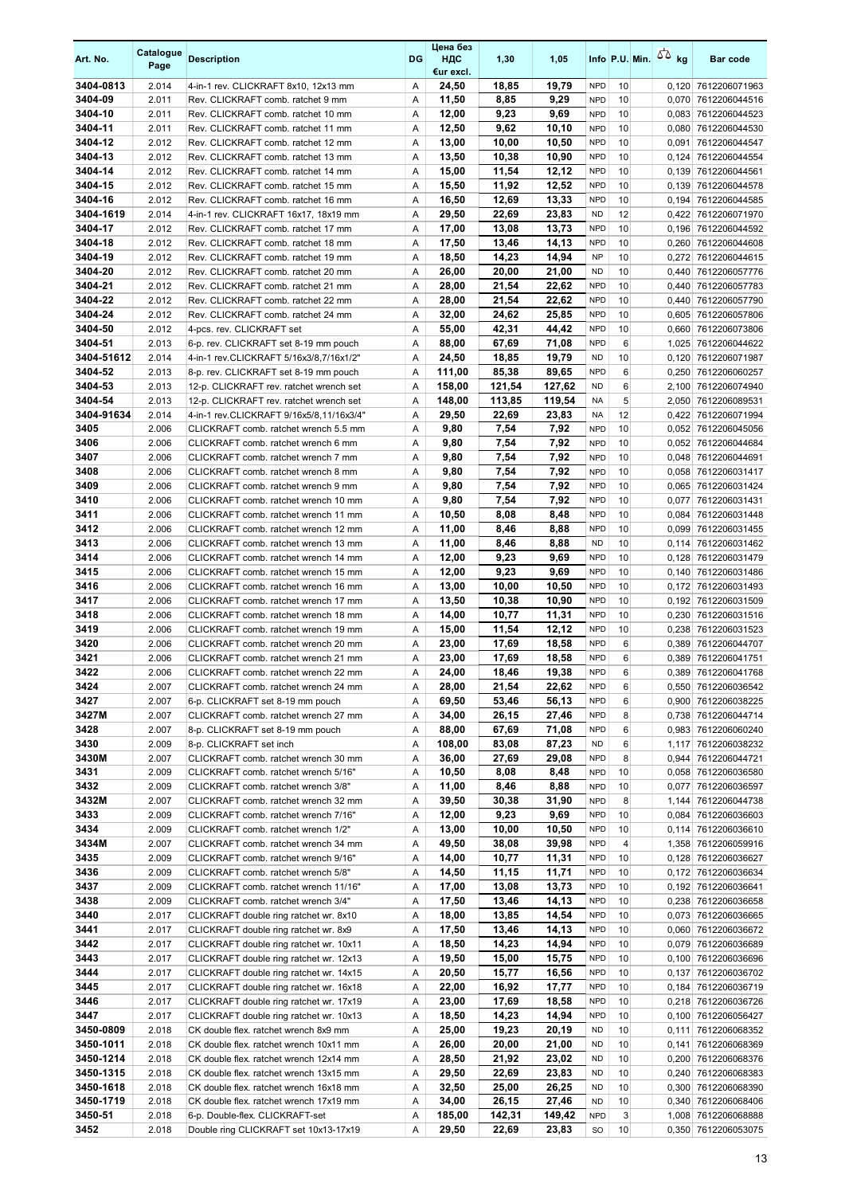| Art. No.             | Catalogue<br>Page | <b>Description</b>                                                                 | DG     | Цена без<br>НДС<br>€ur excl. | 1,30            | 1,05            |                          |          | Info P.U. Min. $55$ kg | <b>Bar code</b>                            |
|----------------------|-------------------|------------------------------------------------------------------------------------|--------|------------------------------|-----------------|-----------------|--------------------------|----------|------------------------|--------------------------------------------|
| 3404-0813            | 2.014             | 4-in-1 rev. CLICKRAFT 8x10, 12x13 mm                                               | A      | 24,50                        | 18,85           | 19,79           | <b>NPD</b>               | 10       |                        | 0,120 7612206071963                        |
| 3404-09              | 2.011             | Rev. CLICKRAFT comb. ratchet 9 mm                                                  | Α      | 11,50                        | 8,85            | 9,29            | <b>NPD</b>               | 10       |                        | 0,070 7612206044516                        |
| 3404-10<br>3404-11   | 2.011             | Rev. CLICKRAFT comb. ratchet 10 mm                                                 | Α      | 12,00                        | 9,23            | 9,69            | <b>NPD</b>               | 10       |                        | 0,083 7612206044523                        |
| 3404-12              | 2.011<br>2.012    | Rev. CLICKRAFT comb. ratchet 11 mm<br>Rev. CLICKRAFT comb. ratchet 12 mm           | A<br>Α | 12,50<br>13,00               | 9,62<br>10,00   | 10,10<br>10,50  | <b>NPD</b><br><b>NPD</b> | 10<br>10 |                        | 0,080 7612206044530<br>0,091 7612206044547 |
| 3404-13              | 2.012             | Rev. CLICKRAFT comb. ratchet 13 mm                                                 | Α      | 13,50                        | 10,38           | 10,90           | <b>NPD</b>               | 10       |                        | 0,124 7612206044554                        |
| 3404-14              | 2.012             | Rev. CLICKRAFT comb. ratchet 14 mm                                                 | Α      | 15,00                        | 11,54           | 12,12           | <b>NPD</b>               | 10       |                        | 0,139 7612206044561                        |
| 3404-15              | 2.012             | Rev. CLICKRAFT comb. ratchet 15 mm                                                 | A      | 15,50                        | 11,92           | 12,52           | <b>NPD</b>               | 10       |                        | 0,139 7612206044578                        |
| 3404-16              | 2.012             | Rev. CLICKRAFT comb. ratchet 16 mm                                                 | A      | 16,50                        | 12,69           | 13,33           | <b>NPD</b>               | 10       | 0,194                  | 7612206044585                              |
| 3404-1619            | 2.014             | 4-in-1 rev. CLICKRAFT 16x17, 18x19 mm                                              | Α      | 29,50                        | 22,69           | 23,83           | <b>ND</b>                | 12       |                        | 0.422 7612206071970                        |
| 3404-17              | 2.012             | Rev. CLICKRAFT comb. ratchet 17 mm                                                 | Α      | 17,00                        | 13,08           | 13,73           | <b>NPD</b>               | 10       |                        | 0,196 7612206044592                        |
| 3404-18              | 2.012             | Rev. CLICKRAFT comb. ratchet 18 mm                                                 | Α      | 17,50                        | 13,46           | 14,13           | <b>NPD</b>               | 10       |                        | 0,260 7612206044608                        |
| 3404-19              | 2.012             | Rev. CLICKRAFT comb. ratchet 19 mm                                                 | Α      | 18,50                        | 14,23           | 14,94           | <b>NP</b>                | 10       |                        | 0,272 7612206044615                        |
| 3404-20              | 2.012             | Rev. CLICKRAFT comb. ratchet 20 mm                                                 | Α      | 26,00                        | 20,00           | 21,00           | <b>ND</b>                | 10       |                        | 0,440 7612206057776                        |
| 3404-21              | 2.012             | Rev. CLICKRAFT comb. ratchet 21 mm                                                 | Α      | 28,00                        | 21,54           | 22,62           | <b>NPD</b>               | 10       |                        | 0,440 7612206057783                        |
| 3404-22<br>3404-24   | 2.012<br>2.012    | Rev. CLICKRAFT comb. ratchet 22 mm<br>Rev. CLICKRAFT comb. ratchet 24 mm           | A<br>Α | 28,00<br>32,00               | 21,54<br>24,62  | 22,62<br>25,85  | <b>NPD</b><br><b>NPD</b> | 10<br>10 |                        | 0,440 7612206057790<br>0,605 7612206057806 |
| 3404-50              | 2.012             | 4-pcs. rev. CLICKRAFT set                                                          | Α      | 55,00                        | 42,31           | 44,42           | <b>NPD</b>               | 10       |                        | 0.660 7612206073806                        |
| 3404-51              | 2.013             | 6-p. rev. CLICKRAFT set 8-19 mm pouch                                              | A      | 88,00                        | 67,69           | 71,08           | <b>NPD</b>               | 6        |                        | 1,025 7612206044622                        |
| 3404-51612           | 2.014             | 4-in-1 rev.CLICKRAFT 5/16x3/8,7/16x1/2"                                            | Α      | 24,50                        | 18,85           | 19,79           | <b>ND</b>                | 10       | 0,120                  | 7612206071987                              |
| 3404-52              | 2.013             | 8-p. rev. CLICKRAFT set 8-19 mm pouch                                              | Α      | 111,00                       | 85,38           | 89,65           | <b>NPD</b>               | 6        |                        | 0.250 7612206060257                        |
| 3404-53              | 2.013             | 12-p. CLICKRAFT rev. ratchet wrench set                                            | Α      | 158,00                       | 121,54          | 127,62          | <b>ND</b>                | 6        | 2,100                  | 7612206074940                              |
| 3404-54              | 2.013             | 12-p. CLICKRAFT rev. ratchet wrench set                                            | Α      | 148,00                       | 113.85          | 119,54          | <b>NA</b>                | 5        |                        | 2,050 7612206089531                        |
| 3404-91634           | 2.014             | 4-in-1 rev.CLICKRAFT 9/16x5/8,11/16x3/4"                                           | Α      | 29,50                        | 22,69           | 23,83           | <b>NA</b>                | 12       |                        | 0.422 7612206071994                        |
| 3405                 | 2.006             | CLICKRAFT comb. ratchet wrench 5.5 mm                                              | Α      | 9,80                         | 7,54            | 7,92            | <b>NPD</b>               | 10       |                        | 0.052 7612206045056                        |
| 3406                 | 2.006             | CLICKRAFT comb. ratchet wrench 6 mm                                                | A      | 9,80                         | 7,54            | 7,92            | <b>NPD</b>               | 10       |                        | 0.052 7612206044684                        |
| 3407                 | 2.006             | CLICKRAFT comb. ratchet wrench 7 mm                                                | Α      | 9,80                         | 7,54            | 7,92            | <b>NPD</b>               | 10       |                        | 0,048 7612206044691                        |
| 3408                 | 2.006             | CLICKRAFT comb. ratchet wrench 8 mm                                                | Α      | 9,80                         | 7,54            | 7,92            | <b>NPD</b><br><b>NPD</b> | 10       |                        | 0,058 7612206031417                        |
| 3409<br>3410         | 2.006<br>2.006    | CLICKRAFT comb. ratchet wrench 9 mm<br>CLICKRAFT comb. ratchet wrench 10 mm        | Α<br>Α | 9,80<br>9,80                 | 7,54<br>7,54    | 7,92<br>7,92    | <b>NPD</b>               | 10<br>10 |                        | 0,065 7612206031424<br>0,077 7612206031431 |
| 3411                 | 2.006             | CLICKRAFT comb. ratchet wrench 11 mm                                               | Α      | 10,50                        | 8,08            | 8,48            | <b>NPD</b>               | 10       | 0,084                  | 7612206031448                              |
| 3412                 | 2.006             | CLICKRAFT comb. ratchet wrench 12 mm                                               | Α      | 11,00                        | 8,46            | 8,88            | <b>NPD</b>               | 10       |                        | 0,099 7612206031455                        |
| 3413                 | 2.006             | CLICKRAFT comb. ratchet wrench 13 mm                                               | Α      | 11,00                        | 8,46            | 8,88            | <b>ND</b>                | 10       |                        | 0,114 7612206031462                        |
| 3414                 | 2.006             | CLICKRAFT comb. ratchet wrench 14 mm                                               | Α      | 12,00                        | 9,23            | 9,69            | <b>NPD</b>               | 10       |                        | 0,128 7612206031479                        |
| 3415                 | 2.006             | CLICKRAFT comb. ratchet wrench 15 mm                                               | Α      | 12,00                        | 9,23            | 9,69            | <b>NPD</b>               | 10       |                        | 0,140 7612206031486                        |
| 3416                 | 2.006             | CLICKRAFT comb. ratchet wrench 16 mm                                               | Α      | 13,00                        | 10,00           | 10,50           | <b>NPD</b>               | 10       |                        | 0,172 7612206031493                        |
| 3417                 | 2.006             | CLICKRAFT comb. ratchet wrench 17 mm                                               | A      | 13,50                        | 10,38           | 10,90           | <b>NPD</b>               | 10       |                        | 0,192 7612206031509                        |
| 3418                 | 2.006             | CLICKRAFT comb. ratchet wrench 18 mm                                               | Α      | 14,00                        | 10,77           | 11,31           | <b>NPD</b>               | 10       |                        | 0,230 7612206031516                        |
| 3419                 | 2.006             | CLICKRAFT comb. ratchet wrench 19 mm                                               | Α      | 15,00                        | 11,54           | 12,12           | <b>NPD</b>               | 10<br>6  |                        | 0,238 7612206031523                        |
| 3420<br>3421         | 2.006<br>2.006    | CLICKRAFT comb. ratchet wrench 20 mm<br>CLICKRAFT comb. ratchet wrench 21 mm       | A<br>Α | 23,00<br>23,00               | 17,69<br>17,69  | 18,58<br>18,58  | <b>NPD</b><br><b>NPD</b> | 6        |                        | 0,389 7612206044707<br>0,389 7612206041751 |
| 3422                 | 2.006             | CLICKRAFT comb. ratchet wrench 22 mm                                               | A      | 24,00                        | 18,46           | 19.38           | <b>NPD</b>               | 6        |                        | 0,389 7612206041768                        |
| 3424                 | 2.007             | CLICKRAFT comb. ratchet wrench 24 mm                                               | Α      | 28,00                        | 21,54           | 22,62           | <b>NPD</b>               | 6        |                        | 0,550 7612206036542                        |
| 3427                 | 2.007             | 6-p. CLICKRAFT set 8-19 mm pouch                                                   | Α      | 69,50                        | 53,46           | 56,13           | <b>NPD</b>               | 6        |                        | 0,900 7612206038225                        |
| 3427M                | 2.007             | CLICKRAFT comb. ratchet wrench 27 mm                                               | Α      | 34,00                        | 26,15           | 27,46           | <b>NPD</b>               | 8        |                        | 0,738 7612206044714                        |
| 3428                 | 2.007             | 8-p. CLICKRAFT set 8-19 mm pouch                                                   | Α      | 88,00                        | 67,69           | 71,08           | <b>NPD</b>               | 6        |                        | 0,983 7612206060240                        |
| 3430                 | 2.009             | 8-p. CLICKRAFT set inch                                                            | Α      | 108,00                       | 83,08           | 87,23           | ND                       | 6        |                        | 1,117 7612206038232                        |
| 3430M                | 2.007             | CLICKRAFT comb. ratchet wrench 30 mm                                               | Α      | 36,00                        | 27,69           | 29,08           | <b>NPD</b>               | 8        |                        | 0,944 7612206044721                        |
| 3431                 | 2.009             | CLICKRAFT comb. ratchet wrench 5/16"                                               | Α      | 10,50                        | 8,08            | 8,48            | <b>NPD</b>               | 10       |                        | 0,058 7612206036580                        |
| 3432                 | 2.009             | CLICKRAFT comb. ratchet wrench 3/8"                                                | Α      | 11,00                        | 8,46            | 8,88            | <b>NPD</b>               | 10<br>8  |                        | 0,077 7612206036597                        |
| 3432M<br>3433        | 2.007<br>2.009    | CLICKRAFT comb. ratchet wrench 32 mm<br>CLICKRAFT comb. ratchet wrench 7/16"       | Α<br>Α | 39,50<br>12,00               | 30,38<br>9,23   | 31,90<br>9,69   | <b>NPD</b><br><b>NPD</b> | 10       |                        | 1,144 7612206044738<br>0,084 7612206036603 |
| 3434                 | 2.009             | CLICKRAFT comb. ratchet wrench 1/2"                                                | Α      | 13,00                        | 10,00           | 10,50           | <b>NPD</b>               | 10       |                        | 0,114 7612206036610                        |
| 3434M                | 2.007             | CLICKRAFT comb. ratchet wrench 34 mm                                               | Α      | 49,50                        | 38,08           | 39,98           | <b>NPD</b>               | 4        |                        | 1,358 7612206059916                        |
| 3435                 | 2.009             | CLICKRAFT comb. ratchet wrench 9/16"                                               | Α      | 14,00                        | 10,77           | 11,31           | <b>NPD</b>               | 10       |                        | 0,128 7612206036627                        |
| 3436                 | 2.009             | CLICKRAFT comb. ratchet wrench 5/8"                                                | Α      | 14,50                        | 11,15           | 11,71           | <b>NPD</b>               | 10       |                        | 0,172 7612206036634                        |
| 3437                 | 2.009             | CLICKRAFT comb. ratchet wrench 11/16"                                              | Α      | 17,00                        | 13,08           | 13,73           | <b>NPD</b>               | 10       |                        | 0,192 7612206036641                        |
| 3438                 | 2.009             | CLICKRAFT comb. ratchet wrench 3/4"                                                | Α      | 17,50                        | 13,46           | 14,13           | <b>NPD</b>               | 10       |                        | 0,238 7612206036658                        |
| 3440                 | 2.017             | CLICKRAFT double ring ratchet wr. 8x10                                             | Α      | 18,00                        | 13,85           | 14,54           | <b>NPD</b>               | 10       |                        | 0,073 7612206036665                        |
| 3441                 | 2.017             | CLICKRAFT double ring ratchet wr. 8x9                                              | Α      | 17,50                        | 13,46           | 14,13           | <b>NPD</b>               | 10       |                        | 0,060 7612206036672                        |
| 3442<br>3443         | 2.017             | CLICKRAFT double ring ratchet wr. 10x11                                            | Α      | 18,50                        | 14,23           | 14,94           | <b>NPD</b>               | 10       |                        | 0,079 7612206036689                        |
| 3444                 | 2.017<br>2.017    | CLICKRAFT double ring ratchet wr. 12x13<br>CLICKRAFT double ring ratchet wr. 14x15 | Α<br>Α | 19,50<br>20,50               | 15,00<br>15,77  | 15,75<br>16,56  | <b>NPD</b><br><b>NPD</b> | 10<br>10 |                        | 0,100 7612206036696<br>0,137 7612206036702 |
| 3445                 | 2.017             | CLICKRAFT double ring ratchet wr. 16x18                                            | Α      | 22,00                        | 16,92           | 17,77           | <b>NPD</b>               | 10       |                        | 0,184 7612206036719                        |
| 3446                 | 2.017             | CLICKRAFT double ring ratchet wr. 17x19                                            | Α      | 23,00                        | 17,69           | 18,58           | <b>NPD</b>               | 10       |                        | 0,218 7612206036726                        |
| 3447                 | 2.017             | CLICKRAFT double ring ratchet wr. 10x13                                            | Α      | 18,50                        | 14,23           | 14,94           | <b>NPD</b>               | 10       |                        | 0,100 7612206056427                        |
| 3450-0809            | 2.018             | CK double flex. ratchet wrench 8x9 mm                                              | Α      | 25,00                        | 19,23           | 20,19           | <b>ND</b>                | 10       |                        | 0,111 7612206068352                        |
| 3450-1011            | 2.018             | CK double flex. ratchet wrench 10x11 mm                                            | Α      | 26,00                        | 20,00           | 21,00           | <b>ND</b>                | 10       |                        | 0,141 7612206068369                        |
| 3450-1214            | 2.018             | CK double flex. ratchet wrench 12x14 mm                                            | Α      | 28,50                        | 21,92           | 23,02           | <b>ND</b>                | 10       |                        | 0,200 7612206068376                        |
| 3450-1315            | 2.018             | CK double flex. ratchet wrench 13x15 mm                                            | Α      | 29,50                        | 22,69           | 23,83           | <b>ND</b>                | 10       |                        | 0,240 7612206068383                        |
| 3450-1618            | 2.018             | CK double flex. ratchet wrench 16x18 mm                                            | Α      | 32,50                        | 25,00           | 26,25           | <b>ND</b>                | 10       |                        | 0,300 7612206068390                        |
| 3450-1719<br>3450-51 | 2.018             | CK double flex. ratchet wrench 17x19 mm<br>6-p. Double-flex. CLICKRAFT-set         | Α<br>Α | 34,00<br>185,00              | 26,15           | 27,46<br>149,42 | ND<br><b>NPD</b>         | 10<br>3  |                        | 0,340 7612206068406<br>1,008 7612206068888 |
| 3452                 | 2.018<br>2.018    | Double ring CLICKRAFT set 10x13-17x19                                              | Α      | 29,50                        | 142,31<br>22,69 | 23,83           | SO                       | 10       |                        | 0,350 7612206053075                        |
|                      |                   |                                                                                    |        |                              |                 |                 |                          |          |                        |                                            |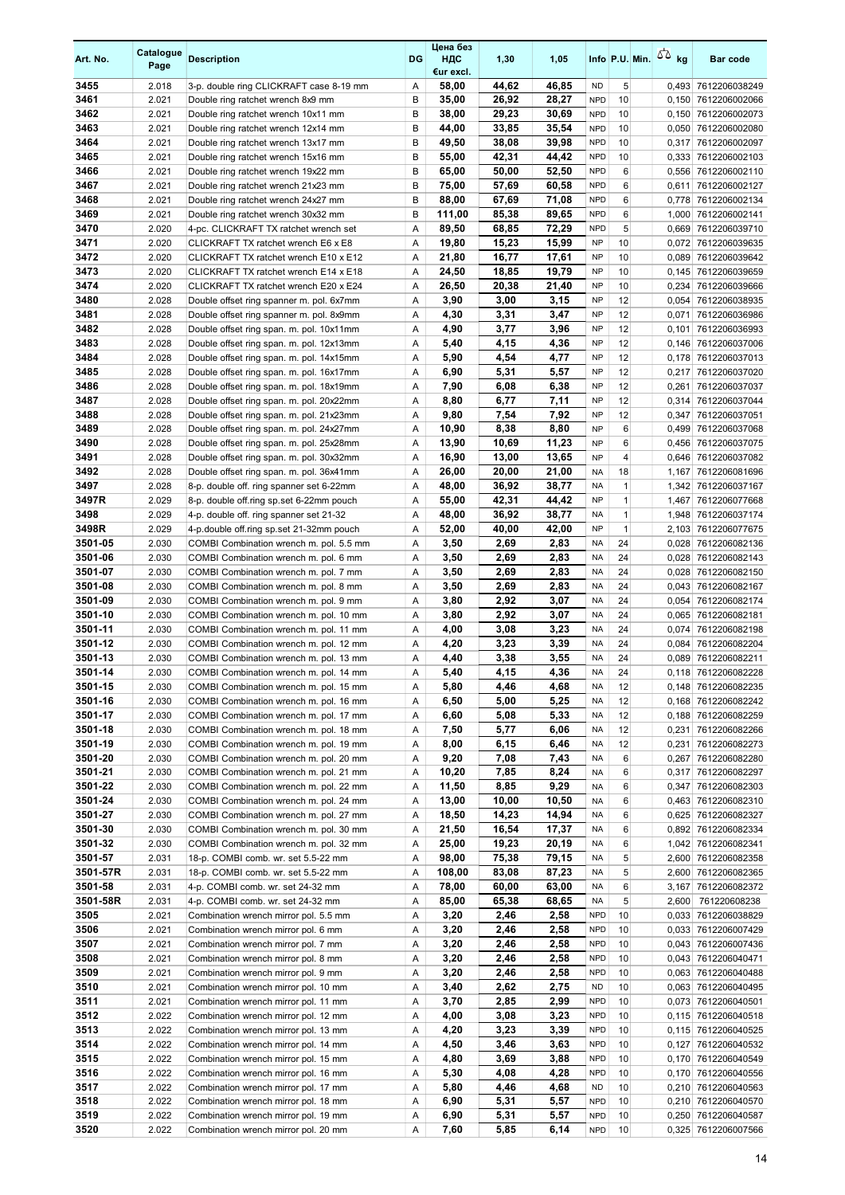| Art. No.           | Catalogue<br>Page | <b>Description</b>                                                                   | <b>DG</b> | Цена без<br>ндс<br>€ur excl. | 1,30           | 1,05           |                          |                    | Info P.U. Min. $\sqrt{2}$ kg | <b>Bar code</b>                            |
|--------------------|-------------------|--------------------------------------------------------------------------------------|-----------|------------------------------|----------------|----------------|--------------------------|--------------------|------------------------------|--------------------------------------------|
| 3455               | 2.018             | 3-p. double ring CLICKRAFT case 8-19 mm                                              | Α         | 58,00                        | 44,62          | 46,85          | <b>ND</b>                | 5                  |                              | 0,493 7612206038249                        |
| 3461               | 2.021             | Double ring ratchet wrench 8x9 mm                                                    | B         | 35,00                        | 26,92          | 28,27          | <b>NPD</b>               | 10                 |                              | 0,150 7612206002066                        |
| 3462               | 2.021             | Double ring ratchet wrench 10x11 mm                                                  | B         | 38,00                        | 29,23          | 30,69          | <b>NPD</b>               | 10                 |                              | 0.150 7612206002073                        |
| 3463               | 2.021             | Double ring ratchet wrench 12x14 mm                                                  | B         | 44,00                        | 33,85          | 35,54          | <b>NPD</b>               | 10                 |                              | 0,050 7612206002080                        |
| 3464               | 2.021             | Double ring ratchet wrench 13x17 mm                                                  | B         | 49,50                        | 38,08          | 39,98          | <b>NPD</b>               | 10                 |                              | 0,317 7612206002097                        |
| 3465<br>3466       | 2.021<br>2.021    | Double ring ratchet wrench 15x16 mm                                                  | B<br>B    | 55,00<br>65,00               | 42,31<br>50,00 | 44,42<br>52,50 | <b>NPD</b><br><b>NPD</b> | 10<br>6            |                              | 0,333 7612206002103<br>0,556 7612206002110 |
| 3467               | 2.021             | Double ring ratchet wrench 19x22 mm<br>Double ring ratchet wrench 21x23 mm           | B         | 75,00                        | 57,69          | 60,58          | <b>NPD</b>               | 6                  |                              | 0,611 7612206002127                        |
| 3468               | 2.021             | Double ring ratchet wrench 24x27 mm                                                  | B         | 88,00                        | 67,69          | 71,08          | <b>NPD</b>               | 6                  |                              | 0,778 7612206002134                        |
| 3469               | 2.021             | Double ring ratchet wrench 30x32 mm                                                  | B         | 111,00                       | 85,38          | 89,65          | <b>NPD</b>               | 6                  |                              | 1,000 7612206002141                        |
| 3470               | 2.020             | 4-pc. CLICKRAFT TX ratchet wrench set                                                | Α         | 89,50                        | 68,85          | 72,29          | <b>NPD</b>               | 5                  |                              | 0,669 7612206039710                        |
| 3471               | 2.020             | CLICKRAFT TX ratchet wrench E6 x E8                                                  | Α         | 19,80                        | 15,23          | 15,99          | <b>NP</b>                | 10                 |                              | 0,072 7612206039635                        |
| 3472               | 2.020             | CLICKRAFT TX ratchet wrench E10 x E12                                                | Α         | 21,80                        | 16,77          | 17,61          | <b>NP</b>                | 10                 |                              | 0,089 7612206039642                        |
| 3473               | 2.020             | CLICKRAFT TX ratchet wrench E14 x E18                                                | Α         | 24,50                        | 18,85          | 19,79          | <b>NP</b>                | 10                 |                              | 0,145 7612206039659                        |
| 3474               | 2.020             | CLICKRAFT TX ratchet wrench E20 x E24                                                | Α         | 26,50                        | 20,38          | 21,40          | <b>NP</b>                | 10                 |                              | 0,234 7612206039666                        |
| 3480               | 2.028             | Double offset ring spanner m. pol. 6x7mm                                             | Α         | 3,90                         | 3,00<br>3,31   | 3,15           | <b>NP</b>                | 12<br>12           |                              | 0,054 7612206038935                        |
| 3481<br>3482       | 2.028<br>2.028    | Double offset ring spanner m. pol. 8x9mm<br>Double offset ring span. m. pol. 10x11mm | Α<br>Α    | 4,30<br>4,90                 | 3,77           | 3,47<br>3,96   | <b>NP</b><br><b>NP</b>   | 12                 | 0,071<br>0,101               | 7612206036986<br>7612206036993             |
| 3483               | 2.028             | Double offset ring span. m. pol. 12x13mm                                             | Α         | 5,40                         | 4,15           | 4,36           | <b>NP</b>                | 12                 |                              | 0,146 7612206037006                        |
| 3484               | 2.028             | Double offset ring span. m. pol. 14x15mm                                             | Α         | 5,90                         | 4,54           | 4,77           | <b>NP</b>                | 12                 |                              | 0,178 7612206037013                        |
| 3485               | 2.028             | Double offset ring span. m. pol. 16x17mm                                             | Α         | 6,90                         | 5,31           | 5,57           | <b>NP</b>                | 12                 | 0,217                        | 7612206037020                              |
| 3486               | 2.028             | Double offset ring span. m. pol. 18x19mm                                             | Α         | 7,90                         | 6,08           | 6,38           | <b>NP</b>                | 12                 | 0,261                        | 7612206037037                              |
| 3487               | 2.028             | Double offset ring span. m. pol. 20x22mm                                             | Α         | 8,80                         | 6,77           | 7,11           | <b>NP</b>                | 12                 |                              | 0,314 7612206037044                        |
| 3488               | 2.028             | Double offset ring span. m. pol. 21x23mm                                             | Α         | 9,80                         | 7,54           | 7,92           | <b>NP</b>                | 12                 | 0,347                        | 7612206037051                              |
| 3489               | 2.028             | Double offset ring span. m. pol. 24x27mm                                             | Α         | 10,90                        | 8,38           | 8,80           | <b>NP</b>                | 6                  |                              | 0,499 7612206037068                        |
| 3490               | 2.028             | Double offset ring span. m. pol. 25x28mm                                             | Α         | 13,90                        | 10,69          | 11,23          | <b>NP</b>                | 6                  |                              | 0,456 7612206037075                        |
| 3491               | 2.028             | Double offset ring span. m. pol. 30x32mm                                             | Α         | 16,90                        | 13,00          | 13,65          | <b>NP</b>                | 4                  |                              | 0,646 7612206037082                        |
| 3492<br>3497       | 2.028<br>2.028    | Double offset ring span. m. pol. 36x41mm                                             | A         | 26,00<br>48,00               | 20,00<br>36,92 | 21,00<br>38,77 | NA<br><b>NA</b>          | 18<br>$\mathbf{1}$ |                              | 1,167 7612206081696                        |
| 3497R              | 2.029             | 8-p. double off. ring spanner set 6-22mm<br>8-p. double off.ring sp.set 6-22mm pouch | Α<br>Α    | 55,00                        | 42,31          | 44,42          | <b>NP</b>                | $\mathbf{1}$       |                              | 1,342 7612206037167<br>1,467 7612206077668 |
| 3498               | 2.029             | 4-p. double off. ring spanner set 21-32                                              | A         | 48,00                        | 36,92          | 38,77          | NA                       | $\mathbf{1}$       |                              | 1,948 7612206037174                        |
| 3498R              | 2.029             | 4-p.double off.ring sp.set 21-32mm pouch                                             | Α         | 52,00                        | 40,00          | 42,00          | <b>NP</b>                | $\mathbf{1}$       |                              | 2,103 7612206077675                        |
| 3501-05            | 2.030             | COMBI Combination wrench m. pol. 5.5 mm                                              | Α         | 3,50                         | 2,69           | 2,83           | <b>NA</b>                | 24                 |                              | 0,028 7612206082136                        |
| 3501-06            | 2.030             | COMBI Combination wrench m. pol. 6 mm                                                | Α         | 3,50                         | 2,69           | 2,83           | <b>NA</b>                | 24                 |                              | 0,028 7612206082143                        |
| 3501-07            | 2.030             | COMBI Combination wrench m. pol. 7 mm                                                | A         | 3,50                         | 2,69           | 2,83           | <b>NA</b>                | 24                 |                              | 0,028 7612206082150                        |
| 3501-08            | 2.030             | COMBI Combination wrench m. pol. 8 mm                                                | Α         | 3,50                         | 2,69           | 2,83           | <b>NA</b>                | 24                 |                              | 0,043 7612206082167                        |
| 3501-09            | 2.030             | COMBI Combination wrench m. pol. 9 mm                                                | Α         | 3,80                         | 2,92           | 3,07           | <b>NA</b>                | 24                 |                              | 0,054 7612206082174                        |
| 3501-10            | 2.030             | COMBI Combination wrench m. pol. 10 mm                                               | Α         | 3,80                         | 2,92           | 3,07           | NA                       | 24                 |                              | 0,065 7612206082181                        |
| 3501-11<br>3501-12 | 2.030<br>2.030    | COMBI Combination wrench m. pol. 11 mm<br>COMBI Combination wrench m. pol. 12 mm     | Α<br>Α    | 4,00<br>4,20                 | 3,08<br>3,23   | 3,23<br>3,39   | <b>NA</b><br><b>NA</b>   | 24<br>24           |                              | 0,074 7612206082198<br>0,084 7612206082204 |
| 3501-13            | 2.030             | COMBI Combination wrench m. pol. 13 mm                                               | Α         | 4,40                         | 3,38           | 3,55           | <b>NA</b>                | 24                 |                              | 0,089 7612206082211                        |
| 3501-14            | 2.030             | COMBI Combination wrench m. pol. 14 mm                                               | A         | 5,40                         | 4,15           | 4.36           | <b>NA</b>                | 24                 |                              | 0.118 7612206082228                        |
| 3501-15            | 2.030             | COMBI Combination wrench m. pol. 15 mm                                               | Α         | 5,80                         | 4,46           | 4,68           | NA                       | 12                 |                              | 0,148 7612206082235                        |
| 3501-16            | 2.030             | COMBI Combination wrench m. pol. 16 mm                                               | Α         | 6,50                         | 5,00           | 5,25           | NA                       | 12                 |                              | 0,168 7612206082242                        |
| 3501-17            | 2.030             | COMBI Combination wrench m. pol. 17 mm                                               | Α         | 6,60                         | 5,08           | 5,33           | NA                       | 12                 |                              | 0,188 7612206082259                        |
| 3501-18            | 2.030             | COMBI Combination wrench m. pol. 18 mm                                               | Α         | 7,50                         | 5,77           | 6,06           | NA                       | 12                 |                              | 0,231 7612206082266                        |
| 3501-19            | 2.030             | COMBI Combination wrench m. pol. 19 mm                                               | Α         | 8,00                         | 6,15           | 6,46           | NA                       | 12                 |                              | 0,231 7612206082273                        |
| 3501-20            | 2.030             | COMBI Combination wrench m. pol. 20 mm                                               | Α         | 9,20                         | 7,08           | 7,43           | NA                       | 6                  |                              | 0,267 7612206082280                        |
| 3501-21<br>3501-22 | 2.030<br>2.030    | COMBI Combination wrench m. pol. 21 mm<br>COMBI Combination wrench m. pol. 22 mm     | Α         | 10,20<br>11,50               | 7,85<br>8,85   | 8,24<br>9,29   | NA                       | 6<br>6             |                              | 0,317 7612206082297                        |
| 3501-24            | 2.030             | COMBI Combination wrench m. pol. 24 mm                                               | Α<br>Α    | 13,00                        | 10,00          | 10,50          | NA<br>NA                 | 6                  |                              | 0,347 7612206082303<br>0,463 7612206082310 |
| 3501-27            | 2.030             | COMBI Combination wrench m. pol. 27 mm                                               | Α         | 18,50                        | 14,23          | 14,94          | NA                       | 6                  |                              | 0,625 7612206082327                        |
| 3501-30            | 2.030             | COMBI Combination wrench m. pol. 30 mm                                               | Α         | 21,50                        | 16,54          | 17,37          | NA                       | 6                  |                              | 0,892 7612206082334                        |
| 3501-32            | 2.030             | COMBI Combination wrench m. pol. 32 mm                                               | Α         | 25,00                        | 19,23          | 20,19          | NA                       | 6                  |                              | 1,042 7612206082341                        |
| 3501-57            | 2.031             | 18-p. COMBI comb. wr. set 5.5-22 mm                                                  | Α         | 98,00                        | 75,38          | 79,15          | NA                       | 5                  |                              | 2,600 7612206082358                        |
| 3501-57R           | 2.031             | 18-p. COMBI comb. wr. set 5.5-22 mm                                                  | Α         | 108,00                       | 83,08          | 87,23          | NA                       | 5                  |                              | 2,600 7612206082365                        |
| 3501-58            | 2.031             | 4-p. COMBI comb. wr. set 24-32 mm                                                    | Α         | 78,00                        | 60,00          | 63,00          | NA                       | 6                  |                              | 3,167 7612206082372                        |
| 3501-58R           | 2.031             | 4-p. COMBI comb. wr. set 24-32 mm                                                    | Α         | 85,00                        | 65,38          | 68,65          | NA                       | 5                  |                              | 2,600 761220608238                         |
| 3505<br>3506       | 2.021             | Combination wrench mirror pol. 5.5 mm                                                | Α         | 3,20                         | 2,46           | 2,58           | <b>NPD</b><br><b>NPD</b> | 10<br>10           |                              | 0,033 7612206038829                        |
| 3507               | 2.021<br>2.021    | Combination wrench mirror pol. 6 mm<br>Combination wrench mirror pol. 7 mm           | Α<br>Α    | 3,20<br>3,20                 | 2,46<br>2,46   | 2,58<br>2,58   | <b>NPD</b>               | 10                 |                              | 0,033 7612206007429<br>0,043 7612206007436 |
| 3508               | 2.021             | Combination wrench mirror pol. 8 mm                                                  | Α         | 3,20                         | 2,46           | 2,58           | <b>NPD</b>               | 10                 |                              | 0,043 7612206040471                        |
| 3509               | 2.021             | Combination wrench mirror pol. 9 mm                                                  | Α         | 3,20                         | 2,46           | 2,58           | <b>NPD</b>               | 10                 |                              | 0,063 7612206040488                        |
| 3510               | 2.021             | Combination wrench mirror pol. 10 mm                                                 | Α         | 3,40                         | 2,62           | 2,75           | ND                       | 10                 |                              | 0,063 7612206040495                        |
| 3511               | 2.021             | Combination wrench mirror pol. 11 mm                                                 | Α         | 3,70                         | 2,85           | 2,99           | <b>NPD</b>               | 10                 |                              | 0,073 7612206040501                        |
| 3512               | 2.022             | Combination wrench mirror pol. 12 mm                                                 | Α         | 4,00                         | 3,08           | 3,23           | <b>NPD</b>               | 10                 |                              | 0,115 7612206040518                        |
| 3513               | 2.022             | Combination wrench mirror pol. 13 mm                                                 | Α         | 4,20                         | 3,23           | 3,39           | <b>NPD</b>               | 10                 |                              | 0,115 7612206040525                        |
| 3514               | 2.022             | Combination wrench mirror pol. 14 mm                                                 | Α         | 4,50                         | 3,46           | 3,63           | <b>NPD</b>               | 10                 |                              | 0,127 7612206040532                        |
| 3515               | 2.022             | Combination wrench mirror pol. 15 mm                                                 | Α         | 4,80                         | 3,69           | 3,88           | <b>NPD</b>               | 10                 |                              | 0,170 7612206040549                        |
| 3516<br>3517       | 2.022<br>2.022    | Combination wrench mirror pol. 16 mm<br>Combination wrench mirror pol. 17 mm         | Α<br>Α    | 5,30<br>5,80                 | 4,08<br>4,46   | 4,28<br>4,68   | <b>NPD</b><br>ND         | 10<br>10           |                              | 0,170 7612206040556<br>0,210 7612206040563 |
| 3518               | 2.022             | Combination wrench mirror pol. 18 mm                                                 | Α         | 6,90                         | 5,31           | 5,57           | <b>NPD</b>               | 10                 |                              | 0,210 7612206040570                        |
| 3519               | 2.022             | Combination wrench mirror pol. 19 mm                                                 | Α         | 6,90                         | 5,31           | 5,57           | <b>NPD</b>               | 10                 |                              | 0,250 7612206040587                        |
| 3520               | 2.022             | Combination wrench mirror pol. 20 mm                                                 | Α         | 7,60                         | 5,85           | 6,14           | <b>NPD</b>               | 10                 |                              | 0,325 7612206007566                        |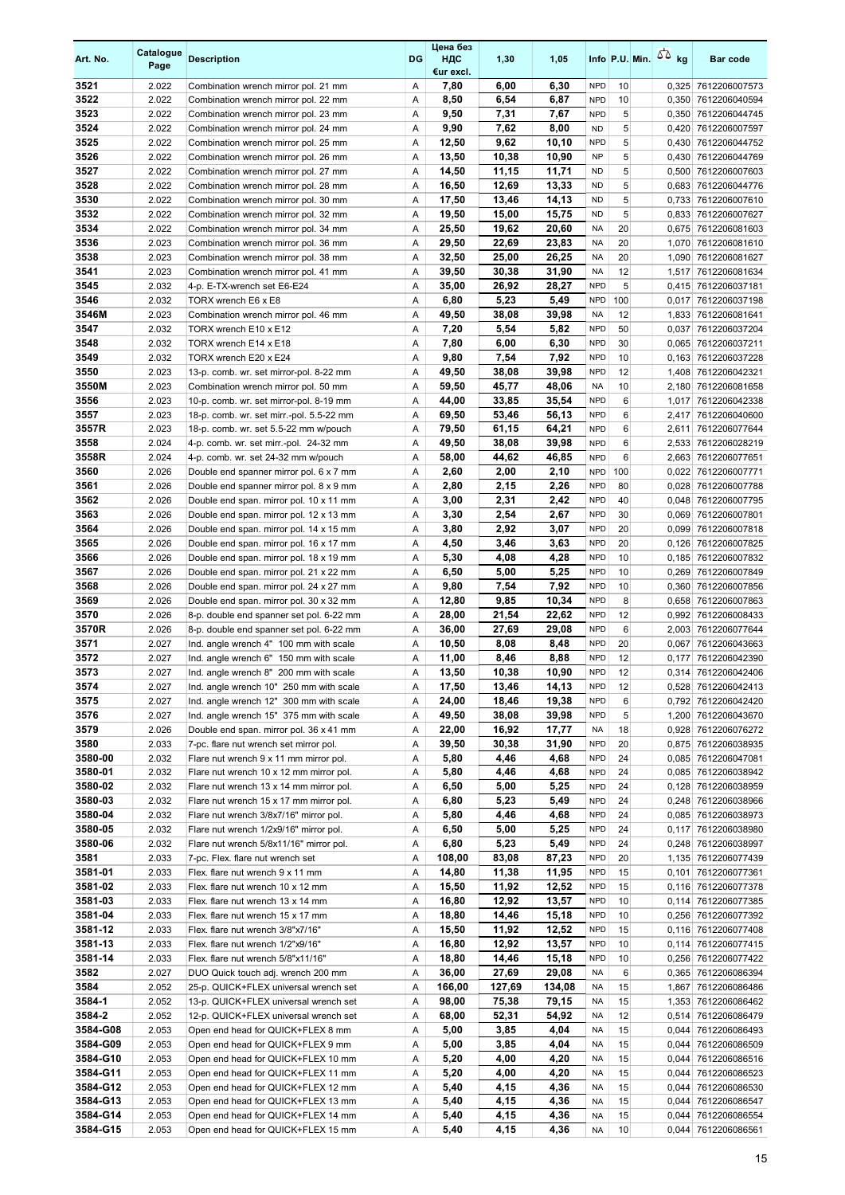| Art. No.             | Catalogue<br>Page | <b>Description</b>                                                                 | DG     | Цена без<br>ндс<br>€ur excl. | 1,30           | 1,05           |                          |          | Info P.U. Min. $55$ kg | <b>Bar code</b>                            |
|----------------------|-------------------|------------------------------------------------------------------------------------|--------|------------------------------|----------------|----------------|--------------------------|----------|------------------------|--------------------------------------------|
| 3521                 | 2.022             | Combination wrench mirror pol. 21 mm                                               | Α      | 7,80                         | 6,00           | 6,30           | <b>NPD</b>               | 10       |                        | 0,325 7612206007573                        |
| 3522                 | 2.022             | Combination wrench mirror pol. 22 mm                                               | Α      | 8,50                         | 6,54           | 6,87           | <b>NPD</b>               | 10       |                        | 0,350 7612206040594                        |
| 3523                 | 2.022             | Combination wrench mirror pol. 23 mm                                               | Α      | 9,50                         | 7,31           | 7,67           | <b>NPD</b>               | 5        |                        | 0,350 7612206044745                        |
| 3524                 | 2.022             | Combination wrench mirror pol. 24 mm                                               | Α      | 9,90                         | 7,62           | 8,00           | <b>ND</b>                | 5        |                        | 0,420 7612206007597                        |
| 3525                 | 2.022             | Combination wrench mirror pol. 25 mm                                               | Α      | 12,50                        | 9,62           | 10,10          | <b>NPD</b>               | 5        |                        | 0,430 7612206044752                        |
| 3526<br>3527         | 2.022<br>2.022    | Combination wrench mirror pol. 26 mm<br>Combination wrench mirror pol. 27 mm       | Α<br>Α | 13,50<br>14,50               | 10,38<br>11,15 | 10,90<br>11,71 | <b>NP</b><br>ND.         | 5<br>5   |                        | 0,430 7612206044769<br>0,500 7612206007603 |
| 3528                 | 2.022             | Combination wrench mirror pol. 28 mm                                               | Α      | 16,50                        | 12,69          | 13,33          | <b>ND</b>                | 5        |                        | 0,683 7612206044776                        |
| 3530                 | 2.022             | Combination wrench mirror pol. 30 mm                                               | Α      | 17,50                        | 13,46          | 14,13          | <b>ND</b>                | 5        |                        | 0,733 7612206007610                        |
| 3532                 | 2.022             | Combination wrench mirror pol. 32 mm                                               | Α      | 19,50                        | 15,00          | 15,75          | <b>ND</b>                | 5        |                        | 0,833 7612206007627                        |
| 3534                 | 2.022             | Combination wrench mirror pol. 34 mm                                               | Α      | 25,50                        | 19,62          | 20,60          | NA                       | 20       |                        | 0,675 7612206081603                        |
| 3536                 | 2.023             | Combination wrench mirror pol. 36 mm                                               | Α      | 29,50                        | 22,69          | 23,83          | <b>NA</b>                | 20       |                        | 1,070 7612206081610                        |
| 3538                 | 2.023             | Combination wrench mirror pol. 38 mm                                               | Α      | 32,50                        | 25,00          | 26,25          | <b>NA</b>                | 20       |                        | 1,090 7612206081627                        |
| 3541                 | 2.023             | Combination wrench mirror pol. 41 mm                                               | Α      | 39,50                        | 30,38          | 31,90          | <b>NA</b>                | 12       |                        | 1,517 7612206081634                        |
| 3545                 | 2.032             | 4-p. E-TX-wrench set E6-E24                                                        | Α      | 35,00                        | 26,92          | 28,27          | <b>NPD</b>               | 5        |                        | 0,415 7612206037181                        |
| 3546                 | 2.032             | TORX wrench E6 x E8                                                                | Α      | 6,80                         | 5,23           | 5,49           | <b>NPD</b>               | 100      |                        | 0,017 7612206037198                        |
| 3546M<br>3547        | 2.023<br>2.032    | Combination wrench mirror pol. 46 mm<br>TORX wrench E10 x E12                      | Α<br>Α | 49,50<br>7,20                | 38,08<br>5,54  | 39,98<br>5,82  | <b>NA</b><br><b>NPD</b>  | 12<br>50 |                        | 1,833 7612206081641<br>7612206037204       |
| 3548                 | 2.032             | TORX wrench E14 x E18                                                              | Α      | 7,80                         | 6,00           | 6,30           | <b>NPD</b>               | 30       | 0,037                  | 0,065 7612206037211                        |
| 3549                 | 2.032             | TORX wrench E20 x E24                                                              | Α      | 9,80                         | 7,54           | 7,92           | <b>NPD</b>               | 10       |                        | 0,163 7612206037228                        |
| 3550                 | 2.023             | 13-p. comb. wr. set mirror-pol. 8-22 mm                                            | Α      | 49,50                        | 38,08          | 39,98          | <b>NPD</b>               | 12       |                        | 1,408 7612206042321                        |
| 3550M                | 2.023             | Combination wrench mirror pol. 50 mm                                               | Α      | 59,50                        | 45,77          | 48,06          | NA                       | 10       |                        | 2,180 7612206081658                        |
| 3556                 | 2.023             | 10-p. comb. wr. set mirror-pol. 8-19 mm                                            | Α      | 44,00                        | 33,85          | 35,54          | <b>NPD</b>               | 6        |                        | 1,017 7612206042338                        |
| 3557                 | 2.023             | 18-p. comb. wr. set mirr.-pol. 5.5-22 mm                                           | Α      | 69,50                        | 53,46          | 56,13          | <b>NPD</b>               | 6        |                        | 2,417 7612206040600                        |
| 3557R                | 2.023             | 18-p. comb. wr. set 5.5-22 mm w/pouch                                              | A      | 79,50                        | 61,15          | 64,21          | <b>NPD</b>               | 6        | 2,611                  | 7612206077644                              |
| 3558                 | 2.024             | 4-p. comb. wr. set mirr.-pol. 24-32 mm                                             | Α      | 49,50                        | 38,08          | 39,98          | <b>NPD</b>               | 6        |                        | 2,533 7612206028219                        |
| 3558R                | 2.024             | 4-p. comb. wr. set 24-32 mm w/pouch                                                | Α      | 58,00                        | 44,62          | 46,85          | <b>NPD</b>               | 6        |                        | 2,663 7612206077651                        |
| 3560                 | 2.026             | Double end spanner mirror pol. 6 x 7 mm                                            | A      | 2,60                         | 2,00           | 2,10           | <b>NPD</b>               | 100      |                        | 0,022 7612206007771                        |
| 3561<br>3562         | 2.026<br>2.026    | Double end spanner mirror pol. 8 x 9 mm                                            | Α<br>Α | 2,80                         | 2,15<br>2,31   | 2,26<br>2,42   | <b>NPD</b><br><b>NPD</b> | 80<br>40 |                        | 0,028 7612206007788                        |
| 3563                 | 2.026             | Double end span. mirror pol. 10 x 11 mm<br>Double end span. mirror pol. 12 x 13 mm | Α      | 3,00<br>3,30                 | 2,54           | 2,67           | <b>NPD</b>               | 30       |                        | 0,048 7612206007795<br>0,069 7612206007801 |
| 3564                 | 2.026             | Double end span. mirror pol. 14 x 15 mm                                            | Α      | 3,80                         | 2,92           | 3,07           | <b>NPD</b>               | 20       |                        | 0,099 7612206007818                        |
| 3565                 | 2.026             | Double end span. mirror pol. 16 x 17 mm                                            | Α      | 4,50                         | 3,46           | 3,63           | <b>NPD</b>               | 20       |                        | 0,126 7612206007825                        |
| 3566                 | 2.026             | Double end span. mirror pol. 18 x 19 mm                                            | Α      | 5,30                         | 4,08           | 4,28           | <b>NPD</b>               | 10       |                        | 0,185 7612206007832                        |
| 3567                 | 2.026             | Double end span. mirror pol. 21 x 22 mm                                            | Α      | 6,50                         | 5,00           | 5,25           | <b>NPD</b>               | 10       |                        | 0,269 7612206007849                        |
| 3568                 | 2.026             | Double end span. mirror pol. 24 x 27 mm                                            | Α      | 9,80                         | 7,54           | 7,92           | <b>NPD</b>               | 10       |                        | 0,360 7612206007856                        |
| 3569                 | 2.026             | Double end span. mirror pol. 30 x 32 mm                                            | Α      | 12,80                        | 9,85           | 10,34          | <b>NPD</b>               | 8        |                        | 0,658 7612206007863                        |
| 3570                 | 2.026             | 8-p. double end spanner set pol. 6-22 mm                                           | Α      | 28,00                        | 21,54          | 22,62          | <b>NPD</b>               | 12       |                        | 0,992 7612206008433                        |
| 3570R                | 2.026             | 8-p. double end spanner set pol. 6-22 mm                                           | Α      | 36,00                        | 27,69          | 29,08          | <b>NPD</b>               | 6        |                        | 2,003 7612206077644                        |
| 3571<br>3572         | 2.027<br>2.027    | Ind. angle wrench 4" 100 mm with scale                                             | Α<br>Α | 10,50<br>11,00               | 8,08<br>8,46   | 8,48<br>8,88   | <b>NPD</b><br><b>NPD</b> | 20<br>12 | 0,177                  | 0,067 7612206043663<br>7612206042390       |
| 3573                 | 2.027             | Ind. angle wrench 6" 150 mm with scale<br>Ind. angle wrench 8" 200 mm with scale   | A      | 13,50                        | 10,38          | 10,90          | <b>NPD</b>               | 12       |                        | 0,314 7612206042406                        |
| 3574                 | 2.027             | Ind. angle wrench 10" 250 mm with scale                                            | Α      | 17,50                        | 13,46          | 14,13          | <b>NPD</b>               | 12       |                        | 0,528 7612206042413                        |
| 3575                 | 2.027             | Ind. angle wrench 12" 300 mm with scale                                            | Α      | 24,00                        | 18,46          | 19,38          | <b>NPD</b>               | 6        |                        | 0,792 7612206042420                        |
| 3576                 | 2.027             | Ind. angle wrench 15" 375 mm with scale                                            | Α      | 49,50                        | 38,08          | 39,98          | <b>NPD</b>               | 5        |                        | 1,200 7612206043670                        |
| 3579                 | 2.026             | Double end span. mirror pol. 36 x 41 mm                                            | Α      | 22,00                        | 16,92          | 17,77          | NA                       | 18       |                        | 0,928 7612206076272                        |
| 3580                 | 2.033             | 7-pc. flare nut wrench set mirror pol.                                             | Α      | 39,50                        | 30,38          | 31,90          | <b>NPD</b>               | 20       |                        | 0,875 7612206038935                        |
| 3580-00              | 2.032             | Flare nut wrench 9 x 11 mm mirror pol.                                             | Α      | 5,80                         | 4,46           | 4,68           | <b>NPD</b>               | 24       |                        | 0,085 7612206047081                        |
| 3580-01              | 2.032             | Flare nut wrench 10 x 12 mm mirror pol.                                            | Α      | 5,80                         | 4,46           | 4,68           | <b>NPD</b>               | 24       |                        | 0,085 7612206038942                        |
| 3580-02              | 2.032             | Flare nut wrench 13 x 14 mm mirror pol.                                            | Α      | 6,50                         | 5,00           | 5,25           | <b>NPD</b>               | 24       |                        | 0,128 7612206038959                        |
| 3580-03<br>3580-04   | 2.032<br>2.032    | Flare nut wrench 15 x 17 mm mirror pol.<br>Flare nut wrench 3/8x7/16" mirror pol.  | Α<br>Α | 6,80<br>5,80                 | 5,23<br>4,46   | 5,49<br>4,68   | <b>NPD</b><br><b>NPD</b> | 24<br>24 |                        | 0,248 7612206038966<br>0,085 7612206038973 |
| 3580-05              | 2.032             | Flare nut wrench 1/2x9/16" mirror pol.                                             | Α      | 6,50                         | 5,00           | 5,25           | <b>NPD</b>               | 24       |                        | 0,117 7612206038980                        |
| 3580-06              | 2.032             | Flare nut wrench 5/8x11/16" mirror pol.                                            | Α      | 6,80                         | 5,23           | 5,49           | <b>NPD</b>               | 24       |                        | 0,248 7612206038997                        |
| 3581                 | 2.033             | 7-pc. Flex. flare nut wrench set                                                   | Α      | 108,00                       | 83,08          | 87,23          | <b>NPD</b>               | 20       |                        | 1,135 7612206077439                        |
| 3581-01              | 2.033             | Flex. flare nut wrench 9 x 11 mm                                                   | Α      | 14,80                        | 11,38          | 11,95          | <b>NPD</b>               | 15       |                        | 0,101 7612206077361                        |
| 3581-02              | 2.033             | Flex. flare nut wrench 10 x 12 mm                                                  | Α      | 15,50                        | 11,92          | 12,52          | <b>NPD</b>               | 15       |                        | 0,116 7612206077378                        |
| 3581-03              | 2.033             | Flex. flare nut wrench 13 x 14 mm                                                  | Α      | 16,80                        | 12,92          | 13,57          | <b>NPD</b>               | 10       |                        | 0,114 7612206077385                        |
| 3581-04              | 2.033             | Flex. flare nut wrench 15 x 17 mm                                                  | Α      | 18,80                        | 14,46          | 15,18          | <b>NPD</b>               | 10       |                        | 0,256 7612206077392                        |
| 3581-12              | 2.033             | Flex. flare nut wrench 3/8"x7/16"                                                  | Α      | 15,50                        | 11,92          | 12,52          | <b>NPD</b>               | 15       |                        | 0,116 7612206077408                        |
| 3581-13<br>3581-14   | 2.033<br>2.033    | Flex. flare nut wrench 1/2"x9/16"<br>Flex. flare nut wrench 5/8"x11/16"            | Α<br>Α | 16,80<br>18,80               | 12,92<br>14,46 | 13,57<br>15,18 | <b>NPD</b><br><b>NPD</b> | 10<br>10 |                        | 0,114 7612206077415<br>0,256 7612206077422 |
| 3582                 | 2.027             | DUO Quick touch adj. wrench 200 mm                                                 | Α      | 36,00                        | 27,69          | 29,08          | NA                       | 6        |                        | 0,365 7612206086394                        |
| 3584                 | 2.052             | 25-p. QUICK+FLEX universal wrench set                                              | Α      | 166,00                       | 127,69         | 134,08         | NA                       | 15       |                        | 1,867 7612206086486                        |
| 3584-1               | 2.052             | 13-p. QUICK+FLEX universal wrench set                                              | Α      | 98,00                        | 75,38          | 79,15          | NA                       | 15       |                        | 1,353 7612206086462                        |
| 3584-2               | 2.052             | 12-p. QUICK+FLEX universal wrench set                                              | Α      | 68,00                        | 52,31          | 54,92          | NA                       | 12       |                        | 0,514 7612206086479                        |
| 3584-G08             | 2.053             | Open end head for QUICK+FLEX 8 mm                                                  | Α      | 5,00                         | 3,85           | 4,04           | NA                       | 15       |                        | 0,044 7612206086493                        |
| 3584-G09             | 2.053             | Open end head for QUICK+FLEX 9 mm                                                  | Α      | 5,00                         | 3,85           | 4,04           | <b>NA</b>                | 15       |                        | 0,044 7612206086509                        |
| 3584-G10             | 2.053             | Open end head for QUICK+FLEX 10 mm                                                 | Α      | 5,20                         | 4,00           | 4,20           | NA                       | 15       |                        | 0,044 7612206086516                        |
| 3584-G11             | 2.053             | Open end head for QUICK+FLEX 11 mm                                                 | Α      | 5,20                         | 4,00           | 4,20           | NA                       | 15       |                        | 0,044 7612206086523                        |
| 3584-G12             | 2.053             | Open end head for QUICK+FLEX 12 mm                                                 | Α      | 5,40                         | 4,15           | 4,36           | <b>NA</b>                | 15       |                        | 0,044 7612206086530                        |
| 3584-G13<br>3584-G14 | 2.053<br>2.053    | Open end head for QUICK+FLEX 13 mm<br>Open end head for QUICK+FLEX 14 mm           | Α<br>Α | 5,40<br>5,40                 | 4,15<br>4,15   | 4,36<br>4,36   | NA<br>NA                 | 15<br>15 |                        | 0,044 7612206086547<br>0,044 7612206086554 |
| 3584-G15             | 2.053             | Open end head for QUICK+FLEX 15 mm                                                 | Α      | 5,40                         | 4,15           | 4,36           | NA                       | 10       |                        | 0,044 7612206086561                        |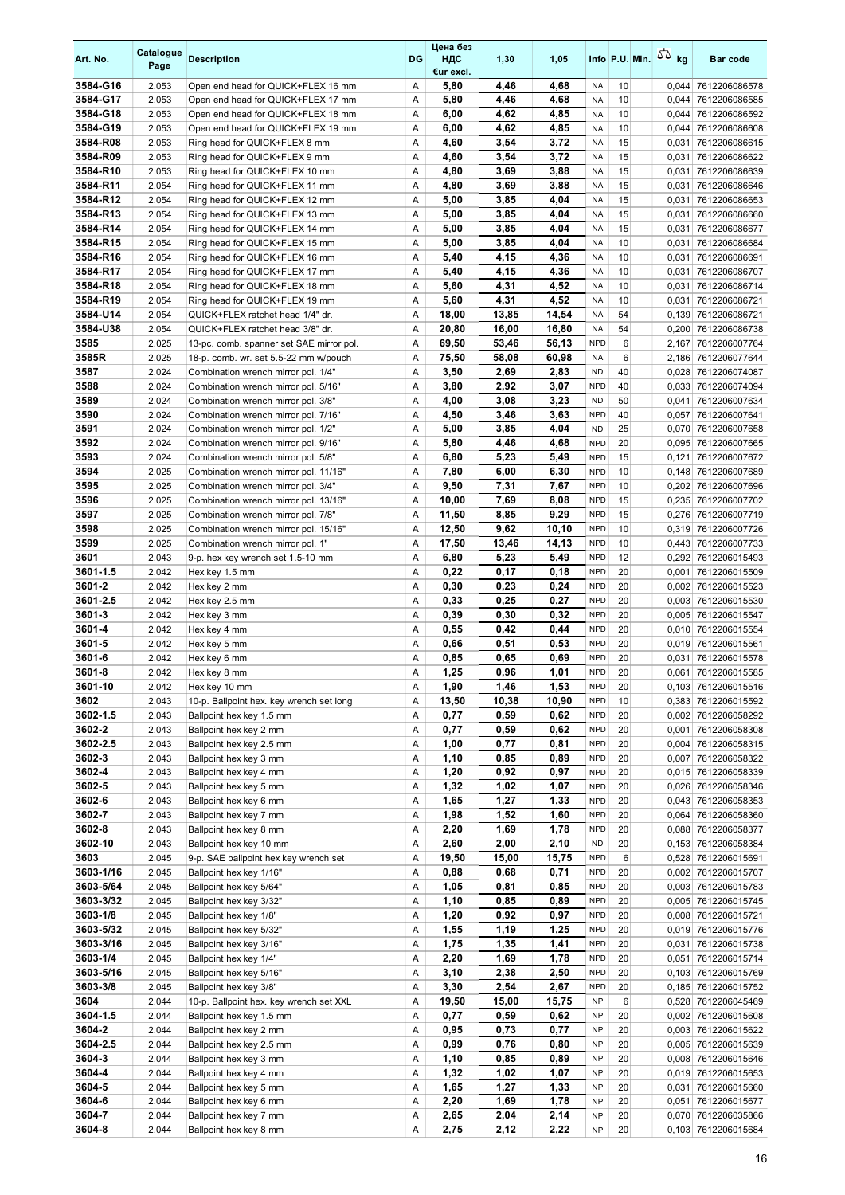| Art. No.             | Catalogue<br>Page | <b>Description</b>                                                           | <b>DG</b> | Цена без<br>ндс<br>€ur excl. | 1,30           | 1,05          |                          |          | Info P.U. Min. $\sqrt{2}$ kg | Bar code                                   |
|----------------------|-------------------|------------------------------------------------------------------------------|-----------|------------------------------|----------------|---------------|--------------------------|----------|------------------------------|--------------------------------------------|
| 3584-G16             | 2.053             | Open end head for QUICK+FLEX 16 mm                                           | Α         | 5,80                         | 4,46           | 4,68          | <b>NA</b>                | 10       | 0,044                        | 7612206086578                              |
| 3584-G17             | 2.053             | Open end head for QUICK+FLEX 17 mm                                           | Α         | 5,80                         | 4,46           | 4,68          | <b>NA</b>                | 10       |                              | 0,044 7612206086585                        |
| 3584-G18             | 2.053             | Open end head for QUICK+FLEX 18 mm                                           | Α         | 6,00                         | 4,62           | 4,85          | <b>NA</b>                | 10       | 0,044                        | 7612206086592                              |
| 3584-G19<br>3584-R08 | 2.053             | Open end head for QUICK+FLEX 19 mm                                           | Α         | 6,00                         | 4,62<br>3,54   | 4,85<br>3,72  | <b>NA</b><br><b>NA</b>   | 10<br>15 |                              | 0,044 7612206086608                        |
| 3584-R09             | 2.053<br>2.053    | Ring head for QUICK+FLEX 8 mm<br>Ring head for QUICK+FLEX 9 mm               | Α<br>Α    | 4,60<br>4,60                 | 3,54           | 3,72          | <b>NA</b>                | 15       | 0,031                        | 0.031 7612206086615<br>7612206086622       |
| 3584-R10             | 2.053             | Ring head for QUICK+FLEX 10 mm                                               | Α         | 4,80                         | 3,69           | 3,88          | <b>NA</b>                | 15       | 0,031                        | 7612206086639                              |
| 3584-R11             | 2.054             | Ring head for QUICK+FLEX 11 mm                                               | Α         | 4,80                         | 3,69           | 3,88          | <b>NA</b>                | 15       |                              | 0,031 7612206086646                        |
| 3584-R12             | 2.054             | Ring head for QUICK+FLEX 12 mm                                               | Α         | 5,00                         | 3,85           | 4,04          | <b>NA</b>                | 15       | 0,031                        | 7612206086653                              |
| 3584-R13             | 2.054             | Ring head for QUICK+FLEX 13 mm                                               | Α         | 5,00                         | 3,85           | 4,04          | <b>NA</b>                | 15       | 0,031                        | 7612206086660                              |
| 3584-R14             | 2.054             | Ring head for QUICK+FLEX 14 mm                                               | Α         | 5,00                         | 3,85           | 4,04          | <b>NA</b>                | 15       | 0,031                        | 7612206086677                              |
| 3584-R15             | 2.054             | Ring head for QUICK+FLEX 15 mm                                               | Α         | 5,00                         | 3,85           | 4,04          | <b>NA</b>                | 10       | 0,031                        | 7612206086684                              |
| 3584-R16             | 2.054             | Ring head for QUICK+FLEX 16 mm                                               | Α         | 5,40                         | 4,15           | 4,36          | <b>NA</b>                | 10       | 0,031                        | 7612206086691                              |
| 3584-R17             | 2.054             | Ring head for QUICK+FLEX 17 mm                                               | Α         | 5,40                         | 4,15           | 4,36          | <b>NA</b>                | 10       |                              | 0,031 7612206086707                        |
| 3584-R18             | 2.054             | Ring head for QUICK+FLEX 18 mm                                               | Α         | 5,60                         | 4,31           | 4,52          | <b>NA</b>                | 10       | 0,031                        | 7612206086714                              |
| 3584-R19             | 2.054             | Ring head for QUICK+FLEX 19 mm                                               | Α         | 5,60                         | 4,31           | 4,52<br>14,54 | <b>NA</b>                | 10<br>54 | 0,031                        | 7612206086721                              |
| 3584-U14<br>3584-U38 | 2.054<br>2.054    | QUICK+FLEX ratchet head 1/4" dr.<br>QUICK+FLEX ratchet head 3/8" dr.         | Α<br>Α    | 18,00<br>20,80               | 13,85<br>16,00 | 16,80         | <b>NA</b><br><b>NA</b>   | 54       |                              | 0,139 7612206086721<br>0,200 7612206086738 |
| 3585                 | 2.025             | 13-pc. comb. spanner set SAE mirror pol.                                     | Α         | 69,50                        | 53,46          | 56,13         | <b>NPD</b>               | 6        | 2,167                        | 7612206007764                              |
| 3585R                | 2.025             | 18-p. comb. wr. set 5.5-22 mm w/pouch                                        | Α         | 75,50                        | 58,08          | 60,98         | <b>NA</b>                | 6        |                              | 2,186 7612206077644                        |
| 3587                 | 2.024             | Combination wrench mirror pol. 1/4"                                          | Α         | 3,50                         | 2,69           | 2,83          | <b>ND</b>                | 40       |                              | 0,028 7612206074087                        |
| 3588                 | 2.024             | Combination wrench mirror pol. 5/16"                                         | Α         | 3,80                         | 2,92           | 3,07          | <b>NPD</b>               | 40       |                              | 0,033 7612206074094                        |
| 3589                 | 2.024             | Combination wrench mirror pol. 3/8"                                          | Α         | 4,00                         | 3,08           | 3,23          | <b>ND</b>                | 50       |                              | 0,041 7612206007634                        |
| 3590                 | 2.024             | Combination wrench mirror pol. 7/16"                                         | Α         | 4,50                         | 3,46           | 3,63          | <b>NPD</b>               | 40       |                              | 0.057 7612206007641                        |
| 3591                 | 2.024             | Combination wrench mirror pol. 1/2"                                          | Α         | 5,00                         | 3,85           | 4,04          | <b>ND</b>                | 25       |                              | 0,070 7612206007658                        |
| 3592                 | 2.024             | Combination wrench mirror pol. 9/16"                                         | Α         | 5,80                         | 4,46           | 4,68          | <b>NPD</b>               | 20       |                              | 0,095 7612206007665                        |
| 3593                 | 2.024             | Combination wrench mirror pol. 5/8"                                          | Α         | 6,80                         | 5,23           | 5,49          | <b>NPD</b>               | 15       | 0,121                        | 7612206007672                              |
| 3594                 | 2.025             | Combination wrench mirror pol. 11/16"                                        | Α         | 7,80                         | 6,00           | 6,30          | <b>NPD</b>               | 10       |                              | 0,148 7612206007689                        |
| 3595                 | 2.025             | Combination wrench mirror pol. 3/4"                                          | Α         | 9,50                         | 7,31           | 7,67          | <b>NPD</b>               | 10       |                              | 0,202 7612206007696                        |
| 3596<br>3597         | 2.025<br>2.025    | Combination wrench mirror pol. 13/16"<br>Combination wrench mirror pol. 7/8" | Α<br>Α    | 10,00<br>11,50               | 7,69<br>8,85   | 8,08<br>9,29  | <b>NPD</b><br><b>NPD</b> | 15<br>15 |                              | 0,235 7612206007702<br>0,276 7612206007719 |
| 3598                 | 2.025             | Combination wrench mirror pol. 15/16"                                        | Α         | 12,50                        | 9,62           | 10,10         | <b>NPD</b>               | 10       |                              | 0,319 7612206007726                        |
| 3599                 | 2.025             | Combination wrench mirror pol. 1"                                            | Α         | 17,50                        | 13,46          | 14,13         | <b>NPD</b>               | 10       |                              | 0,443 7612206007733                        |
| 3601                 | 2.043             | 9-p. hex key wrench set 1.5-10 mm                                            | Α         | 6,80                         | 5,23           | 5,49          | <b>NPD</b>               | 12       |                              | 0,292 7612206015493                        |
| 3601-1.5             | 2.042             | Hex key 1.5 mm                                                               | Α         | 0,22                         | 0,17           | 0,18          | <b>NPD</b>               | 20       | 0,001                        | 7612206015509                              |
| 3601-2               | 2.042             | Hex key 2 mm                                                                 | Α         | 0,30                         | 0,23           | 0,24          | <b>NPD</b>               | 20       |                              | 0,002 7612206015523                        |
| 3601-2.5             | 2.042             | Hex key 2.5 mm                                                               | Α         | 0,33                         | 0,25           | 0,27          | <b>NPD</b>               | 20       |                              | 0,003 7612206015530                        |
| 3601-3               | 2.042             | Hex key 3 mm                                                                 | Α         | 0,39                         | 0,30           | 0,32          | <b>NPD</b>               | 20       |                              | 0,005 7612206015547                        |
| 3601-4               | 2.042             | Hex key 4 mm                                                                 | Α         | 0,55                         | 0,42           | 0,44          | <b>NPD</b>               | 20       |                              | 0,010 7612206015554                        |
| 3601-5               | 2.042             | Hex key 5 mm                                                                 | Α         | 0,66                         | 0,51           | 0,53          | <b>NPD</b>               | 20       |                              | 0,019 7612206015561                        |
| 3601-6<br>3601-8     | 2.042<br>2.042    | Hex key 6 mm<br>Hex key 8 mm                                                 | Α<br>Α    | 0,85<br>1,25                 | 0,65<br>0,96   | 0,69<br>1.01  | <b>NPD</b><br><b>NPD</b> | 20<br>20 |                              | 0.031 7612206015578<br>0,061 7612206015585 |
| 3601-10              | 2.042             | Hex key 10 mm                                                                | Α         | 1,90                         | 1,46           | 1,53          | <b>NPD</b>               | 20       |                              | 0,103 7612206015516                        |
| 3602                 | 2.043             | 10-p. Ballpoint hex. key wrench set long                                     | Α         | 13,50                        | 10,38          | 10,90         | <b>NPD</b>               | 10       |                              | 0,383 7612206015592                        |
| 3602-1.5             | 2.043             | Ballpoint hex key 1.5 mm                                                     | Α         | 0,77                         | 0,59           | 0,62          | <b>NPD</b>               | 20       |                              | 0,002 7612206058292                        |
| 3602-2               | 2.043             | Ballpoint hex key 2 mm                                                       | Α         | 0,77                         | 0,59           | 0,62          | <b>NPD</b>               | 20       | 0,001                        | 7612206058308                              |
| 3602-2.5             | 2.043             | Ballpoint hex key 2.5 mm                                                     | Α         | 1,00                         | 0,77           | 0,81          | <b>NPD</b>               | 20       |                              | 0,004 7612206058315                        |
| 3602-3               | 2.043             | Ballpoint hex key 3 mm                                                       | Α         | 1,10                         | 0,85           | 0,89          | <b>NPD</b>               | 20       |                              | 0,007 7612206058322                        |
| 3602-4               | 2.043             | Ballpoint hex key 4 mm                                                       | Α         | 1,20                         | 0,92           | 0,97          | <b>NPD</b>               | 20       |                              | 0,015 7612206058339                        |
| 3602-5               | 2.043             | Ballpoint hex key 5 mm                                                       | Α         | 1,32                         | 1,02           | 1,07          | <b>NPD</b>               | 20       |                              | 0,026 7612206058346                        |
| 3602-6               | 2.043             | Ballpoint hex key 6 mm                                                       | Α         | 1,65                         | 1,27           | 1,33          | <b>NPD</b>               | 20       |                              | 0,043 7612206058353                        |
| 3602-7               | 2.043             | Ballpoint hex key 7 mm                                                       | Α         | 1,98                         | 1,52           | 1,60          | <b>NPD</b>               | 20       |                              | 0,064 7612206058360                        |
| 3602-8<br>3602-10    | 2.043<br>2.043    | Ballpoint hex key 8 mm<br>Ballpoint hex key 10 mm                            | Α<br>Α    | 2,20<br>2,60                 | 1,69<br>2,00   | 1,78<br>2,10  | <b>NPD</b><br><b>ND</b>  | 20<br>20 |                              | 0,088 7612206058377<br>0,153 7612206058384 |
| 3603                 | 2.045             | 9-p. SAE ballpoint hex key wrench set                                        | Α         | 19,50                        | 15,00          | 15,75         | <b>NPD</b>               | 6        |                              | 0,528 7612206015691                        |
| 3603-1/16            | 2.045             | Ballpoint hex key 1/16"                                                      | Α         | 0,88                         | 0,68           | 0,71          | <b>NPD</b>               | 20       |                              | 0,002 7612206015707                        |
| 3603-5/64            | 2.045             | Ballpoint hex key 5/64"                                                      | Α         | 1,05                         | 0,81           | 0,85          | <b>NPD</b>               | 20       |                              | 0,003 7612206015783                        |
| 3603-3/32            | 2.045             | Ballpoint hex key 3/32"                                                      | Α         | 1,10                         | 0,85           | 0,89          | <b>NPD</b>               | 20       |                              | 0,005 7612206015745                        |
| 3603-1/8             | 2.045             | Ballpoint hex key 1/8"                                                       | Α         | 1,20                         | 0,92           | 0,97          | <b>NPD</b>               | 20       |                              | 0,008 7612206015721                        |
| 3603-5/32            | 2.045             | Ballpoint hex key 5/32"                                                      | Α         | 1,55                         | 1,19           | 1,25          | <b>NPD</b>               | 20       |                              | 0,019 7612206015776                        |
| 3603-3/16            | 2.045             | Ballpoint hex key 3/16"                                                      | Α         | 1,75                         | 1,35           | 1,41          | <b>NPD</b>               | 20       |                              | 0,031 7612206015738                        |
| 3603-1/4             | 2.045             | Ballpoint hex key 1/4"                                                       | Α         | 2,20                         | 1,69           | 1,78          | <b>NPD</b>               | 20       |                              | 0,051 7612206015714                        |
| 3603-5/16            | 2.045             | Ballpoint hex key 5/16"                                                      | Α         | 3,10                         | 2,38           | 2,50          | <b>NPD</b>               | 20       |                              | 0,103 7612206015769                        |
| 3603-3/8<br>3604     | 2.045             | Ballpoint hex key 3/8"                                                       | Α         | 3,30                         | 2,54           | 2,67          | <b>NPD</b><br><b>NP</b>  | 20       |                              | 0,185 7612206015752                        |
| 3604-1.5             | 2.044<br>2.044    | 10-p. Ballpoint hex. key wrench set XXL<br>Ballpoint hex key 1.5 mm          | Α<br>Α    | 19,50<br>0,77                | 15,00<br>0,59  | 15,75<br>0,62 | <b>NP</b>                | 6<br>20  |                              | 0,528 7612206045469<br>0,002 7612206015608 |
| 3604-2               | 2.044             | Ballpoint hex key 2 mm                                                       | Α         | 0,95                         | 0,73           | 0,77          | <b>NP</b>                | 20       |                              | 0,003 7612206015622                        |
| 3604-2.5             | 2.044             | Ballpoint hex key 2.5 mm                                                     | Α         | 0,99                         | 0,76           | 0,80          | <b>NP</b>                | 20       |                              | 0,005 7612206015639                        |
| 3604-3               | 2.044             | Ballpoint hex key 3 mm                                                       | Α         | 1,10                         | 0,85           | 0,89          | <b>NP</b>                | 20       |                              | 0,008 7612206015646                        |
| 3604-4               | 2.044             | Ballpoint hex key 4 mm                                                       | Α         | 1,32                         | 1,02           | 1,07          | NP                       | 20       |                              | 0,019 7612206015653                        |
| 3604-5               | 2.044             | Ballpoint hex key 5 mm                                                       | Α         | 1,65                         | 1,27           | 1,33          | <b>NP</b>                | 20       |                              | 0,031 7612206015660                        |
| 3604-6               | 2.044             | Ballpoint hex key 6 mm                                                       | Α         | 2,20                         | 1,69           | 1,78          | NP                       | 20       | 0,051                        | 7612206015677                              |
| 3604-7               | 2.044             | Ballpoint hex key 7 mm                                                       | Α         | 2,65                         | 2,04           | 2,14          | <b>NP</b>                | 20       | 0,070                        | 7612206035866                              |
| 3604-8               | 2.044             | Ballpoint hex key 8 mm                                                       | Α         | 2,75                         | 2,12           | 2,22          | <b>NP</b>                | 20       |                              | 0,103 7612206015684                        |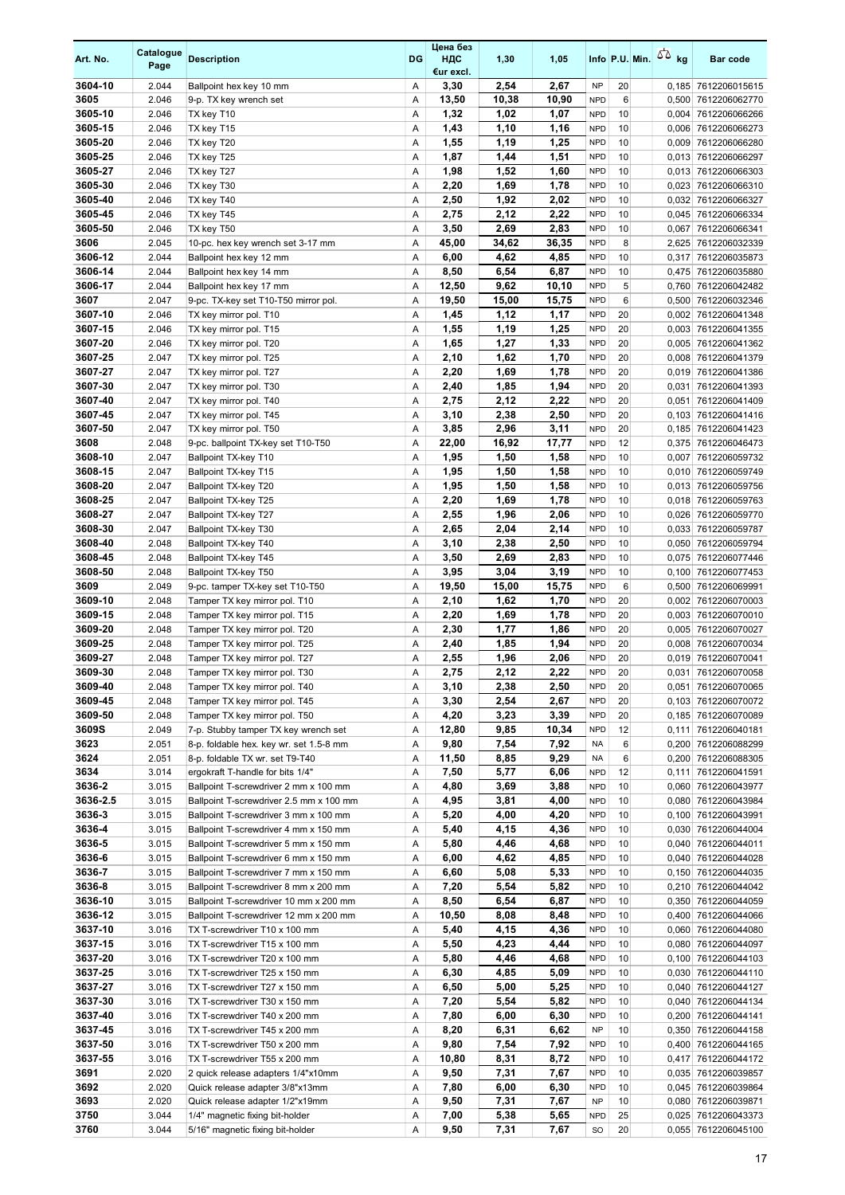| Art. No.           | Catalogue<br>Page | <b>Description</b>                                             | <b>DG</b> | Цена без<br>ндс<br>€ur excl. | 1,30         | 1,05         |                          | Info P.U. Min. | 50 <sub>kg</sub> | Bar code                                   |
|--------------------|-------------------|----------------------------------------------------------------|-----------|------------------------------|--------------|--------------|--------------------------|----------------|------------------|--------------------------------------------|
| 3604-10            | 2.044             | Ballpoint hex key 10 mm                                        | Α         | 3,30                         | 2,54         | 2,67         | <b>NP</b>                | 20             |                  | 0,185 7612206015615                        |
| 3605               | 2.046             | 9-p. TX key wrench set                                         | Α         | 13,50                        | 10,38        | 10,90        | <b>NPD</b>               | 6              |                  | 0,500 7612206062770                        |
| 3605-10            | 2.046             | TX key T10                                                     | Α         | 1,32                         | 1,02         | 1,07         | <b>NPD</b>               | 10             |                  | 0,004 7612206066266                        |
| 3605-15            | 2.046             | TX key T15                                                     | Α         | 1,43                         | 1,10         | 1,16         | <b>NPD</b>               | 10             |                  | 0,006 7612206066273                        |
| 3605-20            | 2.046             | TX key T20                                                     | Α         | 1,55                         | 1,19         | 1,25         | <b>NPD</b>               | 10             |                  | 0,009 7612206066280                        |
| 3605-25            | 2.046             | TX key T25                                                     | Α         | 1,87                         | 1,44         | 1,51         | <b>NPD</b>               | 10             |                  | 0,013 7612206066297                        |
| 3605-27            | 2.046             | TX key T27                                                     | Α         | 1,98                         | 1,52         | 1,60         | <b>NPD</b>               | 10             |                  | 0,013 7612206066303                        |
| 3605-30            | 2.046             | TX key T30                                                     | Α         | 2,20                         | 1,69         | 1,78         | <b>NPD</b>               | 10             |                  | 0,023 7612206066310                        |
| 3605-40            | 2.046             | TX key T40                                                     | Α         | 2,50                         | 1,92         | 2,02         | <b>NPD</b>               | 10             |                  | 0,032 7612206066327                        |
| 3605-45<br>3605-50 | 2.046<br>2.046    | TX key T45<br>TX key T50                                       | Α<br>Α    | 2,75<br>3,50                 | 2,12<br>2,69 | 2,22<br>2,83 | <b>NPD</b><br><b>NPD</b> | 10<br>10       | 0,067            | 0,045 7612206066334<br>7612206066341       |
| 3606               | 2.045             | 10-pc. hex key wrench set 3-17 mm                              | Α         | 45,00                        | 34,62        | 36,35        | <b>NPD</b>               | 8              |                  | 2,625 7612206032339                        |
| 3606-12            | 2.044             | Ballpoint hex key 12 mm                                        | Α         | 6,00                         | 4,62         | 4,85         | <b>NPD</b>               | 10             |                  | 0,317 7612206035873                        |
| 3606-14            | 2.044             | Ballpoint hex key 14 mm                                        | Α         | 8,50                         | 6,54         | 6,87         | <b>NPD</b>               | 10             |                  | 0,475 7612206035880                        |
| 3606-17            | 2.044             | Ballpoint hex key 17 mm                                        | Α         | 12,50                        | 9,62         | 10,10        | <b>NPD</b>               | 5              |                  | 0,760 7612206042482                        |
| 3607               | 2.047             | 9-pc. TX-key set T10-T50 mirror pol.                           | Α         | 19,50                        | 15,00        | 15,75        | <b>NPD</b>               | 6              |                  | 0,500 7612206032346                        |
| 3607-10            | 2.046             | TX key mirror pol. T10                                         | Α         | 1,45                         | 1,12         | 1,17         | <b>NPD</b>               | 20             |                  | 0,002 7612206041348                        |
| 3607-15            | 2.046             | TX key mirror pol. T15                                         | Α         | 1,55                         | 1,19         | 1,25         | <b>NPD</b>               | 20             | 0,003            | 7612206041355                              |
| 3607-20            | 2.046             | TX key mirror pol. T20                                         | Α         | 1,65                         | 1,27         | 1,33         | <b>NPD</b>               | 20             |                  | 0,005 7612206041362                        |
| 3607-25            | 2.047             | TX key mirror pol. T25                                         | Α         | 2,10                         | 1,62         | 1,70         | <b>NPD</b>               | 20             |                  | 0,008 7612206041379                        |
| 3607-27            | 2.047             | TX key mirror pol. T27                                         | Α         | 2,20                         | 1,69         | 1,78         | <b>NPD</b>               | 20             |                  | 0,019 7612206041386                        |
| 3607-30            | 2.047             | TX key mirror pol. T30                                         | Α         | 2,40                         | 1,85         | 1,94         | <b>NPD</b>               | 20             | 0,031            | 7612206041393                              |
| 3607-40            | 2.047             | TX key mirror pol. T40                                         | Α         | 2,75                         | 2,12         | 2,22         | <b>NPD</b>               | 20             |                  | 0,051 7612206041409                        |
| 3607-45            | 2.047             | TX key mirror pol. T45                                         | Α         | 3,10                         | 2,38         | 2,50         | <b>NPD</b>               | 20             |                  | 0,103 7612206041416                        |
| 3607-50            | 2.047             | TX key mirror pol. T50                                         | Α         | 3,85                         | 2,96         | 3,11         | <b>NPD</b>               | 20             |                  | 0,185 7612206041423                        |
| 3608               | 2.048             | 9-pc. ballpoint TX-key set T10-T50                             | Α         | 22,00                        | 16,92        | 17,77        | <b>NPD</b>               | 12             |                  | 0,375 7612206046473                        |
| 3608-10<br>3608-15 | 2.047<br>2.047    | Ballpoint TX-key T10                                           | Α<br>Α    | 1,95<br>1,95                 | 1,50<br>1,50 | 1,58<br>1,58 | <b>NPD</b><br><b>NPD</b> | 10<br>10       |                  | 0,007 7612206059732<br>0,010 7612206059749 |
| 3608-20            | 2.047             | Ballpoint TX-key T15<br>Ballpoint TX-key T20                   | Α         | 1,95                         | 1,50         | 1,58         | <b>NPD</b>               | 10             |                  | 0,013 7612206059756                        |
| 3608-25            | 2.047             | Ballpoint TX-key T25                                           | Α         | 2,20                         | 1,69         | 1,78         | <b>NPD</b>               | 10             |                  | 0,018 7612206059763                        |
| 3608-27            | 2.047             | Ballpoint TX-key T27                                           | Α         | 2,55                         | 1,96         | 2,06         | <b>NPD</b>               | 10             |                  | 0,026 7612206059770                        |
| 3608-30            | 2.047             | Ballpoint TX-key T30                                           | Α         | 2,65                         | 2,04         | 2,14         | <b>NPD</b>               | 10             |                  | 0,033 7612206059787                        |
| 3608-40            | 2.048             | Ballpoint TX-key T40                                           | Α         | 3,10                         | 2,38         | 2,50         | <b>NPD</b>               | 10             |                  | 0,050 7612206059794                        |
| 3608-45            | 2.048             | Ballpoint TX-key T45                                           | Α         | 3,50                         | 2,69         | 2,83         | <b>NPD</b>               | 10             |                  | 0,075 7612206077446                        |
| 3608-50            | 2.048             | Ballpoint TX-key T50                                           | Α         | 3,95                         | 3,04         | 3,19         | <b>NPD</b>               | 10             |                  | 0,100 7612206077453                        |
| 3609               | 2.049             | 9-pc. tamper TX-key set T10-T50                                | Α         | 19,50                        | 15,00        | 15,75        | <b>NPD</b>               | 6              |                  | 0,500 7612206069991                        |
| 3609-10            | 2.048             | Tamper TX key mirror pol. T10                                  | Α         | 2,10                         | 1,62         | 1,70         | <b>NPD</b>               | 20             |                  | 0,002 7612206070003                        |
| 3609-15            | 2.048             | Tamper TX key mirror pol. T15                                  | Α         | 2,20                         | 1,69         | 1,78         | <b>NPD</b>               | 20             |                  | 0,003 7612206070010                        |
| 3609-20            | 2.048             | Tamper TX key mirror pol. T20                                  | Α         | 2,30                         | 1,77         | 1,86         | <b>NPD</b>               | 20             |                  | 0,005 7612206070027                        |
| 3609-25            | 2.048             | Tamper TX key mirror pol. T25                                  | Α         | 2,40                         | 1,85         | 1,94         | <b>NPD</b>               | 20             |                  | 0,008 7612206070034                        |
| 3609-27            | 2.048             | Tamper TX key mirror pol. T27                                  | Α         | 2,55                         | 1,96         | 2,06         | <b>NPD</b>               | 20             |                  | 0,019 7612206070041                        |
| 3609-30<br>3609-40 | 2.048             | Tamper TX key mirror pol. T30<br>Tamper TX key mirror pol. T40 | A         | 2,75                         | 2,12         | 2.22         | <b>NPD</b><br><b>NPD</b> | 20             |                  | 0,031 7612206070058                        |
| 3609-45            | 2.048<br>2.048    | Tamper TX key mirror pol. T45                                  | Α<br>Α    | 3,10<br>3,30                 | 2,38<br>2,54 | 2,50<br>2,67 | <b>NPD</b>               | 20<br>20       |                  | 0,051 7612206070065<br>0,103 7612206070072 |
| 3609-50            | 2.048             | Tamper TX key mirror pol. T50                                  | Α         | 4,20                         | 3,23         | 3,39         | <b>NPD</b>               | 20             |                  | 0,185 7612206070089                        |
| 3609S              | 2.049             | 7-p. Stubby tamper TX key wrench set                           | Α         | 12,80                        | 9,85         | 10,34        | <b>NPD</b>               | 12             |                  | 0,111 7612206040181                        |
| 3623               | 2.051             | 8-p. foldable hex. key wr. set 1.5-8 mm                        | Α         | 9,80                         | 7,54         | 7,92         | <b>NA</b>                | 6              |                  | 0,200 7612206088299                        |
| 3624               | 2.051             | 8-p. foldable TX wr. set T9-T40                                | Α         | 11,50                        | 8,85         | 9,29         | <b>NA</b>                | 6              |                  | 0,200 7612206088305                        |
| 3634               | 3.014             | ergokraft T-handle for bits 1/4"                               | Α         | 7,50                         | 5,77         | 6,06         | <b>NPD</b>               | 12             |                  | 0,111 7612206041591                        |
| 3636-2             | 3.015             | Ballpoint T-screwdriver 2 mm x 100 mm                          | Α         | 4,80                         | 3,69         | 3,88         | <b>NPD</b>               | 10             |                  | 0,060 7612206043977                        |
| 3636-2.5           | 3.015             | Ballpoint T-screwdriver 2.5 mm x 100 mm                        | Α         | 4,95                         | 3,81         | 4,00         | <b>NPD</b>               | 10             |                  | 0,080 7612206043984                        |
| 3636-3             | 3.015             | Ballpoint T-screwdriver 3 mm x 100 mm                          | Α         | 5,20                         | 4,00         | 4,20         | <b>NPD</b>               | 10             |                  | 0,100 7612206043991                        |
| 3636-4             | 3.015             | Ballpoint T-screwdriver 4 mm x 150 mm                          | Α         | 5,40                         | 4,15         | 4,36         | <b>NPD</b>               | 10             |                  | 0,030 7612206044004                        |
| 3636-5             | 3.015             | Ballpoint T-screwdriver 5 mm x 150 mm                          | Α         | 5,80                         | 4,46         | 4,68         | <b>NPD</b>               | 10             |                  | 0,040 7612206044011                        |
| 3636-6             | 3.015             | Ballpoint T-screwdriver 6 mm x 150 mm                          | Α         | 6,00                         | 4,62         | 4,85         | <b>NPD</b>               | 10             |                  | 0,040 7612206044028                        |
| 3636-7             | 3.015             | Ballpoint T-screwdriver 7 mm x 150 mm                          | Α         | 6,60                         | 5,08         | 5,33         | <b>NPD</b>               | 10             |                  | 0,150 7612206044035                        |
| 3636-8             | 3.015             | Ballpoint T-screwdriver 8 mm x 200 mm                          | Α         | 7,20                         | 5,54         | 5,82         | <b>NPD</b>               | 10             |                  | 0,210 7612206044042                        |
| 3636-10            | 3.015             | Ballpoint T-screwdriver 10 mm x 200 mm                         | Α         | 8,50                         | 6,54         | 6,87         | <b>NPD</b>               | 10             |                  | 0,350 7612206044059                        |
| 3636-12            | 3.015             | Ballpoint T-screwdriver 12 mm x 200 mm                         | Α         | 10,50                        | 8,08         | 8,48         | <b>NPD</b>               | 10             |                  | 0,400 7612206044066                        |
| 3637-10            | 3.016             | TX T-screwdriver T10 x 100 mm                                  | Α         | 5,40                         | 4,15         | 4,36         | <b>NPD</b>               | 10             |                  | 0,060 7612206044080                        |
| 3637-15<br>3637-20 | 3.016             | TX T-screwdriver T15 x 100 mm                                  | Α         | 5,50                         | 4,23         | 4,44         | <b>NPD</b>               | 10<br>10       |                  | 0,080 7612206044097                        |
| 3637-25            | 3.016<br>3.016    | TX T-screwdriver T20 x 100 mm<br>TX T-screwdriver T25 x 150 mm | Α<br>Α    | 5,80<br>6,30                 | 4,46<br>4,85 | 4,68<br>5,09 | <b>NPD</b><br><b>NPD</b> | 10             |                  | 0,100 7612206044103<br>0,030 7612206044110 |
| 3637-27            | 3.016             | TX T-screwdriver T27 x 150 mm                                  | Α         | 6,50                         | 5,00         | 5,25         | <b>NPD</b>               | 10             |                  | 0,040 7612206044127                        |
| 3637-30            | 3.016             | TX T-screwdriver T30 x 150 mm                                  | Α         | 7,20                         | 5,54         | 5,82         | <b>NPD</b>               | 10             |                  | 0,040 7612206044134                        |
| 3637-40            | 3.016             | TX T-screwdriver T40 x 200 mm                                  | Α         | 7,80                         | 6,00         | 6,30         | <b>NPD</b>               | 10             |                  | 0,200 7612206044141                        |
| 3637-45            | 3.016             | TX T-screwdriver T45 x 200 mm                                  | Α         | 8,20                         | 6,31         | 6,62         | <b>NP</b>                | 10             |                  | 0,350 7612206044158                        |
| 3637-50            | 3.016             | TX T-screwdriver T50 x 200 mm                                  | Α         | 9,80                         | 7,54         | 7,92         | <b>NPD</b>               | 10             |                  | 0,400 7612206044165                        |
| 3637-55            | 3.016             | TX T-screwdriver T55 x 200 mm                                  | Α         | 10,80                        | 8,31         | 8,72         | <b>NPD</b>               | 10             |                  | 0,417 7612206044172                        |
| 3691               | 2.020             | 2 quick release adapters 1/4"x10mm                             | Α         | 9,50                         | 7,31         | 7,67         | <b>NPD</b>               | 10             |                  | 0,035 7612206039857                        |
| 3692               | 2.020             | Quick release adapter 3/8"x13mm                                | Α         | 7,80                         | 6,00         | 6,30         | <b>NPD</b>               | 10             |                  | 0,045 7612206039864                        |
| 3693               | 2.020             | Quick release adapter 1/2"x19mm                                | Α         | 9,50                         | 7,31         | 7,67         | <b>NP</b>                | 10             |                  | 0,080 7612206039871                        |
| 3750               | 3.044             | 1/4" magnetic fixing bit-holder                                | Α         | 7,00                         | 5,38         | 5,65         | NPD                      | 25             |                  | 0,025 7612206043373                        |
| 3760               | 3.044             | 5/16" magnetic fixing bit-holder                               | Α         | 9,50                         | 7,31         | 7,67         | SO.                      | 20             |                  | 0,055 7612206045100                        |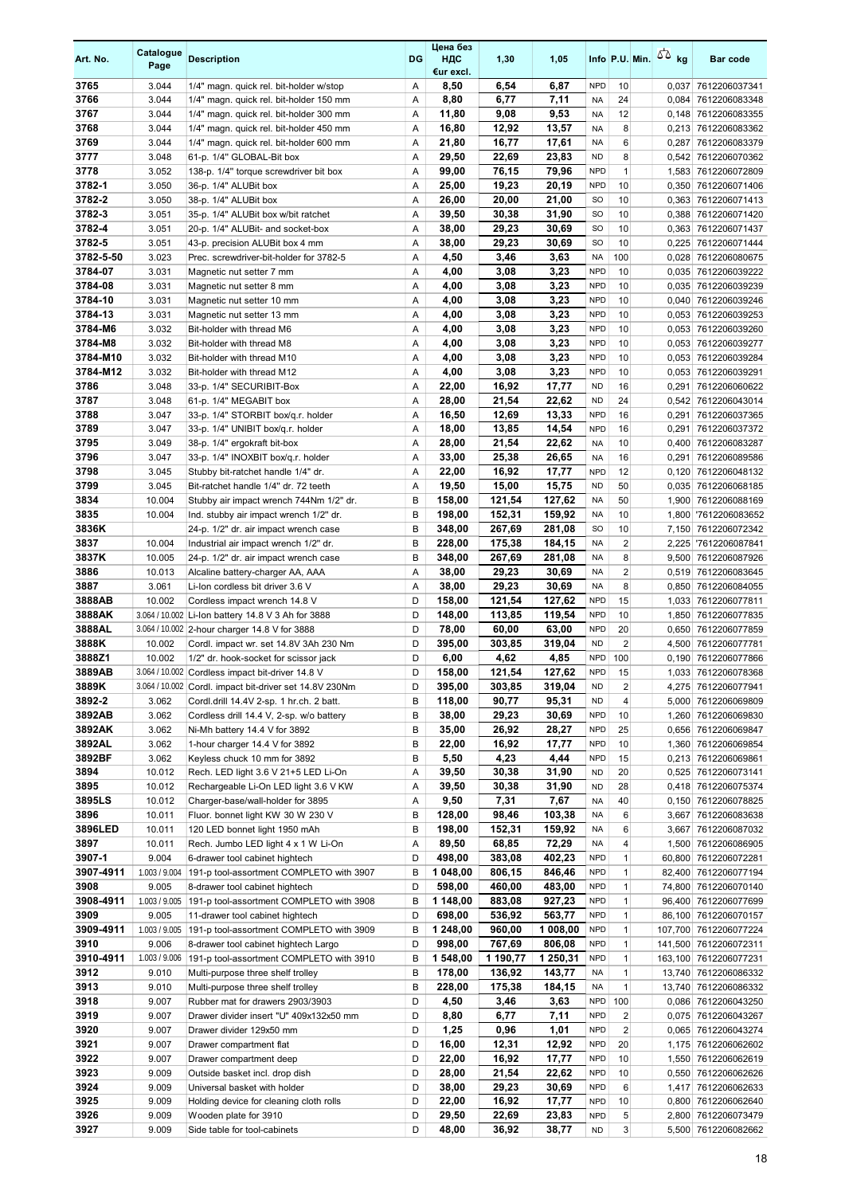| Art. No.           | Catalogue<br>Page | <b>Description</b>                                                                                          | DG     | Цена без<br>НДС<br>€ur excl. | 1,30             | 1,05             |                          |                         | Info P.U. Min. $55$ kg | Bar code                                    |
|--------------------|-------------------|-------------------------------------------------------------------------------------------------------------|--------|------------------------------|------------------|------------------|--------------------------|-------------------------|------------------------|---------------------------------------------|
| 3765               | 3.044             | 1/4" magn. quick rel. bit-holder w/stop                                                                     | Α      | 8,50                         | 6,54             | 6,87             | <b>NPD</b>               | 10                      |                        | 0,037 7612206037341                         |
| 3766               | 3.044             | 1/4" magn. quick rel. bit-holder 150 mm                                                                     | Α      | 8,80                         | 6,77             | 7,11             | <b>NA</b>                | 24                      |                        | 0,084 7612206083348                         |
| 3767               | 3.044             | 1/4" magn. quick rel. bit-holder 300 mm                                                                     | Α      | 11,80                        | 9,08             | 9,53             | <b>NA</b>                | 12                      |                        | 0,148 7612206083355                         |
| 3768               | 3.044             | 1/4" magn. quick rel. bit-holder 450 mm                                                                     | Α      | 16,80                        | 12,92            | 13,57            | <b>NA</b>                | 8                       |                        | 0,213 7612206083362                         |
| 3769               | 3.044             | 1/4" magn. quick rel. bit-holder 600 mm                                                                     | Α      | 21,80                        | 16,77            | 17,61            | <b>NA</b>                | 6                       |                        | 0,287 7612206083379                         |
| 3777<br>3778       | 3.048<br>3.052    | 61-p. 1/4" GLOBAL-Bit box                                                                                   | Α      | 29,50                        | 22,69            | 23,83<br>79,96   | <b>ND</b><br><b>NPD</b>  | 8<br>$\mathbf{1}$       |                        | 0,542 7612206070362                         |
| 3782-1             | 3.050             | 138-p. 1/4" torque screwdriver bit box<br>36-p. 1/4" ALUBit box                                             | Α<br>Α | 99,00<br>25,00               | 76,15<br>19,23   | 20,19            | <b>NPD</b>               | 10                      |                        | 1,583 7612206072809<br>0,350 7612206071406  |
| 3782-2             | 3.050             | 38-p. 1/4" ALUBit box                                                                                       | Α      | 26,00                        | 20,00            | 21,00            | <b>SO</b>                | 10                      |                        | 0.363 7612206071413                         |
| 3782-3             | 3.051             | 35-p. 1/4" ALUBit box w/bit ratchet                                                                         | Α      | 39,50                        | 30,38            | 31,90            | SO.                      | 10                      |                        | 0,388 7612206071420                         |
| 3782-4             | 3.051             | 20-p. 1/4" ALUBit- and socket-box                                                                           | Α      | 38,00                        | 29,23            | 30,69            | <b>SO</b>                | 10                      |                        | 0,363 7612206071437                         |
| 3782-5             | 3.051             | 43-p. precision ALUBit box 4 mm                                                                             | Α      | 38,00                        | 29,23            | 30,69            | SO.                      | 10                      |                        | 0,225 7612206071444                         |
| 3782-5-50          | 3.023             | Prec. screwdriver-bit-holder for 3782-5                                                                     | Α      | 4,50                         | 3,46             | 3,63             | <b>NA</b>                | 100                     |                        | 0,028 7612206080675                         |
| 3784-07            | 3.031             | Magnetic nut setter 7 mm                                                                                    | Α      | 4,00                         | 3,08             | 3,23             | <b>NPD</b>               | 10                      |                        | 0,035 7612206039222                         |
| 3784-08            | 3.031             | Magnetic nut setter 8 mm                                                                                    | Α      | 4,00                         | 3,08             | 3,23             | <b>NPD</b>               | 10                      |                        | 0,035 7612206039239                         |
| 3784-10            | 3.031             | Magnetic nut setter 10 mm                                                                                   | Α      | 4,00                         | 3,08             | 3,23             | <b>NPD</b>               | 10                      |                        | 0,040 7612206039246                         |
| 3784-13            | 3.031             | Magnetic nut setter 13 mm                                                                                   | A      | 4,00                         | 3,08             | 3,23             | <b>NPD</b>               | 10                      |                        | 0,053 7612206039253                         |
| 3784-M6<br>3784-M8 | 3.032<br>3.032    | Bit-holder with thread M6                                                                                   | Α      | 4,00                         | 3,08<br>3,08     | 3,23<br>3,23     | <b>NPD</b><br><b>NPD</b> | 10<br>10                |                        | 0,053 7612206039260                         |
| 3784-M10           | 3.032             | Bit-holder with thread M8<br>Bit-holder with thread M10                                                     | Α<br>Α | 4,00<br>4,00                 | 3,08             | 3,23             | <b>NPD</b>               | 10                      |                        | 0,053 7612206039277<br>0,053 7612206039284  |
| 3784-M12           | 3.032             | Bit-holder with thread M12                                                                                  | Α      | 4,00                         | 3,08             | 3,23             | <b>NPD</b>               | 10                      |                        | 0,053 7612206039291                         |
| 3786               | 3.048             | 33-p. 1/4" SECURIBIT-Box                                                                                    | Α      | 22,00                        | 16,92            | 17,77            | <b>ND</b>                | 16                      | 0,291                  | 7612206060622                               |
| 3787               | 3.048             | 61-p. 1/4" MEGABIT box                                                                                      | Α      | 28,00                        | 21,54            | 22,62            | <b>ND</b>                | 24                      |                        | 0,542 7612206043014                         |
| 3788               | 3.047             | 33-p. 1/4" STORBIT box/q.r. holder                                                                          | Α      | 16,50                        | 12,69            | 13,33            | <b>NPD</b>               | 16                      | 0,291                  | 7612206037365                               |
| 3789               | 3.047             | 33-p. 1/4" UNIBIT box/q.r. holder                                                                           | Α      | 18,00                        | 13,85            | 14,54            | <b>NPD</b>               | 16                      | 0,291                  | 7612206037372                               |
| 3795               | 3.049             | 38-p. 1/4" ergokraft bit-box                                                                                | Α      | 28,00                        | 21,54            | 22,62            | <b>NA</b>                | 10                      |                        | 0,400 7612206083287                         |
| 3796               | 3.047             | 33-p. 1/4" INOXBIT box/q.r. holder                                                                          | Α      | 33,00                        | 25,38            | 26,65            | <b>NA</b>                | 16                      | 0,291                  | 7612206089586                               |
| 3798               | 3.045             | Stubby bit-ratchet handle 1/4" dr.                                                                          | Α      | 22,00                        | 16,92            | 17,77            | <b>NPD</b>               | 12                      |                        | 0,120 7612206048132                         |
| 3799               | 3.045             | Bit-ratchet handle 1/4" dr. 72 teeth                                                                        | Α      | 19,50                        | 15,00            | 15,75            | <b>ND</b>                | 50                      |                        | 0,035 7612206068185                         |
| 3834               | 10.004            | Stubby air impact wrench 744Nm 1/2" dr.                                                                     | B      | 158,00                       | 121,54           | 127,62           | <b>NA</b>                | 50                      |                        | 1,900 7612206088169                         |
| 3835<br>3836K      | 10.004            | Ind. stubby air impact wrench 1/2" dr.<br>24-p. 1/2" dr. air impact wrench case                             | B<br>B | 198,00<br>348,00             | 152,31<br>267,69 | 159,92<br>281,08 | <b>NA</b><br><b>SO</b>   | 10<br>10                |                        | 1,800 7612206083652<br>7,150 7612206072342  |
| 3837               | 10.004            | Industrial air impact wrench 1/2" dr.                                                                       | B      | 228,00                       | 175,38           | 184,15           | <b>NA</b>                | $\overline{\mathbf{c}}$ |                        | 2,225 7612206087841                         |
| 3837K              | 10.005            | 24-p. 1/2" dr. air impact wrench case                                                                       | B      | 348,00                       | 267,69           | 281,08           | <b>NA</b>                | 8                       |                        | 9,500 7612206087926                         |
| 3886               | 10.013            | Alcaline battery-charger AA, AAA                                                                            | Α      | 38,00                        | 29,23            | 30,69            | <b>NA</b>                | $\overline{2}$          |                        | 0,519 7612206083645                         |
| 3887               | 3.061             | Li-Ion cordless bit driver 3.6 V                                                                            | Α      | 38,00                        | 29,23            | 30,69            | <b>NA</b>                | 8                       |                        | 0,850 7612206084055                         |
| 3888AB             | 10.002            | Cordless impact wrench 14.8 V                                                                               | D      | 158,00                       | 121,54           | 127,62           | <b>NPD</b>               | 15                      |                        | 1,033 7612206077811                         |
| 3888AK             |                   | 3.064 / 10.002 Li-Ion battery 14.8 V 3 Ah for 3888                                                          | D      | 148,00                       | 113,85           | 119,54           | <b>NPD</b>               | 10                      |                        | 1,850 7612206077835                         |
| 3888AL             |                   | 3.064 / 10.002 2-hour charger 14.8 V for 3888                                                               | D      | 78,00                        | 60,00            | 63.00            | <b>NPD</b>               | 20                      |                        | 0,650 7612206077859                         |
| 3888K              | 10.002            | Cordl. impact wr. set 14.8V 3Ah 230 Nm                                                                      | D      | 395,00                       | 303,85           | 319,04           | <b>ND</b>                | $\overline{2}$          |                        | 4,500 7612206077781                         |
| 3888Z1             | 10.002            | 1/2" dr. hook-socket for scissor jack                                                                       | D      | 6,00                         | 4,62             | 4,85             | <b>NPD</b>               | 100                     |                        | 0,190 7612206077866                         |
| 3889AB<br>3889K    |                   | 3.064 / 10.002 Cordless impact bit-driver 14.8 V<br>3.064 / 10.002 Cordl. impact bit-driver set 14.8V 230Nm | D<br>D | 158,00<br>395,00             | 121,54<br>303,85 | 127,62<br>319,04 | <b>NPD</b><br><b>ND</b>  | 15                      |                        | 1,033 7612206078368                         |
| 3892-2             | 3.062             | Cordl.drill 14.4V 2-sp. 1 hr.ch. 2 batt.                                                                    | B      | 118,00                       | 90,77            | 95,31            | <b>ND</b>                | 2<br>4                  |                        | 4,275 7612206077941<br>5,000 7612206069809  |
| 3892AB             | 3.062             | Cordless drill 14.4 V, 2-sp. w/o battery                                                                    | B      | 38,00                        | 29,23            | 30,69            | <b>NPD</b>               | 10                      |                        | 1,260 7612206069830                         |
| 3892AK             | 3.062             | Ni-Mh battery 14.4 V for 3892                                                                               | B      | 35,00                        | 26,92            | 28,27            | <b>NPD</b>               | 25                      |                        | 0,656 7612206069847                         |
| 3892AL             | 3.062             | 1-hour charger 14.4 V for 3892                                                                              | B      | 22,00                        | 16,92            | 17,77            | <b>NPD</b>               | 10                      |                        | 1,360 7612206069854                         |
| 3892BF             | 3.062             | Keyless chuck 10 mm for 3892                                                                                | B      | 5,50                         | 4,23             | 4,44             | <b>NPD</b>               | 15                      |                        | 0,213 7612206069861                         |
| 3894               | 10.012            | Rech. LED light 3.6 V 21+5 LED Li-On                                                                        | Α      | 39,50                        | 30,38            | 31,90            | ND                       | 20                      |                        | 0,525 7612206073141                         |
| 3895               | 10.012            | Rechargeable Li-On LED light 3.6 V KW                                                                       | Α      | 39,50                        | 30,38            | 31,90            | <b>ND</b>                | 28                      |                        | 0,418 7612206075374                         |
| 3895LS             | 10.012            | Charger-base/wall-holder for 3895                                                                           | Α      | 9,50                         | 7,31             | 7,67             | <b>NA</b>                | 40                      |                        | 0,150 7612206078825                         |
| 3896               | 10.011            | Fluor. bonnet light KW 30 W 230 V                                                                           | B      | 128,00                       | 98,46            | 103,38           | <b>NA</b>                | 6                       |                        | 3,667 7612206083638                         |
| 3896LED            | 10.011            | 120 LED bonnet light 1950 mAh                                                                               | B      | 198,00                       | 152,31           | 159,92           | NA                       | 6                       | 3,667                  | 7612206087032                               |
| 3897<br>3907-1     | 10.011<br>9.004   | Rech. Jumbo LED light 4 x 1 W Li-On<br>6-drawer tool cabinet hightech                                       | Α<br>D | 89,50<br>498,00              | 68,85<br>383,08  | 72,29<br>402,23  | <b>NA</b><br><b>NPD</b>  | 4<br>$\mathbf{1}$       |                        | 1,500 7612206086905<br>60,800 7612206072281 |
| 3907-4911          | 1.003 / 9.004     | 191-p tool-assortment COMPLETO with 3907                                                                    | B      | 1 048,00                     | 806,15           | 846,46           | <b>NPD</b>               | $\mathbf{1}$            |                        | 82,400 7612206077194                        |
| 3908               | 9.005             | 8-drawer tool cabinet hightech                                                                              | D      | 598,00                       | 460,00           | 483,00           | <b>NPD</b>               | $\mathbf{1}$            |                        | 74,800 7612206070140                        |
| 3908-4911          |                   | 1.003 / 9.005 191-p tool-assortment COMPLETO with 3908                                                      | B      | 1 148,00                     | 883,08           | 927,23           | <b>NPD</b>               | $\mathbf{1}$            |                        | 96,400 7612206077699                        |
| 3909               | 9.005             | 11-drawer tool cabinet hightech                                                                             | D      | 698,00                       | 536,92           | 563,77           | <b>NPD</b>               | $\mathbf{1}$            |                        | 86,100 7612206070157                        |
| 3909-4911          |                   | 1.003 / 9.005   191-p tool-assortment COMPLETO with 3909                                                    | B      | 1 248,00                     | 960,00           | 1 008,00         | <b>NPD</b>               | $\mathbf{1}$            |                        | 107,700 7612206077224                       |
| 3910               | 9.006             | 8-drawer tool cabinet hightech Largo                                                                        | D      | 998,00                       | 767,69           | 806,08           | <b>NPD</b>               | $\mathbf{1}$            |                        | 141,500 7612206072311                       |
| 3910-4911          | 1.003 / 9.006     | 191-p tool-assortment COMPLETO with 3910                                                                    | B      | 1 548,00                     | 1 190,77         | 1 250,31         | <b>NPD</b>               | $\mathbf{1}$            |                        | 163,100 7612206077231                       |
| 3912               | 9.010             | Multi-purpose three shelf trolley                                                                           | B      | 178,00                       | 136,92           | 143,77           | NA                       | 1                       |                        | 13,740 7612206086332                        |
| 3913               | 9.010             | Multi-purpose three shelf trolley                                                                           | B<br>D | 228,00                       | 175,38           | 184,15           | NA<br><b>NPD</b>         | $\mathbf{1}$<br>100     |                        | 13,740 7612206086332                        |
| 3918<br>3919       | 9.007<br>9.007    | Rubber mat for drawers 2903/3903<br>Drawer divider insert "U" 409x132x50 mm                                 | D      | 4,50<br>8,80                 | 3,46<br>6,77     | 3,63<br>7,11     | <b>NPD</b>               | 2                       |                        | 0,086 7612206043250<br>0,075 7612206043267  |
| 3920               | 9.007             | Drawer divider 129x50 mm                                                                                    | D      | 1,25                         | 0,96             | 1,01             | <b>NPD</b>               | $\overline{2}$          |                        | 0,065 7612206043274                         |
| 3921               | 9.007             | Drawer compartment flat                                                                                     | D      | 16,00                        | 12,31            | 12,92            | <b>NPD</b>               | 20                      |                        | 1,175 7612206062602                         |
| 3922               | 9.007             | Drawer compartment deep                                                                                     | D      | 22,00                        | 16,92            | 17,77            | <b>NPD</b>               | 10                      |                        | 1,550 7612206062619                         |
| 3923               | 9.009             | Outside basket incl. drop dish                                                                              | D      | 28,00                        | 21,54            | 22,62            | <b>NPD</b>               | 10                      |                        | 0,550 7612206062626                         |
| 3924               | 9.009             | Universal basket with holder                                                                                | D      | 38,00                        | 29,23            | 30,69            | <b>NPD</b>               | 6                       |                        | 1,417 7612206062633                         |
| 3925               | 9.009             | Holding device for cleaning cloth rolls                                                                     | D      | 22,00                        | 16,92            | 17,77            | <b>NPD</b>               | 10                      |                        | 0,800 7612206062640                         |
| 3926               | 9.009             | Wooden plate for 3910                                                                                       | D      | 29,50                        | 22,69            | 23,83            | <b>NPD</b>               | 5                       |                        | 2,800 7612206073479                         |
| 3927               | 9.009             | Side table for tool-cabinets                                                                                | D      | 48,00                        | 36,92            | 38,77            | <b>ND</b>                | 3                       |                        | 5,500 7612206082662                         |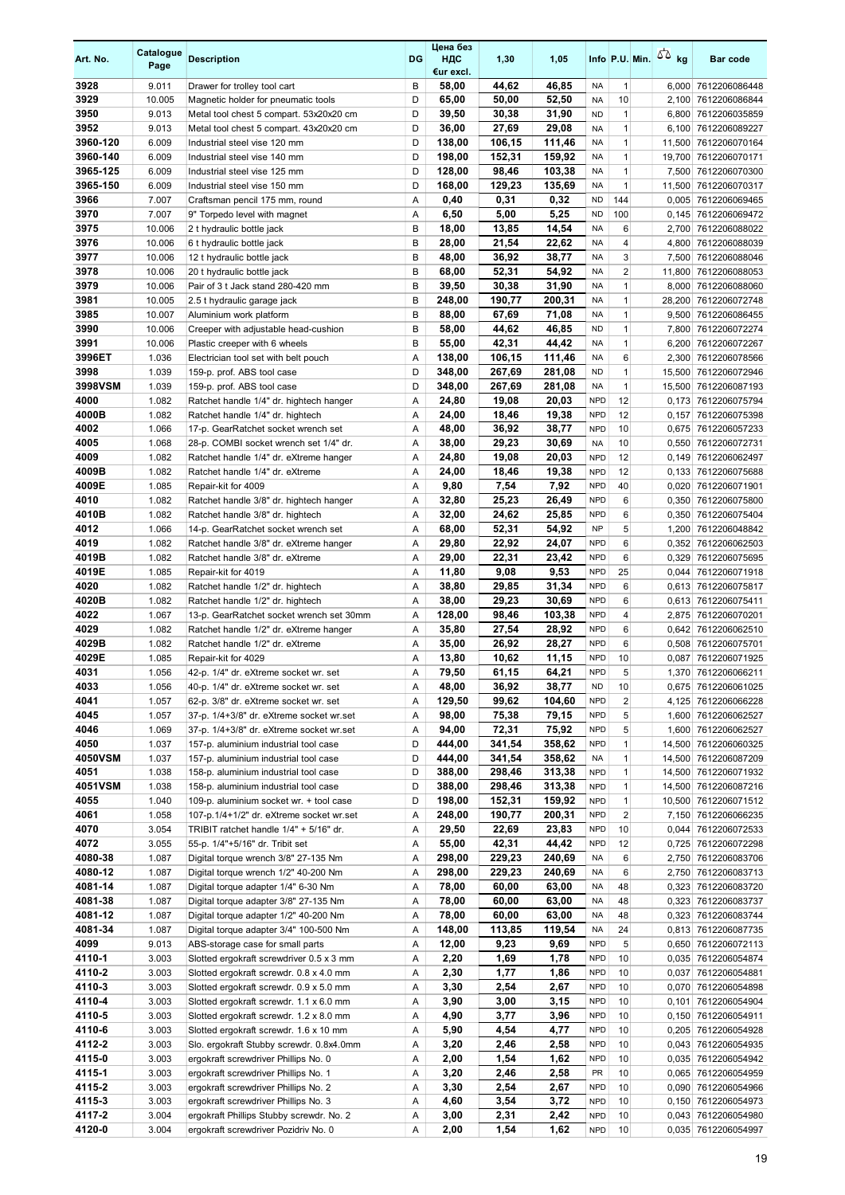| Art. No.     | Catalogue<br>Page | <b>Description</b>                                                                | DG     | Цена без<br>ндс<br>€ur excl. | 1,30           | 1,05           |                          |                | Info P.U. Min. $\sqrt{2}$ kg | <b>Bar code</b>                             |
|--------------|-------------------|-----------------------------------------------------------------------------------|--------|------------------------------|----------------|----------------|--------------------------|----------------|------------------------------|---------------------------------------------|
| 3928         | 9.011             | Drawer for trolley tool cart                                                      | B      | 58,00                        | 44,62          | 46,85          | <b>NA</b>                | $\mathbf{1}$   |                              | 6,000 7612206086448                         |
| 3929         | 10.005            | Magnetic holder for pneumatic tools                                               | D      | 65,00                        | 50,00          | 52,50          | <b>NA</b>                | 10             |                              | 2,100 7612206086844                         |
| 3950         | 9.013             | Metal tool chest 5 compart. 53x20x20 cm                                           | D      | 39,50                        | 30,38          | 31,90          | <b>ND</b>                | $\mathbf{1}$   |                              | 6,800 7612206035859                         |
| 3952         | 9.013             | Metal tool chest 5 compart. 43x20x20 cm                                           | D      | 36,00                        | 27,69          | 29,08          | <b>NA</b>                | $\mathbf{1}$   |                              | 6,100 7612206089227                         |
| 3960-120     | 6.009             | Industrial steel vise 120 mm                                                      | D      | 138.00                       | 106,15         | 111,46         | <b>NA</b>                | $\mathbf{1}$   |                              | 11,500 7612206070164                        |
| 3960-140     | 6.009             | Industrial steel vise 140 mm                                                      | D      | 198,00                       | 152,31         | 159,92         | <b>NA</b>                | $\mathbf{1}$   |                              | 19,700 7612206070171                        |
| 3965-125     | 6.009             | Industrial steel vise 125 mm                                                      | D      | 128,00                       | 98,46          | 103,38         | <b>NA</b>                | $\mathbf{1}$   |                              | 7,500 7612206070300                         |
| 3965-150     | 6.009             | Industrial steel vise 150 mm                                                      | D      | 168,00                       | 129,23         | 135,69         | <b>NA</b>                | $\mathbf{1}$   |                              | 11,500 7612206070317                        |
| 3966         | 7.007             | Craftsman pencil 175 mm, round                                                    | Α      | 0,40                         | 0,31           | 0,32           | <b>ND</b>                | 144            |                              | 0,005 7612206069465                         |
| 3970         | 7.007             | 9" Torpedo level with magnet                                                      | Α      | 6,50                         | 5,00           | 5,25           | <b>ND</b>                | 100            |                              | 0,145 7612206069472                         |
| 3975         | 10.006            | 2 t hydraulic bottle jack                                                         | B<br>B | 18,00                        | 13,85          | 14,54<br>22,62 | <b>NA</b>                | 6              |                              | 2,700 7612206088022                         |
| 3976<br>3977 | 10.006            | 6 t hydraulic bottle jack                                                         | B      | 28,00                        | 21,54          |                | <b>NA</b><br><b>NA</b>   | 4<br>3         |                              | 4,800 7612206088039                         |
| 3978         | 10.006<br>10.006  | 12 t hydraulic bottle jack                                                        | B      | 48,00<br>68,00               | 36,92<br>52,31 | 38,77<br>54,92 | <b>NA</b>                | $\overline{2}$ |                              | 7,500 7612206088046<br>11,800 7612206088053 |
| 3979         | 10.006            | 20 t hydraulic bottle jack<br>Pair of 3 t Jack stand 280-420 mm                   | B      | 39,50                        | 30,38          | 31,90          | <b>NA</b>                | $\mathbf{1}$   |                              | 8,000 7612206088060                         |
| 3981         | 10.005            | 2.5 t hydraulic garage jack                                                       | B      | 248,00                       | 190,77         | 200,31         | <b>NA</b>                | $\mathbf{1}$   |                              | 28,200 7612206072748                        |
| 3985         | 10.007            | Aluminium work platform                                                           | B      | 88,00                        | 67,69          | 71,08          | NA                       | $\mathbf{1}$   |                              | 9,500 7612206086455                         |
| 3990         | 10.006            | Creeper with adjustable head-cushion                                              | B      | 58,00                        | 44,62          | 46,85          | <b>ND</b>                | $\mathbf{1}$   | 7,800                        | 7612206072274                               |
| 3991         | 10.006            | Plastic creeper with 6 wheels                                                     | B      | 55,00                        | 42,31          | 44,42          | <b>NA</b>                | $\mathbf{1}$   |                              | 6,200 7612206072267                         |
| 3996ET       | 1.036             | Electrician tool set with belt pouch                                              | Α      | 138,00                       | 106,15         | 111,46         | <b>NA</b>                | 6              |                              | 2,300 7612206078566                         |
| 3998         | 1.039             | 159-p. prof. ABS tool case                                                        | D      | 348,00                       | 267,69         | 281,08         | <b>ND</b>                | $\mathbf{1}$   |                              | 15,500 7612206072946                        |
| 3998VSM      | 1.039             | 159-p. prof. ABS tool case                                                        | D      | 348,00                       | 267,69         | 281,08         | <b>NA</b>                | $\mathbf{1}$   |                              | 15,500 7612206087193                        |
| 4000         | 1.082             | Ratchet handle 1/4" dr. hightech hanger                                           | Α      | 24,80                        | 19,08          | 20,03          | <b>NPD</b>               | 12             |                              | 0,173 7612206075794                         |
| 4000B        | 1.082             | Ratchet handle 1/4" dr. hightech                                                  | Α      | 24,00                        | 18,46          | 19,38          | <b>NPD</b>               | 12             | 0,157                        | 7612206075398                               |
| 4002         | 1.066             | 17-p. GearRatchet socket wrench set                                               | Α      | 48,00                        | 36,92          | 38,77          | <b>NPD</b>               | 10             |                              | 0,675 7612206057233                         |
| 4005         | 1.068             | 28-p. COMBI socket wrench set 1/4" dr.                                            | Α      | 38,00                        | 29,23          | 30,69          | <b>NA</b>                | 10             |                              | 0,550 7612206072731                         |
| 4009         | 1.082             | Ratchet handle 1/4" dr. eXtreme hanger                                            | Α      | 24,80                        | 19,08          | 20,03          | <b>NPD</b>               | 12             |                              | 0,149 7612206062497                         |
| 4009B        | 1.082             | Ratchet handle 1/4" dr. eXtreme                                                   | A      | 24,00                        | 18,46          | 19,38          | <b>NPD</b>               | 12             |                              | 0,133 7612206075688                         |
| 4009E        | 1.085             | Repair-kit for 4009                                                               | Α      | 9,80                         | 7,54           | 7,92           | <b>NPD</b>               | 40             |                              | 0,020 7612206071901                         |
| 4010         | 1.082             | Ratchet handle 3/8" dr. hightech hanger                                           | Α      | 32,80                        | 25,23          | 26,49          | <b>NPD</b>               | 6              |                              | 0,350 7612206075800                         |
| 4010B        | 1.082             | Ratchet handle 3/8" dr. hightech                                                  | Α      | 32,00                        | 24,62          | 25,85          | <b>NPD</b>               | 6              |                              | 0,350 7612206075404                         |
| 4012         | 1.066             | 14-p. GearRatchet socket wrench set                                               | Α      | 68,00                        | 52,31          | 54,92          | <b>NP</b>                | 5              |                              | 1,200 7612206048842                         |
| 4019         | 1.082             | Ratchet handle 3/8" dr. eXtreme hanger                                            | Α      | 29,80                        | 22,92          | 24,07          | <b>NPD</b>               | 6              |                              | 0,352 7612206062503                         |
| 4019B        | 1.082             | Ratchet handle 3/8" dr. eXtreme                                                   | Α      | 29,00                        | 22,31          | 23,42          | <b>NPD</b>               | 6              |                              | 0,329 7612206075695                         |
| 4019E        | 1.085             | Repair-kit for 4019                                                               | Α      | 11,80                        | 9,08           | 9,53           | <b>NPD</b>               | 25             |                              | 0,044 7612206071918                         |
| 4020         | 1.082             | Ratchet handle 1/2" dr. hightech                                                  | Α      | 38,80                        | 29,85          | 31,34          | <b>NPD</b>               | 6              |                              | 0.613 7612206075817                         |
| 4020B        | 1.082             | Ratchet handle 1/2" dr. hightech                                                  | Α      | 38,00                        | 29,23          | 30,69          | <b>NPD</b>               | 6              |                              | 0,613 7612206075411                         |
| 4022         | 1.067             | 13-p. GearRatchet socket wrench set 30mm                                          | Α      | 128,00                       | 98,46          | 103,38         | <b>NPD</b>               | 4              |                              | 2,875 7612206070201                         |
| 4029         | 1.082             | Ratchet handle 1/2" dr. eXtreme hanger                                            | Α      | 35,80                        | 27,54          | 28,92          | <b>NPD</b>               | 6              |                              | 0,642 7612206062510                         |
| 4029B        | 1.082             | Ratchet handle 1/2" dr. eXtreme                                                   | Α      | 35,00                        | 26,92          | 28,27          | <b>NPD</b>               | 6              |                              | 0,508 7612206075701                         |
| 4029E        | 1.085             | Repair-kit for 4029                                                               | Α      | 13,80                        | 10,62          | 11,15          | <b>NPD</b>               | 10             |                              | 0,087 7612206071925                         |
| 4031         | 1.056             | 42-p. 1/4" dr. eXtreme socket wr. set                                             | A      | 79,50                        | 61,15          | 64,21          | <b>NPD</b>               | 5              |                              | 1,370 7612206066211                         |
| 4033         | 1.056             | 40-p. 1/4" dr. eXtreme socket wr. set                                             | Α      | 48,00                        | 36,92          | 38,77          | <b>ND</b>                | 10             |                              | 0,675 7612206061025                         |
| 4041         | 1.057             | 62-p. 3/8" dr. eXtreme socket wr. set                                             | Α      | 129,50                       | 99,62          | 104,60         | <b>NPD</b>               | $\overline{c}$ |                              | 4,125 7612206066228                         |
| 4045<br>4046 | 1.057<br>1.069    | 37-p. 1/4+3/8" dr. eXtreme socket wr.set                                          | Α      | 98,00<br>94,00               | 75,38<br>72,31 | 79,15<br>75,92 | <b>NPD</b><br><b>NPD</b> | 5<br>5         |                              | 1,600 7612206062527                         |
| 4050         | 1.037             | 37-p. 1/4+3/8" dr. eXtreme socket wr.set<br>157-p. aluminium industrial tool case | Α<br>D | 444,00                       | 341,54         | 358,62         | <b>NPD</b>               | $\mathbf{1}$   |                              | 1,600 7612206062527<br>14,500 7612206060325 |
| 4050VSM      | 1.037             | 157-p. aluminium industrial tool case                                             | D      | 444,00                       | 341,54         | 358,62         | NA                       | $\mathbf{1}$   |                              | 14,500 7612206087209                        |
| 4051         | 1.038             | 158-p. aluminium industrial tool case                                             | D      | 388,00                       | 298,46         | 313,38         | <b>NPD</b>               | $\mathbf{1}$   |                              | 14,500 7612206071932                        |
| 4051VSM      | 1.038             | 158-p. aluminium industrial tool case                                             | D      | 388,00                       | 298,46         | 313,38         | <b>NPD</b>               | $\mathbf{1}$   |                              | 14,500 7612206087216                        |
| 4055         | 1.040             | 109-p. aluminium socket wr. + tool case                                           | D      | 198,00                       | 152,31         | 159,92         | <b>NPD</b>               | $\mathbf{1}$   |                              | 10,500 7612206071512                        |
| 4061         | 1.058             | 107-p.1/4+1/2" dr. eXtreme socket wr.set                                          | Α      | 248,00                       | 190,77         | 200,31         | <b>NPD</b>               | $\overline{2}$ |                              | 7,150 7612206066235                         |
| 4070         | 3.054             | TRIBIT ratchet handle 1/4" + 5/16" dr.                                            | Α      | 29,50                        | 22,69          | 23,83          | <b>NPD</b>               | 10             |                              | 0,044 7612206072533                         |
| 4072         | 3.055             | 55-p. 1/4"+5/16" dr. Tribit set                                                   | Α      | 55,00                        | 42,31          | 44,42          | <b>NPD</b>               | 12             |                              | 0,725 7612206072298                         |
| 4080-38      | 1.087             | Digital torque wrench 3/8" 27-135 Nm                                              | Α      | 298,00                       | 229,23         | 240,69         | <b>NA</b>                | 6              |                              | 2,750 7612206083706                         |
| 4080-12      | 1.087             | Digital torque wrench 1/2" 40-200 Nm                                              | Α      | 298,00                       | 229,23         | 240,69         | <b>NA</b>                | 6              |                              | 2,750 7612206083713                         |
| 4081-14      | 1.087             | Digital torque adapter 1/4" 6-30 Nm                                               | Α      | 78,00                        | 60,00          | 63,00          | NA                       | 48             |                              | 0,323 7612206083720                         |
| 4081-38      | 1.087             | Digital torque adapter 3/8" 27-135 Nm                                             | Α      | 78,00                        | 60,00          | 63,00          | <b>NA</b>                | 48             |                              | 0,323 7612206083737                         |
| 4081-12      | 1.087             | Digital torque adapter 1/2" 40-200 Nm                                             | Α      | 78,00                        | 60,00          | 63,00          | <b>NA</b>                | 48             |                              | 0,323 7612206083744                         |
| 4081-34      | 1.087             | Digital torque adapter 3/4" 100-500 Nm                                            | Α      | 148,00                       | 113,85         | 119,54         | <b>NA</b>                | 24             |                              | 0,813 7612206087735                         |
| 4099         | 9.013             | ABS-storage case for small parts                                                  | Α      | 12,00                        | 9,23           | 9,69           | <b>NPD</b>               | 5              |                              | 0,650 7612206072113                         |
| 4110-1       | 3.003             | Slotted ergokraft screwdriver 0.5 x 3 mm                                          | Α      | 2,20                         | 1,69           | 1,78           | <b>NPD</b>               | 10             |                              | 0,035 7612206054874                         |
| 4110-2       | 3.003             | Slotted ergokraft screwdr. 0.8 x 4.0 mm                                           | Α      | 2,30                         | 1,77           | 1,86           | <b>NPD</b>               | 10             |                              | 0,037 7612206054881                         |
| 4110-3       | 3.003             | Slotted ergokraft screwdr. 0.9 x 5.0 mm                                           | Α      | 3,30                         | 2,54           | 2,67           | <b>NPD</b>               | 10             |                              | 0,070 7612206054898                         |
| 4110-4       | 3.003             | Slotted ergokraft screwdr. 1.1 x 6.0 mm                                           | Α      | 3,90                         | 3,00           | 3,15           | <b>NPD</b>               | 10             |                              | 0,101 7612206054904                         |
| 4110-5       | 3.003             | Slotted ergokraft screwdr. 1.2 x 8.0 mm                                           | Α      | 4,90                         | 3,77           | 3,96           | <b>NPD</b>               | 10             |                              | 0,150 7612206054911                         |
| 4110-6       | 3.003             | Slotted ergokraft screwdr. 1.6 x 10 mm                                            | Α      | 5,90                         | 4,54           | 4,77           | <b>NPD</b>               | 10             |                              | 0,205 7612206054928                         |
| 4112-2       | 3.003             | Slo. ergokraft Stubby screwdr. 0.8x4.0mm                                          | Α      | 3,20                         | 2,46           | 2,58           | <b>NPD</b>               | 10             |                              | 0,043 7612206054935                         |
| 4115-0       | 3.003             | ergokraft screwdriver Phillips No. 0                                              | Α      | 2,00                         | 1,54           | 1,62           | <b>NPD</b>               | 10             |                              | 0,035 7612206054942                         |
| 4115-1       | 3.003             | ergokraft screwdriver Phillips No. 1                                              | Α      | 3,20                         | 2,46           | 2,58           | PR                       | 10             |                              | 0,065 7612206054959                         |
| 4115-2       | 3.003             | ergokraft screwdriver Phillips No. 2                                              | Α      | 3,30                         | 2,54           | 2,67           | <b>NPD</b>               | 10             |                              | 0,090 7612206054966                         |
| 4115-3       | 3.003             | ergokraft screwdriver Phillips No. 3                                              | Α      | 4,60                         | 3,54           | 3,72           | <b>NPD</b>               | 10             |                              | 0,150 7612206054973                         |
| 4117-2       | 3.004             | ergokraft Phillips Stubby screwdr. No. 2                                          | Α      | 3,00                         | 2,31           | 2,42           | <b>NPD</b>               | 10             |                              | 0,043 7612206054980                         |
| 4120-0       | 3.004             | ergokraft screwdriver Pozidriv No. 0                                              | Α      | 2,00                         | 1,54           | 1,62           | <b>NPD</b>               | 10             |                              | 0,035 7612206054997                         |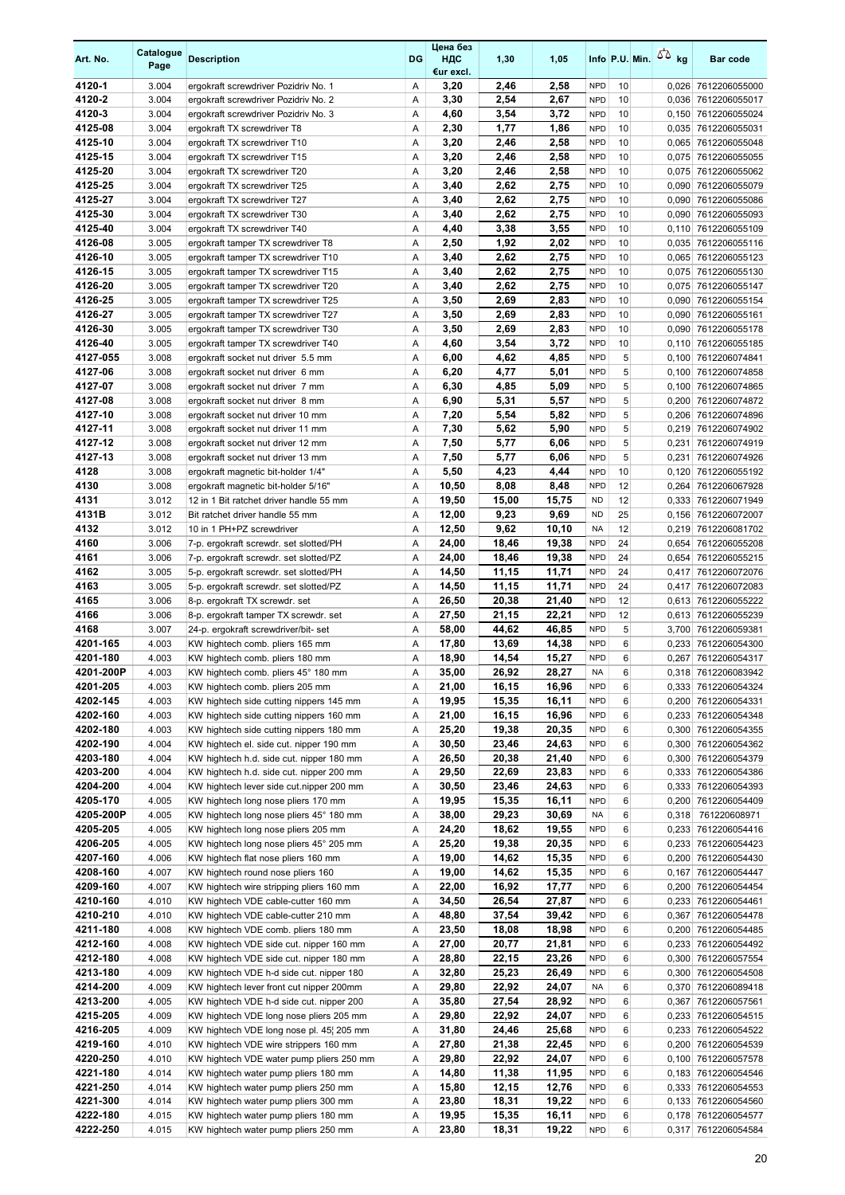| Art. No.              | Catalogue<br>Page | <b>Description</b>                                                                  | DG     | Цена без<br>ндс<br>€ur excl. | 1,30           | 1,05           |                          |          | Info P.U. Min. $55$ kg | <b>Bar code</b>                            |
|-----------------------|-------------------|-------------------------------------------------------------------------------------|--------|------------------------------|----------------|----------------|--------------------------|----------|------------------------|--------------------------------------------|
| 4120-1                | 3.004             | ergokraft screwdriver Pozidriv No. 1                                                | Α      | 3,20                         | 2,46           | 2,58           | <b>NPD</b>               | 10       |                        | 0,026 7612206055000                        |
| 4120-2                | 3.004             | ergokraft screwdriver Pozidriv No. 2                                                | Α      | 3,30                         | 2,54           | 2,67           | <b>NPD</b>               | 10       |                        | 0,036 7612206055017                        |
| 4120-3                | 3.004             | ergokraft screwdriver Pozidriv No. 3                                                | Α      | 4,60                         | 3,54           | 3,72           | <b>NPD</b>               | 10       |                        | 0,150 7612206055024                        |
| 4125-08               | 3.004             | ergokraft TX screwdriver T8                                                         | Α      | 2,30                         | 1,77           | 1,86           | <b>NPD</b>               | 10       |                        | 0,035 7612206055031                        |
| 4125-10<br>4125-15    | 3.004<br>3.004    | ergokraft TX screwdriver T10<br>ergokraft TX screwdriver T15                        | Α<br>Α | 3,20<br>3,20                 | 2,46<br>2,46   | 2,58<br>2,58   | <b>NPD</b><br><b>NPD</b> | 10<br>10 |                        | 0,065 7612206055048<br>0,075 7612206055055 |
| 4125-20               | 3.004             | ergokraft TX screwdriver T20                                                        | Α      | 3,20                         | 2,46           | 2,58           | <b>NPD</b>               | 10       |                        | 0.075 7612206055062                        |
| 4125-25               | 3.004             | ergokraft TX screwdriver T25                                                        | Α      | 3,40                         | 2,62           | 2,75           | <b>NPD</b>               | 10       |                        | 0,090 7612206055079                        |
| 4125-27               | 3.004             | ergokraft TX screwdriver T27                                                        | Α      | 3,40                         | 2,62           | 2,75           | <b>NPD</b>               | 10       |                        | 0,090 7612206055086                        |
| 4125-30               | 3.004             | ergokraft TX screwdriver T30                                                        | Α      | 3,40                         | 2,62           | 2,75           | <b>NPD</b>               | 10       |                        | 0,090 7612206055093                        |
| 4125-40               | 3.004             | ergokraft TX screwdriver T40                                                        | Α      | 4,40                         | 3,38           | 3,55           | <b>NPD</b>               | 10       |                        | 0,110 7612206055109                        |
| 4126-08               | 3.005             | ergokraft tamper TX screwdriver T8                                                  | Α      | 2,50                         | 1,92           | 2,02           | <b>NPD</b>               | 10       |                        | 0,035 7612206055116                        |
| 4126-10               | 3.005             | ergokraft tamper TX screwdriver T10                                                 | Α      | 3,40                         | 2,62           | 2,75           | <b>NPD</b>               | 10       |                        | 0,065 7612206055123                        |
| 4126-15               | 3.005             | ergokraft tamper TX screwdriver T15                                                 | Α      | 3,40                         | 2,62           | 2,75           | <b>NPD</b>               | 10       |                        | 0,075 7612206055130                        |
| 4126-20               | 3.005             | ergokraft tamper TX screwdriver T20                                                 | Α      | 3,40                         | 2,62           | 2,75           | <b>NPD</b>               | 10       |                        | 0,075 7612206055147                        |
| 4126-25               | 3.005             | ergokraft tamper TX screwdriver T25                                                 | Α      | 3,50                         | 2,69           | 2,83           | <b>NPD</b>               | 10       |                        | 0,090 7612206055154                        |
| 4126-27<br>4126-30    | 3.005<br>3.005    | ergokraft tamper TX screwdriver T27<br>ergokraft tamper TX screwdriver T30          | Α<br>Α | 3,50<br>3,50                 | 2,69<br>2,69   | 2,83<br>2,83   | <b>NPD</b><br><b>NPD</b> | 10<br>10 |                        | 0,090 7612206055161<br>0,090 7612206055178 |
| 4126-40               | 3.005             | ergokraft tamper TX screwdriver T40                                                 | Α      | 4,60                         | 3,54           | 3,72           | <b>NPD</b>               | 10       |                        | 0,110 7612206055185                        |
| 4127-055              | 3.008             | ergokraft socket nut driver 5.5 mm                                                  | Α      | 6,00                         | 4,62           | 4,85           | <b>NPD</b>               | 5        |                        | 0,100 7612206074841                        |
| 4127-06               | 3.008             | ergokraft socket nut driver 6 mm                                                    | Α      | 6,20                         | 4,77           | 5,01           | <b>NPD</b>               | 5        |                        | 0,100 7612206074858                        |
| 4127-07               | 3.008             | ergokraft socket nut driver 7 mm                                                    | Α      | 6,30                         | 4,85           | 5,09           | <b>NPD</b>               | 5        |                        | 0,100 7612206074865                        |
| 4127-08               | 3.008             | ergokraft socket nut driver 8 mm                                                    | Α      | 6,90                         | 5,31           | 5,57           | <b>NPD</b>               | 5        |                        | 0,200 7612206074872                        |
| 4127-10               | 3.008             | ergokraft socket nut driver 10 mm                                                   | Α      | 7,20                         | 5,54           | 5,82           | <b>NPD</b>               | 5        |                        | 0,206 7612206074896                        |
| 4127-11               | 3.008             | ergokraft socket nut driver 11 mm                                                   | Α      | 7,30                         | 5,62           | 5,90           | <b>NPD</b>               | 5        |                        | 0,219 7612206074902                        |
| 4127-12               | 3.008             | ergokraft socket nut driver 12 mm                                                   | Α      | 7,50                         | 5,77           | 6,06           | <b>NPD</b>               | 5        |                        | 0,231 7612206074919                        |
| 4127-13               | 3.008             | ergokraft socket nut driver 13 mm                                                   | Α      | 7,50                         | 5,77           | 6,06           | <b>NPD</b>               | 5        |                        | 0,231 7612206074926                        |
| 4128                  | 3.008             | ergokraft magnetic bit-holder 1/4"                                                  | Α      | 5,50                         | 4,23           | 4,44           | <b>NPD</b>               | 10       |                        | 0,120 7612206055192                        |
| 4130<br>4131          | 3.008<br>3.012    | ergokraft magnetic bit-holder 5/16"<br>12 in 1 Bit ratchet driver handle 55 mm      | Α<br>Α | 10,50<br>19,50               | 8,08<br>15,00  | 8,48<br>15,75  | <b>NPD</b><br><b>ND</b>  | 12<br>12 | 0,264                  | 7612206067928<br>0,333 7612206071949       |
| 4131B                 | 3.012             | Bit ratchet driver handle 55 mm                                                     | Α      | 12,00                        | 9,23           | 9,69           | <b>ND</b>                | 25       |                        | 0,156 7612206072007                        |
| 4132                  | 3.012             | 10 in 1 PH+PZ screwdriver                                                           | Α      | 12,50                        | 9,62           | 10,10          | <b>NA</b>                | 12       |                        | 0,219 7612206081702                        |
| 4160                  | 3.006             | 7-p. ergokraft screwdr. set slotted/PH                                              | Α      | 24,00                        | 18,46          | 19,38          | <b>NPD</b>               | 24       |                        | 0.654 7612206055208                        |
| 4161                  | 3.006             | 7-p. ergokraft screwdr. set slotted/PZ                                              | Α      | 24,00                        | 18,46          | 19,38          | <b>NPD</b>               | 24       |                        | 0,654 7612206055215                        |
| 4162                  | 3.005             | 5-p. ergokraft screwdr. set slotted/PH                                              | Α      | 14,50                        | 11,15          | 11,71          | <b>NPD</b>               | 24       |                        | 0,417 7612206072076                        |
| 4163                  | 3.005             | 5-p. ergokraft screwdr. set slotted/PZ                                              | Α      | 14,50                        | 11,15          | 11,71          | <b>NPD</b>               | 24       |                        | 0,417 7612206072083                        |
| 4165                  | 3.006             | 8-p. ergokraft TX screwdr. set                                                      | Α      | 26,50                        | 20,38          | 21,40          | <b>NPD</b>               | 12       |                        | 0,613 7612206055222                        |
| 4166                  | 3.006             | 8-p. ergokraft tamper TX screwdr. set                                               | Α      | 27,50                        | 21.15          | 22,21          | <b>NPD</b>               | 12       |                        | 0,613 7612206055239                        |
| 4168                  | 3.007             | 24-p. ergokraft screwdriver/bit-set                                                 | Α      | 58,00                        | 44,62          | 46,85          | <b>NPD</b>               | 5        |                        | 3,700 7612206059381                        |
| 4201-165<br>4201-180  | 4.003<br>4.003    | KW hightech comb. pliers 165 mm                                                     | Α<br>Α | 17,80                        | 13,69          | 14,38<br>15,27 | <b>NPD</b><br><b>NPD</b> | 6<br>6   |                        | 0,233 7612206054300<br>0,267 7612206054317 |
| 4201-200P             | 4.003             | KW hightech comb. pliers 180 mm<br>KW hightech comb. pliers 45° 180 mm              | A      | 18,90<br>35,00               | 14,54<br>26,92 | 28,27          | <b>NA</b>                | 6        |                        | 0.318 7612206083942                        |
| 4201-205              | 4.003             | KW hightech comb. pliers 205 mm                                                     | Α      | 21,00                        | 16,15          | 16,96          | <b>NPD</b>               | 6        |                        | 0,333 7612206054324                        |
| 4202-145              | 4.003             | KW hightech side cutting nippers 145 mm                                             | Α      | 19,95                        | 15,35          | 16,11          | <b>NPD</b>               | 6        |                        | 0,200 7612206054331                        |
| 4202-160              | 4.003             | KW hightech side cutting nippers 160 mm                                             | Α      | 21,00                        | 16,15          | 16,96          | <b>NPD</b>               | 6        |                        | 0,233 7612206054348                        |
| 4202-180              | 4.003             | KW hightech side cutting nippers 180 mm                                             | Α      | 25,20                        | 19,38          | 20,35          | <b>NPD</b>               | 6        |                        | 0,300 7612206054355                        |
| 4202-190              | 4.004             | KW hightech el. side cut. nipper 190 mm                                             | Α      | 30,50                        | 23,46          | 24,63          | <b>NPD</b>               | 6        |                        | 0,300 7612206054362                        |
| 4203-180              | 4.004             | KW hightech h.d. side cut. nipper 180 mm                                            | Α      | 26,50                        | 20,38          | 21,40          | <b>NPD</b>               | 6        |                        | 0,300 7612206054379                        |
| 4203-200              | 4.004             | KW hightech h.d. side cut. nipper 200 mm                                            | Α      | 29,50                        | 22,69          | 23,83          | <b>NPD</b>               | 6        |                        | 0,333 7612206054386                        |
| 4204-200              | 4.004             | KW hightech lever side cut.nipper 200 mm                                            | Α      | 30,50                        | 23,46          | 24,63          | <b>NPD</b>               | 6        |                        | 0,333 7612206054393                        |
| 4205-170<br>4205-200P | 4.005<br>4.005    | KW hightech long nose pliers 170 mm<br>KW hightech long nose pliers 45° 180 mm      | Α      | 19,95<br>38,00               | 15,35<br>29,23 | 16,11<br>30,69 | <b>NPD</b>               | 6<br>6   |                        | 0,200 7612206054409                        |
| 4205-205              | 4.005             | KW hightech long nose pliers 205 mm                                                 | Α<br>Α | 24,20                        | 18,62          | 19,55          | NA<br><b>NPD</b>         | 6        | 0,318                  | 761220608971<br>0,233 7612206054416        |
| 4206-205              | 4.005             | KW hightech long nose pliers 45° 205 mm                                             | Α      | 25,20                        | 19,38          | 20,35          | <b>NPD</b>               | 6        |                        | 0,233 7612206054423                        |
| 4207-160              | 4.006             | KW hightech flat nose pliers 160 mm                                                 | Α      | 19,00                        | 14,62          | 15,35          | <b>NPD</b>               | 6        |                        | 0,200 7612206054430                        |
| 4208-160              | 4.007             | KW hightech round nose pliers 160                                                   | Α      | 19,00                        | 14,62          | 15,35          | <b>NPD</b>               | 6        |                        | 0,167 7612206054447                        |
| 4209-160              | 4.007             | KW hightech wire stripping pliers 160 mm                                            | Α      | 22,00                        | 16,92          | 17,77          | <b>NPD</b>               | 6        |                        | 0,200 7612206054454                        |
| 4210-160              | 4.010             | KW hightech VDE cable-cutter 160 mm                                                 | Α      | 34,50                        | 26,54          | 27,87          | <b>NPD</b>               | 6        |                        | 0,233 7612206054461                        |
| 4210-210              | 4.010             | KW hightech VDE cable-cutter 210 mm                                                 | Α      | 48,80                        | 37,54          | 39,42          | <b>NPD</b>               | 6        |                        | 0,367 7612206054478                        |
| 4211-180              | 4.008             | KW hightech VDE comb. pliers 180 mm                                                 | Α      | 23,50                        | 18,08          | 18,98          | <b>NPD</b>               | 6        |                        | 0,200 7612206054485                        |
| 4212-160              | 4.008             | KW hightech VDE side cut. nipper 160 mm                                             | Α      | 27,00                        | 20,77          | 21,81          | <b>NPD</b>               | 6        |                        | 0,233 7612206054492                        |
| 4212-180<br>4213-180  | 4.008<br>4.009    | KW hightech VDE side cut. nipper 180 mm<br>KW hightech VDE h-d side cut. nipper 180 | Α<br>Α | 28,80<br>32,80               | 22,15<br>25,23 | 23,26<br>26,49 | <b>NPD</b><br><b>NPD</b> | 6<br>6   |                        | 0,300 7612206057554<br>0,300 7612206054508 |
| 4214-200              | 4.009             | KW hightech lever front cut nipper 200mm                                            | Α      | 29,80                        | 22,92          | 24,07          | NA                       | 6        |                        | 0,370 7612206089418                        |
| 4213-200              | 4.005             | KW hightech VDE h-d side cut. nipper 200                                            | Α      | 35,80                        | 27,54          | 28,92          | <b>NPD</b>               | 6        |                        | 0,367 7612206057561                        |
| 4215-205              | 4.009             | KW hightech VDE long nose pliers 205 mm                                             | Α      | 29,80                        | 22,92          | 24,07          | <b>NPD</b>               | 6        |                        | 0,233 7612206054515                        |
| 4216-205              | 4.009             | KW hightech VDE long nose pl. 45¦ 205 mm                                            | Α      | 31,80                        | 24,46          | 25,68          | <b>NPD</b>               | 6        |                        | 0,233 7612206054522                        |
| 4219-160              | 4.010             | KW hightech VDE wire strippers 160 mm                                               | Α      | 27,80                        | 21,38          | 22,45          | <b>NPD</b>               | 6        |                        | 0,200 7612206054539                        |
| 4220-250              | 4.010             | KW hightech VDE water pump pliers 250 mm                                            | Α      | 29,80                        | 22,92          | 24,07          | <b>NPD</b>               | 6        |                        | 0,100 7612206057578                        |
| 4221-180              | 4.014             | KW hightech water pump pliers 180 mm                                                | Α      | 14,80                        | 11,38          | 11,95          | <b>NPD</b>               | 6        |                        | 0,183 7612206054546                        |
| 4221-250              | 4.014             | KW hightech water pump pliers 250 mm                                                | Α      | 15,80                        | 12,15          | 12,76          | <b>NPD</b>               | 6        |                        | 0,333 7612206054553                        |
| 4221-300<br>4222-180  | 4.014<br>4.015    | KW hightech water pump pliers 300 mm<br>KW hightech water pump pliers 180 mm        | Α      | 23,80                        | 18,31          | 19,22<br>16,11 | <b>NPD</b><br><b>NPD</b> | 6<br>6   |                        | 0,133 7612206054560                        |
| 4222-250              | 4.015             | KW hightech water pump pliers 250 mm                                                | Α<br>Α | 19,95<br>23,80               | 15,35<br>18,31 | 19,22          | <b>NPD</b>               | 6        |                        | 0,178 7612206054577<br>0,317 7612206054584 |
|                       |                   |                                                                                     |        |                              |                |                |                          |          |                        |                                            |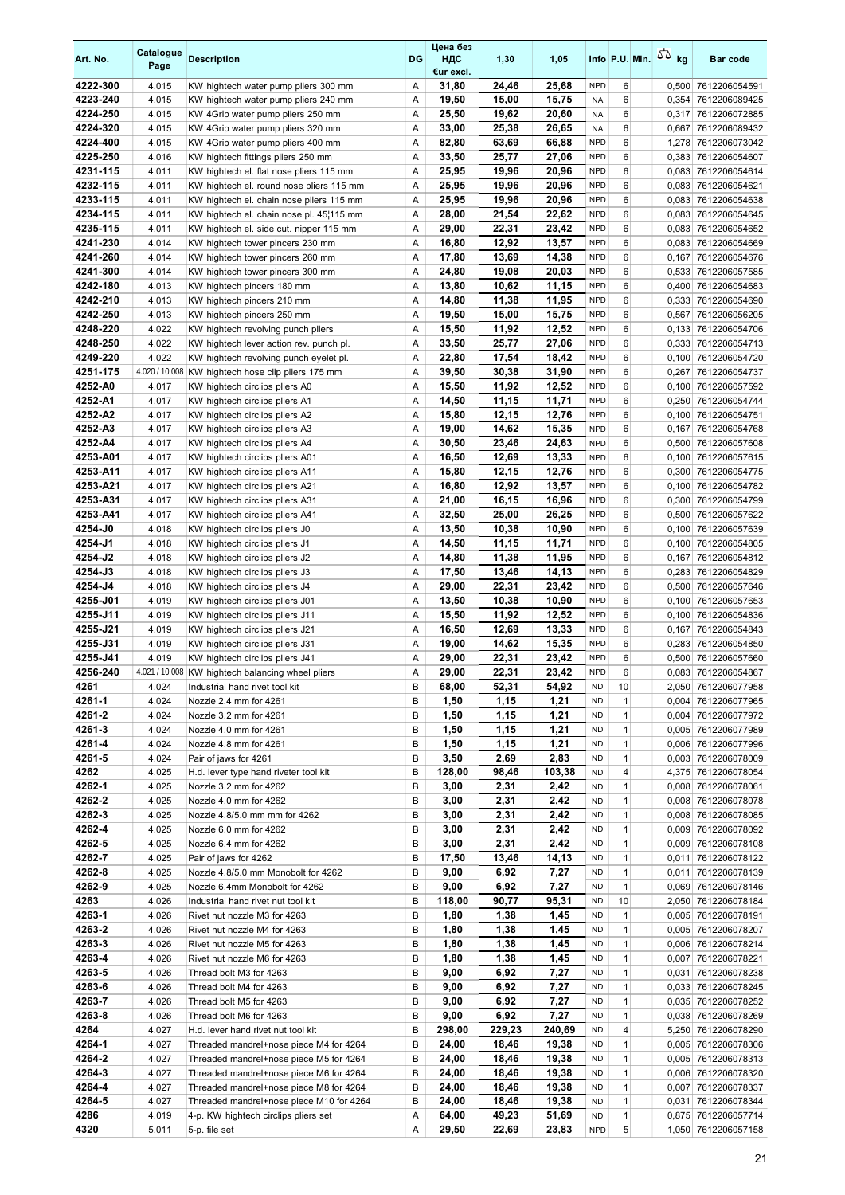| Art. No.             | Catalogue<br>Page | <b>Description</b>                                                               | DG     | Цена без<br>ндс<br>€ur excl. | 1,30           | 1,05           |                          |                              | Info P.U. Min. $55$ kg | <b>Bar code</b>                            |
|----------------------|-------------------|----------------------------------------------------------------------------------|--------|------------------------------|----------------|----------------|--------------------------|------------------------------|------------------------|--------------------------------------------|
| 4222-300             | 4.015             | KW hightech water pump pliers 300 mm                                             | Α      | 31,80                        | 24,46          | 25,68          | <b>NPD</b>               | 6                            |                        | 0,500 7612206054591                        |
| 4223-240             | 4.015             | KW hightech water pump pliers 240 mm                                             | Α      | 19,50                        | 15,00          | 15,75          | <b>NA</b>                | 6                            |                        | 0,354 7612206089425                        |
| 4224-250             | 4.015             | KW 4Grip water pump pliers 250 mm                                                | Α      | 25,50                        | 19,62          | 20,60          | <b>NA</b>                | 6                            |                        | 0,317 7612206072885                        |
| 4224-320             | 4.015             | KW 4Grip water pump pliers 320 mm                                                | Α      | 33,00                        | 25,38          | 26,65          | <b>NA</b>                | 6                            |                        | 0,667 7612206089432                        |
| 4224-400<br>4225-250 | 4.015<br>4.016    | KW 4Grip water pump pliers 400 mm<br>KW hightech fittings pliers 250 mm          | Α<br>Α | 82,80<br>33,50               | 63,69<br>25,77 | 66,88<br>27,06 | <b>NPD</b><br><b>NPD</b> | 6<br>6                       |                        | 1,278 7612206073042<br>0,383 7612206054607 |
| 4231-115             | 4.011             | KW hightech el. flat nose pliers 115 mm                                          | Α      | 25,95                        | 19,96          | 20,96          | <b>NPD</b>               | 6                            |                        | 0,083 7612206054614                        |
| 4232-115             | 4.011             | KW hightech el. round nose pliers 115 mm                                         | Α      | 25,95                        | 19,96          | 20,96          | <b>NPD</b>               | 6                            |                        | 0,083 7612206054621                        |
| 4233-115             | 4.011             | KW hightech el. chain nose pliers 115 mm                                         | Α      | 25,95                        | 19,96          | 20,96          | <b>NPD</b>               | 6                            |                        | 0,083 7612206054638                        |
| 4234-115             | 4.011             | KW hightech el. chain nose pl. 45¦115 mm                                         | Α      | 28,00                        | 21,54          | 22,62          | <b>NPD</b>               | 6                            |                        | 0,083 7612206054645                        |
| 4235-115             | 4.011             | KW hightech el. side cut. nipper 115 mm                                          | Α      | 29,00                        | 22,31          | 23,42          | <b>NPD</b>               | 6                            |                        | 0,083 7612206054652                        |
| 4241-230             | 4.014             | KW hightech tower pincers 230 mm                                                 | Α      | 16,80                        | 12,92          | 13,57          | <b>NPD</b>               | 6                            |                        | 0,083 7612206054669                        |
| 4241-260             | 4.014             | KW hightech tower pincers 260 mm                                                 | Α      | 17,80                        | 13,69          | 14,38          | <b>NPD</b>               | 6                            |                        | 0,167 7612206054676                        |
| 4241-300             | 4.014             | KW hightech tower pincers 300 mm                                                 | Α      | 24,80                        | 19,08          | 20,03          | <b>NPD</b>               | 6                            |                        | 0,533 7612206057585                        |
| 4242-180             | 4.013             | KW hightech pincers 180 mm                                                       | Α      | 13,80                        | 10,62<br>11,38 | 11,15<br>11,95 | <b>NPD</b><br><b>NPD</b> | 6                            |                        | 0,400 7612206054683                        |
| 4242-210<br>4242-250 | 4.013<br>4.013    | KW hightech pincers 210 mm<br>KW hightech pincers 250 mm                         | Α<br>Α | 14,80<br>19,50               | 15,00          | 15,75          | <b>NPD</b>               | 6<br>6                       |                        | 0,333 7612206054690<br>0,567 7612206056205 |
| 4248-220             | 4.022             | KW hightech revolving punch pliers                                               | Α      | 15,50                        | 11,92          | 12,52          | <b>NPD</b>               | 6                            |                        | 0,133 7612206054706                        |
| 4248-250             | 4.022             | KW hightech lever action rev. punch pl.                                          | Α      | 33,50                        | 25,77          | 27,06          | <b>NPD</b>               | 6                            |                        | 0,333 7612206054713                        |
| 4249-220             | 4.022             | KW hightech revolving punch eyelet pl.                                           | Α      | 22,80                        | 17,54          | 18,42          | <b>NPD</b>               | 6                            |                        | 0,100 7612206054720                        |
| 4251-175             |                   | 4.020 / 10.008 KW hightech hose clip pliers 175 mm                               | Α      | 39,50                        | 30,38          | 31,90          | <b>NPD</b>               | 6                            | 0,267                  | 7612206054737                              |
| 4252-A0              | 4.017             | KW hightech circlips pliers A0                                                   | Α      | 15,50                        | 11,92          | 12,52          | <b>NPD</b>               | 6                            |                        | 0,100 7612206057592                        |
| 4252-A1              | 4.017             | KW hightech circlips pliers A1                                                   | Α      | 14,50                        | 11,15          | 11,71          | <b>NPD</b>               | 6                            |                        | 0,250 7612206054744                        |
| 4252-A2              | 4.017             | KW hightech circlips pliers A2                                                   | Α      | 15,80                        | 12,15          | 12,76          | <b>NPD</b>               | 6                            | 0,100                  | 7612206054751                              |
| 4252-A3              | 4.017             | KW hightech circlips pliers A3                                                   | Α      | 19,00                        | 14,62          | 15,35          | <b>NPD</b>               | 6                            | 0,167                  | 7612206054768                              |
| 4252-A4<br>4253-A01  | 4.017<br>4.017    | KW hightech circlips pliers A4<br>KW hightech circlips pliers A01                | Α<br>Α | 30,50<br>16,50               | 23,46<br>12,69 | 24,63<br>13,33 | <b>NPD</b><br><b>NPD</b> | 6<br>6                       |                        | 0,500 7612206057608<br>0,100 7612206057615 |
| 4253-A11             | 4.017             | KW hightech circlips pliers A11                                                  | Α      | 15,80                        | 12,15          | 12,76          | <b>NPD</b>               | 6                            | 0,300                  | 7612206054775                              |
| 4253-A21             | 4.017             | KW hightech circlips pliers A21                                                  | Α      | 16,80                        | 12,92          | 13,57          | <b>NPD</b>               | 6                            | 0,100                  | 7612206054782                              |
| 4253-A31             | 4.017             | KW hightech circlips pliers A31                                                  | Α      | 21,00                        | 16,15          | 16,96          | <b>NPD</b>               | 6                            |                        | 0,300 7612206054799                        |
| 4253-A41             | 4.017             | KW hightech circlips pliers A41                                                  | Α      | 32,50                        | 25,00          | 26,25          | <b>NPD</b>               | 6                            | 0,500                  | 7612206057622                              |
| 4254-J0              | 4.018             | KW hightech circlips pliers J0                                                   | Α      | 13,50                        | 10,38          | 10,90          | <b>NPD</b>               | 6                            |                        | 0,100 7612206057639                        |
| 4254-J1              | 4.018             | KW hightech circlips pliers J1                                                   | Α      | 14,50                        | 11,15          | 11,71          | <b>NPD</b>               | 6                            |                        | 0,100 7612206054805                        |
| 4254-J2              | 4.018             | KW hightech circlips pliers J2                                                   | Α      | 14,80                        | 11,38          | 11,95          | <b>NPD</b>               | 6                            |                        | 0,167 7612206054812                        |
| 4254-J3              | 4.018             | KW hightech circlips pliers J3                                                   | Α      | 17,50                        | 13,46          | 14,13          | <b>NPD</b>               | 6                            |                        | 0,283 7612206054829                        |
| 4254-J4<br>4255-J01  | 4.018<br>4.019    | KW hightech circlips pliers J4<br>KW hightech circlips pliers J01                | Α<br>Α | 29,00<br>13,50               | 22,31<br>10,38 | 23,42<br>10,90 | <b>NPD</b><br><b>NPD</b> | 6<br>6                       |                        | 0,500 7612206057646<br>0,100 7612206057653 |
| 4255-J11             | 4.019             | KW hightech circlips pliers J11                                                  | Α      | 15,50                        | 11,92          | 12,52          | <b>NPD</b>               | 6                            | 0,100                  | 7612206054836                              |
| 4255-J21             | 4.019             | KW hightech circlips pliers J21                                                  | Α      | 16,50                        | 12,69          | 13,33          | <b>NPD</b>               | 6                            |                        | 0,167 7612206054843                        |
| 4255-J31             | 4.019             | KW hightech circlips pliers J31                                                  | Α      | 19,00                        | 14,62          | 15,35          | <b>NPD</b>               | 6                            |                        | 0,283 7612206054850                        |
| 4255-J41             | 4.019             | KW hightech circlips pliers J41                                                  | Α      | 29,00                        | 22,31          | 23,42          | <b>NPD</b>               | 6                            |                        | 0,500 7612206057660                        |
| 4256-240             |                   | 4.021 / 10.008 KW hightech balancing wheel pliers                                | A      | 29,00                        | 22,31          | 23.42          | <b>NPD</b>               | 6                            |                        | 0.083 7612206054867                        |
| 4261                 | 4.024             | Industrial hand rivet tool kit                                                   | B      | 68,00                        | 52,31          | 54,92          | <b>ND</b>                | 10                           |                        | 2,050 7612206077958                        |
| 4261-1<br>4261-2     | 4.024<br>4.024    | Nozzle 2.4 mm for 4261<br>Nozzle 3.2 mm for 4261                                 | B<br>В | 1,50<br>1,50                 | 1,15<br>1,15   | 1,21<br>1,21   | <b>ND</b><br><b>ND</b>   | $\mathbf{1}$<br>1            |                        | 0,004 7612206077965<br>0,004 7612206077972 |
| 4261-3               | 4.024             | Nozzle 4.0 mm for 4261                                                           | B      | 1,50                         | 1,15           | 1,21           | <b>ND</b>                | $\mathbf{1}$                 |                        | 0,005 7612206077989                        |
| 4261-4               | 4.024             | Nozzle 4.8 mm for 4261                                                           | В      | 1,50                         | 1,15           | 1,21           | <b>ND</b>                | $\mathbf{1}$                 |                        | 0,006 7612206077996                        |
| 4261-5               | 4.024             | Pair of jaws for 4261                                                            | в      | 3,50                         | 2,69           | 2,83           | <b>ND</b>                | $\mathbf{1}$                 |                        | 0,003 7612206078009                        |
| 4262                 | 4.025             | H.d. lever type hand riveter tool kit                                            | B      | 128,00                       | 98,46          | 103,38         | <b>ND</b>                | 4                            |                        | 4,375 7612206078054                        |
| 4262-1               | 4.025             | Nozzle 3.2 mm for 4262                                                           | В      | 3,00                         | 2,31           | 2,42           | <b>ND</b>                | $\mathbf{1}$                 |                        | 0,008 7612206078061                        |
| 4262-2               | 4.025             | Nozzle 4.0 mm for 4262                                                           | B      | 3,00                         | 2,31           | 2,42           | <b>ND</b>                | $\mathbf{1}$                 |                        | 0,008 7612206078078                        |
| 4262-3               | 4.025             | Nozzle 4.8/5.0 mm mm for 4262                                                    | B      | 3,00                         | 2,31           | 2,42           | <b>ND</b>                | 1                            |                        | 0,008 7612206078085                        |
| 4262-4               | 4.025             | Nozzle 6.0 mm for 4262                                                           | В      | 3,00                         | 2,31           | 2,42           | <b>ND</b>                | $\mathbf{1}$                 |                        | 0,009 7612206078092                        |
| 4262-5<br>4262-7     | 4.025<br>4.025    | Nozzle 6.4 mm for 4262<br>Pair of jaws for 4262                                  | B<br>B | 3,00<br>17,50                | 2,31<br>13,46  | 2,42<br>14,13  | <b>ND</b><br><b>ND</b>   | $\mathbf{1}$<br>$\mathbf{1}$ |                        | 0,009 7612206078108<br>0,011 7612206078122 |
| 4262-8               | 4.025             | Nozzle 4.8/5.0 mm Monobolt for 4262                                              | В      | 9,00                         | 6,92           | 7,27           | <b>ND</b>                | $\mathbf{1}$                 |                        | 0,011 7612206078139                        |
| 4262-9               | 4.025             | Nozzle 6.4mm Monobolt for 4262                                                   | B      | 9,00                         | 6,92           | 7,27           | <b>ND</b>                | $\mathbf{1}$                 |                        | 0,069 7612206078146                        |
| 4263                 | 4.026             | Industrial hand rivet nut tool kit                                               | B      | 118,00                       | 90,77          | 95,31          | <b>ND</b>                | 10                           |                        | 2,050 7612206078184                        |
| 4263-1               | 4.026             | Rivet nut nozzle M3 for 4263                                                     | B      | 1,80                         | 1,38           | 1,45           | <b>ND</b>                | $\mathbf{1}$                 |                        | 0,005 7612206078191                        |
| 4263-2               | 4.026             | Rivet nut nozzle M4 for 4263                                                     | B      | 1,80                         | 1,38           | 1,45           | ND                       | $\mathbf{1}$                 |                        | 0,005 7612206078207                        |
| 4263-3               | 4.026             | Rivet nut nozzle M5 for 4263                                                     | B      | 1,80                         | 1,38           | 1,45           | <b>ND</b>                | $\mathbf{1}$                 |                        | 0,006 7612206078214                        |
| 4263-4               | 4.026             | Rivet nut nozzle M6 for 4263                                                     | B      | 1,80                         | 1,38           | 1,45           | <b>ND</b>                | $\mathbf{1}$                 |                        | 0,007 7612206078221                        |
| 4263-5<br>4263-6     | 4.026<br>4.026    | Thread bolt M3 for 4263<br>Thread bolt M4 for 4263                               | B<br>B | 9,00<br>9,00                 | 6,92<br>6,92   | 7,27<br>7,27   | <b>ND</b><br><b>ND</b>   | $\mathbf{1}$<br>$\mathbf{1}$ |                        | 0,031 7612206078238<br>0,033 7612206078245 |
| 4263-7               | 4.026             | Thread bolt M5 for 4263                                                          | B      | 9,00                         | 6,92           | 7,27           | <b>ND</b>                | $\mathbf{1}$                 |                        | 0,035 7612206078252                        |
| 4263-8               | 4.026             | Thread bolt M6 for 4263                                                          | B      | 9,00                         | 6,92           | 7,27           | <b>ND</b>                | $\mathbf{1}$                 |                        | 0,038 7612206078269                        |
| 4264                 | 4.027             | H.d. lever hand rivet nut tool kit                                               | в      | 298,00                       | 229,23         | 240,69         | ND                       | 4                            |                        | 5,250 7612206078290                        |
| 4264-1               | 4.027             | Threaded mandrel+nose piece M4 for 4264                                          | B      | 24,00                        | 18,46          | 19,38          | <b>ND</b>                | $\mathbf{1}$                 |                        | 0,005 7612206078306                        |
| 4264-2               | 4.027             | Threaded mandrel+nose piece M5 for 4264                                          | B      | 24,00                        | 18,46          | 19,38          | <b>ND</b>                | $\mathbf{1}$                 |                        | 0,005 7612206078313                        |
| 4264-3               | 4.027             | Threaded mandrel+nose piece M6 for 4264                                          | В      | 24,00                        | 18,46          | 19,38          | <b>ND</b>                | $\mathbf{1}$                 |                        | 0,006 7612206078320                        |
| 4264-4               | 4.027             | Threaded mandrel+nose piece M8 for 4264                                          | B      | 24,00                        | 18,46          | 19,38          | <b>ND</b>                | $\mathbf{1}$                 |                        | 0,007 7612206078337                        |
| 4264-5<br>4286       | 4.027<br>4.019    | Threaded mandrel+nose piece M10 for 4264<br>4-p. KW hightech circlips pliers set | В<br>Α | 24,00<br>64,00               | 18,46<br>49,23 | 19,38<br>51,69 | <b>ND</b><br><b>ND</b>   | $\mathbf{1}$<br>$\mathbf{1}$ |                        | 0,031 7612206078344<br>0,875 7612206057714 |
| 4320                 | 5.011             | 5-p. file set                                                                    | Α      | 29,50                        | 22,69          | 23,83          | <b>NPD</b>               | 5                            |                        | 1,050 7612206057158                        |
|                      |                   |                                                                                  |        |                              |                |                |                          |                              |                        |                                            |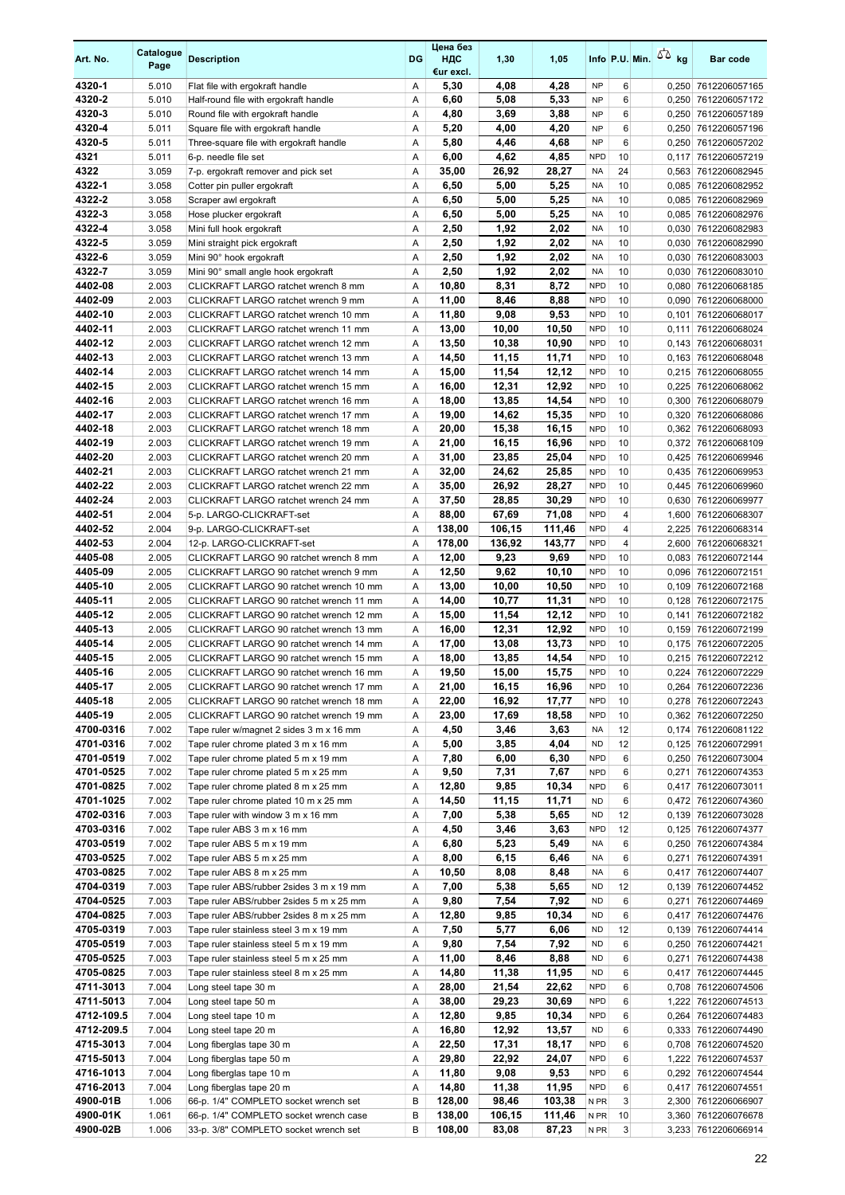| Art. No.               | Catalogue<br>Page | <b>Description</b>                                                                 | DG     | Цена без<br>ндс<br>€ur excl. | 1,30            | 1,05            |                          |                | Info P.U. Min. $\sqrt{2}$ kg | <b>Bar code</b>                            |
|------------------------|-------------------|------------------------------------------------------------------------------------|--------|------------------------------|-----------------|-----------------|--------------------------|----------------|------------------------------|--------------------------------------------|
| 4320-1                 | 5.010             | Flat file with ergokraft handle                                                    | Α      | 5,30                         | 4,08            | 4,28            | <b>NP</b>                | 6              |                              | 0,250 7612206057165                        |
| 4320-2                 | 5.010             | Half-round file with ergokraft handle                                              | A      | 6,60                         | 5,08            | 5,33            | <b>NP</b>                | 6              |                              | 0,250 7612206057172                        |
| 4320-3<br>4320-4       | 5.010             | Round file with ergokraft handle                                                   | Α      | 4,80                         | 3,69            | 3,88            | <b>NP</b><br><b>NP</b>   | 6<br>6         |                              | 0,250 7612206057189                        |
| 4320-5                 | 5.011<br>5.011    | Square file with ergokraft handle<br>Three-square file with ergokraft handle       | Α<br>A | 5,20<br>5,80                 | 4,00<br>4,46    | 4,20<br>4,68    | <b>NP</b>                | 6              |                              | 0,250 7612206057196<br>0,250 7612206057202 |
| 4321                   | 5.011             | 6-p. needle file set                                                               | Α      | 6,00                         | 4,62            | 4,85            | <b>NPD</b>               | 10             | 0,117                        | 7612206057219                              |
| 4322                   | 3.059             | 7-p. ergokraft remover and pick set                                                | Α      | 35,00                        | 26,92           | 28,27           | <b>NA</b>                | 24             |                              | 0,563 7612206082945                        |
| 4322-1                 | 3.058             | Cotter pin puller ergokraft                                                        | Α      | 6,50                         | 5,00            | 5,25            | <b>NA</b>                | 10             |                              | 0,085 7612206082952                        |
| 4322-2                 | 3.058             | Scraper awl ergokraft                                                              | A      | 6,50                         | 5,00            | 5,25            | <b>NA</b>                | 10             |                              | 0,085 7612206082969                        |
| 4322-3                 | 3.058             | Hose plucker ergokraft                                                             | Α      | 6,50                         | 5,00            | 5,25            | <b>NA</b>                | 10             | 0,085                        | 7612206082976                              |
| 4322-4                 | 3.058             | Mini full hook ergokraft                                                           | Α      | 2,50                         | 1,92            | 2,02            | <b>NA</b>                | 10             |                              | 0,030 7612206082983                        |
| 4322-5                 | 3.059             | Mini straight pick ergokraft                                                       | A      | 2,50                         | 1,92            | 2,02            | <b>NA</b>                | 10             |                              | 0,030 7612206082990                        |
| 4322-6                 | 3.059             | Mini 90° hook ergokraft                                                            | Α      | 2,50                         | 1,92            | 2,02            | <b>NA</b>                | 10             |                              | 0,030 7612206083003                        |
| 4322-7                 | 3.059             | Mini 90° small angle hook ergokraft                                                | Α      | 2,50                         | 1,92            | 2,02            | <b>NA</b>                | 10             |                              | 0,030 7612206083010                        |
| 4402-08                | 2.003             | CLICKRAFT LARGO ratchet wrench 8 mm                                                | Α      | 10,80                        | 8,31            | 8,72            | <b>NPD</b>               | 10             |                              | 0,080 7612206068185                        |
| 4402-09<br>4402-10     | 2.003<br>2.003    | CLICKRAFT LARGO ratchet wrench 9 mm<br>CLICKRAFT LARGO ratchet wrench 10 mm        | A<br>Α | 11,00<br>11,80               | 8,46<br>9,08    | 8,88<br>9,53    | <b>NPD</b><br><b>NPD</b> | 10<br>10       | 0,101                        | 0,090 7612206068000<br>7612206068017       |
| 4402-11                | 2.003             | CLICKRAFT LARGO ratchet wrench 11 mm                                               | Α      | 13,00                        | 10,00           | 10,50           | <b>NPD</b>               | 10             | 0,111                        | 7612206068024                              |
| 4402-12                | 2.003             | CLICKRAFT LARGO ratchet wrench 12 mm                                               | Α      | 13,50                        | 10,38           | 10,90           | <b>NPD</b>               | 10             |                              | 0,143 7612206068031                        |
| 4402-13                | 2.003             | CLICKRAFT LARGO ratchet wrench 13 mm                                               | Α      | 14,50                        | 11,15           | 11,71           | <b>NPD</b>               | 10             |                              | 0,163 7612206068048                        |
| 4402-14                | 2.003             | CLICKRAFT LARGO ratchet wrench 14 mm                                               | Α      | 15,00                        | 11,54           | 12,12           | <b>NPD</b>               | 10             |                              | 0,215 7612206068055                        |
| 4402-15                | 2.003             | CLICKRAFT LARGO ratchet wrench 15 mm                                               | Α      | 16,00                        | 12,31           | 12,92           | <b>NPD</b>               | 10             |                              | 0,225 7612206068062                        |
| 4402-16                | 2.003             | CLICKRAFT LARGO ratchet wrench 16 mm                                               | Α      | 18,00                        | 13,85           | 14,54           | <b>NPD</b>               | 10             |                              | 0.300 7612206068079                        |
| 4402-17                | 2.003             | CLICKRAFT LARGO ratchet wrench 17 mm                                               | Α      | 19,00                        | 14,62           | 15,35           | <b>NPD</b>               | 10             |                              | 0,320 7612206068086                        |
| 4402-18                | 2.003             | CLICKRAFT LARGO ratchet wrench 18 mm                                               | Α      | 20,00                        | 15,38           | 16,15           | <b>NPD</b>               | 10             |                              | 0,362 7612206068093                        |
| 4402-19                | 2.003             | CLICKRAFT LARGO ratchet wrench 19 mm                                               | Α      | 21,00                        | 16,15           | 16,96           | <b>NPD</b>               | 10             |                              | 0,372 7612206068109                        |
| 4402-20                | 2.003             | CLICKRAFT LARGO ratchet wrench 20 mm                                               | A      | 31,00                        | 23,85           | 25,04           | <b>NPD</b>               | 10             |                              | 0,425 7612206069946                        |
| 4402-21                | 2.003             | CLICKRAFT LARGO ratchet wrench 21 mm                                               | Α      | 32,00                        | 24,62           | 25,85           | <b>NPD</b><br><b>NPD</b> | 10             |                              | 0,435 7612206069953                        |
| 4402-22<br>4402-24     | 2.003<br>2.003    | CLICKRAFT LARGO ratchet wrench 22 mm<br>CLICKRAFT LARGO ratchet wrench 24 mm       | Α<br>Α | 35,00<br>37,50               | 26,92<br>28,85  | 28,27<br>30,29  | <b>NPD</b>               | 10<br>10       |                              | 0,445 7612206069960<br>0,630 7612206069977 |
| 4402-51                | 2.004             | 5-p. LARGO-CLICKRAFT-set                                                           | Α      | 88,00                        | 67,69           | 71,08           | <b>NPD</b>               | $\overline{4}$ |                              | 1,600 7612206068307                        |
| 4402-52                | 2.004             | 9-p. LARGO-CLICKRAFT-set                                                           | Α      | 138,00                       | 106,15          | 111,46          | <b>NPD</b>               | 4              |                              | 2,225 7612206068314                        |
| 4402-53                | 2.004             | 12-p. LARGO-CLICKRAFT-set                                                          | Α      | 178,00                       | 136,92          | 143,77          | <b>NPD</b>               | 4              |                              | 2,600 7612206068321                        |
| 4405-08                | 2.005             | CLICKRAFT LARGO 90 ratchet wrench 8 mm                                             | A      | 12,00                        | 9,23            | 9,69            | <b>NPD</b>               | 10             |                              | 0,083 7612206072144                        |
| 4405-09                | 2.005             | CLICKRAFT LARGO 90 ratchet wrench 9 mm                                             | Α      | 12,50                        | 9,62            | 10,10           | <b>NPD</b>               | 10             |                              | 0,096 7612206072151                        |
| 4405-10                | 2.005             | CLICKRAFT LARGO 90 ratchet wrench 10 mm                                            | Α      | 13,00                        | 10,00           | 10,50           | <b>NPD</b>               | 10             |                              | 0,109 7612206072168                        |
| 4405-11                | 2.005             | CLICKRAFT LARGO 90 ratchet wrench 11 mm                                            | Α      | 14,00                        | 10,77           | 11,31           | <b>NPD</b>               | 10             |                              | 0,128 7612206072175                        |
| 4405-12                | 2.005             | CLICKRAFT LARGO 90 ratchet wrench 12 mm                                            | Α      | 15,00                        | 11,54           | 12,12           | <b>NPD</b>               | 10             | 0,141                        | 7612206072182                              |
| 4405-13                | 2.005             | CLICKRAFT LARGO 90 ratchet wrench 13 mm                                            | Α      | 16,00                        | 12,31           | 12,92           | <b>NPD</b>               | 10             |                              | 0,159 7612206072199                        |
| 4405-14<br>4405-15     | 2.005<br>2.005    | CLICKRAFT LARGO 90 ratchet wrench 14 mm<br>CLICKRAFT LARGO 90 ratchet wrench 15 mm | A<br>A | 17,00<br>18,00               | 13,08<br>13,85  | 13,73<br>14,54  | <b>NPD</b><br><b>NPD</b> | 10<br>10       |                              | 0,175 7612206072205<br>0,215 7612206072212 |
| 4405-16                | 2.005             | CLICKRAFT LARGO 90 ratchet wrench 16 mm                                            | A      | 19,50                        | 15,00           | 15,75           | <b>NPD</b>               | 10             |                              | 0,224 7612206072229                        |
| 4405-17                | 2.005             | CLICKRAFT LARGO 90 ratchet wrench 17 mm                                            | Α      | 21,00                        | 16,15           | 16,96           | <b>NPD</b>               | 10             |                              | 0,264 7612206072236                        |
| 4405-18                | 2.005             | CLICKRAFT LARGO 90 ratchet wrench 18 mm                                            | Α      | 22,00                        | 16,92           | 17,77           | <b>NPD</b>               | 10             |                              | 0,278 7612206072243                        |
| 4405-19                | 2.005             | CLICKRAFT LARGO 90 ratchet wrench 19 mm                                            | Α      | 23,00                        | 17,69           | 18,58           | <b>NPD</b>               | 10             |                              | 0,362 7612206072250                        |
| 4700-0316              | 7.002             | Tape ruler w/magnet 2 sides 3 m x 16 mm                                            | Α      | 4,50                         | 3,46            | 3,63            | <b>NA</b>                | 12             |                              | 0,174 7612206081122                        |
| 4701-0316              | 7.002             | Tape ruler chrome plated 3 m x 16 mm                                               | Α      | 5,00                         | 3,85            | 4,04            | <b>ND</b>                | 12             |                              | 0,125 7612206072991                        |
| 4701-0519              | 7.002             | Tape ruler chrome plated 5 m x 19 mm                                               | Α      | 7,80                         | 6,00            | 6,30            | <b>NPD</b>               | 6              |                              | 0,250 7612206073004                        |
| 4701-0525              | 7.002             | Tape ruler chrome plated 5 m x 25 mm                                               | Α      | 9,50                         | 7,31            | 7,67            | <b>NPD</b>               | 6              |                              | 0,271 7612206074353                        |
| 4701-0825              | 7.002             | Tape ruler chrome plated 8 m x 25 mm                                               | Α      | 12,80                        | 9,85            | 10,34           | <b>NPD</b>               | 6              |                              | 0,417 7612206073011                        |
| 4701-1025              | 7.002             | Tape ruler chrome plated 10 m x 25 mm                                              | Α      | 14,50                        | 11,15           | 11,71           | <b>ND</b>                | 6              |                              | 0,472 7612206074360                        |
| 4702-0316<br>4703-0316 | 7.003<br>7.002    | Tape ruler with window 3 m x 16 mm<br>Tape ruler ABS 3 m x 16 mm                   | Α<br>Α | 7,00<br>4,50                 | 5,38<br>3,46    | 5,65<br>3,63    | <b>ND</b><br><b>NPD</b>  | 12<br>12       |                              | 0,139 7612206073028<br>0,125 7612206074377 |
| 4703-0519              | 7.002             | Tape ruler ABS 5 m x 19 mm                                                         | Α      | 6,80                         | 5,23            | 5,49            | <b>NA</b>                | 6              |                              | 0,250 7612206074384                        |
| 4703-0525              | 7.002             | Tape ruler ABS 5 m x 25 mm                                                         | Α      | 8,00                         | 6,15            | 6,46            | <b>NA</b>                | 6              |                              | 0,271 7612206074391                        |
| 4703-0825              | 7.002             | Tape ruler ABS 8 m x 25 mm                                                         | Α      | 10,50                        | 8,08            | 8,48            | NA                       | 6              |                              | 0,417 7612206074407                        |
| 4704-0319              | 7.003             | Tape ruler ABS/rubber 2sides 3 m x 19 mm                                           | Α      | 7,00                         | 5,38            | 5,65            | <b>ND</b>                | 12             |                              | 0,139 7612206074452                        |
| 4704-0525              | 7.003             | Tape ruler ABS/rubber 2sides 5 m x 25 mm                                           | Α      | 9,80                         | 7,54            | 7,92            | <b>ND</b>                | 6              |                              | 0,271 7612206074469                        |
| 4704-0825              | 7.003             | Tape ruler ABS/rubber 2sides 8 m x 25 mm                                           | Α      | 12,80                        | 9,85            | 10,34           | ND                       | 6              |                              | 0,417 7612206074476                        |
| 4705-0319              | 7.003             | Tape ruler stainless steel 3 m x 19 mm                                             | Α      | 7,50                         | 5,77            | 6,06            | ND                       | 12             |                              | 0,139 7612206074414                        |
| 4705-0519              | 7.003             | Tape ruler stainless steel 5 m x 19 mm                                             | Α      | 9,80                         | 7,54            | 7,92            | <b>ND</b>                | 6              |                              | 0,250 7612206074421                        |
| 4705-0525<br>4705-0825 | 7.003<br>7.003    | Tape ruler stainless steel 5 m x 25 mm<br>Tape ruler stainless steel 8 m x 25 mm   | Α<br>Α | 11,00<br>14,80               | 8,46<br>11,38   | 8,88<br>11,95   | <b>ND</b><br><b>ND</b>   | 6<br>6         |                              | 0,271 7612206074438<br>0,417 7612206074445 |
| 4711-3013              | 7.004             | Long steel tape 30 m                                                               | Α      | 28,00                        | 21,54           | 22,62           | <b>NPD</b>               | 6              |                              | 0,708 7612206074506                        |
| 4711-5013              | 7.004             | Long steel tape 50 m                                                               | Α      | 38,00                        | 29,23           | 30,69           | <b>NPD</b>               | 6              |                              | 1,222 7612206074513                        |
| 4712-109.5             | 7.004             | Long steel tape 10 m                                                               | Α      | 12,80                        | 9,85            | 10,34           | NPD                      | 6              |                              | 0,264 7612206074483                        |
| 4712-209.5             | 7.004             | Long steel tape 20 m                                                               | Α      | 16,80                        | 12,92           | 13,57           | ND                       | 6              |                              | 0,333 7612206074490                        |
| 4715-3013              | 7.004             | Long fiberglas tape 30 m                                                           | Α      | 22,50                        | 17,31           | 18,17           | <b>NPD</b>               | 6              |                              | 0,708 7612206074520                        |
| 4715-5013              | 7.004             | Long fiberglas tape 50 m                                                           | Α      | 29,80                        | 22,92           | 24,07           | <b>NPD</b>               | 6              |                              | 1,222 7612206074537                        |
| 4716-1013              | 7.004             | Long fiberglas tape 10 m                                                           | Α      | 11,80                        | 9,08            | 9,53            | <b>NPD</b>               | 6              |                              | 0,292 7612206074544                        |
| 4716-2013              | 7.004             | Long fiberglas tape 20 m                                                           | Α      | 14,80                        | 11,38           | 11,95           | <b>NPD</b>               | 6              |                              | 0,417 7612206074551                        |
| 4900-01B               | 1.006             | 66-p. 1/4" COMPLETO socket wrench set                                              | B      | 128,00                       | 98,46           | 103,38          | N PR<br>N PR             | 3<br>10        |                              | 2,300 7612206066907                        |
| 4900-01K<br>4900-02B   | 1.061<br>1.006    | 66-p. 1/4" COMPLETO socket wrench case<br>33-p. 3/8" COMPLETO socket wrench set    | В<br>B | 138,00<br>108,00             | 106,15<br>83,08 | 111,46<br>87,23 | N <sub>PR</sub>          | 3              |                              | 3,360 7612206076678<br>3,233 7612206066914 |
|                        |                   |                                                                                    |        |                              |                 |                 |                          |                |                              |                                            |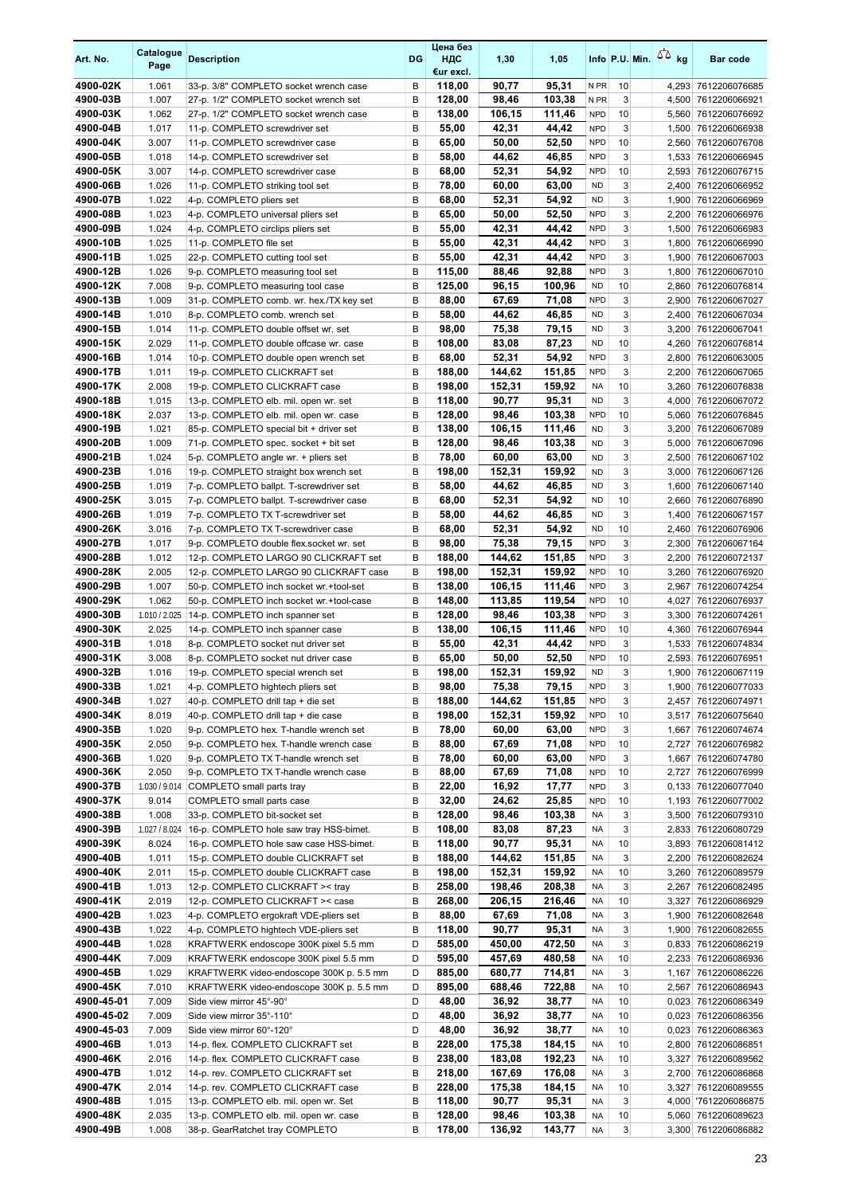| Art. No.             | Catalogue<br>Page      | <b>Description</b>                                                              | DG     | Цена без<br>НДС<br>€ur excl. | 1,30             | 1,05             |                          |         | Info P.U. Min. | $50 \text{ kg}$ | <b>Bar code</b>                            |
|----------------------|------------------------|---------------------------------------------------------------------------------|--------|------------------------------|------------------|------------------|--------------------------|---------|----------------|-----------------|--------------------------------------------|
| 4900-02K             | 1.061                  | 33-p. 3/8" COMPLETO socket wrench case                                          | в      | 118,00                       | 90,77            | 95,31            | N <sub>PR</sub>          | 10      |                |                 | 4,293 7612206076685                        |
| 4900-03B             | 1.007                  | 27-p. 1/2" COMPLETO socket wrench set                                           | B      | 128,00                       | 98,46            | 103,38           | N <sub>PR</sub>          | 3       |                |                 | 4,500 7612206066921                        |
| 4900-03K             | 1.062                  | 27-p. 1/2" COMPLETO socket wrench case                                          | B      | 138,00                       | 106,15           | 111,46           | <b>NPD</b>               | 10      |                |                 | 5,560 7612206076692                        |
| 4900-04B<br>4900-04K | 1.017<br>3.007         | 11-p. COMPLETO screwdriver set                                                  | B<br>B | 55,00<br>65,00               | 42,31<br>50,00   | 44,42<br>52,50   | <b>NPD</b><br><b>NPD</b> | 3<br>10 |                |                 | 1,500 7612206066938<br>2,560 7612206076708 |
| 4900-05B             | 1.018                  | 11-p. COMPLETO screwdriver case<br>14-p. COMPLETO screwdriver set               | B      | 58,00                        | 44,62            | 46,85            | <b>NPD</b>               | 3       |                |                 | 1,533 7612206066945                        |
| 4900-05K             | 3.007                  | 14-p. COMPLETO screwdriver case                                                 | B      | 68,00                        | 52,31            | 54,92            | <b>NPD</b>               | 10      |                |                 | 2,593 7612206076715                        |
| 4900-06B             | 1.026                  | 11-p. COMPLETO striking tool set                                                | B      | 78,00                        | 60,00            | 63,00            | <b>ND</b>                | 3       |                |                 | 2,400 7612206066952                        |
| 4900-07B             | 1.022                  | 4-p. COMPLETO pliers set                                                        | B      | 68,00                        | 52,31            | 54,92            | <b>ND</b>                | 3       |                |                 | 1,900 7612206066969                        |
| 4900-08B             | 1.023                  | 4-p. COMPLETO universal pliers set                                              | B      | 65,00                        | 50,00            | 52,50            | <b>NPD</b>               | 3       |                | 2,200           | 7612206066976                              |
| 4900-09B             | 1.024                  | 4-p. COMPLETO circlips pliers set                                               | B      | 55,00                        | 42,31            | 44.42            | <b>NPD</b>               | 3       |                |                 | 1,500 7612206066983                        |
| 4900-10B<br>4900-11B | 1.025                  | 11-p. COMPLETO file set                                                         | B<br>B | 55,00                        | 42,31            | 44,42<br>44,42   | <b>NPD</b><br><b>NPD</b> | 3<br>3  |                |                 | 1,800 7612206066990                        |
| 4900-12B             | 1.025<br>1.026         | 22-p. COMPLETO cutting tool set<br>9-p. COMPLETO measuring tool set             | B      | 55,00<br>115,00              | 42,31<br>88,46   | 92,88            | <b>NPD</b>               | 3       |                |                 | 1,900 7612206067003<br>1,800 7612206067010 |
| 4900-12K             | 7.008                  | 9-p. COMPLETO measuring tool case                                               | B      | 125,00                       | 96,15            | 100,96           | <b>ND</b>                | 10      |                |                 | 2,860 7612206076814                        |
| 4900-13B             | 1.009                  | 31-p. COMPLETO comb. wr. hex./TX key set                                        | B      | 88,00                        | 67,69            | 71,08            | <b>NPD</b>               | 3       |                |                 | 2,900 7612206067027                        |
| 4900-14B             | 1.010                  | 8-p. COMPLETO comb. wrench set                                                  | B      | 58,00                        | 44,62            | 46,85            | <b>ND</b>                | 3       |                |                 | 2,400 7612206067034                        |
| 4900-15B             | 1.014                  | 11-p. COMPLETO double offset wr. set                                            | B      | 98,00                        | 75,38            | 79,15            | <b>ND</b>                | 3       |                | 3,200           | 7612206067041                              |
| 4900-15K             | 2.029                  | 11-p. COMPLETO double offcase wr. case                                          | B      | 108,00                       | 83,08            | 87,23            | <b>ND</b>                | 10      |                |                 | 4,260 7612206076814                        |
| 4900-16B             | 1.014                  | 10-p. COMPLETO double open wrench set                                           | B      | 68,00                        | 52,31            | 54,92            | <b>NPD</b>               | 3       |                |                 | 2,800 7612206063005                        |
| 4900-17B<br>4900-17K | 1.011<br>2.008         | 19-p. COMPLETO CLICKRAFT set<br>19-p. COMPLETO CLICKRAFT case                   | B<br>B | 188,00<br>198,00             | 144,62<br>152,31 | 151,85<br>159,92 | <b>NPD</b><br><b>NA</b>  | 3<br>10 |                |                 | 2.200 7612206067065<br>3,260 7612206076838 |
| 4900-18B             | 1.015                  | 13-p. COMPLETO elb. mil. open wr. set                                           | B      | 118,00                       | 90,77            | 95,31            | <b>ND</b>                | 3       |                |                 | 4,000 7612206067072                        |
| 4900-18K             | 2.037                  | 13-p. COMPLETO elb. mil. open wr. case                                          | B      | 128,00                       | 98,46            | 103,38           | <b>NPD</b>               | 10      |                |                 | 5,060 7612206076845                        |
| 4900-19B             | 1.021                  | 85-p. COMPLETO special bit + driver set                                         | B      | 138,00                       | 106,15           | 111,46           | <b>ND</b>                | 3       |                |                 | 3,200 7612206067089                        |
| 4900-20B             | 1.009                  | 71-p. COMPLETO spec. socket + bit set                                           | B      | 128,00                       | 98,46            | 103,38           | <b>ND</b>                | 3       |                |                 | 5,000 7612206067096                        |
| 4900-21B             | 1.024                  | 5-p. COMPLETO angle wr. + pliers set                                            | B      | 78,00                        | 60,00            | 63,00            | <b>ND</b>                | 3       |                |                 | 2,500 7612206067102                        |
| 4900-23B             | 1.016                  | 19-p. COMPLETO straight box wrench set                                          | B      | 198,00                       | 152,31           | 159,92           | <b>ND</b>                | 3       |                | 3,000           | 7612206067126                              |
| 4900-25B             | 1.019                  | 7-p. COMPLETO ballpt. T-screwdriver set                                         | B      | 58,00                        | 44,62            | 46,85            | <b>ND</b>                | 3       |                |                 | 1,600 7612206067140                        |
| 4900-25K<br>4900-26B | 3.015<br>1.019         | 7-p. COMPLETO ballpt. T-screwdriver case<br>7-p. COMPLETO TX T-screwdriver set  | B<br>В | 68,00<br>58,00               | 52,31<br>44,62   | 54,92<br>46,85   | <b>ND</b><br><b>ND</b>   | 10<br>3 |                |                 | 2,660 7612206076890<br>1,400 7612206067157 |
| 4900-26K             | 3.016                  | 7-p. COMPLETO TX T-screwdriver case                                             | B      | 68,00                        | 52,31            | 54,92            | <b>ND</b>                | 10      |                |                 | 2,460 7612206076906                        |
| 4900-27B             | 1.017                  | 9-p. COMPLETO double flex socket wr. set                                        | B      | 98,00                        | 75,38            | 79,15            | <b>NPD</b>               | 3       |                |                 | 2,300 7612206067164                        |
| 4900-28B             | 1.012                  | 12-p. COMPLETO LARGO 90 CLICKRAFT set                                           | B      | 188,00                       | 144,62           | 151,85           | <b>NPD</b>               | 3       |                |                 | 2,200 7612206072137                        |
| 4900-28K             | 2.005                  | 12-p. COMPLETO LARGO 90 CLICKRAFT case                                          | B      | 198,00                       | 152,31           | 159,92           | <b>NPD</b>               | 10      |                |                 | 3,260 7612206076920                        |
| 4900-29B             | 1.007                  | 50-p. COMPLETO inch socket wr.+tool-set                                         | B      | 138,00                       | 106,15           | 111,46           | <b>NPD</b>               | 3       |                | 2,967           | 7612206074254                              |
| 4900-29K             | 1.062                  | 50-p. COMPLETO inch socket wr.+tool-case                                        | B      | 148,00                       | 113,85           | 119,54           | <b>NPD</b>               | 10      |                | 4,027           | 7612206076937                              |
| 4900-30B<br>4900-30K | 1.010 / 2.025<br>2.025 | 14-p. COMPLETO inch spanner set                                                 | B<br>B | 128,00<br>138,00             | 98,46<br>106,15  | 103,38<br>111,46 | <b>NPD</b><br><b>NPD</b> | 3<br>10 |                |                 | 3,300 7612206074261<br>4,360 7612206076944 |
| 4900-31B             | 1.018                  | 14-p. COMPLETO inch spanner case<br>8-p. COMPLETO socket nut driver set         | B      | 55,00                        | 42,31            | 44,42            | <b>NPD</b>               | 3       |                |                 | 1,533 7612206074834                        |
| 4900-31K             | 3.008                  | 8-p. COMPLETO socket nut driver case                                            | B      | 65,00                        | 50,00            | 52,50            | <b>NPD</b>               | 10      |                |                 | 2,593 7612206076951                        |
| 4900-32B             | 1.016                  | 19-p. COMPLETO special wrench set                                               | B      | 198.00                       | 152.31           | 159.92           | <b>ND</b>                | 3       |                |                 | 1.900 7612206067119                        |
| 4900-33B             | 1.021                  | 4-p. COMPLETO hightech pliers set                                               | B      | 98,00                        | 75,38            | 79,15            | <b>NPD</b>               | 3       |                |                 | 1,900 7612206077033                        |
| 4900-34B             | 1.027                  | 40-p. COMPLETO drill tap + die set                                              | B      | 188,00                       | 144,62           | 151,85           | <b>NPD</b>               | 3       |                |                 | 2,457 7612206074971                        |
| 4900-34K             | 8.019                  | 40-p. COMPLETO drill tap + die case                                             | В      | 198,00                       | 152,31           | 159,92           | <b>NPD</b>               | 10      |                |                 | 3,517 7612206075640                        |
| 4900-35B             | 1.020                  | 9-p. COMPLETO hex. T-handle wrench set                                          | B      | 78,00                        | 60,00            | 63,00            | <b>NPD</b><br><b>NPD</b> | 3       |                |                 | 1,667 7612206074674                        |
| 4900-35K<br>4900-36B | 2.050<br>1.020         | 9-p. COMPLETO hex. T-handle wrench case<br>9-p. COMPLETO TX T-handle wrench set | B<br>B | 88,00<br>78,00               | 67,69<br>60,00   | 71,08<br>63,00   | <b>NPD</b>               | 10<br>3 |                |                 | 2,727 7612206076982<br>1,667 7612206074780 |
| 4900-36K             | 2.050                  | 9-p. COMPLETO TX T-handle wrench case                                           | В      | 88,00                        | 67,69            | 71,08            | <b>NPD</b>               | 10      |                |                 | 2,727 7612206076999                        |
| 4900-37B             | 1.030 / 9.014          | COMPLETO small parts tray                                                       | B      | 22,00                        | 16,92            | 17,77            | <b>NPD</b>               | 3       |                |                 | 0,133 7612206077040                        |
| 4900-37K             | 9.014                  | COMPLETO small parts case                                                       | B      | 32,00                        | 24,62            | 25,85            | <b>NPD</b>               | 10      |                |                 | 1,193 7612206077002                        |
| 4900-38B             | 1.008                  | 33-p. COMPLETO bit-socket set                                                   | B      | 128,00                       | 98,46            | 103,38           | <b>NA</b>                | 3       |                |                 | 3,500 7612206079310                        |
| 4900-39B             | 1.027 / 8.024          | 16-p. COMPLETO hole saw tray HSS-bimet.                                         | B      | 108,00                       | 83,08            | 87,23            | NA                       | 3       |                |                 | 2,833 7612206080729                        |
| 4900-39K             | 8.024                  | 16-p. COMPLETO hole saw case HSS-bimet.                                         | B      | 118,00                       | 90,77            | 95,31            | NA                       | 10      |                |                 | 3,893 7612206081412                        |
| 4900-40B<br>4900-40K | 1.011<br>2.011         | 15-p. COMPLETO double CLICKRAFT set<br>15-p. COMPLETO double CLICKRAFT case     | B<br>B | 188,00<br>198,00             | 144,62<br>152,31 | 151,85<br>159,92 | <b>NA</b><br>NA          | 3<br>10 |                |                 | 2,200 7612206082624<br>3,260 7612206089579 |
| 4900-41B             | 1.013                  | 12-p. COMPLETO CLICKRAFT >< tray                                                | B      | 258,00                       | 198,46           | 208,38           | NA                       | 3       |                |                 | 2,267 7612206082495                        |
| 4900-41K             | 2.019                  | 12-p. COMPLETO CLICKRAFT >< case                                                | B      | 268,00                       | 206,15           | 216,46           | <b>NA</b>                | 10      |                |                 | 3,327 7612206086929                        |
| 4900-42B             | 1.023                  | 4-p. COMPLETO ergokraft VDE-pliers set                                          | B      | 88,00                        | 67,69            | 71,08            | <b>NA</b>                | 3       |                |                 | 1,900 7612206082648                        |
| 4900-43B             | 1.022                  | 4-p. COMPLETO hightech VDE-pliers set                                           | B      | 118,00                       | 90,77            | 95,31            | NA                       | 3       |                |                 | 1,900 7612206082655                        |
| 4900-44B             | 1.028                  | KRAFTWERK endoscope 300K pixel 5.5 mm                                           | D      | 585,00                       | 450,00           | 472,50           | NA                       | 3       |                |                 | 0,833 7612206086219                        |
| 4900-44K             | 7.009                  | KRAFTWERK endoscope 300K pixel 5.5 mm                                           | D      | 595,00                       | 457,69           | 480,58           | <b>NA</b>                | 10      |                |                 | 2,233 7612206086936                        |
| 4900-45B<br>4900-45K | 1.029                  | KRAFTWERK video-endoscope 300K p. 5.5 mm                                        | D      | 885,00                       | 680,77           | 714,81           | <b>NA</b><br>NA          | 3<br>10 |                |                 | 1,167 7612206086226                        |
| 4900-45-01           | 7.010<br>7.009         | KRAFTWERK video-endoscope 300K p. 5.5 mm<br>Side view mirror 45°-90°            | D<br>D | 895,00<br>48,00              | 688,46<br>36,92  | 722,88<br>38,77  | NA                       | 10      |                |                 | 2,567 7612206086943<br>0,023 7612206086349 |
| 4900-45-02           | 7.009                  | Side view mirror 35°-110°                                                       | D      | 48,00                        | 36,92            | 38,77            | <b>NA</b>                | 10      |                |                 | 0,023 7612206086356                        |
| 4900-45-03           | 7.009                  | Side view mirror 60°-120°                                                       | D      | 48,00                        | 36,92            | 38,77            | <b>NA</b>                | 10      |                |                 | 0,023 7612206086363                        |
| 4900-46B             | 1.013                  | 14-p. flex. COMPLETO CLICKRAFT set                                              | B      | 228,00                       | 175,38           | 184,15           | <b>NA</b>                | 10      |                |                 | 2,800 7612206086851                        |
| 4900-46K             | 2.016                  | 14-p. flex. COMPLETO CLICKRAFT case                                             | B      | 238,00                       | 183,08           | 192,23           | <b>NA</b>                | 10      |                |                 | 3,327 7612206089562                        |
| 4900-47B             | 1.012                  | 14-p. rev. COMPLETO CLICKRAFT set                                               | B      | 218,00                       | 167,69           | 176,08           | <b>NA</b>                | 3       |                |                 | 2,700 7612206086868                        |
| 4900-47K             | 2.014                  | 14-p. rev. COMPLETO CLICKRAFT case                                              | B      | 228,00                       | 175,38           | 184,15           | <b>NA</b>                | 10      |                |                 | 3,327 7612206089555                        |
| 4900-48B<br>4900-48K | 1.015<br>2.035         | 13-p. COMPLETO elb. mil. open wr. Set<br>13-p. COMPLETO elb. mil. open wr. case | B<br>B | 118,00<br>128,00             | 90,77<br>98,46   | 95,31<br>103,38  | NA<br>NA                 | 3<br>10 |                |                 | 4,000 7612206086875<br>5,060 7612206089623 |
| 4900-49B             | 1.008                  | 38-p. GearRatchet tray COMPLETO                                                 | B      | 178,00                       | 136,92           | 143,77           | <b>NA</b>                | 3       |                |                 | 3,300 7612206086882                        |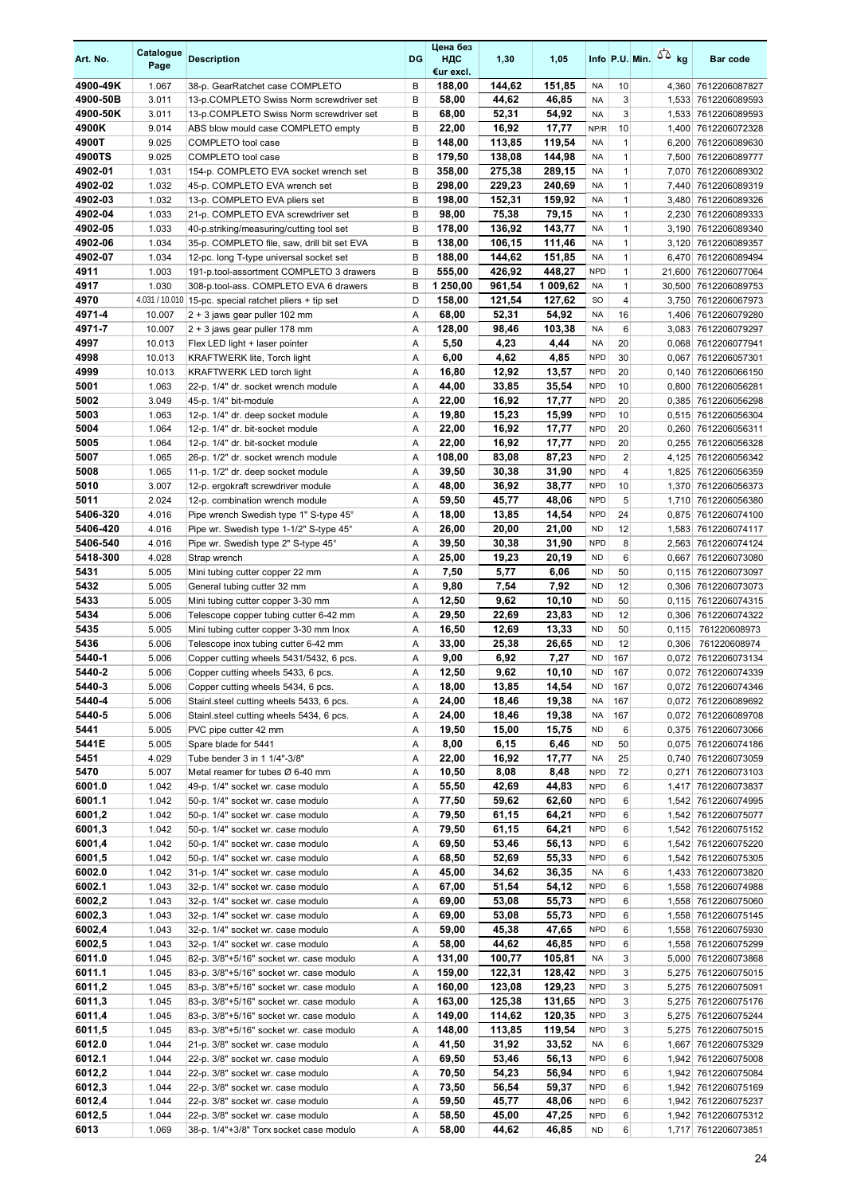| Art. No.           | Catalogue<br>Page | <b>Description</b>                                                                   | DG     | Цена без<br>НДС<br>€ur excl. | 1,30             | 1,05             |                          |                              | Info P.U. Min. $\sqrt{2}$ kg | <b>Bar code</b>                             |
|--------------------|-------------------|--------------------------------------------------------------------------------------|--------|------------------------------|------------------|------------------|--------------------------|------------------------------|------------------------------|---------------------------------------------|
| 4900-49K           | 1.067             | 38-p. GearRatchet case COMPLETO                                                      | B      | 188,00                       | 144,62           | 151,85           | <b>NA</b>                | 10                           |                              | 4,360 7612206087827                         |
| 4900-50B           | 3.011             | 13-p.COMPLETO Swiss Norm screwdriver set                                             | B      | 58,00                        | 44,62            | 46,85            | <b>NA</b>                | 3                            |                              | 1,533 7612206089593                         |
| 4900-50K           | 3.011             | 13-p.COMPLETO Swiss Norm screwdriver set                                             | B      | 68,00                        | 52,31            | 54,92            | <b>NA</b>                | 3                            |                              | 1,533 7612206089593                         |
| 4900K              | 9.014             | ABS blow mould case COMPLETO empty                                                   | B      | 22,00                        | 16,92            | 17,77            | NP/R                     | 10                           |                              | 1,400 7612206072328                         |
| 4900T              | 9.025             | COMPLETO tool case                                                                   | B      | 148,00                       | 113,85           | 119,54           | <b>NA</b>                | $\mathbf{1}$                 |                              | 6,200 7612206089630                         |
| 4900TS             | 9.025             | COMPLETO tool case                                                                   | B      | 179,50                       | 138,08           | 144,98           | <b>NA</b>                | $\mathbf{1}$                 | 7,500                        | 7612206089777                               |
| 4902-01            | 1.031             | 154-p. COMPLETO EVA socket wrench set                                                | B      | 358,00                       | 275,38           | 289,15           | <b>NA</b>                | $\mathbf{1}$                 |                              | 7,070 7612206089302                         |
| 4902-02            | 1.032             | 45-p. COMPLETO EVA wrench set                                                        | B      | 298,00                       | 229,23           | 240,69           | <b>NA</b>                | $\mathbf{1}$                 |                              | 7,440 7612206089319                         |
| 4902-03            | 1.032             | 13-p. COMPLETO EVA pliers set                                                        | B      | 198,00                       | 152,31           | 159,92           | <b>NA</b>                | $\mathbf{1}$                 |                              | 3,480 7612206089326                         |
| 4902-04            | 1.033             | 21-p. COMPLETO EVA screwdriver set                                                   | B      | 98,00                        | 75,38            | 79,15            | <b>NA</b>                | $\mathbf{1}$                 |                              | 2,230 7612206089333                         |
| 4902-05<br>4902-06 | 1.033             | 40-p.striking/measuring/cutting tool set                                             | B<br>B | 178,00                       | 136,92           | 143,77<br>111.46 | <b>NA</b>                | $\mathbf{1}$<br>$\mathbf{1}$ |                              | 3,190 7612206089340                         |
| 4902-07            | 1.034             | 35-p. COMPLETO file, saw, drill bit set EVA                                          | B      | 138,00                       | 106,15           |                  | <b>NA</b><br><b>NA</b>   | $\mathbf{1}$                 |                              | 3,120 7612206089357                         |
| 4911               | 1.034<br>1.003    | 12-pc. long T-type universal socket set<br>191-p.tool-assortment COMPLETO 3 drawers  | B      | 188,00<br>555,00             | 144,62<br>426,92 | 151,85<br>448,27 | <b>NPD</b>               | $\mathbf{1}$                 |                              | 6,470 7612206089494<br>21,600 7612206077064 |
| 4917               | 1.030             | 308-p.tool-ass. COMPLETO EVA 6 drawers                                               | B      | 1 250,00                     | 961,54           | 1 009,62         | <b>NA</b>                | $\mathbf{1}$                 |                              | 30,500 7612206089753                        |
| 4970               |                   | 4.031 / 10.010 15-pc. special ratchet pliers + tip set                               | D      | 158,00                       | 121,54           | 127,62           | <b>SO</b>                | $\overline{4}$               |                              | 3,750 7612206067973                         |
| 4971-4             | 10.007            | 2 + 3 jaws gear puller 102 mm                                                        | A      | 68,00                        | 52,31            | 54,92            | <b>NA</b>                | 16                           |                              | 1,406 7612206079280                         |
| 4971-7             | 10.007            | 2 + 3 jaws gear puller 178 mm                                                        | Α      | 128,00                       | 98,46            | 103,38           | <b>NA</b>                | $\boldsymbol{6}$             |                              | 3,083 7612206079297                         |
| 4997               | 10.013            | Flex LED light + laser pointer                                                       | Α      | 5,50                         | 4,23             | 4,44             | <b>NA</b>                | 20                           |                              | 0,068 7612206077941                         |
| 4998               | 10.013            | <b>KRAFTWERK lite, Torch light</b>                                                   | Α      | 6,00                         | 4,62             | 4,85             | <b>NPD</b>               | 30                           |                              | 0,067 7612206057301                         |
| 4999               | 10.013            | <b>KRAFTWERK LED torch light</b>                                                     | Α      | 16,80                        | 12,92            | 13,57            | <b>NPD</b>               | 20                           | 0,140                        | 7612206066150                               |
| 5001               | 1.063             | 22-p. 1/4" dr. socket wrench module                                                  | Α      | 44,00                        | 33,85            | 35,54            | <b>NPD</b>               | 10                           |                              | 0,800 7612206056281                         |
| 5002               | 3.049             | 45-p. 1/4" bit-module                                                                | Α      | 22,00                        | 16,92            | 17,77            | <b>NPD</b>               | 20                           |                              | 0,385 7612206056298                         |
| 5003               | 1.063             | 12-p. 1/4" dr. deep socket module                                                    | Α      | 19,80                        | 15,23            | 15,99            | <b>NPD</b>               | 10                           |                              | 0,515 7612206056304                         |
| 5004               | 1.064             | 12-p. 1/4" dr. bit-socket module                                                     | Α      | 22,00                        | 16,92            | 17,77            | <b>NPD</b>               | 20                           |                              | 0,260 7612206056311                         |
| 5005               | 1.064             | 12-p. 1/4" dr. bit-socket module                                                     | Α      | 22,00                        | 16,92            | 17,77            | <b>NPD</b>               | 20                           |                              | 0,255 7612206056328                         |
| 5007               | 1.065             | 26-p. 1/2" dr. socket wrench module                                                  | Α      | 108,00                       | 83,08            | 87,23            | <b>NPD</b>               | $\overline{2}$               |                              | 4,125 7612206056342                         |
| 5008               | 1.065             | 11-p. 1/2" dr. deep socket module                                                    | A      | 39,50                        | 30,38            | 31,90            | <b>NPD</b>               | $\overline{4}$               |                              | 1,825 7612206056359                         |
| 5010               | 3.007             | 12-p. ergokraft screwdriver module                                                   | Α      | 48,00                        | 36,92            | 38,77            | <b>NPD</b>               | 10                           |                              | 1,370 7612206056373                         |
| 5011               | 2.024             | 12-p. combination wrench module                                                      | Α      | 59,50                        | 45,77            | 48,06            | <b>NPD</b>               | 5                            |                              | 1,710 7612206056380                         |
| 5406-320           | 4.016             | Pipe wrench Swedish type 1" S-type 45°                                               | Α      | 18,00                        | 13,85            | 14,54            | <b>NPD</b>               | 24                           |                              | 0,875 7612206074100                         |
| 5406-420           | 4.016             | Pipe wr. Swedish type 1-1/2" S-type 45°                                              | Α      | 26,00                        | 20,00            | 21,00            | <b>ND</b>                | 12                           |                              | 1,583 7612206074117                         |
| 5406-540           | 4.016             | Pipe wr. Swedish type 2" S-type 45°                                                  | Α      | 39,50                        | 30,38            | 31,90            | <b>NPD</b>               | 8                            |                              | 2,563 7612206074124                         |
| 5418-300           | 4.028             | Strap wrench                                                                         | Α      | 25,00                        | 19,23            | 20,19            | <b>ND</b>                | 6                            |                              | 0,667 7612206073080                         |
| 5431               | 5.005             | Mini tubing cutter copper 22 mm                                                      | A      | 7,50                         | 5,77             | 6,06             | <b>ND</b>                | 50                           |                              | 0,115 7612206073097                         |
| 5432               | 5.005             | General tubing cutter 32 mm                                                          | Α      | 9,80                         | 7,54             | 7,92             | <b>ND</b>                | 12                           |                              | 0,306 7612206073073                         |
| 5433               | 5.005             | Mini tubing cutter copper 3-30 mm                                                    | Α      | 12,50                        | 9,62             | 10,10            | <b>ND</b>                | 50                           |                              | 0,115 7612206074315                         |
| 5434               | 5.006             | Telescope copper tubing cutter 6-42 mm                                               | Α      | 29,50                        | 22,69            | 23,83            | <b>ND</b>                | 12                           |                              | 0,306 7612206074322                         |
| 5435               | 5.005             | Mini tubing cutter copper 3-30 mm Inox                                               | Α      | 16,50                        | 12,69            | 13,33            | <b>ND</b>                | 50                           | 0,115                        | 761220608973                                |
| 5436               | 5.006             | Telescope inox tubing cutter 6-42 mm                                                 | Α      | 33,00                        | 25,38            | 26,65            | <b>ND</b>                | 12                           | 0,306                        | 761220608974                                |
| 5440-1             | 5.006             | Copper cutting wheels 5431/5432, 6 pcs.                                              | Α      | 9,00                         | 6,92             | 7,27             | <b>ND</b>                | 167                          |                              | 0.072 7612206073134                         |
| 5440-2             | 5.006             | Copper cutting wheels 5433, 6 pcs.                                                   | A      | 12,50                        | 9,62             | 10,10            | <b>ND</b>                | 167                          |                              | 0.072 7612206074339                         |
| 5440-3<br>5440-4   | 5.006             | Copper cutting wheels 5434, 6 pcs.                                                   | Α      | 18,00                        | 13,85            | 14,54            | <b>ND</b>                | 167                          |                              | 0,072 7612206074346                         |
| 5440-5             | 5.006<br>5.006    | Stainl.steel cutting wheels 5433, 6 pcs.<br>Stainl.steel cutting wheels 5434, 6 pcs. | Α<br>Α | 24,00<br>24,00               | 18,46<br>18,46   | 19,38<br>19,38   | <b>NA</b><br><b>NA</b>   | 167<br>167                   |                              | 0,072 7612206089692<br>0,072 7612206089708  |
| 5441               | 5.005             | PVC pipe cutter 42 mm                                                                | Α      | 19,50                        | 15,00            | 15,75            | <b>ND</b>                | 6                            |                              | 0,375 7612206073066                         |
| 5441E              | 5.005             | Spare blade for 5441                                                                 | Α      | 8,00                         | 6,15             | 6,46             | <b>ND</b>                | 50                           |                              | 0,075 7612206074186                         |
| 5451               | 4.029             | Tube bender 3 in 1 1/4"-3/8"                                                         | Α      | 22,00                        | 16,92            | 17,77            | <b>NA</b>                | 25                           |                              | 0,740 7612206073059                         |
| 5470               | 5.007             | Metal reamer for tubes Ø 6-40 mm                                                     | Α      | 10,50                        | 8,08             | 8,48             | <b>NPD</b>               | 72                           |                              | 0,271 7612206073103                         |
| 6001.0             | 1.042             | 49-p. 1/4" socket wr. case modulo                                                    | Α      | 55,50                        | 42,69            | 44,83            | <b>NPD</b>               | 6                            |                              | 1,417 7612206073837                         |
| 6001.1             | 1.042             | 50-p. 1/4" socket wr. case modulo                                                    | Α      | 77,50                        | 59,62            | 62,60            | <b>NPD</b>               | 6                            |                              | 1,542 7612206074995                         |
| 6001,2             | 1.042             | 50-p. 1/4" socket wr. case modulo                                                    | Α      | 79,50                        | 61,15            | 64,21            | <b>NPD</b>               | 6                            |                              | 1,542 7612206075077                         |
| 6001,3             | 1.042             | 50-p. 1/4" socket wr. case modulo                                                    | Α      | 79,50                        | 61,15            | 64,21            | <b>NPD</b>               | 6                            |                              | 1,542 7612206075152                         |
| 6001,4             | 1.042             | 50-p. 1/4" socket wr. case modulo                                                    | Α      | 69,50                        | 53,46            | 56,13            | <b>NPD</b>               | 6                            |                              | 1,542 7612206075220                         |
| 6001,5             | 1.042             | 50-p. 1/4" socket wr. case modulo                                                    | Α      | 68,50                        | 52,69            | 55,33            | <b>NPD</b>               | 6                            |                              | 1,542 7612206075305                         |
| 6002.0             | 1.042             | 31-p. 1/4" socket wr. case modulo                                                    | Α      | 45,00                        | 34,62            | 36,35            | NA                       | 6                            |                              | 1,433 7612206073820                         |
| 6002.1             | 1.043             | 32-p. 1/4" socket wr. case modulo                                                    | Α      | 67,00                        | 51,54            | 54,12            | <b>NPD</b>               | 6                            |                              | 1,558 7612206074988                         |
| 6002,2             | 1.043             | 32-p. 1/4" socket wr. case modulo                                                    | Α      | 69,00                        | 53,08            | 55,73            | <b>NPD</b>               | 6                            |                              | 1,558 7612206075060                         |
| 6002,3             | 1.043             | 32-p. 1/4" socket wr. case modulo                                                    | Α      | 69,00                        | 53,08            | 55,73            | <b>NPD</b>               | 6                            |                              | 1,558 7612206075145                         |
| 6002,4             | 1.043             | 32-p. 1/4" socket wr. case modulo                                                    | Α      | 59,00                        | 45,38            | 47,65            | <b>NPD</b>               | 6                            |                              | 1,558 7612206075930                         |
| 6002,5             | 1.043             | 32-p. 1/4" socket wr. case modulo                                                    | Α      | 58,00                        | 44,62            | 46,85            | <b>NPD</b>               | 6                            |                              | 1,558 7612206075299                         |
| 6011.0             | 1.045             | 82-p. 3/8"+5/16" socket wr. case modulo                                              | Α      | 131,00                       | 100,77           | 105,81           | <b>NA</b>                | 3                            |                              | 5,000 7612206073868                         |
| 6011.1             | 1.045             | 83-p. 3/8"+5/16" socket wr. case modulo                                              | Α      | 159,00                       | 122,31           | 128,42           | <b>NPD</b>               | 3                            |                              | 5,275 7612206075015                         |
| 6011,2             | 1.045             | 83-p. 3/8"+5/16" socket wr. case modulo                                              | Α      | 160,00                       | 123,08           | 129,23           | <b>NPD</b>               | 3                            |                              | 5,275 7612206075091                         |
| 6011,3             | 1.045             | 83-p. 3/8"+5/16" socket wr. case modulo                                              | Α      | 163,00                       | 125,38           | 131,65           | <b>NPD</b>               | 3                            |                              | 5,275 7612206075176                         |
| 6011,4             | 1.045             | 83-p. 3/8"+5/16" socket wr. case modulo                                              | Α      | 149,00                       | 114,62           | 120,35           | <b>NPD</b>               | 3                            |                              | 5,275 7612206075244                         |
| 6011,5             | 1.045             | 83-p. 3/8"+5/16" socket wr. case modulo                                              | Α      | 148,00                       | 113,85           | 119,54           | <b>NPD</b>               | 3                            |                              | 5,275 7612206075015                         |
| 6012.0             | 1.044             | 21-p. 3/8" socket wr. case modulo                                                    | Α      | 41,50                        | 31,92            | 33,52            | <b>NA</b>                | 6                            |                              | 1,667 7612206075329                         |
| 6012.1             | 1.044             | 22-p. 3/8" socket wr. case modulo                                                    | Α      | 69,50                        | 53,46            | 56,13            | <b>NPD</b>               | 6                            |                              | 1,942 7612206075008                         |
| 6012,2             | 1.044             | 22-p. 3/8" socket wr. case modulo                                                    | Α      | 70,50                        | 54,23            | 56,94            | <b>NPD</b>               | 6                            |                              | 1,942 7612206075084                         |
| 6012,3<br>6012,4   | 1.044<br>1.044    | 22-p. 3/8" socket wr. case modulo<br>22-p. 3/8" socket wr. case modulo               | Α<br>Α | 73,50<br>59,50               | 56,54<br>45,77   | 59,37<br>48,06   | <b>NPD</b><br><b>NPD</b> | 6<br>6                       |                              | 1,942 7612206075169                         |
| 6012,5             | 1.044             | 22-p. 3/8" socket wr. case modulo                                                    | Α      | 58,50                        | 45,00            | 47,25            | <b>NPD</b>               | 6                            |                              | 1,942 7612206075237<br>1,942 7612206075312  |
| 6013               | 1.069             | 38-p. 1/4"+3/8" Torx socket case modulo                                              | Α      | 58,00                        | 44,62            | 46,85            | <b>ND</b>                | 6                            |                              | 1,717 7612206073851                         |
|                    |                   |                                                                                      |        |                              |                  |                  |                          |                              |                              |                                             |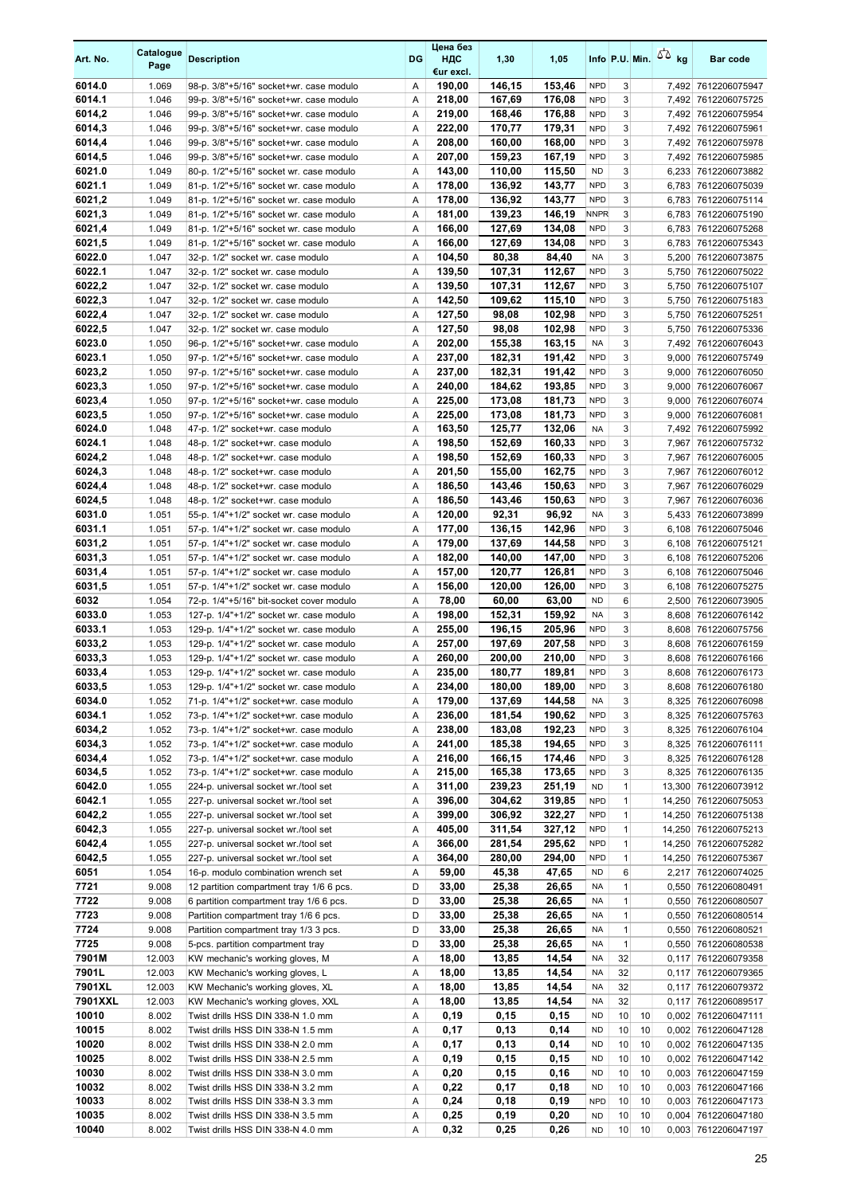| Art. No.         | Catalogue<br>Page | <b>Description</b>                                                                 | DG     | Цена без<br>НДС<br>€ur excl. | 1,30             | 1,05             |                          |                              |          | Info P.U. Min. $5\overline{6}$ kg | <b>Bar code</b>                              |
|------------------|-------------------|------------------------------------------------------------------------------------|--------|------------------------------|------------------|------------------|--------------------------|------------------------------|----------|-----------------------------------|----------------------------------------------|
| 6014.0           | 1.069             | 98-p. 3/8"+5/16" socket+wr. case modulo                                            | Α      | 190,00                       | 146.15           | 153,46           | <b>NPD</b>               | 3                            |          |                                   | 7,492 7612206075947                          |
| 6014.1           | 1.046             | 99-p. 3/8"+5/16" socket+wr. case modulo                                            | Α      | 218,00                       | 167,69           | 176,08           | <b>NPD</b>               | 3                            |          |                                   | 7,492 7612206075725                          |
| 6014,2           | 1.046             | 99-p. 3/8"+5/16" socket+wr. case modulo                                            | Α      | 219,00                       | 168,46           | 176,88           | <b>NPD</b>               | 3                            |          |                                   | 7,492 7612206075954                          |
| 6014,3           | 1.046             | 99-p. 3/8"+5/16" socket+wr. case modulo                                            | Α      | 222,00                       | 170,77           | 179,31           | <b>NPD</b>               | 3                            |          |                                   | 7,492 7612206075961                          |
| 6014,4<br>6014,5 | 1.046<br>1.046    | 99-p. 3/8"+5/16" socket+wr. case modulo<br>99-p. 3/8"+5/16" socket+wr. case modulo | Α<br>Α | 208,00<br>207,00             | 160,00<br>159,23 | 168,00<br>167,19 | <b>NPD</b><br><b>NPD</b> | 3<br>3                       |          |                                   | 7,492 7612206075978<br>7,492 7612206075985   |
| 6021.0           | 1.049             | 80-p. 1/2"+5/16" socket wr. case modulo                                            | Α      | 143,00                       | 110,00           | 115,50           | <b>ND</b>                | 3                            |          |                                   | 6,233 7612206073882                          |
| 6021.1           | 1.049             | 81-p. 1/2"+5/16" socket wr. case modulo                                            | Α      | 178,00                       | 136,92           | 143,77           | <b>NPD</b>               | 3                            |          |                                   | 6,783 7612206075039                          |
| 6021,2           | 1.049             | 81-p. 1/2"+5/16" socket wr. case modulo                                            | Α      | 178,00                       | 136,92           | 143,77           | <b>NPD</b>               | 3                            |          |                                   | 6,783 7612206075114                          |
| 6021,3           | 1.049             | 81-p. 1/2"+5/16" socket wr. case modulo                                            | Α      | 181,00                       | 139,23           | 146,19           | <b>NNPR</b>              | 3                            |          |                                   | 6,783 7612206075190                          |
| 6021,4           | 1.049             | 81-p. 1/2"+5/16" socket wr. case modulo                                            | Α      | 166.00                       | 127,69           | 134,08           | <b>NPD</b>               | 3                            |          |                                   | 6,783 7612206075268                          |
| 6021,5           | 1.049             | 81-p. 1/2"+5/16" socket wr. case modulo                                            | Α      | 166,00                       | 127.69           | 134,08           | <b>NPD</b>               | 3                            |          |                                   | 6,783 7612206075343                          |
| 6022.0           | 1.047             | 32-p. 1/2" socket wr. case modulo                                                  | Α      | 104,50                       | 80,38            | 84,40            | <b>NA</b>                | 3                            |          |                                   | 5,200 7612206073875                          |
| 6022.1           | 1.047             | 32-p. 1/2" socket wr. case modulo                                                  | Α      | 139,50                       | 107,31           | 112,67           | <b>NPD</b>               | 3                            |          |                                   | 5,750 7612206075022                          |
| 6022,2           | 1.047             | 32-p. 1/2" socket wr. case modulo                                                  | Α      | 139,50                       | 107,31           | 112,67           | <b>NPD</b>               | 3                            |          |                                   | 5,750 7612206075107                          |
| 6022,3<br>6022,4 | 1.047<br>1.047    | 32-p. 1/2" socket wr. case modulo                                                  | Α<br>Α | 142,50                       | 109,62           | 115,10<br>102,98 | <b>NPD</b><br><b>NPD</b> | 3<br>3                       |          |                                   | 5,750 7612206075183                          |
| 6022,5           | 1.047             | 32-p. 1/2" socket wr. case modulo<br>32-p. 1/2" socket wr. case modulo             | Α      | 127,50<br>127,50             | 98,08<br>98,08   | 102,98           | <b>NPD</b>               | 3                            |          |                                   | 5,750 7612206075251<br>5,750 7612206075336   |
| 6023.0           | 1.050             | 96-p. 1/2"+5/16" socket+wr. case modulo                                            | Α      | 202,00                       | 155,38           | 163.15           | <b>NA</b>                | 3                            |          |                                   | 7.492 7612206076043                          |
| 6023.1           | 1.050             | 97-p. 1/2"+5/16" socket+wr. case modulo                                            | Α      | 237,00                       | 182,31           | 191,42           | <b>NPD</b>               | 3                            |          |                                   | 9,000 7612206075749                          |
| 6023,2           | 1.050             | 97-p. 1/2"+5/16" socket+wr. case modulo                                            | Α      | 237,00                       | 182,31           | 191,42           | <b>NPD</b>               | 3                            |          |                                   | 9,000 7612206076050                          |
| 6023,3           | 1.050             | 97-p. 1/2"+5/16" socket+wr. case modulo                                            | Α      | 240,00                       | 184,62           | 193,85           | <b>NPD</b>               | 3                            |          |                                   | 9,000 7612206076067                          |
| 6023,4           | 1.050             | 97-p. 1/2"+5/16" socket+wr. case modulo                                            | Α      | 225,00                       | 173,08           | 181,73           | <b>NPD</b>               | 3                            |          |                                   | 9,000 7612206076074                          |
| 6023,5           | 1.050             | 97-p. 1/2"+5/16" socket+wr. case modulo                                            | Α      | 225,00                       | 173,08           | 181,73           | <b>NPD</b>               | 3                            |          |                                   | 9,000 7612206076081                          |
| 6024.0           | 1.048             | 47-p. 1/2" socket+wr. case modulo                                                  | A      | 163,50                       | 125,77           | 132,06           | <b>NA</b>                | 3                            |          |                                   | 7,492 7612206075992                          |
| 6024.1           | 1.048             | 48-p. 1/2" socket+wr. case modulo                                                  | Α      | 198,50                       | 152,69           | 160,33           | <b>NPD</b>               | 3                            |          |                                   | 7,967 7612206075732                          |
| 6024,2           | 1.048             | 48-p. 1/2" socket+wr. case modulo                                                  | Α      | 198,50                       | 152,69           | 160,33           | <b>NPD</b>               | 3                            |          |                                   | 7,967 7612206076005                          |
| 6024,3           | 1.048             | 48-p. 1/2" socket+wr. case modulo                                                  | Α      | 201,50                       | 155,00           | 162,75           | <b>NPD</b><br><b>NPD</b> | 3                            |          |                                   | 7,967 7612206076012                          |
| 6024,4<br>6024,5 | 1.048<br>1.048    | 48-p. 1/2" socket+wr. case modulo<br>48-p. 1/2" socket+wr. case modulo             | Α<br>Α | 186,50<br>186,50             | 143,46<br>143,46 | 150,63<br>150,63 | <b>NPD</b>               | 3<br>3                       |          |                                   | 7,967 7612206076029<br>7,967 7612206076036   |
| 6031.0           | 1.051             | 55-p. 1/4"+1/2" socket wr. case modulo                                             | Α      | 120,00                       | 92,31            | 96,92            | <b>NA</b>                | 3                            |          |                                   | 5,433 7612206073899                          |
| 6031.1           | 1.051             | 57-p. 1/4"+1/2" socket wr. case modulo                                             | Α      | 177,00                       | 136,15           | 142,96           | <b>NPD</b>               | 3                            |          |                                   | 6,108 7612206075046                          |
| 6031,2           | 1.051             | 57-p. 1/4"+1/2" socket wr. case modulo                                             | Α      | 179,00                       | 137,69           | 144,58           | <b>NPD</b>               | 3                            |          |                                   | 6,108 7612206075121                          |
| 6031,3           | 1.051             | 57-p. 1/4"+1/2" socket wr. case modulo                                             | Α      | 182,00                       | 140,00           | 147,00           | <b>NPD</b>               | 3                            |          |                                   | 6,108 7612206075206                          |
| 6031,4           | 1.051             | 57-p. 1/4"+1/2" socket wr. case modulo                                             | Α      | 157,00                       | 120,77           | 126,81           | <b>NPD</b>               | 3                            |          |                                   | 6,108 7612206075046                          |
| 6031,5           | 1.051             | 57-p. 1/4"+1/2" socket wr. case modulo                                             | Α      | 156,00                       | 120,00           | 126,00           | <b>NPD</b>               | 3                            |          |                                   | 6,108 7612206075275                          |
| 6032             | 1.054             | 72-p. 1/4"+5/16" bit-socket cover modulo                                           | Α      | 78,00                        | 60,00            | 63,00            | <b>ND</b>                | 6                            |          |                                   | 2,500 7612206073905                          |
| 6033.0           | 1.053             | 127-p. 1/4"+1/2" socket wr. case modulo                                            | Α      | 198,00                       | 152,31           | 159,92           | <b>NA</b>                | 3                            |          |                                   | 8,608 7612206076142                          |
| 6033.1<br>6033,2 | 1.053             | 129-p. 1/4"+1/2" socket wr. case modulo                                            | Α<br>Α | 255,00                       | 196,15<br>197,69 | 205,96<br>207,58 | <b>NPD</b><br><b>NPD</b> | 3<br>3                       |          |                                   | 8,608 7612206075756                          |
| 6033,3           | 1.053<br>1.053    | 129-p. 1/4"+1/2" socket wr. case modulo<br>129-p. 1/4"+1/2" socket wr. case modulo | Α      | 257,00<br>260,00             | 200,00           | 210,00           | <b>NPD</b>               | 3                            |          |                                   | 8,608 7612206076159<br>8,608 7612206076166   |
| 6033,4           | 1.053             | 129-p. 1/4"+1/2" socket wr. case modulo                                            | A      | 235,00                       | 180,77           | 189,81           | <b>NPD</b>               | 3                            |          |                                   | 8,608 7612206076173                          |
| 6033,5           | 1.053             | 129-p. 1/4"+1/2" socket wr. case modulo                                            | Α      | 234,00                       | 180,00           | 189,00           | <b>NPD</b>               | 3                            |          |                                   | 8,608 7612206076180                          |
| 6034.0           | 1.052             | 71-p. 1/4"+1/2" socket+wr. case modulo                                             | Α      | 179,00                       | 137,69           | 144,58           | <b>NA</b>                | 3                            |          |                                   | 8,325 7612206076098                          |
| 6034.1           | 1.052             | 73-p. 1/4"+1/2" socket+wr. case modulo                                             | Α      | 236,00                       | 181,54           | 190,62           | <b>NPD</b>               | 3                            |          |                                   | 8,325 7612206075763                          |
| 6034,2           | 1.052             | 73-p. 1/4"+1/2" socket+wr. case modulo                                             | Α      | 238,00                       | 183,08           | 192,23           | <b>NPD</b>               | 3                            |          |                                   | 8,325 7612206076104                          |
| 6034,3           | 1.052             | 73-p. 1/4"+1/2" socket+wr. case modulo                                             | Α      | 241,00                       | 185,38           | 194,65           | <b>NPD</b>               | 3                            |          |                                   | 8,325 7612206076111                          |
| 6034,4           | 1.052             | 73-p. 1/4"+1/2" socket+wr. case modulo                                             | Α      | 216,00                       | 166,15           | 174,46           | <b>NPD</b>               | 3                            |          |                                   | 8,325 7612206076128                          |
| 6034,5           | 1.052             | 73-p. 1/4"+1/2" socket+wr. case modulo                                             | Α      | 215,00                       | 165,38           | 173,65           | <b>NPD</b>               | 3                            |          |                                   | 8,325 7612206076135                          |
| 6042.0<br>6042.1 | 1.055<br>1.055    | 224-p. universal socket wr./tool set<br>227-p. universal socket wr./tool set       | Α<br>Α | 311,00<br>396,00             | 239,23<br>304,62 | 251,19<br>319,85 | <b>ND</b><br><b>NPD</b>  | $\mathbf{1}$<br>$\mathbf{1}$ |          |                                   | 13,300 7612206073912                         |
| 6042,2           | 1.055             | 227-p. universal socket wr./tool set                                               | Α      | 399,00                       | 306,92           | 322,27           | <b>NPD</b>               | 1                            |          |                                   | 14,250 7612206075053<br>14,250 7612206075138 |
| 6042,3           | 1.055             | 227-p. universal socket wr./tool set                                               | Α      | 405,00                       | 311,54           | 327,12           | <b>NPD</b>               | $\mathbf{1}$                 |          |                                   | 14,250 7612206075213                         |
| 6042,4           | 1.055             | 227-p. universal socket wr./tool set                                               | Α      | 366,00                       | 281,54           | 295,62           | <b>NPD</b>               | 1                            |          |                                   | 14,250 7612206075282                         |
| 6042,5           | 1.055             | 227-p. universal socket wr./tool set                                               | Α      | 364,00                       | 280,00           | 294,00           | <b>NPD</b>               | $\mathbf{1}$                 |          |                                   | 14,250 7612206075367                         |
| 6051             | 1.054             | 16-p. modulo combination wrench set                                                | Α      | 59,00                        | 45,38            | 47,65            | <b>ND</b>                | 6                            |          |                                   | 2,217 7612206074025                          |
| 7721             | 9.008             | 12 partition compartment tray 1/6 6 pcs.                                           | D      | 33,00                        | 25,38            | 26,65            | NA                       | 1                            |          |                                   | 0,550 7612206080491                          |
| 7722             | 9.008             | 6 partition compartment tray 1/6 6 pcs.                                            | D      | 33,00                        | 25,38            | 26,65            | NA                       | $\mathbf{1}$                 |          |                                   | 0,550 7612206080507                          |
| 7723             | 9.008             | Partition compartment tray 1/6 6 pcs.                                              | D      | 33,00                        | 25,38            | 26,65            | <b>NA</b>                | 1                            |          |                                   | 0,550 7612206080514                          |
| 7724<br>7725     | 9.008             | Partition compartment tray 1/3 3 pcs.                                              | D<br>D | 33,00<br>33,00               | 25,38            | 26,65            | NA                       | $\mathbf 1$<br>$\mathbf 1$   |          |                                   | 0,550 7612206080521                          |
| 7901M            | 9.008<br>12.003   | 5-pcs. partition compartment tray<br>KW mechanic's working gloves, M               | Α      | 18,00                        | 25,38<br>13,85   | 26,65<br>14,54   | NA<br><b>NA</b>          | 32                           |          |                                   | 0,550 7612206080538<br>0,117 7612206079358   |
| 7901L            | 12.003            | KW Mechanic's working gloves, L                                                    | Α      | 18,00                        | 13,85            | 14,54            | <b>NA</b>                | 32                           |          |                                   | 0,117 7612206079365                          |
| 7901XL           | 12.003            | KW Mechanic's working gloves, XL                                                   | Α      | 18,00                        | 13,85            | 14,54            | NA                       | 32                           |          |                                   | 0,117 7612206079372                          |
| 7901XXL          | 12.003            | KW Mechanic's working gloves, XXL                                                  | Α      | 18,00                        | 13,85            | 14,54            | <b>NA</b>                | 32                           |          |                                   | 0,117 7612206089517                          |
| 10010            | 8.002             | Twist drills HSS DIN 338-N 1.0 mm                                                  | Α      | 0,19                         | 0,15             | 0,15             | <b>ND</b>                | 10                           | 10       |                                   | 0,002 7612206047111                          |
| 10015            | 8.002             | Twist drills HSS DIN 338-N 1.5 mm                                                  | Α      | 0,17                         | 0,13             | 0,14             | <b>ND</b>                | 10                           | 10       |                                   | 0,002 7612206047128                          |
| 10020            | 8.002             | Twist drills HSS DIN 338-N 2.0 mm                                                  | Α      | 0,17                         | 0,13             | 0,14             | <b>ND</b>                | 10                           | 10       |                                   | 0,002 7612206047135                          |
| 10025            | 8.002             | Twist drills HSS DIN 338-N 2.5 mm                                                  | Α      | 0,19                         | 0,15             | 0,15             | <b>ND</b>                | 10                           | 10       |                                   | 0,002 7612206047142                          |
| 10030            | 8.002             | Twist drills HSS DIN 338-N 3.0 mm                                                  | Α      | 0,20                         | 0,15             | 0,16             | <b>ND</b>                | 10                           | 10       |                                   | 0,003 7612206047159                          |
| 10032<br>10033   | 8.002<br>8.002    | Twist drills HSS DIN 338-N 3.2 mm                                                  | Α<br>Α | 0,22<br>0,24                 | 0,17<br>0,18     | 0,18<br>0,19     | <b>ND</b><br><b>NPD</b>  | 10<br>10                     | 10<br>10 |                                   | 0,003 7612206047166<br>0,003 7612206047173   |
| 10035            | 8.002             | Twist drills HSS DIN 338-N 3.3 mm<br>Twist drills HSS DIN 338-N 3.5 mm             | Α      | 0,25                         | 0,19             | 0,20             | <b>ND</b>                | 10                           | 10       |                                   | 0,004 7612206047180                          |
| 10040            | 8.002             | Twist drills HSS DIN 338-N 4.0 mm                                                  | Α      | 0,32                         | 0,25             | 0,26             | <b>ND</b>                | 10                           | 10       |                                   | 0,003 7612206047197                          |
|                  |                   |                                                                                    |        |                              |                  |                  |                          |                              |          |                                   |                                              |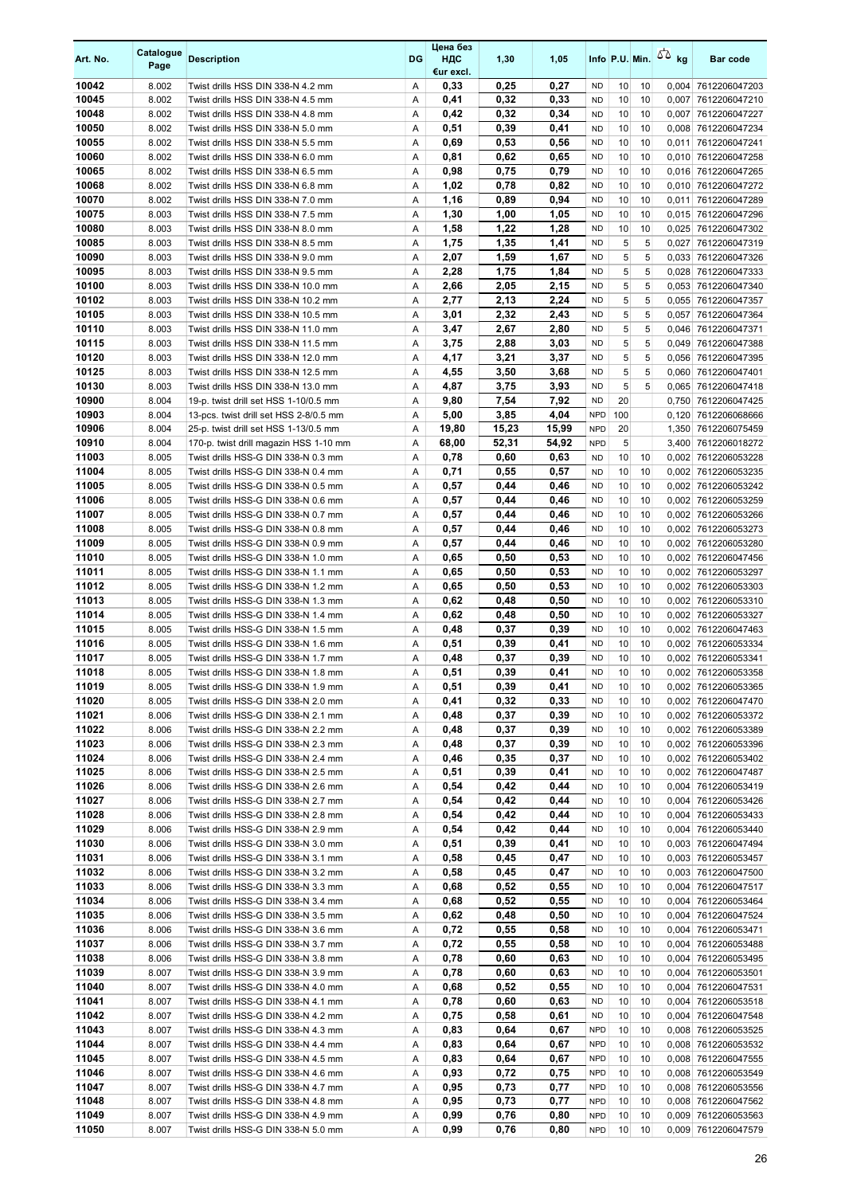| Art. No.       | Catalogue<br>Page | <b>Description</b>                                                         | DG     | Цена без<br>НДС<br>€ur excl. | 1,30         | 1,05         |                          |          |          | Info P.U. Min. $\sqrt{2}$ kg | <b>Bar code</b>                            |
|----------------|-------------------|----------------------------------------------------------------------------|--------|------------------------------|--------------|--------------|--------------------------|----------|----------|------------------------------|--------------------------------------------|
| 10042          | 8.002             | Twist drills HSS DIN 338-N 4.2 mm                                          | Α      | 0,33                         | 0,25         | 0,27         | <b>ND</b>                | 10       | 10       |                              | 0,004 7612206047203                        |
| 10045          | 8.002             | Twist drills HSS DIN 338-N 4.5 mm                                          | Α      | 0,41                         | 0,32         | 0,33         | <b>ND</b>                | 10       | 10       |                              | 0,007 7612206047210                        |
| 10048          | 8.002             | Twist drills HSS DIN 338-N 4.8 mm                                          | A      | 0,42                         | 0,32         | 0,34         | <b>ND</b>                | 10       | 10       |                              | 0,007 7612206047227                        |
| 10050          | 8.002             | Twist drills HSS DIN 338-N 5.0 mm                                          | Α      | 0,51                         | 0,39         | 0,41         | <b>ND</b>                | 10       | 10       |                              | 0,008 7612206047234                        |
| 10055          | 8.002             | Twist drills HSS DIN 338-N 5.5 mm                                          | Α      | 0,69                         | 0,53         | 0,56         | <b>ND</b>                | 10       | 10       |                              | 0.011 7612206047241                        |
| 10060          | 8.002             | Twist drills HSS DIN 338-N 6.0 mm                                          | Α      | 0,81                         | 0,62         | 0,65         | <b>ND</b>                | 10       | 10       |                              | 0,010 7612206047258                        |
| 10065<br>10068 | 8.002<br>8.002    | Twist drills HSS DIN 338-N 6.5 mm<br>Twist drills HSS DIN 338-N 6.8 mm     | Α<br>Α | 0,98<br>1,02                 | 0,75<br>0,78 | 0,79<br>0,82 | <b>ND</b><br><b>ND</b>   | 10<br>10 | 10<br>10 |                              | 0,016 7612206047265<br>0,010 7612206047272 |
| 10070          | 8.002             | Twist drills HSS DIN 338-N 7.0 mm                                          | Α      | 1,16                         | 0,89         | 0,94         | <b>ND</b>                | 10       | 10       |                              | 0,011 7612206047289                        |
| 10075          | 8.003             | Twist drills HSS DIN 338-N 7.5 mm                                          | Α      | 1,30                         | 1,00         | 1,05         | <b>ND</b>                | 10       | 10       |                              | 0,015 7612206047296                        |
| 10080          | 8.003             | Twist drills HSS DIN 338-N 8.0 mm                                          | Α      | 1,58                         | 1,22         | 1,28         | <b>ND</b>                | 10       | 10       |                              | 0,025 7612206047302                        |
| 10085          | 8.003             | Twist drills HSS DIN 338-N 8.5 mm                                          | Α      | 1,75                         | 1,35         | 1,41         | <b>ND</b>                | 5        | 5        |                              | 0,027 7612206047319                        |
| 10090          | 8.003             | Twist drills HSS DIN 338-N 9.0 mm                                          | Α      | 2,07                         | 1,59         | 1,67         | <b>ND</b>                | 5        | 5        |                              | 0.033 7612206047326                        |
| 10095          | 8.003             | Twist drills HSS DIN 338-N 9.5 mm                                          | Α      | 2,28                         | 1,75         | 1,84         | <b>ND</b>                | 5        | 5        |                              | 0,028 7612206047333                        |
| 10100          | 8.003             | Twist drills HSS DIN 338-N 10.0 mm                                         | Α      | 2,66                         | 2,05         | 2,15         | <b>ND</b>                | 5        | 5        |                              | 0,053 7612206047340                        |
| 10102          | 8.003             | Twist drills HSS DIN 338-N 10.2 mm                                         | Α      | 2,77                         | 2,13         | 2,24         | <b>ND</b>                | 5        | 5        |                              | 0,055 7612206047357                        |
| 10105          | 8.003             | Twist drills HSS DIN 338-N 10.5 mm                                         | Α      | 3,01                         | 2,32         | 2,43         | <b>ND</b>                | 5        | 5        |                              | 0,057 7612206047364                        |
| 10110          | 8.003             | Twist drills HSS DIN 338-N 11.0 mm                                         | Α      | 3,47                         | 2,67         | 2,80         | <b>ND</b>                | 5        | 5        | 0,046                        | 7612206047371                              |
| 10115<br>10120 | 8.003<br>8.003    | Twist drills HSS DIN 338-N 11.5 mm<br>Twist drills HSS DIN 338-N 12.0 mm   | Α<br>Α | 3,75<br>4,17                 | 2,88<br>3,21 | 3,03<br>3,37 | <b>ND</b><br>ND.         | 5<br>5   | 5<br>5   |                              | 0,049 7612206047388                        |
| 10125          | 8.003             | Twist drills HSS DIN 338-N 12.5 mm                                         | Α      | 4,55                         | 3,50         | 3,68         | <b>ND</b>                | 5        | 5        |                              | 0,056 7612206047395<br>0.060 7612206047401 |
| 10130          | 8.003             | Twist drills HSS DIN 338-N 13.0 mm                                         | Α      | 4,87                         | 3,75         | 3,93         | <b>ND</b>                | 5        | 5        |                              | 0,065 7612206047418                        |
| 10900          | 8.004             | 19-p. twist drill set HSS 1-10/0.5 mm                                      | Α      | 9,80                         | 7,54         | 7,92         | <b>ND</b>                | 20       |          |                              | 0,750 7612206047425                        |
| 10903          | 8.004             | 13-pcs. twist drill set HSS 2-8/0.5 mm                                     | Α      | 5,00                         | 3,85         | 4,04         | <b>NPD</b>               | 100      |          |                              | 0,120 7612206068666                        |
| 10906          | 8.004             | 25-p. twist drill set HSS 1-13/0.5 mm                                      | Α      | 19,80                        | 15,23        | 15,99        | <b>NPD</b>               | 20       |          |                              | 1,350 7612206075459                        |
| 10910          | 8.004             | 170-p. twist drill magazin HSS 1-10 mm                                     | Α      | 68,00                        | 52,31        | 54,92        | <b>NPD</b>               | 5        |          |                              | 3,400 7612206018272                        |
| 11003          | 8.005             | Twist drills HSS-G DIN 338-N 0.3 mm                                        | Α      | 0,78                         | 0,60         | 0,63         | <b>ND</b>                | 10       | 10       |                              | 0,002 7612206053228                        |
| 11004          | 8.005             | Twist drills HSS-G DIN 338-N 0.4 mm                                        | A      | 0,71                         | 0,55         | 0,57         | <b>ND</b>                | 10       | 10       |                              | 0,002 7612206053235                        |
| 11005          | 8.005             | Twist drills HSS-G DIN 338-N 0.5 mm                                        | Α      | 0,57                         | 0,44         | 0,46         | <b>ND</b>                | 10       | 10       |                              | 0,002 7612206053242                        |
| 11006          | 8.005             | Twist drills HSS-G DIN 338-N 0.6 mm                                        | Α      | 0,57                         | 0,44         | 0,46         | <b>ND</b>                | 10       | 10       |                              | 0,002 7612206053259                        |
| 11007          | 8.005             | Twist drills HSS-G DIN 338-N 0.7 mm                                        | Α      | 0,57                         | 0,44         | 0,46         | <b>ND</b>                | 10       | 10       |                              | 0,002 7612206053266                        |
| 11008<br>11009 | 8.005<br>8.005    | Twist drills HSS-G DIN 338-N 0.8 mm<br>Twist drills HSS-G DIN 338-N 0.9 mm | Α<br>Α | 0,57<br>0,57                 | 0,44<br>0,44 | 0,46<br>0,46 | <b>ND</b><br><b>ND</b>   | 10<br>10 | 10<br>10 |                              | 0,002 7612206053273<br>0,002 7612206053280 |
| 11010          | 8.005             | Twist drills HSS-G DIN 338-N 1.0 mm                                        | Α      | 0,65                         | 0,50         | 0,53         | <b>ND</b>                | 10       | 10       |                              | 0,002 7612206047456                        |
| 11011          | 8.005             | Twist drills HSS-G DIN 338-N 1.1 mm                                        | A      | 0,65                         | 0,50         | 0,53         | <b>ND</b>                | 10       | 10       |                              | 0,002 7612206053297                        |
| 11012          | 8.005             | Twist drills HSS-G DIN 338-N 1.2 mm                                        | Α      | 0,65                         | 0,50         | 0,53         | <b>ND</b>                | 10       | 10       |                              | 0.002 7612206053303                        |
| 11013          | 8.005             | Twist drills HSS-G DIN 338-N 1.3 mm                                        | Α      | 0,62                         | 0,48         | 0,50         | <b>ND</b>                | 10       | 10       |                              | 0,002 7612206053310                        |
| 11014          | 8.005             | Twist drills HSS-G DIN 338-N 1.4 mm                                        | Α      | 0,62                         | 0,48         | 0,50         | <b>ND</b>                | 10       | 10       |                              | 0,002 7612206053327                        |
| 11015          | 8.005             | Twist drills HSS-G DIN 338-N 1.5 mm                                        | Α      | 0,48                         | 0,37         | 0,39         | <b>ND</b>                | 10       | 10       |                              | 0,002 7612206047463                        |
| 11016          | 8.005             | Twist drills HSS-G DIN 338-N 1.6 mm                                        | Α      | 0,51                         | 0,39         | 0,41         | <b>ND</b>                | 10       | 10       |                              | 0,002 7612206053334                        |
| 11017          | 8.005             | Twist drills HSS-G DIN 338-N 1.7 mm                                        | Α      | 0,48                         | 0,37         | 0,39         | <b>ND</b>                | 10       | 10       |                              | 0,002 7612206053341                        |
| 11018          | 8.005             | Twist drills HSS-G DIN 338-N 1.8 mm                                        | A      | 0,51                         | 0,39         | 0.41         | <b>ND</b>                | 10       | 10       |                              | 0,002 7612206053358                        |
| 11019          | 8.005             | Twist drills HSS-G DIN 338-N 1.9 mm                                        | Α      | 0,51                         | 0,39         | 0,41         | ND                       | 10       | 10       |                              | 0,002 7612206053365                        |
| 11020<br>11021 | 8.005<br>8.006    | Twist drills HSS-G DIN 338-N 2.0 mm<br>Twist drills HSS-G DIN 338-N 2.1 mm | Α<br>Α | 0,41<br>0,48                 | 0,32<br>0,37 | 0,33<br>0,39 | <b>ND</b><br><b>ND</b>   | 10<br>10 | 10<br>10 |                              | 0,002 7612206047470<br>0,002 7612206053372 |
| 11022          | 8.006             | Twist drills HSS-G DIN 338-N 2.2 mm                                        | Α      | 0,48                         | 0,37         | 0,39         | <b>ND</b>                | 10       | 10       |                              | 0,002 7612206053389                        |
| 11023          | 8.006             | Twist drills HSS-G DIN 338-N 2.3 mm                                        | Α      | 0,48                         | 0,37         | 0,39         | <b>ND</b>                | 10       | 10       |                              | 0,002 7612206053396                        |
| 11024          | 8.006             | Twist drills HSS-G DIN 338-N 2.4 mm                                        | Α      | 0,46                         | 0,35         | 0,37         | <b>ND</b>                | 10       | 10       |                              | 0,002 7612206053402                        |
| 11025          | 8.006             | Twist drills HSS-G DIN 338-N 2.5 mm                                        | Α      | 0,51                         | 0,39         | 0,41         | <b>ND</b>                | 10       | 10       |                              | 0,002 7612206047487                        |
| 11026          | 8.006             | Twist drills HSS-G DIN 338-N 2.6 mm                                        | Α      | 0,54                         | 0,42         | 0,44         | <b>ND</b>                | 10       | 10       |                              | 0,004 7612206053419                        |
| 11027          | 8.006             | Twist drills HSS-G DIN 338-N 2.7 mm                                        | Α      | 0,54                         | 0,42         | 0,44         | <b>ND</b>                | 10       | 10       |                              | 0,004 7612206053426                        |
| 11028          | 8.006             | Twist drills HSS-G DIN 338-N 2.8 mm                                        | Α      | 0,54                         | 0,42         | 0,44         | <b>ND</b>                | 10       | 10       |                              | 0,004 7612206053433                        |
| 11029          | 8.006             | Twist drills HSS-G DIN 338-N 2.9 mm                                        | Α      | 0,54                         | 0,42         | 0,44         | <b>ND</b>                | 10       | 10       |                              | 0,004 7612206053440                        |
| 11030          | 8.006             | Twist drills HSS-G DIN 338-N 3.0 mm                                        | Α      | 0,51                         | 0,39         | 0,41         | <b>ND</b>                | 10       | 10       |                              | 0,003 7612206047494                        |
| 11031          | 8.006             | Twist drills HSS-G DIN 338-N 3.1 mm                                        | Α      | 0,58                         | 0,45         | 0,47         | <b>ND</b>                | 10       | 10       |                              | 0,003 7612206053457                        |
| 11032<br>11033 | 8.006<br>8.006    | Twist drills HSS-G DIN 338-N 3.2 mm<br>Twist drills HSS-G DIN 338-N 3.3 mm | Α<br>Α | 0,58<br>0,68                 | 0,45<br>0,52 | 0,47<br>0,55 | <b>ND</b><br><b>ND</b>   | 10<br>10 | 10<br>10 |                              | 0,003 7612206047500<br>0,004 7612206047517 |
| 11034          | 8.006             | Twist drills HSS-G DIN 338-N 3.4 mm                                        | Α      | 0,68                         | 0,52         | 0,55         | <b>ND</b>                | 10       | 10       |                              | 0,004 7612206053464                        |
| 11035          | 8.006             | Twist drills HSS-G DIN 338-N 3.5 mm                                        | Α      | 0,62                         | 0,48         | 0,50         | <b>ND</b>                | 10       | 10       |                              | 0,004 7612206047524                        |
| 11036          | 8.006             | Twist drills HSS-G DIN 338-N 3.6 mm                                        | Α      | 0,72                         | 0,55         | 0,58         | <b>ND</b>                | 10       | 10       |                              | 0,004 7612206053471                        |
| 11037          | 8.006             | Twist drills HSS-G DIN 338-N 3.7 mm                                        | Α      | 0,72                         | 0,55         | 0,58         | <b>ND</b>                | 10       | 10       |                              | 0,004 7612206053488                        |
| 11038          | 8.006             | Twist drills HSS-G DIN 338-N 3.8 mm                                        | Α      | 0,78                         | 0,60         | 0,63         | <b>ND</b>                | 10       | 10       |                              | 0,004 7612206053495                        |
| 11039          | 8.007             | Twist drills HSS-G DIN 338-N 3.9 mm                                        | Α      | 0,78                         | 0,60         | 0,63         | <b>ND</b>                | 10       | 10       |                              | 0,004 7612206053501                        |
| 11040          | 8.007             | Twist drills HSS-G DIN 338-N 4.0 mm                                        | Α      | 0,68                         | 0,52         | 0,55         | ND                       | 10       | 10       |                              | 0,004 7612206047531                        |
| 11041          | 8.007             | Twist drills HSS-G DIN 338-N 4.1 mm                                        | Α      | 0,78                         | 0,60         | 0,63         | <b>ND</b>                | 10       | 10       |                              | 0,004 7612206053518                        |
| 11042          | 8.007             | Twist drills HSS-G DIN 338-N 4.2 mm                                        | Α      | 0,75                         | 0,58         | 0,61         | <b>ND</b>                | 10       | 10       |                              | 0,004 7612206047548                        |
| 11043          | 8.007             | Twist drills HSS-G DIN 338-N 4.3 mm                                        | Α      | 0,83                         | 0,64         | 0,67         | <b>NPD</b>               | 10       | 10       |                              | 0,008 7612206053525                        |
| 11044<br>11045 | 8.007<br>8.007    | Twist drills HSS-G DIN 338-N 4.4 mm<br>Twist drills HSS-G DIN 338-N 4.5 mm | Α<br>Α | 0,83<br>0,83                 | 0,64<br>0,64 | 0,67<br>0,67 | <b>NPD</b><br><b>NPD</b> | 10<br>10 | 10<br>10 |                              | 0,008 7612206053532<br>0,008 7612206047555 |
| 11046          | 8.007             | Twist drills HSS-G DIN 338-N 4.6 mm                                        | Α      | 0,93                         | 0,72         | 0,75         | <b>NPD</b>               | 10       | 10       |                              | 0,008 7612206053549                        |
| 11047          | 8.007             | Twist drills HSS-G DIN 338-N 4.7 mm                                        | Α      | 0,95                         | 0,73         | 0,77         | <b>NPD</b>               | 10       | 10       |                              | 0,008 7612206053556                        |
| 11048          | 8.007             | Twist drills HSS-G DIN 338-N 4.8 mm                                        | Α      | 0,95                         | 0,73         | 0,77         | <b>NPD</b>               | 10       | 10       |                              | 0,008 7612206047562                        |
| 11049          | 8.007             | Twist drills HSS-G DIN 338-N 4.9 mm                                        | Α      | 0,99                         | 0,76         | 0,80         | <b>NPD</b>               | 10       | 10       |                              | 0,009 7612206053563                        |
| 11050          | 8.007             | Twist drills HSS-G DIN 338-N 5.0 mm                                        | Α      | 0,99                         | 0,76         | 0,80         | <b>NPD</b>               | 10       | 10       |                              | 0,009 7612206047579                        |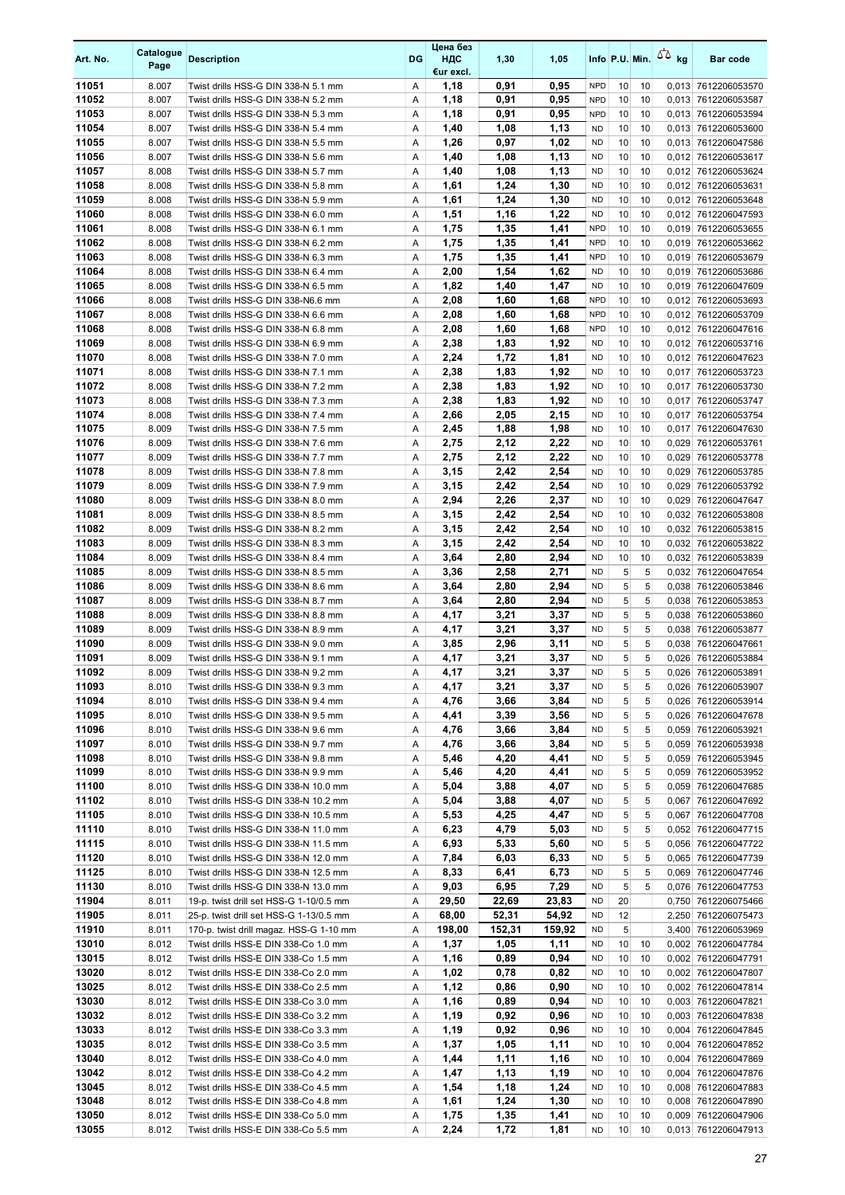| Art. No.       | Catalogue<br>Page | <b>Description</b>                                                           | <b>DG</b> | Цена без<br>ндс<br>€ur excl. | 1,30         | 1,05         |                         |          |                | Info P.U. Min. $5\overline{6}$ kg | <b>Bar code</b>                            |
|----------------|-------------------|------------------------------------------------------------------------------|-----------|------------------------------|--------------|--------------|-------------------------|----------|----------------|-----------------------------------|--------------------------------------------|
| 11051          | 8.007             | Twist drills HSS-G DIN 338-N 5.1 mm                                          | Α         | 1,18                         | 0,91         | 0,95         | <b>NPD</b>              | 10       | 10             |                                   | 0,013 7612206053570                        |
| 11052          | 8.007             | Twist drills HSS-G DIN 338-N 5.2 mm                                          | Α         | 1,18                         | 0,91         | 0,95         | <b>NPD</b>              | 10       | 10             |                                   | 0,013 7612206053587                        |
| 11053          | 8.007             | Twist drills HSS-G DIN 338-N 5.3 mm                                          | Α         | 1,18                         | 0,91         | 0,95         | <b>NPD</b>              | 10       | 10             |                                   | 0,013 7612206053594                        |
| 11054          | 8.007             | Twist drills HSS-G DIN 338-N 5.4 mm                                          | Α         | 1,40                         | 1,08         | 1,13         | <b>ND</b>               | 10       | 10             |                                   | 0,013 7612206053600                        |
| 11055<br>11056 | 8.007<br>8.007    | Twist drills HSS-G DIN 338-N 5.5 mm<br>Twist drills HSS-G DIN 338-N 5.6 mm   | Α<br>Α    | 1,26<br>1,40                 | 0,97         | 1,02<br>1,13 | <b>ND</b><br><b>ND</b>  | 10<br>10 | 10<br>10       |                                   | 0,013 7612206047586                        |
| 11057          | 8.008             | Twist drills HSS-G DIN 338-N 5.7 mm                                          | Α         | 1,40                         | 1,08<br>1,08 | 1,13         | <b>ND</b>               | 10       | 10             |                                   | 0,012 7612206053617<br>0,012 7612206053624 |
| 11058          | 8.008             | Twist drills HSS-G DIN 338-N 5.8 mm                                          | Α         | 1,61                         | 1,24         | 1,30         | <b>ND</b>               | 10       | 10             |                                   | 0,012 7612206053631                        |
| 11059          | 8.008             | Twist drills HSS-G DIN 338-N 5.9 mm                                          | Α         | 1,61                         | 1,24         | 1,30         | <b>ND</b>               | 10       | 10             |                                   | 0,012 7612206053648                        |
| 11060          | 8.008             | Twist drills HSS-G DIN 338-N 6.0 mm                                          | Α         | 1,51                         | 1,16         | 1,22         | <b>ND</b>               | 10       | 10             |                                   | 0.012 7612206047593                        |
| 11061          | 8.008             | Twist drills HSS-G DIN 338-N 6.1 mm                                          | Α         | 1,75                         | 1,35         | 1.41         | <b>NPD</b>              | 10       | 10             |                                   | 0.019 7612206053655                        |
| 11062          | 8.008             | Twist drills HSS-G DIN 338-N 6.2 mm                                          | Α         | 1,75                         | 1,35         | 1,41         | <b>NPD</b>              | 10       | 10             |                                   | 0,019 7612206053662                        |
| 11063          | 8.008             | Twist drills HSS-G DIN 338-N 6.3 mm                                          | Α         | 1,75                         | 1,35         | 1,41         | <b>NPD</b>              | 10       | 10             |                                   | 0,019 7612206053679                        |
| 11064          | 8.008             | Twist drills HSS-G DIN 338-N 6.4 mm                                          | Α         | 2,00                         | 1,54         | 1,62         | <b>ND</b>               | 10       | 10             |                                   | 0,019 7612206053686                        |
| 11065          | 8.008             | Twist drills HSS-G DIN 338-N 6.5 mm                                          | Α         | 1,82                         | 1,40         | 1,47         | <b>ND</b>               | 10       | 10             |                                   | 0,019 7612206047609                        |
| 11066          | 8.008             | Twist drills HSS-G DIN 338-N6.6 mm                                           | Α         | 2,08                         | 1,60         | 1,68         | <b>NPD</b>              | 10       | 10             |                                   | 0,012 7612206053693                        |
| 11067          | 8.008             | Twist drills HSS-G DIN 338-N 6.6 mm                                          | Α         | 2,08                         | 1,60         | 1,68         | <b>NPD</b>              | 10       | 10             |                                   | 0,012 7612206053709                        |
| 11068<br>11069 | 8.008<br>8.008    | Twist drills HSS-G DIN 338-N 6.8 mm<br>Twist drills HSS-G DIN 338-N 6.9 mm   | Α<br>Α    | 2,08<br>2,38                 | 1,60<br>1,83 | 1,68<br>1,92 | <b>NPD</b><br><b>ND</b> | 10<br>10 | 10<br>10       |                                   | 0,012 7612206047616<br>0,012 7612206053716 |
| 11070          | 8.008             | Twist drills HSS-G DIN 338-N 7.0 mm                                          | Α         | 2,24                         | 1,72         | 1,81         | <b>ND</b>               | 10       | 10             |                                   | 0,012 7612206047623                        |
| 11071          | 8.008             | Twist drills HSS-G DIN 338-N 7.1 mm                                          | Α         | 2,38                         | 1,83         | 1,92         | <b>ND</b>               | 10       | 10             |                                   | 0,017 7612206053723                        |
| 11072          | 8.008             | Twist drills HSS-G DIN 338-N 7.2 mm                                          | Α         | 2,38                         | 1,83         | 1,92         | <b>ND</b>               | 10       | 10             |                                   | 0,017 7612206053730                        |
| 11073          | 8.008             | Twist drills HSS-G DIN 338-N 7.3 mm                                          | Α         | 2,38                         | 1,83         | 1,92         | <b>ND</b>               | 10       | 10             |                                   | 0,017 7612206053747                        |
| 11074          | 8.008             | Twist drills HSS-G DIN 338-N 7.4 mm                                          | Α         | 2,66                         | 2,05         | 2,15         | <b>ND</b>               | 10       | 10             |                                   | 0,017 7612206053754                        |
| 11075          | 8.009             | Twist drills HSS-G DIN 338-N 7.5 mm                                          | A         | 2,45                         | 1,88         | 1,98         | <b>ND</b>               | 10       | 10             |                                   | 0,017 7612206047630                        |
| 11076          | 8.009             | Twist drills HSS-G DIN 338-N 7.6 mm                                          | Α         | 2,75                         | 2,12         | 2,22         | <b>ND</b>               | 10       | 10             |                                   | 0,029 7612206053761                        |
| 11077          | 8.009             | Twist drills HSS-G DIN 338-N 7.7 mm                                          | Α         | 2,75                         | 2,12         | 2,22         | <b>ND</b>               | 10       | 10             |                                   | 0,029 7612206053778                        |
| 11078          | 8.009             | Twist drills HSS-G DIN 338-N 7.8 mm                                          | Α         | 3,15                         | 2,42         | 2,54         | <b>ND</b>               | 10       | 10             |                                   | 0,029 7612206053785                        |
| 11079          | 8.009             | Twist drills HSS-G DIN 338-N 7.9 mm                                          | Α         | 3,15                         | 2,42         | 2,54         | <b>ND</b>               | 10       | 10             | 0,029                             | 7612206053792                              |
| 11080<br>11081 | 8.009<br>8.009    | Twist drills HSS-G DIN 338-N 8.0 mm<br>Twist drills HSS-G DIN 338-N 8.5 mm   | Α<br>Α    | 2,94<br>3,15                 | 2,26<br>2,42 | 2,37<br>2,54 | <b>ND</b><br><b>ND</b>  | 10<br>10 | 10<br>10       |                                   | 0,029 7612206047647<br>0,032 7612206053808 |
| 11082          | 8.009             | Twist drills HSS-G DIN 338-N 8.2 mm                                          | Α         | 3,15                         | 2,42         | 2,54         | <b>ND</b>               | 10       | 10             |                                   | 0.032 7612206053815                        |
| 11083          | 8.009             | Twist drills HSS-G DIN 338-N 8.3 mm                                          | Α         | 3,15                         | 2,42         | 2,54         | <b>ND</b>               | 10       | 10             |                                   | 0.032 7612206053822                        |
| 11084          | 8.009             | Twist drills HSS-G DIN 338-N 8.4 mm                                          | Α         | 3,64                         | 2,80         | 2,94         | <b>ND</b>               | 10       | 10             |                                   | 0,032 7612206053839                        |
| 11085          | 8.009             | Twist drills HSS-G DIN 338-N 8.5 mm                                          | Α         | 3,36                         | 2,58         | 2,71         | <b>ND</b>               | 5        | 5              |                                   | 0.032 7612206047654                        |
| 11086          | 8.009             | Twist drills HSS-G DIN 338-N 8.6 mm                                          | Α         | 3,64                         | 2,80         | 2,94         | <b>ND</b>               | 5        | 5              |                                   | 0.038 7612206053846                        |
| 11087          | 8.009             | Twist drills HSS-G DIN 338-N 8.7 mm                                          | Α         | 3,64                         | 2,80         | 2,94         | <b>ND</b>               | 5        | 5              |                                   | 0.038 7612206053853                        |
| 11088          | 8.009             | Twist drills HSS-G DIN 338-N 8.8 mm                                          | Α         | 4,17                         | 3,21         | 3,37         | <b>ND</b>               | 5        | 5              |                                   | 0,038 7612206053860                        |
| 11089          | 8.009             | Twist drills HSS-G DIN 338-N 8.9 mm                                          | Α         | 4,17                         | 3,21         | 3,37         | <b>ND</b>               | 5        | 5              |                                   | 0,038 7612206053877                        |
| 11090          | 8.009             | Twist drills HSS-G DIN 338-N 9.0 mm                                          | Α         | 3,85                         | 2,96         | 3,11         | <b>ND</b>               | 5        | 5              |                                   | 0.038 7612206047661                        |
| 11091<br>11092 | 8.009<br>8.009    | Twist drills HSS-G DIN 338-N 9.1 mm<br>Twist drills HSS-G DIN 338-N 9.2 mm   | Α<br>A    | 4,17<br>4,17                 | 3,21<br>3,21 | 3,37<br>3,37 | <b>ND</b><br><b>ND</b>  | 5<br>5   | 5<br>5         |                                   | 0.026 7612206053884<br>0,026 7612206053891 |
| 11093          | 8.010             | Twist drills HSS-G DIN 338-N 9.3 mm                                          | Α         | 4,17                         | 3,21         | 3,37         | <b>ND</b>               | 5        | 5              |                                   | 0,026 7612206053907                        |
| 11094          | 8.010             | Twist drills HSS-G DIN 338-N 9.4 mm                                          | Α         | 4,76                         | 3,66         | 3,84         | ND                      | 5        | 5 <sup>1</sup> |                                   | 0,026 7612206053914                        |
| 11095          | 8.010             | Twist drills HSS-G DIN 338-N 9.5 mm                                          | Α         | 4,41                         | 3,39         | 3,56         | <b>ND</b>               | 5        | 5              |                                   | 0,026 7612206047678                        |
| 11096          | 8.010             | Twist drills HSS-G DIN 338-N 9.6 mm                                          | Α         | 4,76                         | 3,66         | 3,84         | <b>ND</b>               | 5        | 5              |                                   | 0,059 7612206053921                        |
| 11097          | 8.010             | Twist drills HSS-G DIN 338-N 9.7 mm                                          | Α         | 4,76                         | 3,66         | 3,84         | <b>ND</b>               | 5        | 5              |                                   | 0,059 7612206053938                        |
| 11098          | 8.010             | Twist drills HSS-G DIN 338-N 9.8 mm                                          | Α         | 5,46                         | 4,20         | 4,41         | ND                      | 5        | 5              |                                   | 0,059 7612206053945                        |
| 11099          | 8.010             | Twist drills HSS-G DIN 338-N 9.9 mm                                          | Α         | 5,46                         | 4,20         | 4,41         | <b>ND</b>               | 5        | 5              |                                   | 0,059 7612206053952                        |
| 11100          | 8.010             | Twist drills HSS-G DIN 338-N 10.0 mm                                         | Α         | 5,04                         | 3,88         | 4,07         | <b>ND</b>               | 5        | 5              |                                   | 0,059 7612206047685                        |
| 11102          | 8.010             | Twist drills HSS-G DIN 338-N 10.2 mm<br>Twist drills HSS-G DIN 338-N 10.5 mm | Α         | 5,04                         | 3,88         | 4,07         | <b>ND</b>               | 5        | 5<br>5         |                                   | 0,067 7612206047692                        |
| 11105<br>11110 | 8.010<br>8.010    | Twist drills HSS-G DIN 338-N 11.0 mm                                         | Α<br>Α    | 5,53<br>6,23                 | 4,25<br>4,79 | 4,47<br>5,03 | <b>ND</b><br><b>ND</b>  | 5<br>5   | 5              |                                   | 0,067 7612206047708<br>0,052 7612206047715 |
| 11115          | 8.010             | Twist drills HSS-G DIN 338-N 11.5 mm                                         | Α         | 6,93                         | 5,33         | 5,60         | <b>ND</b>               | 5        | 5              |                                   | 0,056 7612206047722                        |
| 11120          | 8.010             | Twist drills HSS-G DIN 338-N 12.0 mm                                         | Α         | 7,84                         | 6,03         | 6,33         | <b>ND</b>               | 5        | 5              |                                   | 0,065 7612206047739                        |
| 11125          | 8.010             | Twist drills HSS-G DIN 338-N 12.5 mm                                         | Α         | 8,33                         | 6,41         | 6,73         | <b>ND</b>               | 5        | 5              |                                   | 0,069 7612206047746                        |
| 11130          | 8.010             | Twist drills HSS-G DIN 338-N 13.0 mm                                         | Α         | 9,03                         | 6,95         | 7,29         | <b>ND</b>               | 5        | 5              |                                   | 0,076 7612206047753                        |
| 11904          | 8.011             | 19-p. twist drill set HSS-G 1-10/0.5 mm                                      | Α         | 29,50                        | 22,69        | 23,83        | <b>ND</b>               | 20       |                |                                   | 0,750 7612206075466                        |
| 11905          | 8.011             | 25-p. twist drill set HSS-G 1-13/0.5 mm                                      | Α         | 68,00                        | 52,31        | 54,92        | <b>ND</b>               | 12       |                |                                   | 2,250 7612206075473                        |
| 11910          | 8.011             | 170-p. twist drill magaz. HSS-G 1-10 mm                                      | Α         | 198,00                       | 152,31       | 159,92       | <b>ND</b>               | 5        |                |                                   | 3,400 7612206053969                        |
| 13010          | 8.012             | Twist drills HSS-E DIN 338-Co 1.0 mm                                         | Α         | 1,37                         | 1,05         | 1,11         | ND                      | 10       | 10             |                                   | 0,002 7612206047784                        |
| 13015<br>13020 | 8.012<br>8.012    | Twist drills HSS-E DIN 338-Co 1.5 mm<br>Twist drills HSS-E DIN 338-Co 2.0 mm | Α<br>Α    | 1,16<br>1,02                 | 0,89<br>0,78 | 0,94<br>0,82 | <b>ND</b><br><b>ND</b>  | 10<br>10 | 10<br>10       |                                   | 0,002 7612206047791<br>0,002 7612206047807 |
| 13025          | 8.012             | Twist drills HSS-E DIN 338-Co 2.5 mm                                         | Α         | 1,12                         | 0,86         | 0,90         | <b>ND</b>               | 10       | 10             |                                   | 0,002 7612206047814                        |
| 13030          | 8.012             | Twist drills HSS-E DIN 338-Co 3.0 mm                                         | Α         | 1,16                         | 0,89         | 0,94         | <b>ND</b>               | 10       | 10             |                                   | 0,003 7612206047821                        |
| 13032          | 8.012             | Twist drills HSS-E DIN 338-Co 3.2 mm                                         | Α         | 1,19                         | 0,92         | 0,96         | <b>ND</b>               | 10       | 10             |                                   | 0,003 7612206047838                        |
| 13033          | 8.012             | Twist drills HSS-E DIN 338-Co 3.3 mm                                         | Α         | 1,19                         | 0,92         | 0,96         | <b>ND</b>               | 10       | 10             |                                   | 0,004 7612206047845                        |
| 13035          | 8.012             | Twist drills HSS-E DIN 338-Co 3.5 mm                                         | Α         | 1,37                         | 1,05         | 1,11         | <b>ND</b>               | 10       | 10             |                                   | 0,004 7612206047852                        |
| 13040          | 8.012             | Twist drills HSS-E DIN 338-Co 4.0 mm                                         | Α         | 1,44                         | 1,11         | 1,16         | <b>ND</b>               | 10       | 10             |                                   | 0,004 7612206047869                        |
| 13042          | 8.012             | Twist drills HSS-E DIN 338-Co 4.2 mm                                         | Α         | 1,47                         | 1,13         | 1,19         | <b>ND</b>               | 10       | 10             |                                   | 0,004 7612206047876                        |
| 13045          | 8.012             | Twist drills HSS-E DIN 338-Co 4.5 mm                                         | Α         | 1,54                         | 1,18         | 1,24         | <b>ND</b>               | 10       | 10             |                                   | 0,008 7612206047883                        |
| 13048          | 8.012             | Twist drills HSS-E DIN 338-Co 4.8 mm                                         | Α         | 1,61                         | 1,24         | 1,30         | <b>ND</b>               | 10       | 10             |                                   | 0,008 7612206047890                        |
| 13050<br>13055 | 8.012<br>8.012    | Twist drills HSS-E DIN 338-Co 5.0 mm<br>Twist drills HSS-E DIN 338-Co 5.5 mm | Α<br>Α    | 1,75<br>2,24                 | 1,35<br>1,72 | 1,41<br>1,81 | <b>ND</b><br><b>ND</b>  | 10<br>10 | 10<br>10       |                                   | 0,009 7612206047906<br>0,013 7612206047913 |
|                |                   |                                                                              |           |                              |              |              |                         |          |                |                                   |                                            |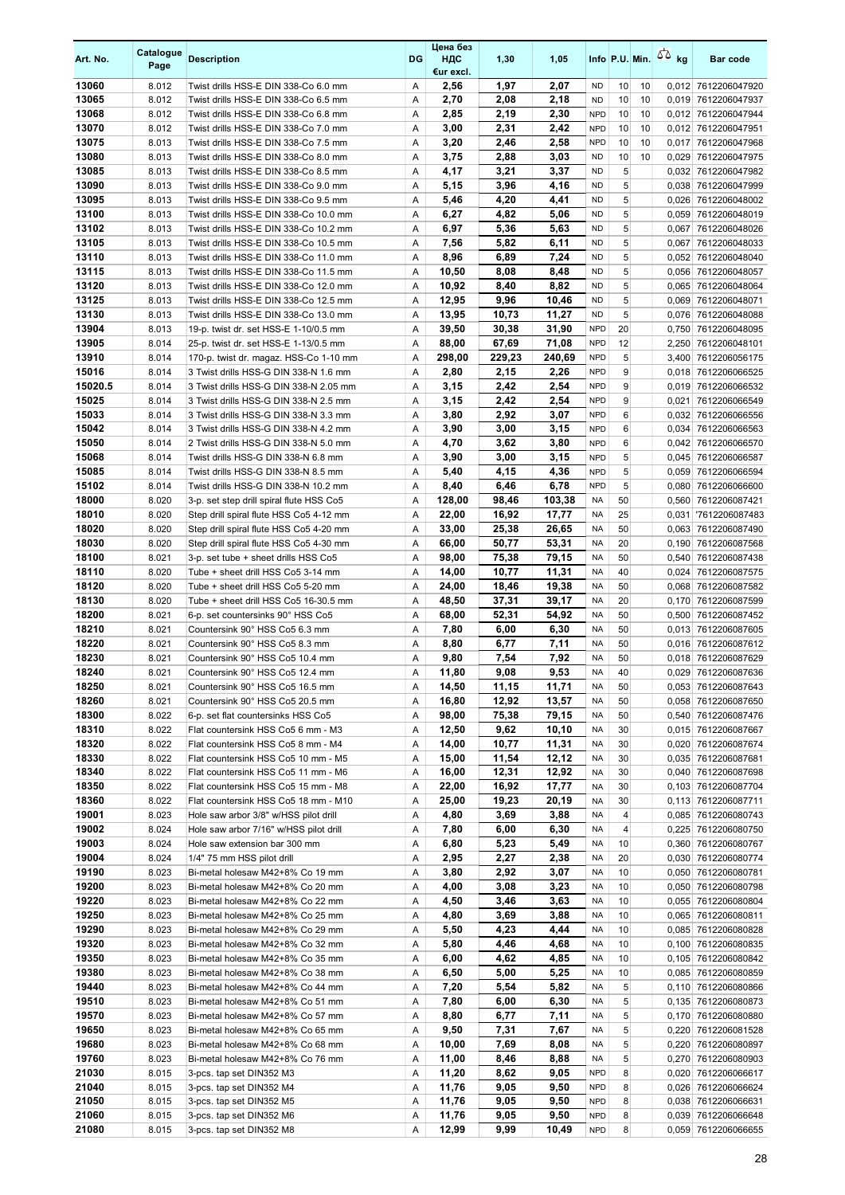| Art. No.       | Catalogue<br>Page | <b>Description</b>                                                             | <b>DG</b> | Цена без<br>НДС<br>€ur excl. | 1,30         | 1,05         |                        |          |    | Info P.U. Min. $\sqrt{2}$ kg | <b>Bar code</b>                            |
|----------------|-------------------|--------------------------------------------------------------------------------|-----------|------------------------------|--------------|--------------|------------------------|----------|----|------------------------------|--------------------------------------------|
| 13060          | 8.012             | Twist drills HSS-E DIN 338-Co 6.0 mm                                           | Α         | 2,56                         | 1,97         | 2,07         | <b>ND</b>              | 10       | 10 |                              | 0,012 7612206047920                        |
| 13065          | 8.012             | Twist drills HSS-E DIN 338-Co 6.5 mm                                           | Α         | 2,70                         | 2,08         | 2,18         | <b>ND</b>              | 10       | 10 |                              | 0,019 7612206047937                        |
| 13068          | 8.012             | Twist drills HSS-E DIN 338-Co 6.8 mm                                           | A         | 2,85                         | 2,19         | 2,30         | <b>NPD</b>             | 10       | 10 |                              | 0,012 7612206047944                        |
| 13070          | 8.012             | Twist drills HSS-E DIN 338-Co 7.0 mm                                           | Α         | 3,00                         | 2,31         | 2,42         | <b>NPD</b>             | 10       | 10 |                              | 0,012 7612206047951                        |
| 13075          | 8.013             | Twist drills HSS-E DIN 338-Co 7.5 mm                                           | Α         | 3,20                         | 2,46         | 2,58         | <b>NPD</b>             | 10       | 10 |                              | 0.017 7612206047968                        |
| 13080          | 8.013             | Twist drills HSS-E DIN 338-Co 8.0 mm                                           | A         | 3,75                         | 2,88         | 3,03         | ND.                    | 10       | 10 |                              | 0,029 7612206047975                        |
| 13085          | 8.013             | Twist drills HSS-E DIN 338-Co 8.5 mm                                           | Α         | 4,17                         | 3,21         | 3,37         | <b>ND</b>              | 5        |    |                              | 0.032 7612206047982                        |
| 13090          | 8.013             | Twist drills HSS-E DIN 338-Co 9.0 mm                                           | Α         | 5,15                         | 3,96         | 4,16         | <b>ND</b>              | 5        |    |                              | 0,038 7612206047999                        |
| 13095          | 8.013             | Twist drills HSS-E DIN 338-Co 9.5 mm                                           | Α         | 5,46                         | 4,20         | 4,41         | <b>ND</b>              | 5        |    |                              | 0,026 7612206048002                        |
| 13100          | 8.013             | Twist drills HSS-E DIN 338-Co 10.0 mm                                          | Α         | 6,27                         | 4,82         | 5,06         | <b>ND</b>              | 5        |    |                              | 0,059 7612206048019                        |
| 13102          | 8.013             | Twist drills HSS-E DIN 338-Co 10.2 mm                                          | Α         | 6,97                         | 5,36         | 5,63         | <b>ND</b>              | 5        |    |                              | 0,067 7612206048026                        |
| 13105          | 8.013             | Twist drills HSS-E DIN 338-Co 10.5 mm                                          | Α         | 7,56                         | 5,82         | 6,11         | <b>ND</b>              | 5        |    |                              | 0,067 7612206048033                        |
| 13110          | 8.013             | Twist drills HSS-E DIN 338-Co 11.0 mm                                          | A         | 8,96                         | 6,89         | 7,24         | <b>ND</b>              | 5        |    |                              | 0,052 7612206048040                        |
| 13115<br>13120 | 8.013<br>8.013    | Twist drills HSS-E DIN 338-Co 11.5 mm<br>Twist drills HSS-E DIN 338-Co 12.0 mm | Α<br>Α    | 10,50<br>10,92               | 8,08         | 8,48<br>8,82 | <b>ND</b><br><b>ND</b> | 5<br>5   |    |                              | 0,056 7612206048057                        |
| 13125          | 8.013             | Twist drills HSS-E DIN 338-Co 12.5 mm                                          | Α         | 12,95                        | 8,40<br>9,96 | 10,46        | <b>ND</b>              | 5        |    |                              | 0,065 7612206048064<br>0,069 7612206048071 |
| 13130          | 8.013             | Twist drills HSS-E DIN 338-Co 13.0 mm                                          | Α         | 13,95                        | 10,73        | 11,27        | <b>ND</b>              | 5        |    |                              | 0,076 7612206048088                        |
| 13904          | 8.013             | 19-p. twist dr. set HSS-E 1-10/0.5 mm                                          | Α         | 39,50                        | 30,38        | 31,90        | <b>NPD</b>             | 20       |    |                              | 0,750 7612206048095                        |
| 13905          | 8.014             | 25-p. twist dr. set HSS-E 1-13/0.5 mm                                          | Α         | 88,00                        | 67,69        | 71,08        | <b>NPD</b>             | 12       |    |                              | 2,250 7612206048101                        |
| 13910          | 8.014             | 170-p. twist dr. magaz. HSS-Co 1-10 mm                                         | Α         | 298,00                       | 229,23       | 240,69       | <b>NPD</b>             | 5        |    |                              | 3,400 7612206056175                        |
| 15016          | 8.014             | 3 Twist drills HSS-G DIN 338-N 1.6 mm                                          | Α         | 2,80                         | 2,15         | 2,26         | <b>NPD</b>             | 9        |    |                              | 0,018 7612206066525                        |
| 15020.5        | 8.014             | 3 Twist drills HSS-G DIN 338-N 2.05 mm                                         | Α         | 3,15                         | 2,42         | 2,54         | <b>NPD</b>             | 9        |    |                              | 0,019 7612206066532                        |
| 15025          | 8.014             | 3 Twist drills HSS-G DIN 338-N 2.5 mm                                          | Α         | 3,15                         | 2,42         | 2,54         | <b>NPD</b>             | 9        |    |                              | 0,021 7612206066549                        |
| 15033          | 8.014             | 3 Twist drills HSS-G DIN 338-N 3.3 mm                                          | Α         | 3,80                         | 2,92         | 3,07         | <b>NPD</b>             | 6        |    |                              | 0.032 7612206066556                        |
| 15042          | 8.014             | 3 Twist drills HSS-G DIN 338-N 4.2 mm                                          | Α         | 3,90                         | 3,00         | 3,15         | <b>NPD</b>             | 6        |    |                              | 0.034 7612206066563                        |
| 15050          | 8.014             | 2 Twist drills HSS-G DIN 338-N 5.0 mm                                          | Α         | 4,70                         | 3,62         | 3,80         | <b>NPD</b>             | 6        |    |                              | 0,042 7612206066570                        |
| 15068          | 8.014             | Twist drills HSS-G DIN 338-N 6.8 mm                                            | Α         | 3,90                         | 3,00         | 3,15         | <b>NPD</b>             | 5        |    |                              | 0,045 7612206066587                        |
| 15085          | 8.014             | Twist drills HSS-G DIN 338-N 8.5 mm                                            | A         | 5,40                         | 4,15         | 4,36         | <b>NPD</b>             | 5        |    |                              | 0.059 7612206066594                        |
| 15102          | 8.014             | Twist drills HSS-G DIN 338-N 10.2 mm                                           | Α         | 8,40                         | 6,46         | 6,78         | <b>NPD</b>             | 5        |    |                              | 0,080 7612206066600                        |
| 18000          | 8.020             | 3-p. set step drill spiral flute HSS Co5                                       | Α         | 128,00                       | 98,46        | 103,38       | <b>NA</b>              | 50       |    |                              | 0,560 7612206087421                        |
| 18010          | 8.020             | Step drill spiral flute HSS Co5 4-12 mm                                        | Α         | 22,00                        | 16,92        | 17,77        | <b>NA</b>              | 25       |    |                              | 0,031 7612206087483                        |
| 18020          | 8.020             | Step drill spiral flute HSS Co5 4-20 mm                                        | Α         | 33,00                        | 25,38        | 26,65        | <b>NA</b>              | 50       |    |                              | 0,063 7612206087490                        |
| 18030          | 8.020             | Step drill spiral flute HSS Co5 4-30 mm                                        | Α         | 66,00                        | 50,77        | 53,31        | <b>NA</b>              | 20       |    |                              | 0,190 7612206087568                        |
| 18100          | 8.021             | 3-p. set tube + sheet drills HSS Co5                                           | Α         | 98,00                        | 75,38        | 79,15        | <b>NA</b>              | 50       |    |                              | 0,540 7612206087438                        |
| 18110          | 8.020             | Tube + sheet drill HSS Co5 3-14 mm                                             | Α         | 14,00                        | 10,77        | 11,31        | <b>NA</b>              | 40       |    |                              | 0,024 7612206087575                        |
| 18120          | 8.020             | Tube + sheet drill HSS Co5 5-20 mm                                             | Α         | 24,00                        | 18,46        | 19,38        | <b>NA</b>              | 50       |    |                              | 0,068 7612206087582                        |
| 18130          | 8.020             | Tube + sheet drill HSS Co5 16-30.5 mm                                          | Α         | 48,50                        | 37,31        | 39,17        | <b>NA</b>              | 20       |    |                              | 0,170 7612206087599                        |
| 18200          | 8.021             | 6-p. set countersinks 90° HSS Co5                                              | Α         | 68,00                        | 52,31        | 54,92        | NA                     | 50       |    |                              | 0,500 7612206087452                        |
| 18210          | 8.021             | Countersink 90° HSS Co5 6.3 mm                                                 | Α         | 7,80                         | 6,00         | 6,30         | <b>NA</b>              | 50       |    |                              | 0,013 7612206087605                        |
| 18220          | 8.021             | Countersink 90° HSS Co5 8.3 mm                                                 | Α         | 8,80                         | 6,77         | 7,11         | <b>NA</b>              | 50       |    |                              | 0,016 7612206087612                        |
| 18230          | 8.021             | Countersink 90° HSS Co5 10.4 mm                                                | Α         | 9,80                         | 7,54         | 7,92         | <b>NA</b>              | 50       |    |                              | 0,018 7612206087629                        |
| 18240          | 8.021             | Countersink 90° HSS Co5 12.4 mm                                                | A         | 11,80                        | 9,08         | 9.53         | <b>NA</b>              | 40       |    |                              | 0,029 7612206087636                        |
| 18250          | 8.021             | Countersink 90° HSS Co5 16.5 mm                                                | Α         | 14,50                        | 11,15        | 11,71        | NA                     | 50       |    |                              | 0,053 7612206087643                        |
| 18260          | 8.021             | Countersink 90° HSS Co5 20.5 mm                                                | Α         | 16,80                        | 12,92        | 13,57        | NA                     | 50       |    |                              | 0,058 7612206087650                        |
| 18300          | 8.022             | 6-p. set flat countersinks HSS Co5                                             | Α         | 98,00                        | 75,38        | 79,15        | NA                     | 50       |    |                              | 0,540 7612206087476                        |
| 18310          | 8.022             | Flat countersink HSS Co5 6 mm - M3                                             | Α         | 12,50                        | 9,62         | 10,10        | NA                     | 30       |    |                              | 0,015 7612206087667                        |
| 18320          | 8.022             | Flat countersink HSS Co5 8 mm - M4                                             | Α         | 14,00                        | 10,77        | 11,31        | NA                     | 30       |    |                              | 0,020 7612206087674                        |
| 18330          | 8.022             | Flat countersink HSS Co5 10 mm - M5                                            | Α         | 15,00                        | 11,54        | 12,12        | <b>NA</b>              | 30       |    |                              | 0,035 7612206087681                        |
| 18340          | 8.022             | Flat countersink HSS Co5 11 mm - M6                                            | Α         | 16,00                        | 12,31        | 12,92        | <b>NA</b>              | 30       |    |                              | 0,040 7612206087698                        |
| 18350          | 8.022             | Flat countersink HSS Co5 15 mm - M8                                            | Α         | 22,00                        | 16,92        | 17,77        | NA                     | 30       |    |                              | 0,103 7612206087704                        |
| 18360          | 8.022             | Flat countersink HSS Co5 18 mm - M10                                           | Α         | 25,00                        | 19,23        | 20,19        | NA                     | 30       |    |                              | 0,113 7612206087711                        |
| 19001          | 8.023             | Hole saw arbor 3/8" w/HSS pilot drill                                          | Α         | 4,80                         | 3,69         | 3,88         | <b>NA</b>              | 4        |    |                              | 0,085 7612206080743                        |
| 19002          | 8.024             | Hole saw arbor 7/16" w/HSS pilot drill                                         | Α         | 7,80                         | 6,00         | 6,30         | NA                     | 4        |    |                              | 0,225 7612206080750                        |
| 19003<br>19004 | 8.024<br>8.024    | Hole saw extension bar 300 mm<br>1/4" 75 mm HSS pilot drill                    | Α<br>Α    | 6,80<br>2,95                 | 5,23<br>2,27 | 5,49<br>2,38 | NA<br>NA               | 10<br>20 |    |                              | 0,360 7612206080767<br>0,030 7612206080774 |
| 19190          |                   |                                                                                |           | 3,80                         | 2,92         | 3,07         | ΝA                     | 10       |    |                              | 0,050 7612206080781                        |
| 19200          | 8.023<br>8.023    | Bi-metal holesaw M42+8% Co 19 mm<br>Bi-metal holesaw M42+8% Co 20 mm           | Α<br>Α    | 4,00                         | 3,08         | 3,23         | NA                     | 10       |    |                              | 0,050 7612206080798                        |
| 19220          | 8.023             | Bi-metal holesaw M42+8% Co 22 mm                                               | Α         | 4,50                         | 3,46         | 3,63         | <b>NA</b>              | 10       |    |                              | 0,055 7612206080804                        |
| 19250          | 8.023             | Bi-metal holesaw M42+8% Co 25 mm                                               | Α         | 4,80                         | 3,69         | 3,88         | <b>NA</b>              | 10       |    |                              | 0,065 7612206080811                        |
| 19290          | 8.023             | Bi-metal holesaw M42+8% Co 29 mm                                               | Α         | 5,50                         | 4,23         | 4,44         | NA                     | 10       |    |                              | 0,085 7612206080828                        |
| 19320          | 8.023             | Bi-metal holesaw M42+8% Co 32 mm                                               | Α         | 5,80                         | 4,46         | 4,68         | NA                     | 10       |    |                              | 0,100 7612206080835                        |
| 19350          | 8.023             | Bi-metal holesaw M42+8% Co 35 mm                                               | Α         | 6,00                         | 4,62         | 4,85         | NA                     | 10       |    |                              | 0,105 7612206080842                        |
| 19380          | 8.023             | Bi-metal holesaw M42+8% Co 38 mm                                               | Α         | 6,50                         | 5,00         | 5,25         | <b>NA</b>              | 10       |    |                              | 0,085 7612206080859                        |
| 19440          | 8.023             | Bi-metal holesaw M42+8% Co 44 mm                                               | Α         | 7,20                         | 5,54         | 5,82         | NA                     | 5        |    |                              | 0,110 7612206080866                        |
| 19510          | 8.023             | Bi-metal holesaw M42+8% Co 51 mm                                               | Α         | 7,80                         | 6,00         | 6,30         | <b>NA</b>              | 5        |    |                              | 0,135 7612206080873                        |
| 19570          | 8.023             | Bi-metal holesaw M42+8% Co 57 mm                                               | Α         | 8,80                         | 6,77         | 7,11         | <b>NA</b>              | 5        |    |                              | 0,170 7612206080880                        |
| 19650          | 8.023             | Bi-metal holesaw M42+8% Co 65 mm                                               | Α         | 9,50                         | 7,31         | 7,67         | NA                     | 5        |    |                              | 0,220 7612206081528                        |
| 19680          | 8.023             | Bi-metal holesaw M42+8% Co 68 mm                                               | Α         | 10,00                        | 7,69         | 8,08         | NA                     | 5        |    |                              | 0,220 7612206080897                        |
| 19760          | 8.023             | Bi-metal holesaw M42+8% Co 76 mm                                               | Α         | 11,00                        | 8,46         | 8,88         | NA                     | 5        |    |                              | 0,270 7612206080903                        |
| 21030          | 8.015             | 3-pcs. tap set DIN352 M3                                                       | Α         | 11,20                        | 8,62         | 9,05         | <b>NPD</b>             | 8        |    |                              | 0,020 7612206066617                        |
| 21040          | 8.015             | 3-pcs. tap set DIN352 M4                                                       | Α         | 11,76                        | 9,05         | 9,50         | <b>NPD</b>             | 8        |    |                              | 0,026 7612206066624                        |
| 21050          | 8.015             | 3-pcs. tap set DIN352 M5                                                       | Α         | 11,76                        | 9,05         | 9,50         | <b>NPD</b>             | 8        |    |                              | 0,038 7612206066631                        |
| 21060          | 8.015             | 3-pcs. tap set DIN352 M6                                                       | Α         | 11,76                        | 9,05         | 9,50         | <b>NPD</b>             | 8        |    |                              | 0,039 7612206066648                        |
| 21080          | 8.015             | 3-pcs. tap set DIN352 M8                                                       | Α         | 12,99                        | 9,99         | 10,49        | <b>NPD</b>             | 8        |    |                              | 0,059 7612206066655                        |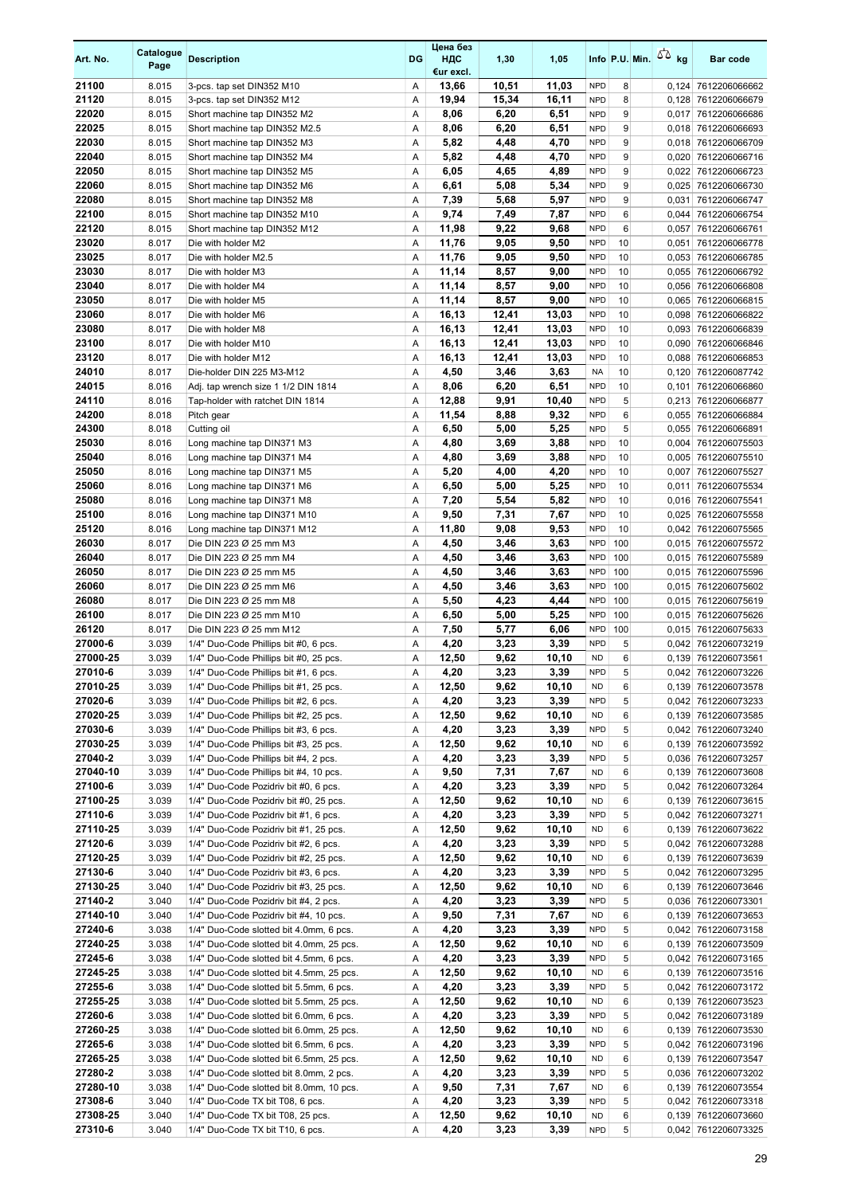| Art. No.            | Catalogue<br>Page | <b>Description</b>                                                                  | DG     | Цена без<br>ндс<br>€ur excl. | 1,30           | 1,05           |                          |          | Info P.U. Min. | $50 \text{ kg}$ | Bar code                                   |
|---------------------|-------------------|-------------------------------------------------------------------------------------|--------|------------------------------|----------------|----------------|--------------------------|----------|----------------|-----------------|--------------------------------------------|
| 21100               | 8.015             | 3-pcs. tap set DIN352 M10                                                           | Α      | 13,66                        | 10,51          | 11,03          | <b>NPD</b>               | 8        |                |                 | 0,124 7612206066662                        |
| 21120               | 8.015             | 3-pcs. tap set DIN352 M12                                                           | Α      | 19,94                        | 15,34          | 16,11          | <b>NPD</b>               | 8        |                |                 | 0,128 7612206066679                        |
| 22020               | 8.015             | Short machine tap DIN352 M2                                                         | Α      | 8,06                         | 6,20           | 6,51           | <b>NPD</b>               | 9        |                | 0,017           | 7612206066686                              |
| 22025               | 8.015             | Short machine tap DIN352 M2.5                                                       | Α      | 8,06                         | 6,20           | 6,51           | <b>NPD</b>               | 9        |                |                 | 0,018 7612206066693                        |
| 22030               | 8.015             | Short machine tap DIN352 M3                                                         | Α      | 5,82                         | 4,48           | 4,70           | <b>NPD</b>               | 9        |                |                 | 0,018 7612206066709                        |
| 22040<br>22050      | 8.015<br>8.015    | Short machine tap DIN352 M4                                                         | Α<br>Α | 5,82<br>6,05                 | 4,48<br>4,65   | 4,70<br>4,89   | <b>NPD</b><br><b>NPD</b> | 9<br>9   |                |                 | 0,020 7612206066716<br>0,022 7612206066723 |
| 22060               | 8.015             | Short machine tap DIN352 M5<br>Short machine tap DIN352 M6                          | Α      | 6,61                         | 5,08           | 5,34           | <b>NPD</b>               | 9        |                |                 | 0,025 7612206066730                        |
| 22080               | 8.015             | Short machine tap DIN352 M8                                                         | Α      | 7,39                         | 5,68           | 5,97           | <b>NPD</b>               | 9        |                | 0,031           | 7612206066747                              |
| 22100               | 8.015             | Short machine tap DIN352 M10                                                        | Α      | 9,74                         | 7,49           | 7,87           | <b>NPD</b>               | 6        |                | 0,044           | 7612206066754                              |
| 22120               | 8.015             | Short machine tap DIN352 M12                                                        | Α      | 11,98                        | 9,22           | 9,68           | <b>NPD</b>               | 6        |                | 0,057           | 7612206066761                              |
| 23020               | 8.017             | Die with holder M2                                                                  | Α      | 11,76                        | 9,05           | 9,50           | <b>NPD</b>               | 10       |                |                 | 0,051 7612206066778                        |
| 23025               | 8.017             | Die with holder M2.5                                                                | Α      | 11,76                        | 9,05           | 9,50           | <b>NPD</b>               | 10       |                |                 | 0,053 7612206066785                        |
| 23030               | 8.017             | Die with holder M3                                                                  | Α      | 11,14                        | 8,57           | 9,00           | <b>NPD</b>               | 10       |                |                 | 0,055 7612206066792                        |
| 23040               | 8.017             | Die with holder M4                                                                  | Α      | 11,14                        | 8,57           | 9,00           | <b>NPD</b>               | 10       |                |                 | 0,056 7612206066808                        |
| 23050               | 8.017             | Die with holder M5                                                                  | Α      | 11,14                        | 8,57           | 9,00           | <b>NPD</b>               | 10       |                |                 | 0,065 7612206066815                        |
| 23060<br>23080      | 8.017<br>8.017    | Die with holder M6<br>Die with holder M8                                            | Α<br>Α | 16,13<br>16,13               | 12,41<br>12,41 | 13,03<br>13,03 | <b>NPD</b><br><b>NPD</b> | 10<br>10 |                | 0,093           | 0,098 7612206066822<br>7612206066839       |
| 23100               | 8.017             | Die with holder M10                                                                 | Α      | 16,13                        | 12,41          | 13,03          | <b>NPD</b>               | 10       |                |                 | 0,090 7612206066846                        |
| 23120               | 8.017             | Die with holder M12                                                                 | Α      | 16,13                        | 12,41          | 13,03          | <b>NPD</b>               | 10       |                |                 | 0,088 7612206066853                        |
| 24010               | 8.017             | Die-holder DIN 225 M3-M12                                                           | Α      | 4,50                         | 3,46           | 3,63           | NA                       | 10       |                |                 | 0,120 7612206087742                        |
| 24015               | 8.016             | Adj. tap wrench size 1 1/2 DIN 1814                                                 | Α      | 8,06                         | 6,20           | 6,51           | <b>NPD</b>               | 10       |                | 0,101           | 7612206066860                              |
| 24110               | 8.016             | Tap-holder with ratchet DIN 1814                                                    | Α      | 12,88                        | 9,91           | 10,40          | <b>NPD</b>               | 5        |                |                 | 0,213 7612206066877                        |
| 24200               | 8.018             | Pitch gear                                                                          | Α      | 11,54                        | 8,88           | 9,32           | <b>NPD</b>               | 6        |                |                 | 0,055 7612206066884                        |
| 24300               | 8.018             | Cutting oil                                                                         | Α      | 6,50                         | 5,00           | 5,25           | <b>NPD</b>               | 5        |                |                 | 0,055 7612206066891                        |
| 25030               | 8.016             | Long machine tap DIN371 M3                                                          | Α      | 4,80                         | 3,69           | 3,88           | <b>NPD</b>               | 10       |                |                 | 0,004 7612206075503                        |
| 25040               | 8.016             | Long machine tap DIN371 M4                                                          | Α      | 4,80                         | 3,69           | 3,88           | <b>NPD</b>               | 10       |                |                 | 0,005 7612206075510                        |
| 25050               | 8.016             | Long machine tap DIN371 M5                                                          | A      | 5,20                         | 4,00           | 4,20           | <b>NPD</b>               | 10       |                | 0,007           | 7612206075527                              |
| 25060<br>25080      | 8.016<br>8.016    | Long machine tap DIN371 M6<br>Long machine tap DIN371 M8                            | Α<br>A | 6,50<br>7,20                 | 5,00<br>5,54   | 5,25<br>5,82   | <b>NPD</b><br><b>NPD</b> | 10<br>10 |                | 0,011           | 7612206075534<br>0,016 7612206075541       |
| 25100               | 8.016             | Long machine tap DIN371 M10                                                         | Α      | 9,50                         | 7,31           | 7,67           | <b>NPD</b>               | 10       |                |                 | 0,025 7612206075558                        |
| 25120               | 8.016             | Long machine tap DIN371 M12                                                         | Α      | 11,80                        | 9,08           | 9,53           | <b>NPD</b>               | 10       |                |                 | 0,042 7612206075565                        |
| 26030               | 8.017             | Die DIN 223 Ø 25 mm M3                                                              | Α      | 4,50                         | 3,46           | 3,63           | <b>NPD</b>               | 100      |                |                 | 0,015 7612206075572                        |
| 26040               | 8.017             | Die DIN 223 Ø 25 mm M4                                                              | Α      | 4,50                         | 3,46           | 3,63           | <b>NPD</b>               | 100      |                |                 | 0,015 7612206075589                        |
| 26050               | 8.017             | Die DIN 223 Ø 25 mm M5                                                              | Α      | 4,50                         | 3,46           | 3,63           | <b>NPD</b>               | 100      |                |                 | 0,015 7612206075596                        |
| 26060               | 8.017             | Die DIN 223 Ø 25 mm M6                                                              | Α      | 4,50                         | 3,46           | 3,63           | <b>NPD</b>               | 100      |                |                 | 0,015 7612206075602                        |
| 26080               | 8.017             | Die DIN 223 Ø 25 mm M8                                                              | Α      | 5,50                         | 4,23           | 4,44           | <b>NPD</b>               | 100      |                |                 | 0,015 7612206075619                        |
| 26100               | 8.017             | Die DIN 223 Ø 25 mm M10                                                             | Α      | 6,50                         | 5,00           | 5,25           | <b>NPD</b>               | 100      |                |                 | 0,015 7612206075626                        |
| 26120<br>27000-6    | 8.017<br>3.039    | Die DIN 223 Ø 25 mm M12<br>1/4" Duo-Code Phillips bit #0, 6 pcs.                    | Α      | 7,50                         | 5,77           | 6,06<br>3,39   | <b>NPD</b>               | 100<br>5 |                |                 | 0,015 7612206075633                        |
| 27000-25            | 3.039             | 1/4" Duo-Code Phillips bit #0, 25 pcs.                                              | Α<br>Α | 4,20<br>12,50                | 3,23<br>9,62   | 10,10          | <b>NPD</b><br><b>ND</b>  | 6        |                |                 | 0,042 7612206073219<br>0,139 7612206073561 |
| 27010-6             | 3.039             | 1/4" Duo-Code Phillips bit #1, 6 pcs.                                               | A      | 4,20                         | 3,23           | 3,39           | <b>NPD</b>               | 5        |                |                 | 0,042 7612206073226                        |
| 27010-25            | 3.039             | 1/4" Duo-Code Phillips bit #1, 25 pcs.                                              | Α      | 12,50                        | 9,62           | 10,10          | <b>ND</b>                | 6        |                |                 | 0,139 7612206073578                        |
| 27020-6             | 3.039             | 1/4" Duo-Code Phillips bit #2, 6 pcs.                                               | Α      | 4,20                         | 3,23           | 3,39           | <b>NPD</b>               | 5        |                |                 | 0,042 7612206073233                        |
| 27020-25            | 3.039             | 1/4" Duo-Code Phillips bit #2, 25 pcs.                                              | Α      | 12,50                        | 9,62           | 10,10          | <b>ND</b>                | 6        |                |                 | 0,139 7612206073585                        |
| 27030-6             | 3.039             | 1/4" Duo-Code Phillips bit #3, 6 pcs.                                               | Α      | 4,20                         | 3,23           | 3,39           | <b>NPD</b>               | 5        |                |                 | 0,042 7612206073240                        |
| 27030-25            | 3.039             | 1/4" Duo-Code Phillips bit #3, 25 pcs.                                              | Α      | 12,50                        | 9,62           | 10,10          | <b>ND</b>                | 6        |                |                 | 0,139 7612206073592                        |
| 27040-2             | 3.039             | 1/4" Duo-Code Phillips bit #4, 2 pcs.                                               | Α      | 4,20                         | 3,23           | 3,39           | <b>NPD</b>               | 5        |                |                 | 0,036 7612206073257                        |
| 27040-10<br>27100-6 | 3.039             | 1/4" Duo-Code Phillips bit #4, 10 pcs.                                              | Α      | 9,50                         | 7,31           | 7,67           | <b>ND</b>                | 6        |                |                 | 0,139 7612206073608                        |
| 27100-25            | 3.039<br>3.039    | 1/4" Duo-Code Pozidriv bit #0, 6 pcs.<br>1/4" Duo-Code Pozidriv bit #0, 25 pcs.     | Α<br>Α | 4,20<br>12,50                | 3,23<br>9,62   | 3,39<br>10,10  | <b>NPD</b><br><b>ND</b>  | 5<br>6   |                |                 | 0,042 7612206073264                        |
| 27110-6             | 3.039             | 1/4" Duo-Code Pozidriv bit #1, 6 pcs.                                               | Α      | 4,20                         | 3,23           | 3,39           | <b>NPD</b>               | 5        |                |                 | 0,139 7612206073615<br>0,042 7612206073271 |
| 27110-25            | 3.039             | 1/4" Duo-Code Pozidriv bit #1, 25 pcs.                                              | Α      | 12,50                        | 9,62           | 10,10          | <b>ND</b>                | 6        |                |                 | 0,139 7612206073622                        |
| 27120-6             | 3.039             | 1/4" Duo-Code Pozidriv bit #2, 6 pcs.                                               | Α      | 4,20                         | 3,23           | 3,39           | <b>NPD</b>               | 5        |                |                 | 0,042 7612206073288                        |
| 27120-25            | 3.039             | 1/4" Duo-Code Pozidriv bit #2, 25 pcs.                                              | Α      | 12,50                        | 9,62           | 10,10          | <b>ND</b>                | 6        |                |                 | 0,139 7612206073639                        |
| 27130-6             | 3.040             | 1/4" Duo-Code Pozidriv bit #3, 6 pcs.                                               | Α      | 4,20                         | 3,23           | 3,39           | <b>NPD</b>               | 5        |                |                 | 0,042 7612206073295                        |
| 27130-25            | 3.040             | 1/4" Duo-Code Pozidriv bit #3, 25 pcs.                                              | Α      | 12,50                        | 9,62           | 10,10          | <b>ND</b>                | 6        |                |                 | 0,139 7612206073646                        |
| 27140-2             | 3.040             | 1/4" Duo-Code Pozidriv bit #4, 2 pcs.                                               | Α      | 4,20                         | 3,23           | 3,39           | <b>NPD</b>               | 5        |                |                 | 0,036 7612206073301                        |
| 27140-10            | 3.040             | 1/4" Duo-Code Pozidriv bit #4, 10 pcs.                                              | Α      | 9,50                         | 7,31           | 7,67           | <b>ND</b>                | 6        |                |                 | 0,139 7612206073653                        |
| 27240-6<br>27240-25 | 3.038<br>3.038    | 1/4" Duo-Code slotted bit 4.0mm, 6 pcs.<br>1/4" Duo-Code slotted bit 4.0mm, 25 pcs. | Α      | 4,20<br>12,50                | 3,23<br>9,62   | 3,39           | <b>NPD</b>               | 5<br>6   |                |                 | 0,042 7612206073158                        |
| 27245-6             | 3.038             | 1/4" Duo-Code slotted bit 4.5mm, 6 pcs.                                             | Α<br>Α | 4,20                         | 3,23           | 10,10<br>3,39  | <b>ND</b><br><b>NPD</b>  | 5        |                |                 | 0,139 7612206073509<br>0,042 7612206073165 |
| 27245-25            | 3.038             | 1/4" Duo-Code slotted bit 4.5mm, 25 pcs.                                            | Α      | 12,50                        | 9,62           | 10,10          | <b>ND</b>                | 6        |                |                 | 0,139 7612206073516                        |
| 27255-6             | 3.038             | 1/4" Duo-Code slotted bit 5.5mm, 6 pcs.                                             | Α      | 4,20                         | 3,23           | 3,39           | <b>NPD</b>               | 5        |                |                 | 0,042 7612206073172                        |
| 27255-25            | 3.038             | 1/4" Duo-Code slotted bit 5.5mm, 25 pcs.                                            | Α      | 12,50                        | 9,62           | 10,10          | <b>ND</b>                | 6        |                |                 | 0,139 7612206073523                        |
| 27260-6             | 3.038             | 1/4" Duo-Code slotted bit 6.0mm, 6 pcs.                                             | Α      | 4,20                         | 3,23           | 3,39           | <b>NPD</b>               | 5        |                |                 | 0,042 7612206073189                        |
| 27260-25            | 3.038             | 1/4" Duo-Code slotted bit 6.0mm, 25 pcs.                                            | Α      | 12,50                        | 9,62           | 10,10          | <b>ND</b>                | 6        |                |                 | 0,139 7612206073530                        |
| 27265-6             | 3.038             | 1/4" Duo-Code slotted bit 6.5mm, 6 pcs.                                             | Α      | 4,20                         | 3,23           | 3,39           | <b>NPD</b>               | 5        |                |                 | 0,042 7612206073196                        |
| 27265-25            | 3.038             | 1/4" Duo-Code slotted bit 6.5mm, 25 pcs.                                            | Α      | 12,50                        | 9,62           | 10,10          | <b>ND</b>                | 6        |                |                 | 0,139 7612206073547                        |
| 27280-2             | 3.038             | 1/4" Duo-Code slotted bit 8.0mm, 2 pcs.                                             | Α      | 4,20                         | 3,23           | 3,39           | <b>NPD</b>               | 5<br>6   |                |                 | 0,036 7612206073202                        |
| 27280-10<br>27308-6 | 3.038<br>3.040    | 1/4" Duo-Code slotted bit 8.0mm, 10 pcs.<br>1/4" Duo-Code TX bit T08, 6 pcs.        | Α<br>Α | 9,50<br>4,20                 | 7,31<br>3,23   | 7,67<br>3,39   | <b>ND</b><br><b>NPD</b>  | 5        |                |                 | 0,139 7612206073554<br>0,042 7612206073318 |
| 27308-25            | 3.040             | 1/4" Duo-Code TX bit T08, 25 pcs.                                                   | Α      | 12,50                        | 9,62           | 10,10          | ND                       | 6        |                |                 | 0,139 7612206073660                        |
| 27310-6             | 3.040             | 1/4" Duo-Code TX bit T10, 6 pcs.                                                    | Α      | 4,20                         | 3,23           | 3,39           | <b>NPD</b>               | 5        |                |                 | 0,042 7612206073325                        |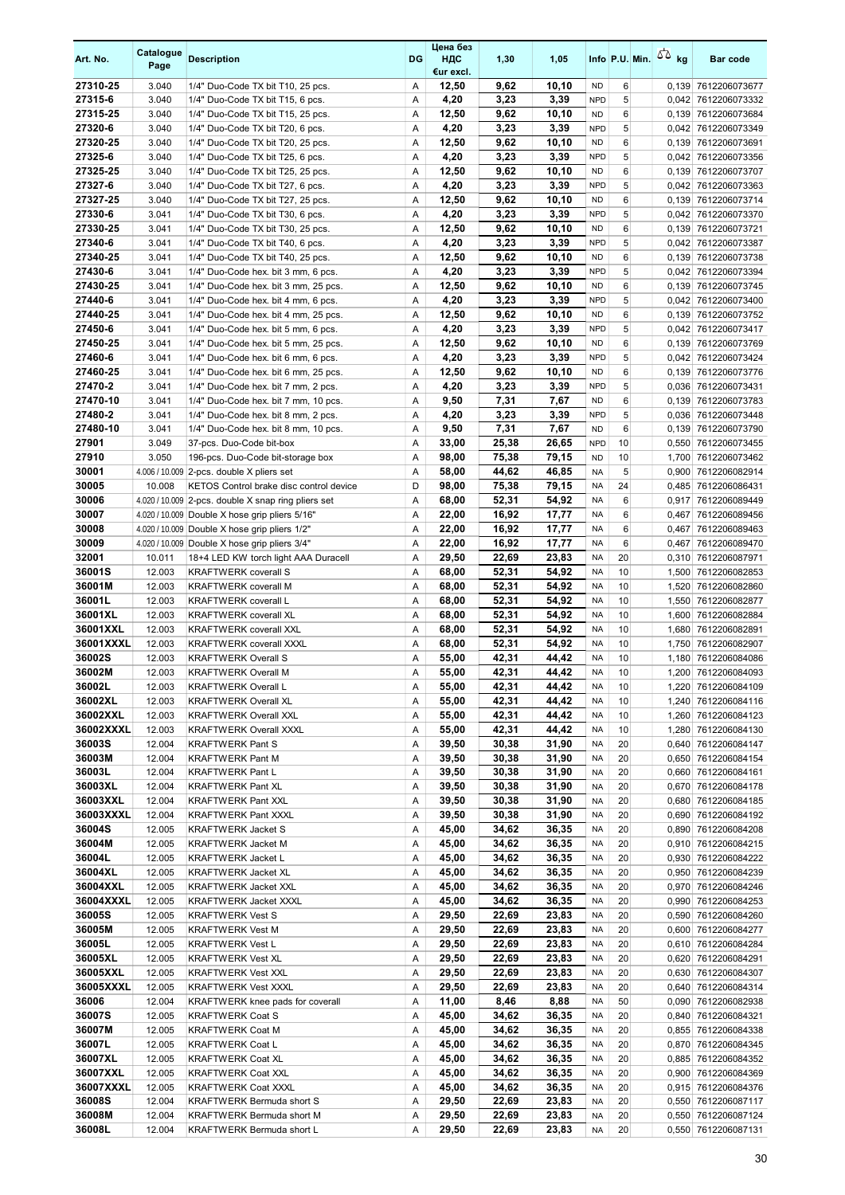| Art. No.            | Catalogue<br>Page | <b>Description</b>                                                                                    | <b>DG</b> | Цена без<br>ндс<br>€ur excl. | 1,30           | 1,05           |                         |          | Info P.U. Min. $5\overline{6}$ kg | <b>Bar code</b>                            |
|---------------------|-------------------|-------------------------------------------------------------------------------------------------------|-----------|------------------------------|----------------|----------------|-------------------------|----------|-----------------------------------|--------------------------------------------|
| 27310-25            | 3.040             | 1/4" Duo-Code TX bit T10, 25 pcs.                                                                     | Α         | 12,50                        | 9,62           | 10,10          | <b>ND</b>               | 6        |                                   | 0,139 7612206073677                        |
| 27315-6             | 3.040             | 1/4" Duo-Code TX bit T15, 6 pcs.                                                                      | Α         | 4,20                         | 3,23           | 3,39           | <b>NPD</b>              | 5        |                                   | 0,042 7612206073332                        |
| 27315-25            | 3.040             | 1/4" Duo-Code TX bit T15, 25 pcs.                                                                     | A         | 12,50                        | 9,62           | 10,10          | <b>ND</b>               | 6        |                                   | 0,139 7612206073684                        |
| 27320-6             | 3.040             | 1/4" Duo-Code TX bit T20, 6 pcs.                                                                      | Α         | 4,20                         | 3,23           | 3,39           | <b>NPD</b>              | 5        |                                   | 0,042 7612206073349                        |
| 27320-25            | 3.040             | 1/4" Duo-Code TX bit T20, 25 pcs.                                                                     | Α         | 12,50                        | 9,62           | 10,10          | <b>ND</b>               | 6        |                                   | 0,139 7612206073691                        |
| 27325-6             | 3.040             | 1/4" Duo-Code TX bit T25, 6 pcs.                                                                      | Α         | 4,20                         | 3,23           | 3,39           | <b>NPD</b>              | 5        |                                   | 0,042 7612206073356                        |
| 27325-25<br>27327-6 | 3.040<br>3.040    | 1/4" Duo-Code TX bit T25, 25 pcs.<br>1/4" Duo-Code TX bit T27, 6 pcs.                                 | Α<br>Α    | 12,50<br>4,20                | 9,62<br>3,23   | 10,10<br>3,39  | <b>ND</b><br><b>NPD</b> | 6<br>5   |                                   | 0,139 7612206073707<br>0,042 7612206073363 |
| 27327-25            | 3.040             | 1/4" Duo-Code TX bit T27, 25 pcs.                                                                     | Α         | 12,50                        | 9,62           | 10,10          | <b>ND</b>               | 6        |                                   | 0,139 7612206073714                        |
| 27330-6             | 3.041             | 1/4" Duo-Code TX bit T30, 6 pcs.                                                                      | Α         | 4,20                         | 3,23           | 3,39           | <b>NPD</b>              | 5        |                                   | 0,042 7612206073370                        |
| 27330-25            | 3.041             | 1/4" Duo-Code TX bit T30, 25 pcs.                                                                     | Α         | 12,50                        | 9,62           | 10,10          | <b>ND</b>               | 6        |                                   | 0,139 7612206073721                        |
| 27340-6             | 3.041             | 1/4" Duo-Code TX bit T40, 6 pcs.                                                                      | Α         | 4,20                         | 3,23           | 3,39           | <b>NPD</b>              | 5        |                                   | 0,042 7612206073387                        |
| 27340-25            | 3.041             | 1/4" Duo-Code TX bit T40, 25 pcs.                                                                     | Α         | 12,50                        | 9,62           | 10,10          | <b>ND</b>               | 6        |                                   | 0,139 7612206073738                        |
| 27430-6             | 3.041             | 1/4" Duo-Code hex. bit 3 mm, 6 pcs.                                                                   | Α         | 4,20                         | 3,23           | 3,39           | <b>NPD</b>              | 5        |                                   | 0,042 7612206073394                        |
| 27430-25            | 3.041             | 1/4" Duo-Code hex. bit 3 mm, 25 pcs.                                                                  | Α         | 12,50                        | 9,62           | 10,10          | <b>ND</b>               | 6        |                                   | 0,139 7612206073745                        |
| 27440-6             | 3.041             | 1/4" Duo-Code hex. bit 4 mm, 6 pcs.                                                                   | Α         | 4,20                         | 3,23           | 3,39           | <b>NPD</b>              | 5        |                                   | 0,042 7612206073400                        |
| 27440-25            | 3.041             | 1/4" Duo-Code hex. bit 4 mm, 25 pcs.                                                                  | Α         | 12,50                        | 9,62           | 10,10          | <b>ND</b>               | 6        |                                   | 0,139 7612206073752                        |
| 27450-6<br>27450-25 | 3.041<br>3.041    | 1/4" Duo-Code hex. bit 5 mm, 6 pcs.<br>1/4" Duo-Code hex. bit 5 mm, 25 pcs.                           | Α<br>Α    | 4,20<br>12,50                | 3,23<br>9,62   | 3,39<br>10,10  | <b>NPD</b><br><b>ND</b> | 5<br>6   |                                   | 0,042 7612206073417<br>0,139 7612206073769 |
| 27460-6             | 3.041             | 1/4" Duo-Code hex. bit 6 mm, 6 pcs.                                                                   | Α         | 4,20                         | 3,23           | 3,39           | <b>NPD</b>              | 5        |                                   | 0,042 7612206073424                        |
| 27460-25            | 3.041             | 1/4" Duo-Code hex. bit 6 mm, 25 pcs.                                                                  | Α         | 12,50                        | 9,62           | 10,10          | <b>ND</b>               | 6        |                                   | 0,139 7612206073776                        |
| 27470-2             | 3.041             | 1/4" Duo-Code hex. bit 7 mm, 2 pcs.                                                                   | Α         | 4,20                         | 3,23           | 3,39           | <b>NPD</b>              | 5        |                                   | 0,036 7612206073431                        |
| 27470-10            | 3.041             | 1/4" Duo-Code hex. bit 7 mm, 10 pcs.                                                                  | Α         | 9,50                         | 7,31           | 7,67           | <b>ND</b>               | 6        |                                   | 0,139 7612206073783                        |
| 27480-2             | 3.041             | 1/4" Duo-Code hex. bit 8 mm, 2 pcs.                                                                   | Α         | 4,20                         | 3,23           | 3,39           | <b>NPD</b>              | 5        |                                   | 0,036 7612206073448                        |
| 27480-10            | 3.041             | 1/4" Duo-Code hex. bit 8 mm, 10 pcs.                                                                  | Α         | 9,50                         | 7,31           | 7,67           | <b>ND</b>               | 6        |                                   | 0,139 7612206073790                        |
| 27901               | 3.049             | 37-pcs. Duo-Code bit-box                                                                              | Α         | 33,00                        | 25,38          | 26,65          | <b>NPD</b>              | 10       |                                   | 0,550 7612206073455                        |
| 27910               | 3.050             | 196-pcs. Duo-Code bit-storage box                                                                     | Α         | 98,00                        | 75,38          | 79,15          | <b>ND</b>               | 10       |                                   | 1,700 7612206073462                        |
| 30001               |                   | 4.006 / 10.009 2-pcs. double X pliers set                                                             | A         | 58,00                        | 44,62          | 46,85          | <b>NA</b>               | 5        | 0,900                             | 7612206082914                              |
| 30005<br>30006      | 10.008            | KETOS Control brake disc control device                                                               | D<br>Α    | 98,00                        | 75,38<br>52,31 | 79,15<br>54,92 | <b>NA</b><br><b>NA</b>  | 24<br>6  |                                   | 0,485 7612206086431                        |
| 30007               |                   | 4.020 / 10.009 2-pcs. double X snap ring pliers set<br>4.020 / 10.009 Double X hose grip pliers 5/16" | A         | 68,00<br>22,00               | 16,92          | 17,77          | <b>NA</b>               | 6        | 0,467                             | 0,917 7612206089449<br>7612206089456       |
| 30008               |                   | 4.020 / 10.009 Double X hose grip pliers 1/2"                                                         | Α         | 22,00                        | 16,92          | 17,77          | <b>NA</b>               | 6        |                                   | 0,467 7612206089463                        |
| 30009               |                   | 4.020 / 10.009 Double X hose grip pliers 3/4"                                                         | Α         | 22,00                        | 16,92          | 17,77          | <b>NA</b>               | 6        |                                   | 0,467 7612206089470                        |
| 32001               | 10.011            | 18+4 LED KW torch light AAA Duracell                                                                  | Α         | 29,50                        | 22,69          | 23,83          | <b>NA</b>               | 20       |                                   | 0,310 7612206087971                        |
| 36001S              | 12.003            | <b>KRAFTWERK coverall S</b>                                                                           | Α         | 68,00                        | 52,31          | 54,92          | <b>NA</b>               | 10       |                                   | 1,500 7612206082853                        |
| 36001M              | 12.003            | <b>KRAFTWERK coverall M</b>                                                                           | Α         | 68,00                        | 52,31          | 54,92          | <b>NA</b>               | 10       |                                   | 1,520 7612206082860                        |
| 36001L              | 12.003            | <b>KRAFTWERK coverall L</b>                                                                           | Α         | 68,00                        | 52,31          | 54,92          | <b>NA</b>               | 10       |                                   | 1,550 7612206082877                        |
| 36001XL             | 12.003            | <b>KRAFTWERK coverall XL</b>                                                                          | Α         | 68,00                        | 52,31          | 54,92          | <b>NA</b>               | 10       |                                   | 1,600 7612206082884                        |
| 36001XXL            | 12.003            | <b>KRAFTWERK coverall XXL</b>                                                                         | Α         | 68,00                        | 52,31          | 54,92          | <b>NA</b>               | 10       |                                   | 1,680 7612206082891                        |
| 36001XXXL<br>36002S | 12.003<br>12.003  | <b>KRAFTWERK coverall XXXL</b><br><b>KRAFTWERK Overall S</b>                                          | Α<br>Α    | 68,00<br>55,00               | 52,31<br>42,31 | 54,92<br>44,42 | <b>NA</b><br><b>NA</b>  | 10<br>10 |                                   | 1,750 7612206082907<br>1,180 7612206084086 |
| 36002M              | 12.003            | <b>KRAFTWERK Overall M</b>                                                                            | A         | 55,00                        | 42,31          | 44.42          | <b>NA</b>               | 10       |                                   | 1,200 7612206084093                        |
| 36002L              | 12.003            | <b>KRAFTWERK Overall L</b>                                                                            | Α         | 55,00                        | 42,31          | 44,42          | NA                      | 10       |                                   | 1,220 7612206084109                        |
| 36002XL             | 12.003            | <b>KRAFTWERK Overall XL</b>                                                                           | Α         | 55,00                        | 42,31          | 44,42          | NA                      | 10       |                                   | 1,240 7612206084116                        |
| 36002XXL            | 12.003            | <b>KRAFTWERK Overall XXL</b>                                                                          | Α         | 55,00                        | 42,31          | 44,42          | NA                      | 10       |                                   | 1,260 7612206084123                        |
| 36002XXXL           | 12.003            | <b>KRAFTWERK Overall XXXL</b>                                                                         | Α         | 55,00                        | 42,31          | 44,42          | NA                      | 10       |                                   | 1,280 7612206084130                        |
| 36003S              | 12.004            | <b>KRAFTWERK Pant S</b>                                                                               | Α         | 39,50                        | 30,38          | 31,90          | NA                      | 20       |                                   | 0,640 7612206084147                        |
| 36003M              | 12.004            | <b>KRAFTWERK Pant M</b>                                                                               | Α         | 39,50                        | 30,38          | 31,90          | NA                      | 20       |                                   | 0,650 7612206084154                        |
| 36003L              | 12.004            | KRAFTWERK Pant L                                                                                      | Α         | 39,50                        | 30,38          | 31,90          | NA                      | 20       |                                   | 0,660 7612206084161                        |
| 36003XL<br>36003XXL | 12.004            | <b>KRAFTWERK Pant XL</b><br><b>KRAFTWERK Pant XXL</b>                                                 | Α         | 39,50                        | 30,38          | 31,90          | NA                      | 20       |                                   | 0,670 7612206084178                        |
| 36003XXXL           | 12.004<br>12.004  | KRAFTWERK Pant XXXL                                                                                   | Α<br>Α    | 39,50<br>39,50               | 30,38<br>30,38 | 31,90<br>31,90 | NA<br>NA                | 20<br>20 |                                   | 0,680 7612206084185<br>0,690 7612206084192 |
| 36004S              | 12.005            | <b>KRAFTWERK Jacket S</b>                                                                             | Α         | 45,00                        | 34,62          | 36,35          | NA                      | 20       |                                   | 0,890 7612206084208                        |
| 36004M              | 12.005            | <b>KRAFTWERK Jacket M</b>                                                                             | Α         | 45,00                        | 34,62          | 36,35          | NA                      | 20       |                                   | 0,910 7612206084215                        |
| 36004L              | 12.005            | KRAFTWERK Jacket L                                                                                    | Α         | 45,00                        | 34,62          | 36,35          | NA                      | 20       |                                   | 0,930 7612206084222                        |
| 36004XL             | 12.005            | KRAFTWERK Jacket XL                                                                                   | Α         | 45,00                        | 34,62          | 36,35          | NA                      | 20       |                                   | 0,950 7612206084239                        |
| 36004XXL            | 12.005            | KRAFTWERK Jacket XXL                                                                                  | Α         | 45,00                        | 34,62          | 36,35          | NA                      | 20       |                                   | 0,970 7612206084246                        |
| 36004XXXL           | 12.005            | KRAFTWERK Jacket XXXL                                                                                 | Α         | 45,00                        | 34,62          | 36,35          | NA                      | 20       |                                   | 0,990 7612206084253                        |
| 36005S              | 12.005            | <b>KRAFTWERK Vest S</b>                                                                               | Α         | 29,50                        | 22,69          | 23,83          | NA                      | 20       |                                   | 0,590 7612206084260                        |
| 36005M<br>36005L    | 12.005<br>12.005  | <b>KRAFTWERK Vest M</b>                                                                               | Α<br>Α    | 29,50<br>29,50               | 22,69<br>22,69 | 23,83<br>23,83 | NA<br>NA                | 20<br>20 |                                   | 0,600 7612206084277                        |
| 36005XL             | 12.005            | <b>KRAFTWERK Vest L</b><br><b>KRAFTWERK Vest XL</b>                                                   | Α         | 29,50                        | 22,69          | 23,83          | NA                      | 20       |                                   | 0,610 7612206084284<br>0,620 7612206084291 |
| 36005XXL            | 12.005            | KRAFTWERK Vest XXL                                                                                    | Α         | 29,50                        | 22,69          | 23,83          | NA                      | 20       |                                   | 0,630 7612206084307                        |
| 36005XXXL           | 12.005            | KRAFTWERK Vest XXXL                                                                                   | Α         | 29,50                        | 22,69          | 23,83          | NA                      | 20       |                                   | 0,640 7612206084314                        |
| 36006               | 12.004            | KRAFTWERK knee pads for coverall                                                                      | Α         | 11,00                        | 8,46           | 8,88           | NA                      | 50       |                                   | 0,090 7612206082938                        |
| 36007S              | 12.005            | <b>KRAFTWERK Coat S</b>                                                                               | Α         | 45,00                        | 34,62          | 36,35          | NA                      | 20       |                                   | 0,840 7612206084321                        |
| 36007M              | 12.005            | <b>KRAFTWERK Coat M</b>                                                                               | Α         | 45,00                        | 34,62          | 36,35          | NA                      | 20       |                                   | 0,855 7612206084338                        |
| 36007L              | 12.005            | <b>KRAFTWERK Coat L</b>                                                                               | Α         | 45,00                        | 34,62          | 36,35          | NA                      | 20       |                                   | 0,870 7612206084345                        |
| 36007XL             | 12.005            | <b>KRAFTWERK Coat XL</b>                                                                              | Α         | 45,00                        | 34,62          | 36,35          | NA                      | 20       |                                   | 0,885 7612206084352                        |
| 36007XXL            | 12.005            | KRAFTWERK Coat XXL                                                                                    | Α         | 45,00                        | 34,62          | 36,35          | NA                      | 20       |                                   | 0,900 7612206084369                        |
| 36007XXXL<br>36008S | 12.005<br>12.004  | <b>KRAFTWERK Coat XXXL</b><br>KRAFTWERK Bermuda short S                                               | Α<br>Α    | 45,00<br>29,50               | 34,62<br>22,69 | 36,35<br>23,83 | NA<br>NA                | 20<br>20 |                                   | 0,915 7612206084376                        |
| 36008M              | 12.004            | KRAFTWERK Bermuda short M                                                                             | Α         | 29,50                        | 22,69          | 23,83          | NA                      | 20       |                                   | 0,550 7612206087117<br>0,550 7612206087124 |
| 36008L              | 12.004            | KRAFTWERK Bermuda short L                                                                             | Α         | 29,50                        | 22,69          | 23,83          | NA                      | 20       |                                   | 0,550 7612206087131                        |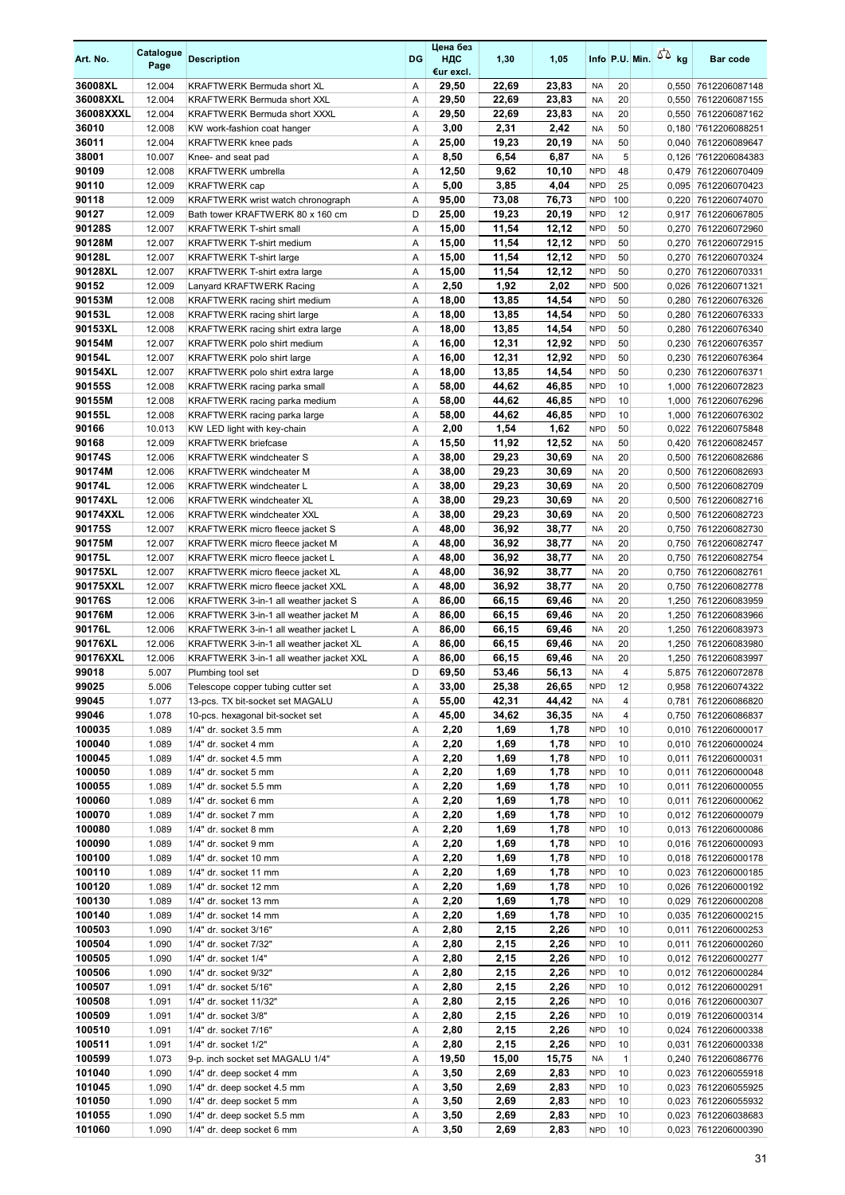| Art. No.          | Catalogue<br>Page | <b>Description</b>                                                   | DG     | Цена без<br>ндс<br>€ur excl. | 1,30           | 1,05           |                          |                         | Info P.U. Min. $\sqrt{2}$ kg | Bar code                                   |
|-------------------|-------------------|----------------------------------------------------------------------|--------|------------------------------|----------------|----------------|--------------------------|-------------------------|------------------------------|--------------------------------------------|
| 36008XL           | 12.004            | KRAFTWERK Bermuda short XL                                           | Α      | 29,50                        | 22,69          | 23,83          | NA                       | 20                      |                              | 0,550 7612206087148                        |
| 36008XXL          | 12.004            | <b>KRAFTWERK Bermuda short XXL</b>                                   | A      | 29,50                        | 22,69          | 23,83          | <b>NA</b>                | 20                      |                              | 0,550 7612206087155                        |
| 36008XXXL         | 12.004            | <b>KRAFTWERK Bermuda short XXXL</b>                                  | Α      | 29,50                        | 22,69          | 23,83          | NA                       | 20                      | 0,550                        | 7612206087162                              |
| 36010             | 12.008            | KW work-fashion coat hanger                                          | Α      | 3,00                         | 2,31           | 2,42           | NA                       | 50                      |                              | 0,180 7612206088251                        |
| 36011             | 12.004            | <b>KRAFTWERK</b> knee pads                                           | Α      | 25,00                        | 19,23          | 20,19          | <b>NA</b>                | 50                      | 0,040                        | 7612206089647                              |
| 38001<br>90109    | 10.007            | Knee- and seat pad                                                   | Α      | 8,50                         | 6,54           | 6,87           | <b>NA</b><br><b>NPD</b>  | 5<br>48                 |                              | 0,126 7612206084383                        |
| 90110             | 12.008<br>12.009  | <b>KRAFTWERK</b> umbrella<br><b>KRAFTWERK</b> cap                    | Α<br>Α | 12,50<br>5,00                | 9,62<br>3,85   | 10,10<br>4,04  | <b>NPD</b>               | 25                      |                              | 0,479 7612206070409<br>0,095 7612206070423 |
| 90118             | 12.009            | KRAFTWERK wrist watch chronograph                                    | A      | 95,00                        | 73,08          | 76,73          | <b>NPD</b>               | 100                     | 0,220                        | 7612206074070                              |
| 90127             | 12.009            | Bath tower KRAFTWERK 80 x 160 cm                                     | D      | 25,00                        | 19,23          | 20,19          | <b>NPD</b>               | 12                      | 0,917                        | 7612206067805                              |
| 90128S            | 12.007            | <b>KRAFTWERK T-shirt small</b>                                       | Α      | 15,00                        | 11,54          | 12,12          | <b>NPD</b>               | 50                      | 0,270                        | 7612206072960                              |
| 90128M            | 12.007            | <b>KRAFTWERK T-shirt medium</b>                                      | Α      | 15,00                        | 11,54          | 12,12          | <b>NPD</b>               | 50                      | 0,270                        | 7612206072915                              |
| 90128L            | 12.007            | <b>KRAFTWERK T-shirt large</b>                                       | Α      | 15,00                        | 11,54          | 12,12          | <b>NPD</b>               | 50                      |                              | 0,270 7612206070324                        |
| 90128XL           | 12.007            | KRAFTWERK T-shirt extra large                                        | Α      | 15,00                        | 11,54          | 12,12          | <b>NPD</b>               | 50                      |                              | 0,270 7612206070331                        |
| 90152             | 12.009            | Lanyard KRAFTWERK Racing                                             | Α      | 2,50                         | 1,92           | 2,02           | <b>NPD</b>               | 500                     |                              | 0,026 7612206071321                        |
| 90153M            | 12.008            | KRAFTWERK racing shirt medium                                        | Α      | 18,00                        | 13,85          | 14,54          | <b>NPD</b>               | 50                      | 0,280                        | 7612206076326                              |
| 90153L            | 12.008            | KRAFTWERK racing shirt large                                         | Α      | 18,00                        | 13,85          | 14,54          | <b>NPD</b>               | 50                      | 0,280                        | 7612206076333                              |
| 90153XL<br>90154M | 12.008            | KRAFTWERK racing shirt extra large<br>KRAFTWERK polo shirt medium    | Α      | 18,00                        | 13,85<br>12,31 | 14,54          | <b>NPD</b><br><b>NPD</b> | 50<br>50                |                              | 0,280 7612206076340                        |
| 90154L            | 12.007<br>12.007  | KRAFTWERK polo shirt large                                           | Α<br>Α | 16,00<br>16,00               | 12,31          | 12,92<br>12,92 | <b>NPD</b>               | 50                      | 0,230<br>0,230               | 7612206076357<br>7612206076364             |
| 90154XL           | 12.007            | KRAFTWERK polo shirt extra large                                     | Α      | 18,00                        | 13,85          | 14,54          | <b>NPD</b>               | 50                      |                              | 0,230 7612206076371                        |
| 90155S            | 12.008            | KRAFTWERK racing parka small                                         | Α      | 58,00                        | 44,62          | 46,85          | <b>NPD</b>               | 10                      |                              | 1,000 7612206072823                        |
| 90155M            | 12.008            | KRAFTWERK racing parka medium                                        | Α      | 58,00                        | 44,62          | 46,85          | <b>NPD</b>               | 10                      |                              | 1,000 7612206076296                        |
| 90155L            | 12.008            | KRAFTWERK racing parka large                                         | Α      | 58,00                        | 44,62          | 46,85          | <b>NPD</b>               | 10                      | 1,000                        | 7612206076302                              |
| 90166             | 10.013            | KW LED light with key-chain                                          | Α      | 2,00                         | 1,54           | 1,62           | <b>NPD</b>               | 50                      |                              | 0,022 7612206075848                        |
| 90168             | 12.009            | <b>KRAFTWERK</b> briefcase                                           | Α      | 15,50                        | 11,92          | 12,52          | <b>NA</b>                | 50                      |                              | 0,420 7612206082457                        |
| 90174S            | 12.006            | <b>KRAFTWERK windcheater S</b>                                       | Α      | 38,00                        | 29,23          | 30,69          | NA                       | 20                      |                              | 0,500 7612206082686                        |
| 90174M            | 12.006            | <b>KRAFTWERK</b> windcheater M                                       | Α      | 38,00                        | 29,23          | 30,69          | NA                       | 20                      | 0,500                        | 7612206082693                              |
| 90174L            | 12.006            | KRAFTWERK windcheater L                                              | Α      | 38,00                        | 29,23          | 30,69          | NA                       | 20                      |                              | 0,500 7612206082709                        |
| 90174XL           | 12.006            | <b>KRAFTWERK windcheater XL</b>                                      | Α      | 38,00                        | 29,23          | 30,69          | <b>NA</b>                | 20                      | 0,500                        | 7612206082716                              |
| 90174XXL          | 12.006            | <b>KRAFTWERK windcheater XXL</b>                                     | Α      | 38,00                        | 29,23          | 30,69          | <b>NA</b>                | 20                      |                              | 0,500 7612206082723                        |
| 90175S<br>90175M  | 12.007<br>12.007  | KRAFTWERK micro fleece jacket S                                      | Α<br>Α | 48,00<br>48,00               | 36,92<br>36,92 | 38,77<br>38,77 | <b>NA</b><br><b>NA</b>   | 20<br>20                |                              | 0,750 7612206082730<br>0,750 7612206082747 |
| 90175L            | 12.007            | KRAFTWERK micro fleece jacket M<br>KRAFTWERK micro fleece jacket L   | Α      | 48,00                        | 36,92          | 38,77          | NA                       | 20                      | 0,750                        | 7612206082754                              |
| 90175XL           | 12.007            | KRAFTWERK micro fleece jacket XL                                     | Α      | 48,00                        | 36,92          | 38,77          | <b>NA</b>                | 20                      |                              | 0,750 7612206082761                        |
| 90175XXL          | 12.007            | KRAFTWERK micro fleece jacket XXL                                    | Α      | 48,00                        | 36,92          | 38,77          | <b>NA</b>                | 20                      |                              | 0,750 7612206082778                        |
| 90176S            | 12.006            | KRAFTWERK 3-in-1 all weather jacket S                                | Α      | 86,00                        | 66,15          | 69,46          | NA                       | 20                      | 1,250                        | 7612206083959                              |
| 90176M            | 12.006            | KRAFTWERK 3-in-1 all weather jacket M                                | Α      | 86,00                        | 66,15          | 69,46          | NA                       | 20                      | 1,250                        | 7612206083966                              |
| 90176L            | 12.006            | KRAFTWERK 3-in-1 all weather jacket L                                | Α      | 86,00                        | 66,15          | 69,46          | <b>NA</b>                | 20                      |                              | 1,250 7612206083973                        |
| 90176XL           | 12.006            | KRAFTWERK 3-in-1 all weather jacket XL                               | A      | 86,00                        | 66,15          | 69,46          | NA                       | 20                      |                              | 1,250 7612206083980                        |
| 90176XXL          | 12.006            | KRAFTWERK 3-in-1 all weather jacket XXL                              | A      | 86,00                        | 66,15          | 69,46          | NA                       | 20                      | 1,250                        | 7612206083997                              |
| 99018             | 5.007             | Plumbing tool set                                                    | D      | 69,50                        | 53,46          | 56,13          | <b>NA</b>                | $\overline{\mathbf{A}}$ |                              | 5,875 7612206072878                        |
| 99025             | 5.006             | Telescope copper tubing cutter set                                   | Α      | 33,00                        | 25,38          | 26,65          | <b>NPD</b>               | 12                      |                              | 0,958 7612206074322                        |
| 99045<br>99046    | 1.077<br>1.078    | 13-pcs. TX bit-socket set MAGALU<br>10-pcs. hexagonal bit-socket set | Α<br>Α | 55,00<br>45,00               | 42,31<br>34,62 | 44,42<br>36,35 | <b>NA</b><br>NA          | 4<br>4                  |                              | 0,781 7612206086820<br>0,750 7612206086837 |
| 100035            | 1.089             | 1/4" dr. socket 3.5 mm                                               | Α      | 2,20                         | 1,69           | 1,78           | <b>NPD</b>               | 10                      |                              | 0,010 7612206000017                        |
| 100040            | 1.089             | 1/4" dr. socket 4 mm                                                 | Α      | 2,20                         | 1,69           | 1,78           | <b>NPD</b>               | 10                      |                              | 0,010 7612206000024                        |
| 100045            | 1.089             | 1/4" dr. socket 4.5 mm                                               | Α      | 2,20                         | 1,69           | 1,78           | <b>NPD</b>               | 10                      |                              | 0,011 7612206000031                        |
| 100050            | 1.089             | 1/4" dr. socket 5 mm                                                 | Α      | 2,20                         | 1,69           | 1,78           | <b>NPD</b>               | 10                      |                              | 0,011 7612206000048                        |
| 100055            | 1.089             | 1/4" dr. socket 5.5 mm                                               | Α      | 2,20                         | 1,69           | 1,78           | <b>NPD</b>               | 10                      |                              | 0,011 7612206000055                        |
| 100060            | 1.089             | 1/4" dr. socket 6 mm                                                 | Α      | 2,20                         | 1,69           | 1,78           | <b>NPD</b>               | 10                      |                              | 0,011 7612206000062                        |
| 100070            | 1.089             | 1/4" dr. socket 7 mm                                                 | Α      | 2,20                         | 1,69           | 1,78           | <b>NPD</b>               | 10                      |                              | 0,012 7612206000079                        |
| 100080            | 1.089             | 1/4" dr. socket 8 mm                                                 | Α      | 2,20                         | 1,69           | 1,78           | <b>NPD</b>               | 10                      |                              | 0,013 7612206000086                        |
| 100090            | 1.089             | 1/4" dr. socket 9 mm                                                 | Α      | 2,20                         | 1,69           | 1,78           | <b>NPD</b>               | 10                      |                              | 0,016 7612206000093                        |
| 100100            | 1.089             | 1/4" dr. socket 10 mm                                                | Α      | 2,20                         | 1,69           | 1,78           | <b>NPD</b>               | 10                      |                              | 0,018 7612206000178                        |
| 100110            | 1.089<br>1.089    | 1/4" dr. socket 11 mm                                                | Α      | 2,20                         | 1,69<br>1,69   | 1,78<br>1,78   | <b>NPD</b><br><b>NPD</b> | 10<br>10                |                              | 0,023 7612206000185                        |
| 100120<br>100130  | 1.089             | 1/4" dr. socket 12 mm<br>1/4" dr. socket 13 mm                       | Α<br>Α | 2,20<br>2,20                 | 1,69           | 1,78           | <b>NPD</b>               | 10                      |                              | 0,026 7612206000192<br>0,029 7612206000208 |
| 100140            | 1.089             | 1/4" dr. socket 14 mm                                                | Α      | 2,20                         | 1,69           | 1,78           | <b>NPD</b>               | 10                      |                              | 0,035 7612206000215                        |
| 100503            | 1.090             | 1/4" dr. socket 3/16"                                                | Α      | 2,80                         | 2,15           | 2,26           | <b>NPD</b>               | 10                      |                              | 0,011 7612206000253                        |
| 100504            | 1.090             | 1/4" dr. socket 7/32"                                                | Α      | 2,80                         | 2,15           | 2,26           | <b>NPD</b>               | 10                      |                              | 0,011 7612206000260                        |
| 100505            | 1.090             | 1/4" dr. socket 1/4"                                                 | Α      | 2,80                         | 2,15           | 2,26           | <b>NPD</b>               | 10                      |                              | 0,012 7612206000277                        |
| 100506            | 1.090             | 1/4" dr. socket 9/32"                                                | Α      | 2,80                         | 2,15           | 2,26           | <b>NPD</b>               | 10                      |                              | 0,012 7612206000284                        |
| 100507            | 1.091             | 1/4" dr. socket 5/16"                                                | Α      | 2,80                         | 2,15           | 2,26           | <b>NPD</b>               | 10                      |                              | 0,012 7612206000291                        |
| 100508            | 1.091             | 1/4" dr. socket 11/32"                                               | Α      | 2,80                         | 2,15           | 2,26           | <b>NPD</b>               | 10                      |                              | 0,016 7612206000307                        |
| 100509            | 1.091             | 1/4" dr. socket 3/8"                                                 | Α      | 2,80                         | 2,15           | 2,26           | <b>NPD</b>               | 10                      |                              | 0,019 7612206000314                        |
| 100510            | 1.091             | 1/4" dr. socket 7/16"                                                | Α      | 2,80                         | 2,15           | 2,26           | <b>NPD</b>               | 10                      |                              | 0,024 7612206000338                        |
| 100511<br>100599  | 1.091<br>1.073    | 1/4" dr. socket 1/2"<br>9-p. inch socket set MAGALU 1/4"             | Α<br>Α | 2,80<br>19,50                | 2,15<br>15,00  | 2,26<br>15,75  | <b>NPD</b><br><b>NA</b>  | 10<br>$\mathbf{1}$      |                              | 0,031 7612206000338<br>0,240 7612206086776 |
| 101040            | 1.090             | 1/4" dr. deep socket 4 mm                                            | Α      | 3,50                         | 2,69           | 2,83           | <b>NPD</b>               | 10                      |                              | 0,023 7612206055918                        |
| 101045            | 1.090             | 1/4" dr. deep socket 4.5 mm                                          | Α      | 3,50                         | 2,69           | 2,83           | <b>NPD</b>               | 10                      |                              | 0,023 7612206055925                        |
| 101050            | 1.090             | 1/4" dr. deep socket 5 mm                                            | Α      | 3,50                         | 2,69           | 2,83           | <b>NPD</b>               | 10                      |                              | 0,023 7612206055932                        |
| 101055            | 1.090             | 1/4" dr. deep socket 5.5 mm                                          | Α      | 3,50                         | 2,69           | 2,83           | <b>NPD</b>               | 10                      |                              | 0,023 7612206038683                        |
| 101060            | 1.090             | 1/4" dr. deep socket 6 mm                                            | Α      | 3,50                         | 2,69           | 2,83           | <b>NPD</b>               | 10                      |                              | 0,023 7612206000390                        |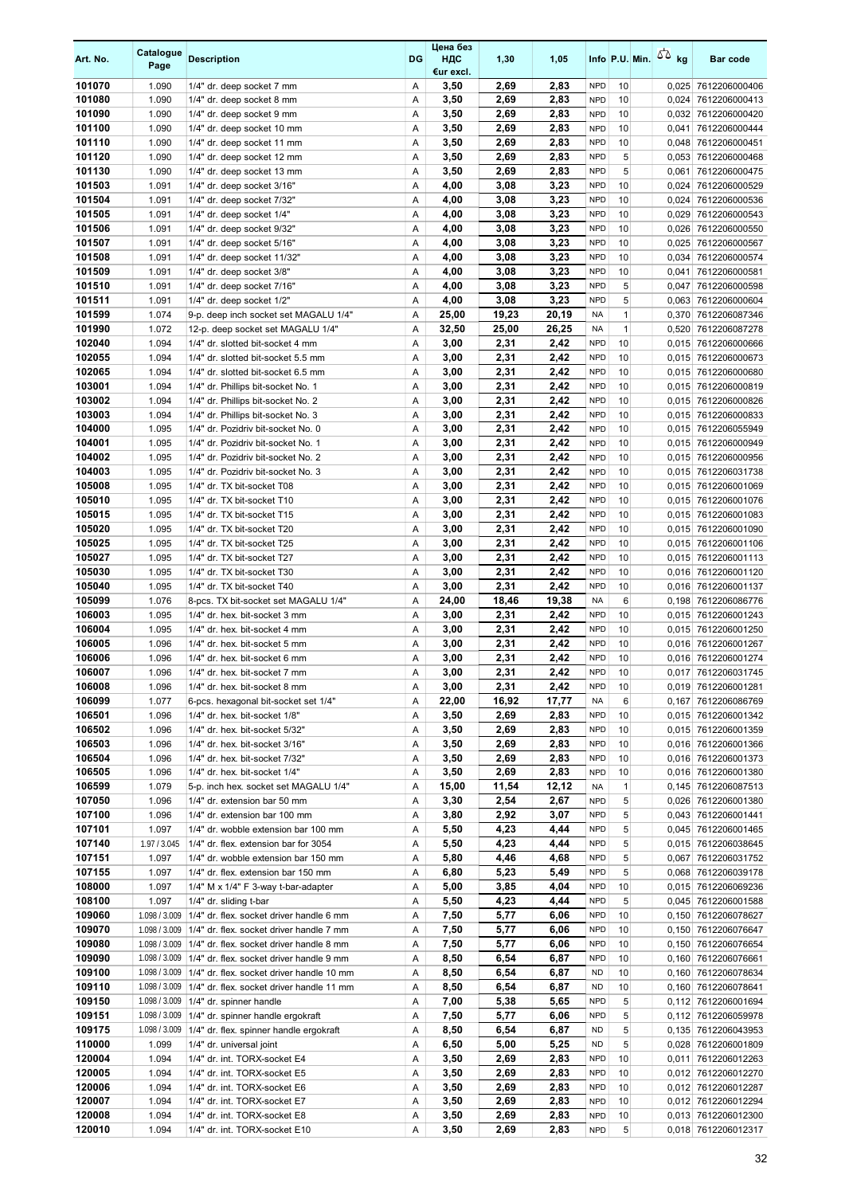| Art. No.         | Catalogue<br>Page | <b>Description</b>                                                     | DG     | Цена без<br>ндс<br>€ur excl. | 1,30          | 1,05          |                          | Info P.U. Min. $\sqrt{2}$ kg |                | <b>Bar code</b>                            |
|------------------|-------------------|------------------------------------------------------------------------|--------|------------------------------|---------------|---------------|--------------------------|------------------------------|----------------|--------------------------------------------|
| 101070           | 1.090             | 1/4" dr. deep socket 7 mm                                              | Α      | 3,50                         | 2,69          | 2,83          | <b>NPD</b>               | 10                           |                | 0,025 7612206000406                        |
| 101080           | 1.090             | 1/4" dr. deep socket 8 mm                                              | Α      | 3,50                         | 2,69          | 2,83          | <b>NPD</b>               | 10                           | 0,024          | 7612206000413                              |
| 101090           | 1.090             | 1/4" dr. deep socket 9 mm                                              | Α      | 3,50                         | 2,69          | 2,83          | <b>NPD</b>               | 10                           |                | 0,032 7612206000420                        |
| 101100           | 1.090             | 1/4" dr. deep socket 10 mm                                             | Α      | 3,50                         | 2,69          | 2,83          | <b>NPD</b>               | 10                           | 0,041          | 7612206000444                              |
| 101110           | 1.090             | 1/4" dr. deep socket 11 mm                                             | A      | 3,50                         | 2,69          | 2,83          | <b>NPD</b>               | 10                           |                | 0,048 7612206000451                        |
| 101120           | 1.090             | 1/4" dr. deep socket 12 mm                                             | Α      | 3,50                         | 2,69          | 2,83          | <b>NPD</b>               | 5                            | 0,053          | 7612206000468                              |
| 101130           | 1.090             | 1/4" dr. deep socket 13 mm                                             | Α      | 3,50                         | 2,69          | 2,83          | <b>NPD</b>               | 5                            | 0,061          | 7612206000475                              |
| 101503<br>101504 | 1.091<br>1.091    | 1/4" dr. deep socket 3/16"                                             | Α<br>Α | 4,00                         | 3,08          | 3,23<br>3,23  | <b>NPD</b><br><b>NPD</b> | 10<br>10                     |                | 0,024 7612206000529                        |
| 101505           | 1.091             | 1/4" dr. deep socket 7/32"<br>1/4" dr. deep socket 1/4"                | Α      | 4,00<br>4,00                 | 3,08<br>3,08  | 3,23          | <b>NPD</b>               | 10                           | 0,024<br>0,029 | 7612206000536<br>7612206000543             |
| 101506           | 1.091             | 1/4" dr. deep socket 9/32"                                             | Α      | 4,00                         | 3,08          | 3,23          | <b>NPD</b>               | 10                           |                | 0,026 7612206000550                        |
| 101507           | 1.091             | 1/4" dr. deep socket 5/16"                                             | Α      | 4,00                         | 3,08          | 3,23          | <b>NPD</b>               | 10                           |                | 0,025 7612206000567                        |
| 101508           | 1.091             | 1/4" dr. deep socket 11/32"                                            | Α      | 4,00                         | 3,08          | 3,23          | <b>NPD</b>               | 10                           | 0,034          | 7612206000574                              |
| 101509           | 1.091             | 1/4" dr. deep socket 3/8"                                              | Α      | 4,00                         | 3,08          | 3,23          | <b>NPD</b>               | 10                           |                | 0,041 7612206000581                        |
| 101510           | 1.091             | 1/4" dr. deep socket 7/16"                                             | Α      | 4,00                         | 3,08          | 3,23          | <b>NPD</b>               | 5                            |                | 0,047 7612206000598                        |
| 101511           | 1.091             | 1/4" dr. deep socket 1/2"                                              | Α      | 4,00                         | 3,08          | 3,23          | <b>NPD</b>               | 5                            |                | 0,063 7612206000604                        |
| 101599           | 1.074             | 9-p. deep inch socket set MAGALU 1/4"                                  | Α      | 25,00                        | 19,23         | 20,19         | <b>NA</b>                | $\mathbf{1}$                 | 0,370          | 7612206087346                              |
| 101990           | 1.072             | 12-p. deep socket set MAGALU 1/4"                                      | Α      | 32,50                        | 25,00         | 26,25         | <b>NA</b>                | $\mathbf{1}$                 | 0,520          | 7612206087278                              |
| 102040           | 1.094             | 1/4" dr. slotted bit-socket 4 mm                                       | Α      | 3,00                         | 2,31          | 2,42          | <b>NPD</b>               | 10                           |                | 0,015 7612206000666                        |
| 102055           | 1.094             | 1/4" dr. slotted bit-socket 5.5 mm                                     | Α      | 3,00                         | 2,31          | 2,42          | <b>NPD</b>               | 10                           |                | 0,015 7612206000673                        |
| 102065           | 1.094             | 1/4" dr. slotted bit-socket 6.5 mm                                     | Α      | 3,00                         | 2,31          | 2,42          | <b>NPD</b>               | 10                           | 0,015          | 7612206000680                              |
| 103001           | 1.094             | 1/4" dr. Phillips bit-socket No. 1                                     | Α      | 3,00                         | 2,31          | 2,42          | <b>NPD</b>               | 10                           |                | 0,015 7612206000819                        |
| 103002           | 1.094             | 1/4" dr. Phillips bit-socket No. 2                                     | Α      | 3,00                         | 2,31          | 2,42          | <b>NPD</b>               | 10                           |                | 0,015 7612206000826                        |
| 103003           | 1.094             | 1/4" dr. Phillips bit-socket No. 3                                     | Α      | 3,00                         | 2,31          | 2,42          | <b>NPD</b>               | 10                           |                | 0,015 7612206000833                        |
| 104000           | 1.095             | 1/4" dr. Pozidriv bit-socket No. 0                                     | Α      | 3,00                         | 2,31          | 2,42          | <b>NPD</b>               | 10                           |                | 0,015 7612206055949                        |
| 104001           | 1.095             | 1/4" dr. Pozidriv bit-socket No. 1                                     | Α      | 3,00                         | 2,31          | 2,42          | <b>NPD</b>               | 10                           |                | 0,015 7612206000949                        |
| 104002           | 1.095             | 1/4" dr. Pozidriv bit-socket No. 2                                     | Α      | 3,00                         | 2,31          | 2,42          | <b>NPD</b>               | 10                           |                | 0,015 7612206000956                        |
| 104003           | 1.095             | 1/4" dr. Pozidriv bit-socket No. 3                                     | Α      | 3,00                         | 2,31          | 2,42          | <b>NPD</b><br><b>NPD</b> | 10                           |                | 0,015 7612206031738                        |
| 105008<br>105010 | 1.095<br>1.095    | 1/4" dr. TX bit-socket T08<br>1/4" dr. TX bit-socket T10               | Α<br>Α | 3,00<br>3,00                 | 2,31<br>2,31  | 2,42<br>2,42  | <b>NPD</b>               | 10<br>10                     | 0,015          | 7612206001069<br>0,015 7612206001076       |
| 105015           | 1.095             | 1/4" dr. TX bit-socket T15                                             | Α      | 3,00                         | 2,31          | 2,42          | <b>NPD</b>               | 10                           |                | 0,015 7612206001083                        |
| 105020           | 1.095             | 1/4" dr. TX bit-socket T20                                             | Α      | 3,00                         | 2,31          | 2,42          | <b>NPD</b>               | 10                           |                | 0,015 7612206001090                        |
| 105025           | 1.095             | 1/4" dr. TX bit-socket T25                                             | Α      | 3,00                         | 2,31          | 2,42          | <b>NPD</b>               | 10                           |                | 0,015 7612206001106                        |
| 105027           | 1.095             | 1/4" dr. TX bit-socket T27                                             | Α      | 3,00                         | 2,31          | 2,42          | <b>NPD</b>               | 10                           |                | 0,015 7612206001113                        |
| 105030           | 1.095             | 1/4" dr. TX bit-socket T30                                             | Α      | 3,00                         | 2,31          | 2,42          | <b>NPD</b>               | 10                           |                | 0,016 7612206001120                        |
| 105040           | 1.095             | 1/4" dr. TX bit-socket T40                                             | Α      | 3,00                         | 2,31          | 2,42          | <b>NPD</b>               | 10                           |                | 0,016 7612206001137                        |
| 105099           | 1.076             | 8-pcs. TX bit-socket set MAGALU 1/4"                                   | Α      | 24,00                        | 18,46         | 19,38         | <b>NA</b>                | 6                            |                | 0,198 7612206086776                        |
| 106003           | 1.095             | 1/4" dr. hex. bit-socket 3 mm                                          | Α      | 3,00                         | 2,31          | 2,42          | <b>NPD</b>               | 10                           |                | 0,015 7612206001243                        |
| 106004           | 1.095             | 1/4" dr. hex. bit-socket 4 mm                                          | Α      | 3,00                         | 2,31          | 2,42          | <b>NPD</b>               | 10                           |                | 0,015 7612206001250                        |
| 106005           | 1.096             | 1/4" dr. hex. bit-socket 5 mm                                          | Α      | 3,00                         | 2,31          | 2,42          | <b>NPD</b>               | 10                           |                | 0,016 7612206001267                        |
| 106006           | 1.096             | 1/4" dr. hex. bit-socket 6 mm                                          | Α      | 3,00                         | 2,31          | 2,42          | <b>NPD</b>               | 10                           |                | 0,016 7612206001274                        |
| 106007           | 1.096             | 1/4" dr. hex. bit-socket 7 mm                                          | A      | 3,00                         | 2,31          | 2.42          | <b>NPD</b>               | 10                           |                | 0,017 7612206031745                        |
| 106008           | 1.096             | 1/4" dr. hex. bit-socket 8 mm                                          | Α      | 3,00                         | 2,31          | 2,42          | <b>NPD</b>               | 10                           |                | 0,019 7612206001281                        |
| 106099           | 1.077             | 6-pcs. hexagonal bit-socket set 1/4"                                   | Α      | 22,00                        | 16,92         | 17,77         | <b>NA</b>                | 6                            |                | 0,167 7612206086769                        |
| 106501           | 1.096             | 1/4" dr. hex. bit-socket 1/8"                                          | Α      | 3,50                         | 2,69          | 2,83          | <b>NPD</b>               | 10                           |                | 0,015 7612206001342                        |
| 106502           | 1.096             | 1/4" dr. hex. bit-socket 5/32"                                         | Α      | 3,50                         | 2,69          | 2,83          | <b>NPD</b>               | 10                           |                | 0,015 7612206001359                        |
| 106503           | 1.096             | 1/4" dr. hex. bit-socket 3/16"                                         | Α      | 3,50                         | 2,69          | 2,83          | <b>NPD</b>               | 10                           |                | 0,016 7612206001366                        |
| 106504           | 1.096             | 1/4" dr. hex. bit-socket 7/32"                                         | Α      | 3,50                         | 2,69          | 2,83          | <b>NPD</b>               | 10                           |                | 0,016 7612206001373                        |
| 106505<br>106599 | 1.096<br>1.079    | 1/4" dr. hex. bit-socket 1/4"<br>5-p. inch hex. socket set MAGALU 1/4" | Α<br>Α | 3,50<br>15,00                | 2,69<br>11,54 | 2,83<br>12,12 | <b>NPD</b><br><b>NA</b>  | 10<br>$\mathbf{1}$           |                | 0,016 7612206001380<br>0,145 7612206087513 |
| 107050           | 1.096             | 1/4" dr. extension bar 50 mm                                           | Α      | 3,30                         | 2,54          | 2,67          | <b>NPD</b>               | 5                            |                | 0,026 7612206001380                        |
| 107100           | 1.096             | 1/4" dr. extension bar 100 mm                                          | Α      | 3,80                         | 2,92          | 3,07          | <b>NPD</b>               | 5                            |                | 0,043 7612206001441                        |
| 107101           | 1.097             | 1/4" dr. wobble extension bar 100 mm                                   | Α      | 5,50                         | 4,23          | 4,44          | <b>NPD</b>               | 5                            |                | 0,045 7612206001465                        |
| 107140           | 1.97 / 3.045      | 1/4" dr. flex. extension bar for 3054                                  | Α      | 5,50                         | 4,23          | 4,44          | <b>NPD</b>               | 5                            |                | 0,015 7612206038645                        |
| 107151           | 1.097             | 1/4" dr. wobble extension bar 150 mm                                   | Α      | 5,80                         | 4,46          | 4,68          | <b>NPD</b>               | 5                            |                | 0,067 7612206031752                        |
| 107155           | 1.097             | 1/4" dr. flex. extension bar 150 mm                                    | Α      | 6,80                         | 5,23          | 5,49          | <b>NPD</b>               | 5                            |                | 0,068 7612206039178                        |
| 108000           | 1.097             | 1/4" M x 1/4" F 3-way t-bar-adapter                                    | Α      | 5,00                         | 3,85          | 4,04          | <b>NPD</b>               | 10                           |                | 0,015 7612206069236                        |
| 108100           | 1.097             | 1/4" dr. sliding t-bar                                                 | Α      | 5,50                         | 4,23          | 4,44          | <b>NPD</b>               | 5                            |                | 0,045 7612206001588                        |
| 109060           | 1.098 / 3.009     | 1/4" dr. flex. socket driver handle 6 mm                               | Α      | 7,50                         | 5,77          | 6,06          | <b>NPD</b>               | 10                           |                | 0,150 7612206078627                        |
| 109070           | 1.098 / 3.009     | 1/4" dr. flex. socket driver handle 7 mm                               | Α      | 7,50                         | 5,77          | 6,06          | <b>NPD</b>               | 10                           |                | 0,150 7612206076647                        |
| 109080           | 1.098 / 3.009     | 1/4" dr. flex. socket driver handle 8 mm                               | Α      | 7,50                         | 5,77          | 6,06          | <b>NPD</b>               | 10                           |                | 0,150 7612206076654                        |
| 109090           | 1.098 / 3.009     | 1/4" dr. flex. socket driver handle 9 mm                               | Α      | 8,50                         | 6,54          | 6,87          | <b>NPD</b>               | 10                           |                | 0,160 7612206076661                        |
| 109100           | 1.098 / 3.009     | 1/4" dr. flex. socket driver handle 10 mm                              | Α      | 8,50                         | 6,54          | 6,87          | <b>ND</b>                | 10                           |                | 0,160 7612206078634                        |
| 109110           | 1.098 / 3.009     | 1/4" dr. flex. socket driver handle 11 mm                              | Α      | 8,50                         | 6,54          | 6,87          | <b>ND</b>                | 10                           |                | 0,160 7612206078641                        |
| 109150           | 1.098 / 3.009     | 1/4" dr. spinner handle                                                | Α      | 7,00                         | 5,38          | 5,65          | <b>NPD</b>               | 5                            |                | 0,112 7612206001694                        |
| 109151           | 1.098 / 3.009     | 1/4" dr. spinner handle ergokraft                                      | Α      | 7,50                         | 5,77          | 6,06          | <b>NPD</b>               | 5                            |                | 0,112 7612206059978                        |
| 109175           | 1.098 / 3.009     | 1/4" dr. flex. spinner handle ergokraft                                | Α      | 8,50                         | 6,54          | 6,87          | <b>ND</b>                | 5                            |                | 0,135 7612206043953                        |
| 110000           | 1.099             | 1/4" dr. universal joint                                               | Α      | 6,50                         | 5,00          | 5,25          | <b>ND</b>                | 5                            |                | 0,028 7612206001809                        |
| 120004           | 1.094             | 1/4" dr. int. TORX-socket E4                                           | Α      | 3,50                         | 2,69          | 2,83          | <b>NPD</b>               | 10                           |                | 0,011 7612206012263                        |
| 120005<br>120006 | 1.094<br>1.094    | 1/4" dr. int. TORX-socket E5                                           | Α<br>Α | 3,50                         | 2,69          | 2,83          | <b>NPD</b><br><b>NPD</b> | 10                           |                | 0,012 7612206012270                        |
| 120007           | 1.094             | 1/4" dr. int. TORX-socket E6<br>1/4" dr. int. TORX-socket E7           | Α      | 3,50<br>3,50                 | 2,69<br>2,69  | 2,83<br>2,83  | <b>NPD</b>               | 10<br>10                     |                | 0,012 7612206012287<br>0,012 7612206012294 |
| 120008           | 1.094             | 1/4" dr. int. TORX-socket E8                                           | Α      | 3,50                         | 2,69          | 2,83          | <b>NPD</b>               | 10                           |                | 0,013 7612206012300                        |
| 120010           | 1.094             | 1/4" dr. int. TORX-socket E10                                          | Α      | 3,50                         | 2,69          | 2,83          | <b>NPD</b>               | 5                            |                | 0,018 7612206012317                        |
|                  |                   |                                                                        |        |                              |               |               |                          |                              |                |                                            |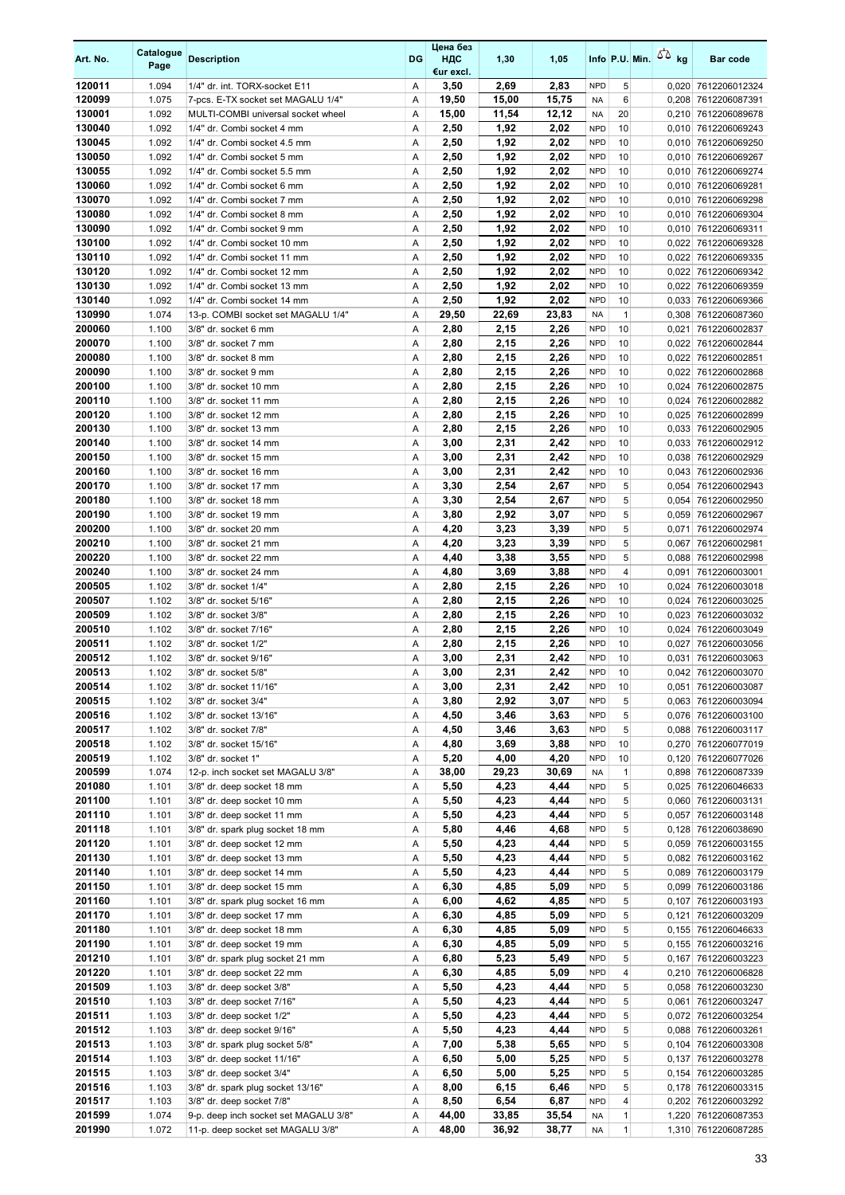| Art. No.         | Catalogue<br>Page | <b>Description</b>                                             | DG     | Цена без<br>ндс<br>€ur excl. | 1,30         | 1,05         |                          | Info P.U. Min. | 50 <sub>kg</sub> | <b>Bar code</b>                            |
|------------------|-------------------|----------------------------------------------------------------|--------|------------------------------|--------------|--------------|--------------------------|----------------|------------------|--------------------------------------------|
| 120011           | 1.094             | 1/4" dr. int. TORX-socket E11                                  | Α      | 3,50                         | 2,69         | 2,83         | <b>NPD</b>               | 5              |                  | 0,020 7612206012324                        |
| 120099           | 1.075             | 7-pcs. E-TX socket set MAGALU 1/4"                             | Α      | 19,50                        | 15,00        | 15,75        | NA                       | 6              |                  | 0,208 7612206087391                        |
| 130001           | 1.092             | MULTI-COMBI universal socket wheel                             | Α      | 15,00                        | 11,54        | 12,12        | NA                       | 20             | 0,210            | 7612206089678                              |
| 130040           | 1.092             | 1/4" dr. Combi socket 4 mm                                     | Α      | 2,50                         | 1,92         | 2,02         | <b>NPD</b>               | 10             |                  | 0,010 7612206069243                        |
| 130045           | 1.092             | 1/4" dr. Combi socket 4.5 mm                                   | Α      | 2,50                         | 1,92         | 2,02         | <b>NPD</b>               | 10             |                  | 0,010 7612206069250                        |
| 130050           | 1.092             | 1/4" dr. Combi socket 5 mm                                     | Α      | 2,50                         | 1,92         | 2,02         | <b>NPD</b>               | 10             | 0,010            | 7612206069267                              |
| 130055           | 1.092             | 1/4" dr. Combi socket 5.5 mm                                   | Α      | 2,50                         | 1,92         | 2,02         | <b>NPD</b>               | 10             |                  | 0,010 7612206069274                        |
| 130060<br>130070 | 1.092<br>1.092    | 1/4" dr. Combi socket 6 mm<br>1/4" dr. Combi socket 7 mm       | Α<br>Α | 2,50<br>2,50                 | 1,92<br>1,92 | 2,02<br>2,02 | <b>NPD</b><br><b>NPD</b> | 10<br>10       | 0,010            | 0,010 7612206069281<br>7612206069298       |
| 130080           | 1.092             | 1/4" dr. Combi socket 8 mm                                     | Α      | 2,50                         | 1,92         | 2,02         | <b>NPD</b>               | 10             | 0,010            | 7612206069304                              |
| 130090           | 1.092             | 1/4" dr. Combi socket 9 mm                                     | Α      | 2,50                         | 1,92         | 2,02         | <b>NPD</b>               | 10             | 0,010            | 7612206069311                              |
| 130100           | 1.092             | 1/4" dr. Combi socket 10 mm                                    | Α      | 2,50                         | 1,92         | 2,02         | <b>NPD</b>               | 10             |                  | 0,022 7612206069328                        |
| 130110           | 1.092             | 1/4" dr. Combi socket 11 mm                                    | Α      | 2,50                         | 1,92         | 2,02         | <b>NPD</b>               | 10             |                  | 0,022 7612206069335                        |
| 130120           | 1.092             | 1/4" dr. Combi socket 12 mm                                    | Α      | 2,50                         | 1,92         | 2,02         | <b>NPD</b>               | 10             |                  | 0,022 7612206069342                        |
| 130130           | 1.092             | 1/4" dr. Combi socket 13 mm                                    | Α      | 2,50                         | 1,92         | 2,02         | <b>NPD</b>               | 10             | 0,022            | 7612206069359                              |
| 130140           | 1.092             | 1/4" dr. Combi socket 14 mm                                    | Α      | 2,50                         | 1,92         | 2,02         | <b>NPD</b>               | 10             |                  | 0,033 7612206069366                        |
| 130990           | 1.074             | 13-p. COMBI socket set MAGALU 1/4"                             | Α      | 29,50                        | 22,69        | 23,83        | <b>NA</b>                | $\mathbf{1}$   |                  | 0,308 7612206087360                        |
| 200060           | 1.100             | 3/8" dr. socket 6 mm                                           | Α      | 2,80                         | 2,15         | 2,26         | <b>NPD</b>               | 10             | 0,021            | 7612206002837                              |
| 200070           | 1.100             | 3/8" dr. socket 7 mm                                           | Α      | 2,80                         | 2,15         | 2,26         | <b>NPD</b>               | 10             | 0,022            | 7612206002844                              |
| 200080<br>200090 | 1.100<br>1.100    | 3/8" dr. socket 8 mm<br>3/8" dr. socket 9 mm                   | Α<br>Α | 2,80<br>2,80                 | 2,15<br>2,15 | 2,26<br>2,26 | <b>NPD</b><br><b>NPD</b> | 10<br>10       | 0,022            | 0,022 7612206002851<br>7612206002868       |
| 200100           | 1.100             | 3/8" dr. socket 10 mm                                          | Α      | 2,80                         | 2,15         | 2,26         | <b>NPD</b>               | 10             | 0,024            | 7612206002875                              |
| 200110           | 1.100             | 3/8" dr. socket 11 mm                                          | Α      | 2,80                         | 2,15         | 2,26         | <b>NPD</b>               | 10             | 0,024            | 7612206002882                              |
| 200120           | 1.100             | 3/8" dr. socket 12 mm                                          | Α      | 2,80                         | 2,15         | 2,26         | <b>NPD</b>               | 10             | 0,025            | 7612206002899                              |
| 200130           | 1.100             | 3/8" dr. socket 13 mm                                          | Α      | 2,80                         | 2,15         | 2,26         | <b>NPD</b>               | 10             |                  | 0,033 7612206002905                        |
| 200140           | 1.100             | 3/8" dr. socket 14 mm                                          | Α      | 3,00                         | 2,31         | 2,42         | <b>NPD</b>               | 10             |                  | 0,033 7612206002912                        |
| 200150           | 1.100             | 3/8" dr. socket 15 mm                                          | Α      | 3,00                         | 2,31         | 2,42         | <b>NPD</b>               | 10             |                  | 0,038 7612206002929                        |
| 200160           | 1.100             | 3/8" dr. socket 16 mm                                          | Α      | 3,00                         | 2,31         | 2,42         | <b>NPD</b>               | 10             | 0,043            | 7612206002936                              |
| 200170           | 1.100             | 3/8" dr. socket 17 mm                                          | Α      | 3,30                         | 2,54         | 2,67         | <b>NPD</b>               | 5              | 0,054            | 7612206002943                              |
| 200180           | 1.100             | 3/8" dr. socket 18 mm                                          | Α      | 3,30                         | 2,54         | 2,67         | <b>NPD</b>               | 5              | 0,054            | 7612206002950                              |
| 200190           | 1.100             | 3/8" dr. socket 19 mm                                          | Α      | 3,80                         | 2,92         | 3,07         | <b>NPD</b>               | 5              | 0,059            | 7612206002967                              |
| 200200           | 1.100             | 3/8" dr. socket 20 mm                                          | Α      | 4,20                         | 3,23         | 3,39         | <b>NPD</b>               | 5              | 0,071            | 7612206002974                              |
| 200210<br>200220 | 1.100<br>1.100    | 3/8" dr. socket 21 mm<br>3/8" dr. socket 22 mm                 | Α<br>Α | 4,20<br>4,40                 | 3,23<br>3,38 | 3,39<br>3,55 | <b>NPD</b><br><b>NPD</b> | 5<br>5         |                  | 0,067 7612206002981                        |
| 200240           | 1.100             | 3/8" dr. socket 24 mm                                          | Α      | 4,80                         | 3,69         | 3,88         | <b>NPD</b>               | 4              | 0,091            | 0,088 7612206002998<br>7612206003001       |
| 200505           | 1.102             | 3/8" dr. socket 1/4"                                           | Α      | 2,80                         | 2,15         | 2,26         | <b>NPD</b>               | 10             | 0,024            | 7612206003018                              |
| 200507           | 1.102             | 3/8" dr. socket 5/16"                                          | Α      | 2,80                         | 2,15         | 2,26         | <b>NPD</b>               | 10             | 0,024            | 7612206003025                              |
| 200509           | 1.102             | 3/8" dr. socket 3/8"                                           | Α      | 2,80                         | 2,15         | 2,26         | <b>NPD</b>               | 10             |                  | 0,023 7612206003032                        |
| 200510           | 1.102             | 3/8" dr. socket 7/16"                                          | Α      | 2,80                         | 2,15         | 2,26         | <b>NPD</b>               | 10             |                  | 0,024 7612206003049                        |
| 200511           | 1.102             | 3/8" dr. socket 1/2"                                           | Α      | 2,80                         | 2,15         | 2,26         | <b>NPD</b>               | 10             |                  | 0,027 7612206003056                        |
| 200512           | 1.102             | 3/8" dr. socket 9/16"                                          | Α      | 3,00                         | 2,31         | 2,42         | <b>NPD</b>               | 10             | 0,031            | 7612206003063                              |
| 200513           | 1.102             | 3/8" dr. socket 5/8"                                           | A      | 3,00                         | 2,31         | 2,42         | <b>NPD</b>               | 10             |                  | 0.042 7612206003070                        |
| 200514           | 1.102             | 3/8" dr. socket 11/16"                                         | Α      | 3,00                         | 2,31         | 2,42         | <b>NPD</b>               | 10             |                  | 0,051 7612206003087                        |
| 200515           | 1.102             | 3/8" dr. socket 3/4"                                           | Α      | 3,80                         | 2,92         | 3,07         | <b>NPD</b>               | 5              |                  | 0,063 7612206003094                        |
| 200516<br>200517 | 1.102<br>1.102    | 3/8" dr. socket 13/16"<br>3/8" dr. socket 7/8"                 | Α<br>Α | 4,50                         | 3,46<br>3,46 | 3,63<br>3,63 | <b>NPD</b><br><b>NPD</b> | 5<br>5         |                  | 0,076 7612206003100<br>0,088 7612206003117 |
| 200518           | 1.102             | 3/8" dr. socket 15/16"                                         | Α      | 4,50<br>4,80                 | 3,69         | 3,88         | <b>NPD</b>               | 10             |                  | 0,270 7612206077019                        |
| 200519           | 1.102             | 3/8" dr. socket 1"                                             | Α      | 5,20                         | 4,00         | 4,20         | <b>NPD</b>               | 10             |                  | 0,120 7612206077026                        |
| 200599           | 1.074             | 12-p. inch socket set MAGALU 3/8"                              | Α      | 38,00                        | 29,23        | 30,69        | <b>NA</b>                | $\mathbf{1}$   |                  | 0,898 7612206087339                        |
| 201080           | 1.101             | 3/8" dr. deep socket 18 mm                                     | Α      | 5,50                         | 4,23         | 4,44         | <b>NPD</b>               | 5              |                  | 0,025 7612206046633                        |
| 201100           | 1.101             | 3/8" dr. deep socket 10 mm                                     | Α      | 5,50                         | 4,23         | 4,44         | <b>NPD</b>               | 5              |                  | 0,060 7612206003131                        |
| 201110           | 1.101             | 3/8" dr. deep socket 11 mm                                     | Α      | 5,50                         | 4,23         | 4,44         | <b>NPD</b>               | 5              |                  | 0,057 7612206003148                        |
| 201118           | 1.101             | 3/8" dr. spark plug socket 18 mm                               | Α      | 5,80                         | 4,46         | 4,68         | <b>NPD</b>               | 5              |                  | 0,128 7612206038690                        |
| 201120           | 1.101             | 3/8" dr. deep socket 12 mm                                     | Α      | 5,50                         | 4,23         | 4,44         | <b>NPD</b>               | 5              |                  | 0,059 7612206003155                        |
| 201130           | 1.101             | 3/8" dr. deep socket 13 mm                                     | Α      | 5,50                         | 4,23         | 4,44         | <b>NPD</b>               | 5              |                  | 0,082 7612206003162                        |
| 201140           | 1.101             | 3/8" dr. deep socket 14 mm                                     | Α      | 5,50                         | 4,23         | 4,44         | <b>NPD</b>               | 5              |                  | 0,089 7612206003179                        |
| 201150           | 1.101             | 3/8" dr. deep socket 15 mm                                     | Α      | 6,30                         | 4,85         | 5,09         | <b>NPD</b>               | 5<br>5         |                  | 0,099 7612206003186                        |
| 201160<br>201170 | 1.101<br>1.101    | 3/8" dr. spark plug socket 16 mm<br>3/8" dr. deep socket 17 mm | Α<br>Α | 6,00<br>6,30                 | 4,62<br>4,85 | 4,85<br>5,09 | <b>NPD</b><br><b>NPD</b> | 5              |                  | 0,107 7612206003193<br>0,121 7612206003209 |
| 201180           | 1.101             | 3/8" dr. deep socket 18 mm                                     | Α      | 6,30                         | 4,85         | 5,09         | <b>NPD</b>               | 5              |                  | 0,155 7612206046633                        |
| 201190           | 1.101             | 3/8" dr. deep socket 19 mm                                     | Α      | 6,30                         | 4,85         | 5,09         | <b>NPD</b>               | 5              |                  | 0,155 7612206003216                        |
| 201210           | 1.101             | 3/8" dr. spark plug socket 21 mm                               | Α      | 6,80                         | 5,23         | 5,49         | <b>NPD</b>               | 5              |                  | 0,167 7612206003223                        |
| 201220           | 1.101             | 3/8" dr. deep socket 22 mm                                     | Α      | 6,30                         | 4,85         | 5,09         | <b>NPD</b>               | 4              |                  | 0,210 7612206006828                        |
| 201509           | 1.103             | 3/8" dr. deep socket 3/8"                                      | Α      | 5,50                         | 4,23         | 4,44         | <b>NPD</b>               | 5              |                  | 0,058 7612206003230                        |
| 201510           | 1.103             | 3/8" dr. deep socket 7/16"                                     | Α      | 5,50                         | 4,23         | 4,44         | <b>NPD</b>               | 5              |                  | 0,061 7612206003247                        |
| 201511           | 1.103             | 3/8" dr. deep socket 1/2"                                      | Α      | 5,50                         | 4,23         | 4,44         | <b>NPD</b>               | 5              |                  | 0,072 7612206003254                        |
| 201512           | 1.103             | 3/8" dr. deep socket 9/16"                                     | Α      | 5,50                         | 4,23         | 4,44         | <b>NPD</b>               | 5              |                  | 0,088 7612206003261                        |
| 201513           | 1.103             | 3/8" dr. spark plug socket 5/8"                                | Α      | 7,00                         | 5,38         | 5,65         | <b>NPD</b>               | 5              |                  | 0,104 7612206003308                        |
| 201514           | 1.103             | 3/8" dr. deep socket 11/16"                                    | Α      | 6,50                         | 5,00         | 5,25         | <b>NPD</b>               | 5              |                  | 0,137 7612206003278                        |
| 201515<br>201516 | 1.103<br>1.103    | 3/8" dr. deep socket 3/4"                                      | Α<br>Α | 6,50<br>8,00                 | 5,00         | 5,25<br>6,46 | <b>NPD</b><br><b>NPD</b> | 5<br>5         |                  | 0,154 7612206003285                        |
| 201517           | 1.103             | 3/8" dr. spark plug socket 13/16"<br>3/8" dr. deep socket 7/8" | Α      | 8,50                         | 6,15<br>6,54 | 6,87         | <b>NPD</b>               | 4              |                  | 0,178 7612206003315<br>0,202 7612206003292 |
| 201599           | 1.074             | 9-p. deep inch socket set MAGALU 3/8"                          | Α      | 44,00                        | 33,85        | 35,54        | NA                       | 1              |                  | 1,220 7612206087353                        |
| 201990           | 1.072             | 11-p. deep socket set MAGALU 3/8"                              | Α      | 48,00                        | 36,92        | 38,77        | NA                       | $\mathbf 1$    |                  | 1,310 7612206087285                        |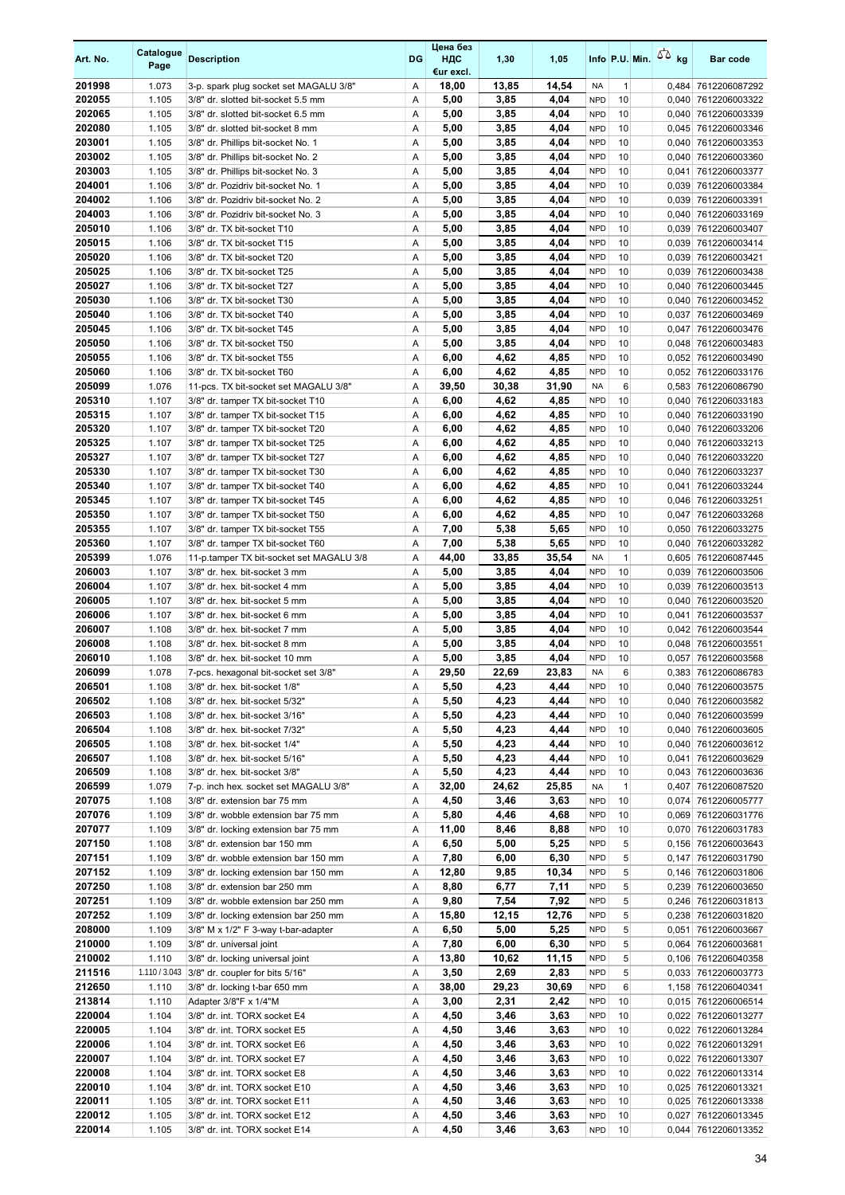| Art. No.         | Catalogue<br>Page | <b>Description</b>                                                       | DG     | Цена без<br>ндс<br>€ur excl. | 1,30         | 1,05         |                          |              | Info P.U. Min. $\sqrt{2}$ kg | <b>Bar code</b>                            |
|------------------|-------------------|--------------------------------------------------------------------------|--------|------------------------------|--------------|--------------|--------------------------|--------------|------------------------------|--------------------------------------------|
| 201998           | 1.073             | 3-p. spark plug socket set MAGALU 3/8"                                   | Α      | 18,00                        | 13,85        | 14,54        | NA                       | $\mathbf{1}$ | 0,484                        | 7612206087292                              |
| 202055           | 1.105             | 3/8" dr. slotted bit-socket 5.5 mm                                       | Α      | 5,00                         | 3,85         | 4,04         | <b>NPD</b>               | 10           | 0,040                        | 7612206003322                              |
| 202065           | 1.105             | 3/8" dr. slotted bit-socket 6.5 mm                                       | Α      | 5,00                         | 3,85         | 4,04         | <b>NPD</b>               | 10           | 0,040                        | 7612206003339                              |
| 202080           | 1.105             | 3/8" dr. slotted bit-socket 8 mm                                         | Α      | 5,00                         | 3,85         | 4,04         | <b>NPD</b>               | 10           | 0,045                        | 7612206003346                              |
| 203001           | 1.105             | 3/8" dr. Phillips bit-socket No. 1                                       | Α      | 5,00                         | 3,85         | 4,04         | <b>NPD</b>               | 10           | 0,040                        | 7612206003353                              |
| 203002<br>203003 | 1.105             | 3/8" dr. Phillips bit-socket No. 2                                       | Α      | 5,00                         | 3,85         | 4,04         | <b>NPD</b><br><b>NPD</b> | 10           | 0,040                        | 7612206003360                              |
| 204001           | 1.105<br>1.106    | 3/8" dr. Phillips bit-socket No. 3<br>3/8" dr. Pozidriv bit-socket No. 1 | Α<br>Α | 5,00<br>5,00                 | 3,85<br>3,85 | 4,04<br>4,04 | <b>NPD</b>               | 10<br>10     | 0,041                        | 7612206003377<br>0,039 7612206003384       |
| 204002           | 1.106             | 3/8" dr. Pozidriv bit-socket No. 2                                       | Α      | 5,00                         | 3,85         | 4,04         | <b>NPD</b>               | 10           | 0,039                        | 7612206003391                              |
| 204003           | 1.106             | 3/8" dr. Pozidriv bit-socket No. 3                                       | Α      | 5,00                         | 3,85         | 4,04         | <b>NPD</b>               | 10           | 0,040                        | 7612206033169                              |
| 205010           | 1.106             | 3/8" dr. TX bit-socket T10                                               | Α      | 5,00                         | 3,85         | 4,04         | <b>NPD</b>               | 10           | 0,039                        | 7612206003407                              |
| 205015           | 1.106             | 3/8" dr. TX bit-socket T15                                               | Α      | 5,00                         | 3,85         | 4,04         | <b>NPD</b>               | 10           | 0,039                        | 7612206003414                              |
| 205020           | 1.106             | 3/8" dr. TX bit-socket T20                                               | Α      | 5,00                         | 3,85         | 4,04         | <b>NPD</b>               | 10           | 0,039                        | 7612206003421                              |
| 205025           | 1.106             | 3/8" dr. TX bit-socket T25                                               | Α      | 5,00                         | 3,85         | 4,04         | <b>NPD</b>               | 10           |                              | 0,039 7612206003438                        |
| 205027           | 1.106             | 3/8" dr. TX bit-socket T27                                               | Α      | 5,00                         | 3,85         | 4,04         | <b>NPD</b>               | 10           | 0,040                        | 7612206003445                              |
| 205030           | 1.106             | 3/8" dr. TX bit-socket T30                                               | Α      | 5,00                         | 3,85         | 4,04         | <b>NPD</b>               | 10           | 0,040                        | 7612206003452                              |
| 205040           | 1.106             | 3/8" dr. TX bit-socket T40                                               | Α      | 5,00                         | 3,85         | 4,04         | <b>NPD</b>               | 10           | 0,037                        | 7612206003469                              |
| 205045           | 1.106             | 3/8" dr. TX bit-socket T45                                               | Α      | 5,00                         | 3,85         | 4,04         | <b>NPD</b>               | 10           | 0,047                        | 7612206003476                              |
| 205050<br>205055 | 1.106<br>1.106    | 3/8" dr. TX bit-socket T50<br>3/8" dr. TX bit-socket T55                 | Α<br>Α | 5,00<br>6,00                 | 3,85<br>4,62 | 4,04<br>4,85 | <b>NPD</b><br><b>NPD</b> | 10<br>10     |                              | 0,048 7612206003483<br>0,052 7612206003490 |
| 205060           | 1.106             | 3/8" dr. TX bit-socket T60                                               | Α      | 6,00                         | 4,62         | 4,85         | <b>NPD</b>               | 10           | 0,052                        | 7612206033176                              |
| 205099           | 1.076             | 11-pcs. TX bit-socket set MAGALU 3/8"                                    | Α      | 39,50                        | 30,38        | 31,90        | <b>NA</b>                | 6            |                              | 0,583 7612206086790                        |
| 205310           | 1.107             | 3/8" dr. tamper TX bit-socket T10                                        | Α      | 6,00                         | 4,62         | 4,85         | <b>NPD</b>               | 10           | 0,040                        | 7612206033183                              |
| 205315           | 1.107             | 3/8" dr. tamper TX bit-socket T15                                        | Α      | 6,00                         | 4,62         | 4,85         | <b>NPD</b>               | 10           | 0,040                        | 7612206033190                              |
| 205320           | 1.107             | 3/8" dr. tamper TX bit-socket T20                                        | Α      | 6,00                         | 4,62         | 4,85         | <b>NPD</b>               | 10           | 0,040                        | 7612206033206                              |
| 205325           | 1.107             | 3/8" dr. tamper TX bit-socket T25                                        | Α      | 6,00                         | 4,62         | 4,85         | <b>NPD</b>               | 10           | 0,040                        | 7612206033213                              |
| 205327           | 1.107             | 3/8" dr. tamper TX bit-socket T27                                        | Α      | 6,00                         | 4,62         | 4,85         | <b>NPD</b>               | 10           | 0,040                        | 7612206033220                              |
| 205330           | 1.107             | 3/8" dr. tamper TX bit-socket T30                                        | Α      | 6,00                         | 4,62         | 4,85         | <b>NPD</b>               | 10           | 0,040                        | 7612206033237                              |
| 205340           | 1.107             | 3/8" dr. tamper TX bit-socket T40                                        | Α      | 6,00                         | 4,62         | 4,85         | <b>NPD</b>               | 10           | 0,041                        | 7612206033244                              |
| 205345           | 1.107             | 3/8" dr. tamper TX bit-socket T45                                        | Α      | 6,00                         | 4,62         | 4,85         | <b>NPD</b>               | 10           |                              | 0,046 7612206033251                        |
| 205350<br>205355 | 1.107<br>1.107    | 3/8" dr. tamper TX bit-socket T50<br>3/8" dr. tamper TX bit-socket T55   | Α<br>Α | 6,00<br>7,00                 | 4,62<br>5,38 | 4,85<br>5,65 | <b>NPD</b><br><b>NPD</b> | 10<br>10     | 0,047                        | 7612206033268<br>0,050 7612206033275       |
| 205360           | 1.107             | 3/8" dr. tamper TX bit-socket T60                                        | Α      | 7,00                         | 5,38         | 5,65         | <b>NPD</b>               | 10           |                              | 0,040 7612206033282                        |
| 205399           | 1.076             | 11-p.tamper TX bit-socket set MAGALU 3/8                                 | Α      | 44,00                        | 33,85        | 35,54        | <b>NA</b>                | $\mathbf{1}$ |                              | 0,605 7612206087445                        |
| 206003           | 1.107             | 3/8" dr. hex. bit-socket 3 mm                                            | Α      | 5,00                         | 3,85         | 4,04         | <b>NPD</b>               | 10           | 0,039                        | 7612206003506                              |
| 206004           | 1.107             | 3/8" dr. hex. bit-socket 4 mm                                            | Α      | 5,00                         | 3,85         | 4,04         | <b>NPD</b>               | 10           | 0,039                        | 7612206003513                              |
| 206005           | 1.107             | 3/8" dr. hex. bit-socket 5 mm                                            | Α      | 5,00                         | 3,85         | 4,04         | <b>NPD</b>               | 10           | 0,040                        | 7612206003520                              |
| 206006           | 1.107             | 3/8" dr. hex. bit-socket 6 mm                                            | Α      | 5,00                         | 3,85         | 4,04         | <b>NPD</b>               | 10           | 0,041                        | 7612206003537                              |
| 206007           | 1.108             | 3/8" dr. hex. bit-socket 7 mm                                            | Α      | 5,00                         | 3,85         | 4,04         | <b>NPD</b>               | 10           |                              | 0,042 7612206003544                        |
| 206008           | 1.108             | 3/8" dr. hex. bit-socket 8 mm                                            | Α      | 5,00                         | 3,85         | 4,04         | <b>NPD</b>               | 10           |                              | 0,048 7612206003551                        |
| 206010           | 1.108             | 3/8" dr. hex. bit-socket 10 mm                                           | Α      | 5,00                         | 3,85         | 4,04         | <b>NPD</b>               | 10           | 0,057                        | 7612206003568                              |
| 206099<br>206501 | 1.078             | 7-pcs. hexagonal bit-socket set 3/8"                                     | A      | 29,50                        | 22,69        | 23.83        | <b>NA</b><br><b>NPD</b>  | 6            |                              | 0,383 7612206086783                        |
| 206502           | 1.108<br>1.108    | 3/8" dr. hex. bit-socket 1/8"<br>3/8" dr. hex. bit-socket 5/32"          | Α<br>Α | 5,50<br>5,50                 | 4,23<br>4,23 | 4,44<br>4,44 | <b>NPD</b>               | 10<br>10     |                              | 0,040 7612206003575<br>0,040 7612206003582 |
| 206503           | 1.108             | 3/8" dr. hex. bit-socket 3/16"                                           | Α      | 5,50                         | 4,23         | 4,44         | <b>NPD</b>               | 10           | 0,040                        | 7612206003599                              |
| 206504           | 1.108             | 3/8" dr. hex. bit-socket 7/32"                                           | Α      | 5,50                         | 4,23         | 4,44         | <b>NPD</b>               | 10           |                              | 0,040 7612206003605                        |
| 206505           | 1.108             | 3/8" dr. hex. bit-socket 1/4"                                            | Α      | 5,50                         | 4,23         | 4,44         | <b>NPD</b>               | 10           |                              | 0,040 7612206003612                        |
| 206507           | 1.108             | 3/8" dr. hex. bit-socket 5/16"                                           | Α      | 5,50                         | 4,23         | 4,44         | <b>NPD</b>               | 10           |                              | 0,041 7612206003629                        |
| 206509           | 1.108             | 3/8" dr. hex. bit-socket 3/8"                                            | Α      | 5,50                         | 4,23         | 4,44         | <b>NPD</b>               | 10           |                              | 0,043 7612206003636                        |
| 206599           | 1.079             | 7-p. inch hex. socket set MAGALU 3/8"                                    | Α      | 32,00                        | 24,62        | 25,85        | NA                       | $\mathbf{1}$ |                              | 0,407 7612206087520                        |
| 207075           | 1.108             | 3/8" dr. extension bar 75 mm                                             | Α      | 4,50                         | 3,46         | 3,63         | <b>NPD</b>               | 10           |                              | 0,074 7612206005777                        |
| 207076           | 1.109             | 3/8" dr. wobble extension bar 75 mm                                      | Α      | 5,80                         | 4,46         | 4,68         | <b>NPD</b>               | 10           |                              | 0,069 7612206031776                        |
| 207077           | 1.109             | 3/8" dr. locking extension bar 75 mm                                     | Α      | 11,00                        | 8,46         | 8,88         | <b>NPD</b>               | 10           |                              | 0,070 7612206031783                        |
| 207150<br>207151 | 1.108<br>1.109    | 3/8" dr. extension bar 150 mm<br>3/8" dr. wobble extension bar 150 mm    | Α<br>Α | 6,50<br>7,80                 | 5,00<br>6,00 | 5,25<br>6,30 | <b>NPD</b><br><b>NPD</b> | 5<br>5       |                              | 0,156 7612206003643<br>0,147 7612206031790 |
| 207152           | 1.109             | 3/8" dr. locking extension bar 150 mm                                    | Α      | 12,80                        | 9,85         | 10,34        | <b>NPD</b>               | 5            |                              | 0,146 7612206031806                        |
| 207250           | 1.108             | 3/8" dr. extension bar 250 mm                                            | Α      | 8,80                         | 6,77         | 7,11         | <b>NPD</b>               | 5            |                              | 0,239 7612206003650                        |
| 207251           | 1.109             | 3/8" dr. wobble extension bar 250 mm                                     | Α      | 9,80                         | 7,54         | 7,92         | <b>NPD</b>               | 5            |                              | 0,246 7612206031813                        |
| 207252           | 1.109             | 3/8" dr. locking extension bar 250 mm                                    | Α      | 15,80                        | 12,15        | 12,76        | <b>NPD</b>               | 5            |                              | 0,238 7612206031820                        |
| 208000           | 1.109             | 3/8" M x 1/2" F 3-way t-bar-adapter                                      | Α      | 6,50                         | 5,00         | 5,25         | <b>NPD</b>               | 5            |                              | 0,051 7612206003667                        |
| 210000           | 1.109             | 3/8" dr. universal joint                                                 | Α      | 7,80                         | 6,00         | 6,30         | <b>NPD</b>               | 5            |                              | 0,064 7612206003681                        |
| 210002           | 1.110             | 3/8" dr. locking universal joint                                         | Α      | 13,80                        | 10,62        | 11,15        | <b>NPD</b>               | 5            |                              | 0,106 7612206040358                        |
| 211516           | 1.110 / 3.043     | 3/8" dr. coupler for bits 5/16"                                          | Α      | 3,50                         | 2,69         | 2,83         | <b>NPD</b>               | 5            |                              | 0,033 7612206003773                        |
| 212650           | 1.110             | 3/8" dr. locking t-bar 650 mm                                            | Α      | 38,00                        | 29,23        | 30,69        | <b>NPD</b>               | 6            |                              | 1,158 7612206040341                        |
| 213814<br>220004 | 1.110<br>1.104    | Adapter 3/8"F x 1/4"M<br>3/8" dr. int. TORX socket E4                    | Α<br>Α | 3,00<br>4,50                 | 2,31<br>3,46 | 2,42<br>3,63 | <b>NPD</b><br><b>NPD</b> | 10<br>10     |                              | 0,015 7612206006514<br>0,022 7612206013277 |
| 220005           | 1.104             | 3/8" dr. int. TORX socket E5                                             | Α      | 4,50                         | 3,46         | 3,63         | <b>NPD</b>               | 10           |                              | 0,022 7612206013284                        |
| 220006           | 1.104             | 3/8" dr. int. TORX socket E6                                             | Α      | 4,50                         | 3,46         | 3,63         | <b>NPD</b>               | 10           |                              | 0,022 7612206013291                        |
| 220007           | 1.104             | 3/8" dr. int. TORX socket E7                                             | Α      | 4,50                         | 3,46         | 3,63         | <b>NPD</b>               | 10           |                              | 0,022 7612206013307                        |
| 220008           | 1.104             | 3/8" dr. int. TORX socket E8                                             | Α      | 4,50                         | 3,46         | 3,63         | <b>NPD</b>               | 10           |                              | 0,022 7612206013314                        |
| 220010           | 1.104             | 3/8" dr. int. TORX socket E10                                            | Α      | 4,50                         | 3,46         | 3,63         | <b>NPD</b>               | 10           |                              | 0,025 7612206013321                        |
| 220011           | 1.105             | 3/8" dr. int. TORX socket E11                                            | Α      | 4,50                         | 3,46         | 3,63         | <b>NPD</b>               | 10           |                              | 0,025 7612206013338                        |
| 220012           | 1.105             | 3/8" dr. int. TORX socket E12                                            | Α      | 4,50                         | 3,46         | 3,63         | <b>NPD</b>               | 10           |                              | 0,027 7612206013345                        |
| 220014           | 1.105             | 3/8" dr. int. TORX socket E14                                            | Α      | 4,50                         | 3,46         | 3,63         | <b>NPD</b>               | 10           |                              | 0,044 7612206013352                        |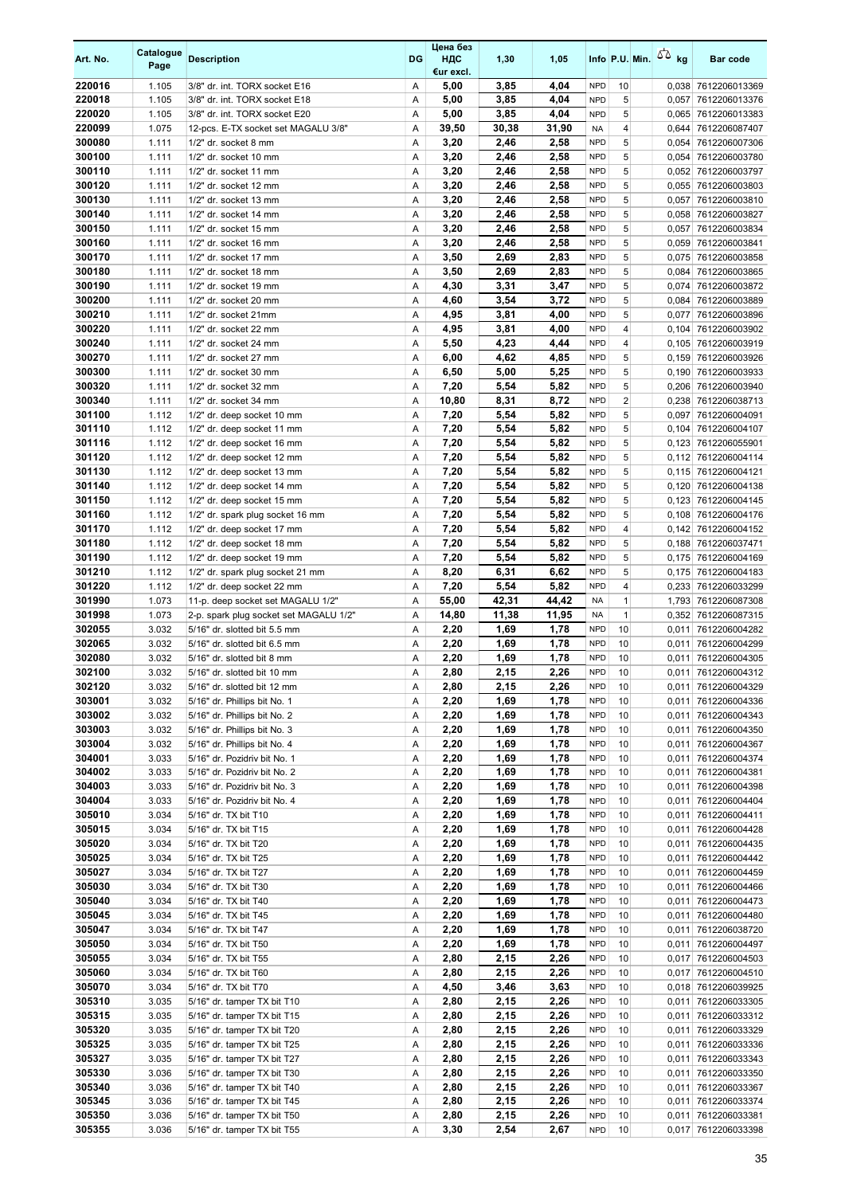| Art. No.         | Catalogue<br>Page | <b>Description</b>                                                     | DG     | Цена без<br>ндс<br>€ur excl. | 1,30          | 1,05          |                          | Info P.U. Min. | 50 <sub>kg</sub> | <b>Bar code</b>                      |
|------------------|-------------------|------------------------------------------------------------------------|--------|------------------------------|---------------|---------------|--------------------------|----------------|------------------|--------------------------------------|
| 220016           | 1.105             | 3/8" dr. int. TORX socket E16                                          | Α      | 5,00                         | 3,85          | 4,04          | <b>NPD</b>               | 10             | 0,038            | 7612206013369                        |
| 220018           | 1.105             | 3/8" dr. int. TORX socket E18                                          | Α      | 5,00                         | 3,85          | 4,04          | <b>NPD</b>               | 5              | 0,057            | 7612206013376                        |
| 220020           | 1.105             | 3/8" dr. int. TORX socket E20                                          | Α      | 5,00                         | 3,85          | 4,04          | <b>NPD</b>               | 5              | 0,065            | 7612206013383                        |
| 220099           | 1.075             | 12-pcs. E-TX socket set MAGALU 3/8"                                    | Α      | 39,50                        | 30,38         | 31,90         | <b>NA</b>                | 4              | 0,644            | 7612206087407                        |
| 300080           | 1.111             | 1/2" dr. socket 8 mm                                                   | Α      | 3,20                         | 2,46          | 2,58          | <b>NPD</b>               | 5              | 0,054            | 7612206007306                        |
| 300100           | 1.111             | 1/2" dr. socket 10 mm                                                  | Α      | 3,20                         | 2,46          | 2,58          | <b>NPD</b><br><b>NPD</b> | 5              | 0,054            | 7612206003780                        |
| 300110<br>300120 | 1.111<br>1.111    | 1/2" dr. socket 11 mm<br>1/2" dr. socket 12 mm                         | Α<br>Α | 3,20<br>3,20                 | 2,46<br>2,46  | 2,58<br>2,58  | <b>NPD</b>               | 5<br>5         | 0,052<br>0,055   | 7612206003797<br>7612206003803       |
| 300130           | 1.111             | 1/2" dr. socket 13 mm                                                  | Α      | 3,20                         | 2,46          | 2,58          | <b>NPD</b>               | 5              | 0,057            | 7612206003810                        |
| 300140           | 1.111             | 1/2" dr. socket 14 mm                                                  | Α      | 3,20                         | 2,46          | 2,58          | <b>NPD</b>               | 5              | 0,058            | 7612206003827                        |
| 300150           | 1.111             | 1/2" dr. socket 15 mm                                                  | Α      | 3,20                         | 2,46          | 2,58          | <b>NPD</b>               | 5              | 0,057            | 7612206003834                        |
| 300160           | 1.111             | 1/2" dr. socket 16 mm                                                  | Α      | 3,20                         | 2,46          | 2,58          | <b>NPD</b>               | 5              | 0,059            | 7612206003841                        |
| 300170           | 1.111             | 1/2" dr. socket 17 mm                                                  | Α      | 3,50                         | 2,69          | 2,83          | <b>NPD</b>               | 5              |                  | 0,075 7612206003858                  |
| 300180           | 1.111             | 1/2" dr. socket 18 mm                                                  | Α      | 3,50                         | 2,69          | 2,83          | <b>NPD</b>               | 5              | 0,084            | 7612206003865                        |
| 300190           | 1.111             | 1/2" dr. socket 19 mm                                                  | Α      | 4,30                         | 3,31          | 3,47          | <b>NPD</b>               | 5              | 0,074            | 7612206003872                        |
| 300200           | 1.111             | 1/2" dr. socket 20 mm                                                  | Α      | 4,60                         | 3,54          | 3,72          | <b>NPD</b>               | 5              | 0,084            | 7612206003889                        |
| 300210<br>300220 | 1.111<br>1.111    | 1/2" dr. socket 21mm<br>1/2" dr. socket 22 mm                          | Α<br>Α | 4,95<br>4,95                 | 3,81<br>3,81  | 4,00<br>4,00  | <b>NPD</b><br><b>NPD</b> | 5<br>4         | 0,077<br>0,104   | 7612206003896<br>7612206003902       |
| 300240           | 1.111             | 1/2" dr. socket 24 mm                                                  | Α      | 5,50                         | 4,23          | 4,44          | <b>NPD</b>               | 4              | 0,105            | 7612206003919                        |
| 300270           | 1.111             | 1/2" dr. socket 27 mm                                                  | Α      | 6,00                         | 4,62          | 4,85          | <b>NPD</b>               | 5              | 0,159            | 7612206003926                        |
| 300300           | 1.111             | 1/2" dr. socket 30 mm                                                  | Α      | 6,50                         | 5,00          | 5,25          | <b>NPD</b>               | 5              | 0,190            | 7612206003933                        |
| 300320           | 1.111             | 1/2" dr. socket 32 mm                                                  | Α      | 7,20                         | 5,54          | 5,82          | <b>NPD</b>               | 5              | 0,206            | 7612206003940                        |
| 300340           | 1.111             | 1/2" dr. socket 34 mm                                                  | Α      | 10,80                        | 8,31          | 8,72          | <b>NPD</b>               | $\overline{2}$ | 0,238            | 7612206038713                        |
| 301100           | 1.112             | 1/2" dr. deep socket 10 mm                                             | Α      | 7,20                         | 5,54          | 5,82          | <b>NPD</b>               | 5              | 0,097            | 7612206004091                        |
| 301110           | 1.112             | 1/2" dr. deep socket 11 mm                                             | Α      | 7,20                         | 5,54          | 5,82          | <b>NPD</b>               | 5              | 0,104            | 7612206004107                        |
| 301116           | 1.112             | 1/2" dr. deep socket 16 mm                                             | Α      | 7,20                         | 5,54          | 5,82          | <b>NPD</b>               | 5              | 0,123            | 7612206055901                        |
| 301120           | 1.112             | 1/2" dr. deep socket 12 mm                                             | Α      | 7,20                         | 5,54          | 5,82          | <b>NPD</b>               | 5              | 0,112            | 7612206004114                        |
| 301130           | 1.112             | 1/2" dr. deep socket 13 mm                                             | Α      | 7,20                         | 5,54          | 5,82          | <b>NPD</b>               | 5              | 0,115            | 7612206004121                        |
| 301140<br>301150 | 1.112<br>1.112    | 1/2" dr. deep socket 14 mm<br>1/2" dr. deep socket 15 mm               | Α<br>Α | 7,20<br>7,20                 | 5,54<br>5,54  | 5,82<br>5,82  | <b>NPD</b><br><b>NPD</b> | 5<br>5         | 0,120<br>0,123   | 7612206004138<br>7612206004145       |
| 301160           | 1.112             | 1/2" dr. spark plug socket 16 mm                                       | Α      | 7,20                         | 5,54          | 5,82          | <b>NPD</b>               | 5              | 0,108            | 7612206004176                        |
| 301170           | 1.112             | 1/2" dr. deep socket 17 mm                                             | Α      | 7,20                         | 5,54          | 5,82          | <b>NPD</b>               | 4              | 0,142            | 7612206004152                        |
| 301180           | 1.112             | 1/2" dr. deep socket 18 mm                                             | Α      | 7,20                         | 5,54          | 5,82          | <b>NPD</b>               | 5              | 0,188            | 7612206037471                        |
| 301190           | 1.112             | 1/2" dr. deep socket 19 mm                                             | Α      | 7,20                         | 5,54          | 5,82          | <b>NPD</b>               | 5              | 0,175            | 7612206004169                        |
| 301210           | 1.112             | 1/2" dr. spark plug socket 21 mm                                       | Α      | 8,20                         | 6,31          | 6,62          | <b>NPD</b>               | 5              | 0,175            | 7612206004183                        |
| 301220           | 1.112             | 1/2" dr. deep socket 22 mm                                             | Α      | 7,20                         | 5,54          | 5,82          | <b>NPD</b>               | 4              | 0,233            | 7612206033299                        |
| 301990           | 1.073             | 11-p. deep socket set MAGALU 1/2"                                      | Α      | 55,00                        | 42,31         | 44,42         | <b>NA</b>                | $\mathbf{1}$   | 1,793            | 7612206087308                        |
| 301998<br>302055 | 1.073             | 2-p. spark plug socket set MAGALU 1/2"<br>5/16" dr. slotted bit 5.5 mm | Α<br>Α | 14,80<br>2,20                | 11,38<br>1,69 | 11,95<br>1,78 | <b>NA</b><br><b>NPD</b>  | 1<br>10        | 0,352            | 7612206087315<br>7612206004282       |
| 302065           | 3.032<br>3.032    | 5/16" dr. slotted bit 6.5 mm                                           | Α      | 2,20                         | 1,69          | 1,78          | <b>NPD</b>               | 10             | 0,011<br>0,011   | 7612206004299                        |
| 302080           | 3.032             | 5/16" dr. slotted bit 8 mm                                             | Α      | 2,20                         | 1,69          | 1,78          | <b>NPD</b>               | 10             | 0,011            | 7612206004305                        |
| 302100           | 3.032             | 5/16" dr. slotted bit 10 mm                                            | Α      | 2,80                         | 2,15          | 2,26          | <b>NPD</b>               | 10             | 0,011            | 7612206004312                        |
| 302120           | 3.032             | 5/16" dr. slotted bit 12 mm                                            | Α      | 2,80                         | 2,15          | 2,26          | <b>NPD</b>               | 10             | 0,011            | 7612206004329                        |
| 303001           | 3.032             | 5/16" dr. Phillips bit No. 1                                           | Α      | 2,20                         | 1,69          | 1,78          | <b>NPD</b>               | 10             | 0,011            | 7612206004336                        |
| 303002           | 3.032             | 5/16" dr. Phillips bit No. 2                                           | Α      | 2,20                         | 1,69          | 1,78          | <b>NPD</b>               | 10             | 0,011            | 7612206004343                        |
| 303003           | 3.032             | 5/16" dr. Phillips bit No. 3                                           | Α      | 2,20                         | 1,69          | 1,78          | <b>NPD</b>               | 10             | 0,011            | 7612206004350                        |
| 303004<br>304001 | 3.032             | 5/16" dr. Phillips bit No. 4<br>5/16" dr. Pozidriv bit No. 1           | Α<br>Α | 2,20                         | 1,69<br>1,69  | 1,78<br>1,78  | <b>NPD</b><br><b>NPD</b> | 10<br>10       | 0,011            | 7612206004367                        |
| 304002           | 3.033<br>3.033    | 5/16" dr. Pozidriv bit No. 2                                           | Α      | 2,20<br>2,20                 | 1,69          | 1,78          | <b>NPD</b>               | 10             | 0,011            | 7612206004374<br>0,011 7612206004381 |
| 304003           | 3.033             | 5/16" dr. Pozidriv bit No. 3                                           | Α      | 2,20                         | 1,69          | 1,78          | <b>NPD</b>               | 10             | 0,011            | 7612206004398                        |
| 304004           | 3.033             | 5/16" dr. Pozidriv bit No. 4                                           | Α      | 2,20                         | 1,69          | 1,78          | <b>NPD</b>               | 10             | 0,011            | 7612206004404                        |
| 305010           | 3.034             | 5/16" dr. TX bit T10                                                   | Α      | 2,20                         | 1,69          | 1,78          | <b>NPD</b>               | 10             | 0,011            | 7612206004411                        |
| 305015           | 3.034             | 5/16" dr. TX bit T15                                                   | Α      | 2,20                         | 1,69          | 1,78          | <b>NPD</b>               | 10             | 0,011            | 7612206004428                        |
| 305020           | 3.034             | 5/16" dr. TX bit T20                                                   | Α      | 2,20                         | 1,69          | 1,78          | <b>NPD</b>               | 10             | 0,011            | 7612206004435                        |
| 305025           | 3.034             | 5/16" dr. TX bit T25                                                   | Α      | 2,20                         | 1,69          | 1,78          | <b>NPD</b>               | 10             | 0,011            | 7612206004442                        |
| 305027           | 3.034             | 5/16" dr. TX bit T27                                                   | Α      | 2,20                         | 1,69          | 1,78          | <b>NPD</b>               | 10             | 0,011            | 7612206004459                        |
| 305030<br>305040 | 3.034<br>3.034    | 5/16" dr. TX bit T30<br>5/16" dr. TX bit T40                           | Α<br>Α | 2,20<br>2,20                 | 1,69<br>1,69  | 1,78<br>1,78  | <b>NPD</b><br><b>NPD</b> | 10<br>10       | 0,011<br>0,011   | 7612206004466<br>7612206004473       |
| 305045           | 3.034             | 5/16" dr. TX bit T45                                                   | Α      | 2,20                         | 1,69          | 1,78          | <b>NPD</b>               | 10             | 0,011            | 7612206004480                        |
| 305047           | 3.034             | 5/16" dr. TX bit T47                                                   | Α      | 2,20                         | 1,69          | 1,78          | <b>NPD</b>               | 10             | 0,011            | 7612206038720                        |
| 305050           | 3.034             | 5/16" dr. TX bit T50                                                   | Α      | 2,20                         | 1,69          | 1,78          | <b>NPD</b>               | 10             | 0,011            | 7612206004497                        |
| 305055           | 3.034             | 5/16" dr. TX bit T55                                                   | Α      | 2,80                         | 2,15          | 2,26          | <b>NPD</b>               | 10             | 0,017            | 7612206004503                        |
| 305060           | 3.034             | 5/16" dr. TX bit T60                                                   | Α      | 2,80                         | 2,15          | 2,26          | <b>NPD</b>               | 10             | 0,017            | 7612206004510                        |
| 305070           | 3.034             | 5/16" dr. TX bit T70                                                   | Α      | 4,50                         | 3,46          | 3,63          | <b>NPD</b>               | 10             |                  | 0,018 7612206039925                  |
| 305310           | 3.035             | 5/16" dr. tamper TX bit T10                                            | Α      | 2,80                         | 2,15          | 2,26          | <b>NPD</b>               | 10             | 0,011            | 7612206033305                        |
| 305315           | 3.035             | 5/16" dr. tamper TX bit T15                                            | Α      | 2,80                         | 2,15          | 2,26          | <b>NPD</b>               | 10             | 0,011            | 7612206033312                        |
| 305320<br>305325 | 3.035<br>3.035    | 5/16" dr. tamper TX bit T20<br>5/16" dr. tamper TX bit T25             | Α<br>Α | 2,80<br>2,80                 | 2,15<br>2,15  | 2,26<br>2,26  | <b>NPD</b><br><b>NPD</b> | 10<br>10       | 0,011<br>0,011   | 7612206033329<br>7612206033336       |
| 305327           | 3.035             | 5/16" dr. tamper TX bit T27                                            | Α      | 2,80                         | 2,15          | 2,26          | <b>NPD</b>               | 10             | 0,011            | 7612206033343                        |
| 305330           | 3.036             | 5/16" dr. tamper TX bit T30                                            | Α      | 2,80                         | 2,15          | 2,26          | <b>NPD</b>               | 10             | 0,011            | 7612206033350                        |
| 305340           | 3.036             | 5/16" dr. tamper TX bit T40                                            | Α      | 2,80                         | 2,15          | 2,26          | <b>NPD</b>               | 10             | 0,011            | 7612206033367                        |
| 305345           | 3.036             | 5/16" dr. tamper TX bit T45                                            | Α      | 2,80                         | 2,15          | 2,26          | <b>NPD</b>               | 10             | 0,011            | 7612206033374                        |
| 305350           | 3.036             | 5/16" dr. tamper TX bit T50                                            | Α      | 2,80                         | 2,15          | 2,26          | <b>NPD</b>               | 10             | 0,011            | 7612206033381                        |
| 305355           | 3.036             | 5/16" dr. tamper TX bit T55                                            | Α      | 3,30                         | 2,54          | 2,67          | <b>NPD</b>               | 10             |                  | 0,017 7612206033398                  |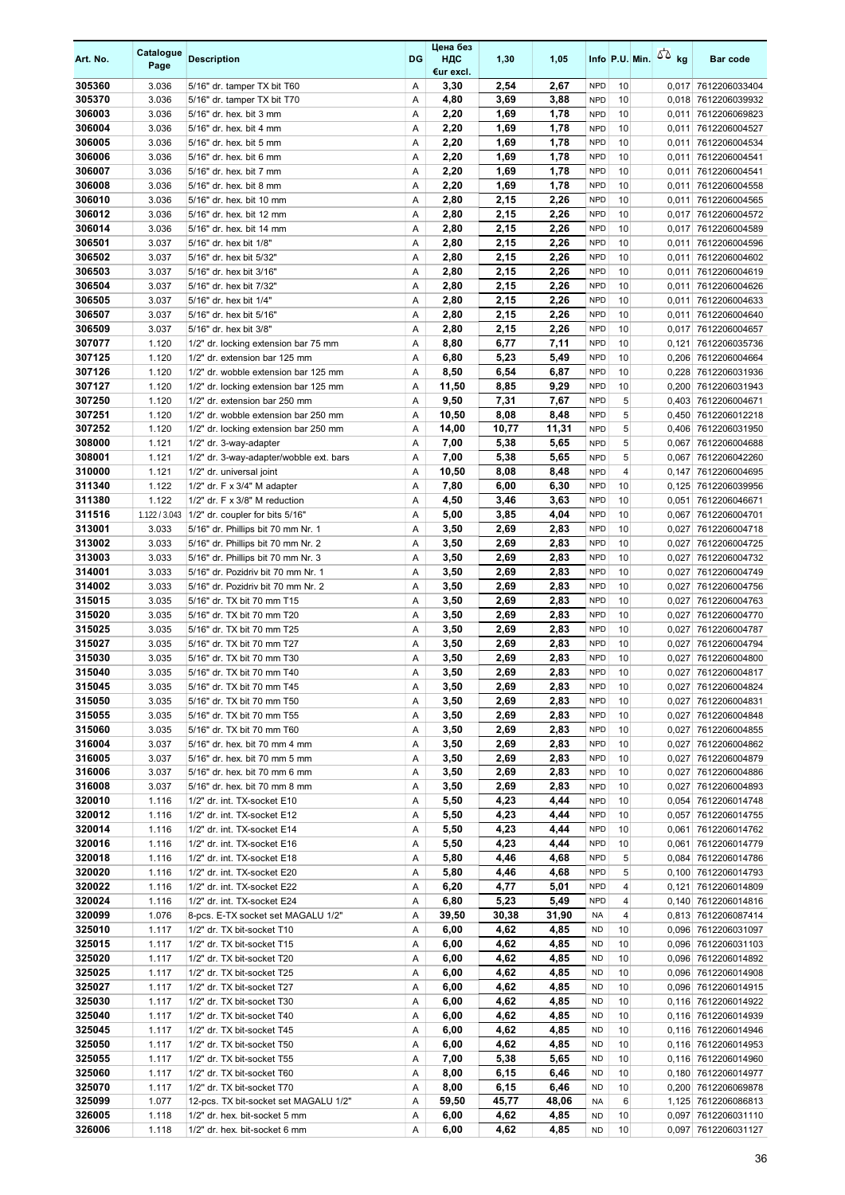| Art. No.         | Catalogue<br>Page | <b>Description</b>                                                    | <b>DG</b> | Цена без<br>НДС<br>€ur excl. | 1,30         | 1,05         |                          | Info P.U. Min. | 50 <sub>kg</sub> | <b>Bar code</b>                            |
|------------------|-------------------|-----------------------------------------------------------------------|-----------|------------------------------|--------------|--------------|--------------------------|----------------|------------------|--------------------------------------------|
| 305360           | 3.036             | 5/16" dr. tamper TX bit T60                                           | Α         | 3,30                         | 2,54         | 2,67         | <b>NPD</b>               | 10             | 0,017            | 7612206033404                              |
| 305370           | 3.036             | 5/16" dr. tamper TX bit T70                                           | A         | 4,80                         | 3,69         | 3,88         | <b>NPD</b>               | 10             | 0,018            | 7612206039932                              |
| 306003<br>306004 | 3.036<br>3.036    | 5/16" dr. hex. bit 3 mm<br>5/16" dr. hex. bit 4 mm                    | Α<br>Α    | 2,20<br>2,20                 | 1,69<br>1,69 | 1,78<br>1,78 | <b>NPD</b><br><b>NPD</b> | 10<br>10       | 0,011<br>0,011   | 7612206069823<br>7612206004527             |
| 306005           | 3.036             | 5/16" dr. hex. bit 5 mm                                               | Α         | 2,20                         | 1,69         | 1,78         | <b>NPD</b>               | 10             | 0,011            | 7612206004534                              |
| 306006           | 3.036             | 5/16" dr. hex. bit 6 mm                                               | Α         | 2,20                         | 1,69         | 1,78         | <b>NPD</b>               | 10             | 0,011            | 7612206004541                              |
| 306007           | 3.036             | 5/16" dr. hex. bit 7 mm                                               | Α         | 2,20                         | 1,69         | 1,78         | <b>NPD</b>               | 10             | 0,011            | 7612206004541                              |
| 306008           | 3.036             | 5/16" dr. hex. bit 8 mm                                               | Α         | 2,20                         | 1,69         | 1,78         | <b>NPD</b>               | 10             | 0,011            | 7612206004558                              |
| 306010           | 3.036             | 5/16" dr. hex. bit 10 mm                                              | Α         | 2,80                         | 2,15         | 2,26         | <b>NPD</b>               | 10             | 0,011            | 7612206004565                              |
| 306012           | 3.036             | 5/16" dr. hex. bit 12 mm                                              | Α         | 2,80                         | 2,15         | 2,26         | <b>NPD</b>               | 10             | 0,017            | 7612206004572                              |
| 306014<br>306501 | 3.036             | 5/16" dr. hex. bit 14 mm                                              | Α<br>Α    | 2,80                         | 2,15<br>2,15 | 2,26<br>2,26 | <b>NPD</b>               | 10             | 0,017            | 7612206004589                              |
| 306502           | 3.037<br>3.037    | 5/16" dr. hex bit 1/8"<br>5/16" dr. hex bit 5/32"                     | Α         | 2,80<br>2,80                 | 2,15         | 2,26         | <b>NPD</b><br><b>NPD</b> | 10<br>10       | 0,011<br>0,011   | 7612206004596<br>7612206004602             |
| 306503           | 3.037             | 5/16" dr. hex bit 3/16"                                               | Α         | 2,80                         | 2,15         | 2,26         | <b>NPD</b>               | 10             | 0,011            | 7612206004619                              |
| 306504           | 3.037             | 5/16" dr. hex bit 7/32"                                               | Α         | 2,80                         | 2,15         | 2,26         | <b>NPD</b>               | 10             | 0,011            | 7612206004626                              |
| 306505           | 3.037             | 5/16" dr. hex bit 1/4"                                                | Α         | 2,80                         | 2,15         | 2,26         | <b>NPD</b>               | 10             | 0,011            | 7612206004633                              |
| 306507           | 3.037             | 5/16" dr. hex bit 5/16"                                               | Α         | 2,80                         | 2,15         | 2,26         | <b>NPD</b>               | 10             | 0,011            | 7612206004640                              |
| 306509           | 3.037             | 5/16" dr. hex bit 3/8"                                                | Α         | 2,80                         | 2,15         | 2,26         | <b>NPD</b>               | 10             | 0,017            | 7612206004657                              |
| 307077           | 1.120             | 1/2" dr. locking extension bar 75 mm                                  | Α         | 8,80                         | 6,77         | 7,11         | <b>NPD</b>               | 10             | 0,121            | 7612206035736                              |
| 307125<br>307126 | 1.120<br>1.120    | 1/2" dr. extension bar 125 mm<br>1/2" dr. wobble extension bar 125 mm | A<br>Α    | 6,80<br>8,50                 | 5,23<br>6,54 | 5,49<br>6,87 | <b>NPD</b><br><b>NPD</b> | 10<br>10       | 0,206<br>0,228   | 7612206004664<br>7612206031936             |
| 307127           | 1.120             | 1/2" dr. locking extension bar 125 mm                                 | Α         | 11,50                        | 8,85         | 9,29         | <b>NPD</b>               | 10             | 0,200            | 7612206031943                              |
| 307250           | 1.120             | 1/2" dr. extension bar 250 mm                                         | A         | 9,50                         | 7,31         | 7,67         | <b>NPD</b>               | 5              | 0,403            | 7612206004671                              |
| 307251           | 1.120             | 1/2" dr. wobble extension bar 250 mm                                  | Α         | 10,50                        | 8,08         | 8,48         | <b>NPD</b>               | 5              | 0,450            | 7612206012218                              |
| 307252           | 1.120             | 1/2" dr. locking extension bar 250 mm                                 | Α         | 14,00                        | 10,77        | 11,31        | <b>NPD</b>               | 5              | 0,406            | 7612206031950                              |
| 308000           | 1.121             | 1/2" dr. 3-way-adapter                                                | Α         | 7,00                         | 5,38         | 5,65         | <b>NPD</b>               | 5              | 0,067            | 7612206004688                              |
| 308001           | 1.121             | 1/2" dr. 3-way-adapter/wobble ext. bars                               | A         | 7,00                         | 5,38         | 5,65         | <b>NPD</b>               | 5              | 0,067            | 7612206042260                              |
| 310000           | 1.121             | 1/2" dr. universal joint                                              | Α         | 10,50                        | 8,08         | 8,48         | <b>NPD</b>               | 4              | 0,147            | 7612206004695                              |
| 311340<br>311380 | 1.122<br>1.122    | $1/2"$ dr. F x $3/4"$ M adapter<br>1/2" dr. F x 3/8" M reduction      | Α<br>Α    | 7,80<br>4,50                 | 6,00<br>3,46 | 6,30<br>3,63 | <b>NPD</b><br><b>NPD</b> | 10<br>10       | 0,125<br>0,051   | 7612206039956<br>7612206046671             |
| 311516           | 1.122 / 3.043     | 1/2" dr. coupler for bits 5/16"                                       | Α         | 5,00                         | 3,85         | 4,04         | <b>NPD</b>               | 10             | 0,067            | 7612206004701                              |
| 313001           | 3.033             | 5/16" dr. Phillips bit 70 mm Nr. 1                                    | Α         | 3,50                         | 2,69         | 2,83         | <b>NPD</b>               | 10             | 0,027            | 7612206004718                              |
| 313002           | 3.033             | 5/16" dr. Phillips bit 70 mm Nr. 2                                    | A         | 3,50                         | 2,69         | 2,83         | <b>NPD</b>               | 10             | 0,027            | 7612206004725                              |
| 313003           | 3.033             | 5/16" dr. Phillips bit 70 mm Nr. 3                                    | Α         | 3,50                         | 2,69         | 2,83         | <b>NPD</b>               | 10             | 0,027            | 7612206004732                              |
| 314001           | 3.033             | 5/16" dr. Pozidriv bit 70 mm Nr. 1                                    | Α         | 3,50                         | 2,69         | 2,83         | <b>NPD</b>               | 10             | 0,027            | 7612206004749                              |
| 314002           | 3.033             | 5/16" dr. Pozidriv bit 70 mm Nr. 2                                    | Α         | 3,50                         | 2,69         | 2,83         | <b>NPD</b>               | 10             | 0,027            | 7612206004756                              |
| 315015<br>315020 | 3.035<br>3.035    | 5/16" dr. TX bit 70 mm T15<br>5/16" dr. TX bit 70 mm T20              | Α<br>A    | 3,50<br>3,50                 | 2,69<br>2,69 | 2,83<br>2,83 | <b>NPD</b><br><b>NPD</b> | 10<br>10       | 0,027<br>0,027   | 7612206004763<br>7612206004770             |
| 315025           | 3.035             | 5/16" dr. TX bit 70 mm T25                                            | Α         | 3,50                         | 2,69         | 2,83         | <b>NPD</b>               | 10             | 0,027            | 7612206004787                              |
| 315027           | 3.035             | 5/16" dr. TX bit 70 mm T27                                            | Α         | 3,50                         | 2,69         | 2,83         | <b>NPD</b>               | 10             | 0,027            | 7612206004794                              |
| 315030           | 3.035             | 5/16" dr. TX bit 70 mm T30                                            | Α         | 3,50                         | 2,69         | 2,83         | <b>NPD</b>               | 10             | 0,027            | 7612206004800                              |
| 315040           | 3.035             | 5/16" dr. TX bit 70 mm T40                                            | A         | 3,50                         | 2,69         | 2,83         | <b>NPD</b>               | 10             | 0,027            | 7612206004817                              |
| 315045           | 3.035             | 5/16" dr. TX bit 70 mm T45                                            | Α         | 3,50                         | 2,69         | 2,83         | <b>NPD</b>               | 10             |                  | 0,027 7612206004824                        |
| 315050           | 3.035             | 5/16" dr. TX bit 70 mm T50                                            | Α         | 3,50                         | 2,69         | 2,83         | <b>NPD</b>               | 10             |                  | 0,027 7612206004831                        |
| 315055<br>315060 | 3.035<br>3.035    | 5/16" dr. TX bit 70 mm T55<br>5/16" dr. TX bit 70 mm T60              | Α<br>Α    | 3,50<br>3,50                 | 2,69<br>2,69 | 2,83<br>2,83 | <b>NPD</b><br><b>NPD</b> | 10<br>10       | 0,027<br>0,027   | 7612206004848<br>7612206004855             |
| 316004           | 3.037             | 5/16" dr. hex. bit 70 mm 4 mm                                         | Α         | 3,50                         | 2,69         | 2,83         | <b>NPD</b>               | 10             |                  | 0,027 7612206004862                        |
| 316005           | 3.037             | 5/16" dr. hex. bit 70 mm 5 mm                                         | Α         | 3,50                         | 2,69         | 2,83         | <b>NPD</b>               | 10             | 0,027            | 7612206004879                              |
| 316006           | 3.037             | 5/16" dr. hex. bit 70 mm 6 mm                                         | Α         | 3,50                         | 2,69         | 2,83         | <b>NPD</b>               | 10             | 0,027            | 7612206004886                              |
| 316008           | 3.037             | 5/16" dr. hex. bit 70 mm 8 mm                                         | Α         | 3,50                         | 2,69         | 2,83         | <b>NPD</b>               | 10             |                  | 0,027 7612206004893                        |
| 320010           | 1.116             | 1/2" dr. int. TX-socket E10                                           | Α         | 5,50                         | 4,23         | 4,44         | <b>NPD</b>               | 10             |                  | 0,054 7612206014748                        |
| 320012           | 1.116             | 1/2" dr. int. TX-socket E12                                           | Α         | 5,50                         | 4,23         | 4,44         | <b>NPD</b>               | 10             | 0,057            | 7612206014755                              |
| 320014<br>320016 | 1.116<br>1.116    | 1/2" dr. int. TX-socket E14<br>1/2" dr. int. TX-socket E16            | Α         | 5,50<br>5,50                 | 4,23<br>4,23 | 4,44<br>4,44 | <b>NPD</b><br><b>NPD</b> | 10<br>10       | 0,061            | 7612206014762<br>7612206014779             |
| 320018           | 1.116             | 1/2" dr. int. TX-socket E18                                           | Α<br>Α    | 5,80                         | 4,46         | 4,68         | <b>NPD</b>               | 5              | 0,061            | 0,084 7612206014786                        |
| 320020           | 1.116             | 1/2" dr. int. TX-socket E20                                           | Α         | 5,80                         | 4,46         | 4,68         | <b>NPD</b>               | 5              |                  | 0,100 7612206014793                        |
| 320022           | 1.116             | 1/2" dr. int. TX-socket E22                                           | Α         | 6,20                         | 4,77         | 5,01         | <b>NPD</b>               | 4              | 0,121            | 7612206014809                              |
| 320024           | 1.116             | 1/2" dr. int. TX-socket E24                                           | Α         | 6,80                         | 5,23         | 5,49         | <b>NPD</b>               | 4              |                  | 0,140 7612206014816                        |
| 320099           | 1.076             | 8-pcs. E-TX socket set MAGALU 1/2"                                    | Α         | 39,50                        | 30,38        | 31,90        | NA                       | 4              |                  | 0,813 7612206087414                        |
| 325010           | 1.117             | 1/2" dr. TX bit-socket T10                                            | Α         | 6,00                         | 4,62         | 4,85         | ND                       | 10             |                  | 0,096 7612206031097                        |
| 325015<br>325020 | 1.117             | 1/2" dr. TX bit-socket T15                                            | Α         | 6,00                         | 4,62         | 4,85         | <b>ND</b>                | 10             |                  | 0,096 7612206031103                        |
| 325025           | 1.117<br>1.117    | 1/2" dr. TX bit-socket T20<br>1/2" dr. TX bit-socket T25              | Α<br>Α    | 6,00<br>6,00                 | 4,62<br>4,62 | 4,85<br>4,85 | <b>ND</b><br><b>ND</b>   | 10<br>10       |                  | 0,096 7612206014892<br>0,096 7612206014908 |
| 325027           | 1.117             | 1/2" dr. TX bit-socket T27                                            | Α         | 6,00                         | 4,62         | 4,85         | <b>ND</b>                | 10             |                  | 0,096 7612206014915                        |
| 325030           | 1.117             | 1/2" dr. TX bit-socket T30                                            | Α         | 6,00                         | 4,62         | 4,85         | <b>ND</b>                | 10             |                  | 0,116 7612206014922                        |
| 325040           | 1.117             | 1/2" dr. TX bit-socket T40                                            | Α         | 6,00                         | 4,62         | 4,85         | <b>ND</b>                | 10             |                  | 0,116 7612206014939                        |
| 325045           | 1.117             | 1/2" dr. TX bit-socket T45                                            | Α         | 6,00                         | 4,62         | 4,85         | <b>ND</b>                | 10             |                  | 0,116 7612206014946                        |
| 325050           | 1.117             | 1/2" dr. TX bit-socket T50                                            | Α         | 6,00                         | 4,62         | 4,85         | <b>ND</b>                | 10             |                  | 0,116 7612206014953                        |
| 325055           | 1.117             | 1/2" dr. TX bit-socket T55                                            | Α         | 7,00                         | 5,38         | 5,65         | <b>ND</b>                | 10             |                  | 0,116 7612206014960                        |
| 325060<br>325070 | 1.117<br>1.117    | 1/2" dr. TX bit-socket T60<br>1/2" dr. TX bit-socket T70              | Α<br>Α    | 8,00<br>8,00                 | 6,15<br>6,15 | 6,46<br>6,46 | <b>ND</b><br><b>ND</b>   | 10<br>10       |                  | 0,180 7612206014977<br>0,200 7612206069878 |
| 325099           | 1.077             | 12-pcs. TX bit-socket set MAGALU 1/2"                                 | Α         | 59,50                        | 45,77        | 48,06        | <b>NA</b>                | 6              |                  | 1,125 7612206086813                        |
| 326005           | 1.118             | 1/2" dr. hex. bit-socket 5 mm                                         | Α         | 6,00                         | 4,62         | 4,85         | <b>ND</b>                | 10             | 0,097            | 7612206031110                              |
| 326006           | 1.118             | 1/2" dr. hex. bit-socket 6 mm                                         | Α         | 6,00                         | 4,62         | 4,85         | <b>ND</b>                | 10             | 0,097            | 7612206031127                              |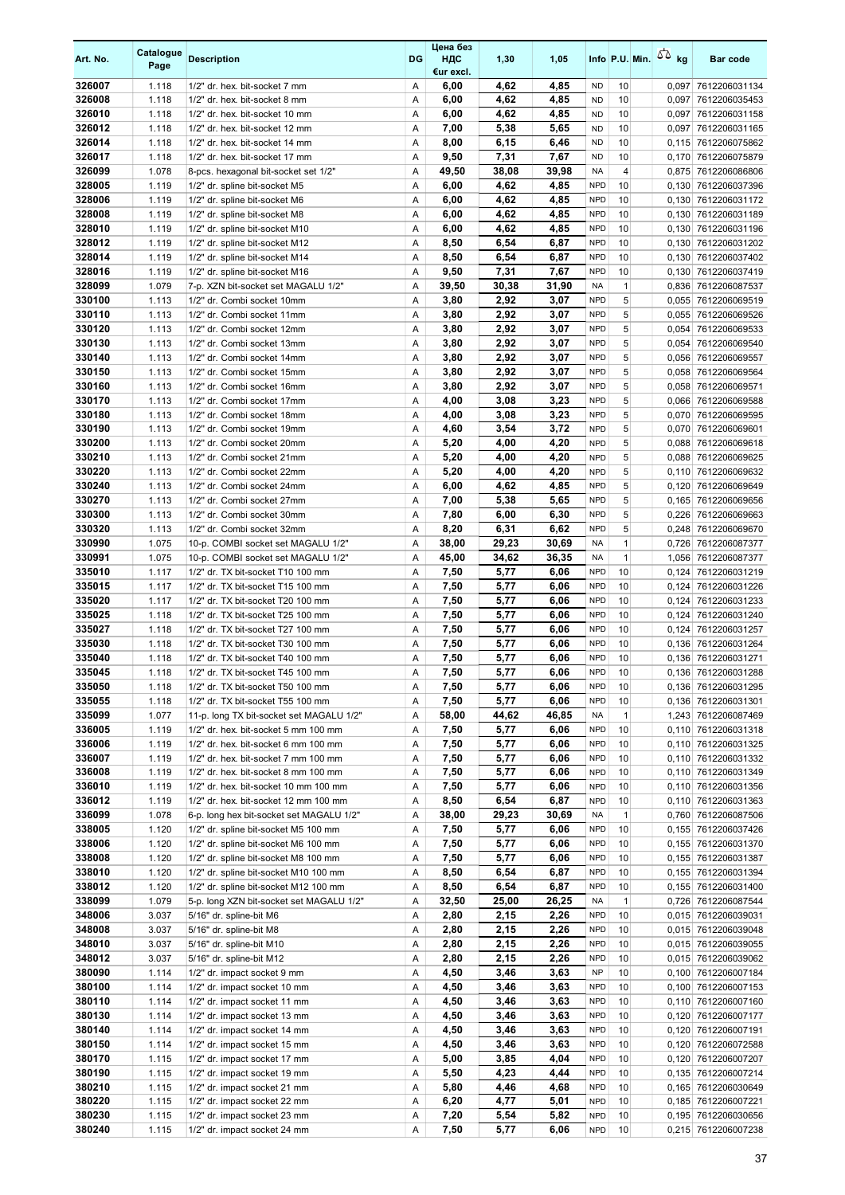| Art. No.         | Catalogue<br>Page | <b>Description</b>                                                            | DG     | Цена без<br>ндс<br>€ur excl. | 1,30         | 1,05         |                          | Info P.U. Min. $\sqrt{2}$ kg |                | <b>Bar code</b>                            |
|------------------|-------------------|-------------------------------------------------------------------------------|--------|------------------------------|--------------|--------------|--------------------------|------------------------------|----------------|--------------------------------------------|
| 326007           | 1.118             | 1/2" dr. hex. bit-socket 7 mm                                                 | Α      | 6,00                         | 4,62         | 4,85         | <b>ND</b>                | 10                           |                | 0,097 7612206031134                        |
| 326008           | 1.118             | 1/2" dr. hex. bit-socket 8 mm                                                 | Α      | 6,00                         | 4,62         | 4,85         | <b>ND</b>                | 10                           | 0,097          | 7612206035453                              |
| 326010           | 1.118             | 1/2" dr. hex. bit-socket 10 mm                                                | Α      | 6,00                         | 4,62         | 4,85         | <b>ND</b>                | 10                           | 0,097          | 7612206031158                              |
| 326012           | 1.118             | 1/2" dr. hex. bit-socket 12 mm                                                | Α      | 7,00                         | 5,38         | 5,65         | <b>ND</b>                | 10                           |                | 0,097 7612206031165                        |
| 326014           | 1.118             | 1/2" dr. hex. bit-socket 14 mm                                                | Α      | 8,00                         | 6,15         | 6,46         | <b>ND</b>                | 10                           |                | 0,115 7612206075862                        |
| 326017           | 1.118             | 1/2" dr. hex. bit-socket 17 mm                                                | Α      | 9,50                         | 7,31         | 7,67         | <b>ND</b>                | 10                           | 0,170          | 7612206075879                              |
| 326099           | 1.078             | 8-pcs. hexagonal bit-socket set 1/2"                                          | Α      | 49,50                        | 38,08        | 39,98        | <b>NA</b>                | 4                            |                | 0,875 7612206086806                        |
| 328005<br>328006 | 1.119<br>1.119    | 1/2" dr. spline bit-socket M5                                                 | Α<br>Α | 6,00                         | 4,62<br>4,62 | 4,85<br>4,85 | <b>NPD</b><br><b>NPD</b> | 10<br>10                     |                | 0,130 7612206037396                        |
| 328008           | 1.119             | 1/2" dr. spline bit-socket M6<br>1/2" dr. spline bit-socket M8                | Α      | 6,00<br>6,00                 | 4,62         | 4,85         | <b>NPD</b>               | 10                           | 0,130<br>0,130 | 7612206031172<br>7612206031189             |
| 328010           | 1.119             | 1/2" dr. spline bit-socket M10                                                | Α      | 6,00                         | 4,62         | 4,85         | <b>NPD</b>               | 10                           | 0,130          | 7612206031196                              |
| 328012           | 1.119             | 1/2" dr. spline bit-socket M12                                                | Α      | 8,50                         | 6,54         | 6,87         | <b>NPD</b>               | 10                           | 0,130          | 7612206031202                              |
| 328014           | 1.119             | 1/2" dr. spline bit-socket M14                                                | Α      | 8,50                         | 6,54         | 6,87         | <b>NPD</b>               | 10                           | 0,130          | 7612206037402                              |
| 328016           | 1.119             | 1/2" dr. spline bit-socket M16                                                | Α      | 9,50                         | 7,31         | 7,67         | <b>NPD</b>               | 10                           |                | 0,130 7612206037419                        |
| 328099           | 1.079             | 7-p. XZN bit-socket set MAGALU 1/2"                                           | Α      | 39,50                        | 30,38        | 31,90        | <b>NA</b>                | $\mathbf{1}$                 |                | 0,836 7612206087537                        |
| 330100           | 1.113             | 1/2" dr. Combi socket 10mm                                                    | Α      | 3,80                         | 2,92         | 3,07         | <b>NPD</b>               | 5                            |                | 0,055 7612206069519                        |
| 330110           | 1.113             | 1/2" dr. Combi socket 11mm                                                    | Α      | 3,80                         | 2,92         | 3,07         | <b>NPD</b>               | 5                            |                | 0,055 7612206069526                        |
| 330120           | 1.113             | 1/2" dr. Combi socket 12mm                                                    | Α      | 3,80                         | 2,92         | 3,07         | <b>NPD</b>               | 5                            | 0,054          | 7612206069533                              |
| 330130           | 1.113             | 1/2" dr. Combi socket 13mm                                                    | Α      | 3,80                         | 2,92         | 3,07         | <b>NPD</b>               | 5                            | 0,054          | 7612206069540                              |
| 330140           | 1.113             | 1/2" dr. Combi socket 14mm                                                    | Α      | 3,80                         | 2,92         | 3,07         | <b>NPD</b>               | 5                            |                | 0,056 7612206069557                        |
| 330150           | 1.113             | 1/2" dr. Combi socket 15mm                                                    | Α      | 3,80                         | 2,92         | 3,07         | <b>NPD</b>               | 5                            | 0,058          | 7612206069564                              |
| 330160           | 1.113             | 1/2" dr. Combi socket 16mm                                                    | Α      | 3,80                         | 2,92         | 3,07         | <b>NPD</b>               | 5                            |                | 0,058 7612206069571                        |
| 330170           | 1.113             | 1/2" dr. Combi socket 17mm                                                    | Α      | 4,00                         | 3,08         | 3,23         | <b>NPD</b>               | 5                            |                | 0,066 7612206069588                        |
| 330180           | 1.113             | 1/2" dr. Combi socket 18mm                                                    | Α      | 4,00                         | 3,08         | 3,23         | <b>NPD</b>               | 5                            | 0,070          | 7612206069595                              |
| 330190           | 1.113             | 1/2" dr. Combi socket 19mm                                                    | Α      | 4,60                         | 3,54         | 3,72         | <b>NPD</b>               | 5                            | 0,070          | 7612206069601                              |
| 330200<br>330210 | 1.113<br>1.113    | 1/2" dr. Combi socket 20mm<br>1/2" dr. Combi socket 21mm                      | Α<br>Α | 5,20<br>5,20                 | 4,00<br>4,00 | 4,20<br>4,20 | <b>NPD</b><br><b>NPD</b> | 5<br>5                       |                | 0,088 7612206069618                        |
| 330220           | 1.113             | 1/2" dr. Combi socket 22mm                                                    | Α      | 5,20                         | 4,00         | 4,20         | <b>NPD</b>               | 5                            | 0,110          | 0,088 7612206069625<br>7612206069632       |
| 330240           | 1.113             | 1/2" dr. Combi socket 24mm                                                    | Α      | 6,00                         | 4,62         | 4,85         | <b>NPD</b>               | 5                            | 0,120          | 7612206069649                              |
| 330270           | 1.113             | 1/2" dr. Combi socket 27mm                                                    | Α      | 7,00                         | 5,38         | 5,65         | <b>NPD</b>               | 5                            |                | 0,165 7612206069656                        |
| 330300           | 1.113             | 1/2" dr. Combi socket 30mm                                                    | Α      | 7,80                         | 6,00         | 6,30         | <b>NPD</b>               | 5                            | 0,226          | 7612206069663                              |
| 330320           | 1.113             | 1/2" dr. Combi socket 32mm                                                    | Α      | 8,20                         | 6,31         | 6,62         | <b>NPD</b>               | 5                            |                | 0,248 7612206069670                        |
| 330990           | 1.075             | 10-p. COMBI socket set MAGALU 1/2"                                            | Α      | 38,00                        | 29,23        | 30,69        | <b>NA</b>                | $\mathbf{1}$                 |                | 0,726 7612206087377                        |
| 330991           | 1.075             | 10-p. COMBI socket set MAGALU 1/2"                                            | Α      | 45,00                        | 34,62        | 36,35        | <b>NA</b>                | $\mathbf{1}$                 |                | 1,056 7612206087377                        |
| 335010           | 1.117             | 1/2" dr. TX bit-socket T10 100 mm                                             | Α      | 7,50                         | 5,77         | 6,06         | <b>NPD</b>               | 10                           | 0,124          | 7612206031219                              |
| 335015           | 1.117             | 1/2" dr. TX bit-socket T15 100 mm                                             | Α      | 7,50                         | 5,77         | 6,06         | <b>NPD</b>               | 10                           | 0,124          | 7612206031226                              |
| 335020           | 1.117             | 1/2" dr. TX bit-socket T20 100 mm                                             | Α      | 7,50                         | 5,77         | 6,06         | <b>NPD</b>               | 10                           | 0,124          | 7612206031233                              |
| 335025           | 1.118             | 1/2" dr. TX bit-socket T25 100 mm                                             | Α      | 7,50                         | 5,77         | 6,06         | <b>NPD</b>               | 10                           | 0,124          | 7612206031240                              |
| 335027           | 1.118             | 1/2" dr. TX bit-socket T27 100 mm                                             | Α      | 7,50                         | 5,77         | 6,06         | <b>NPD</b>               | 10                           |                | 0,124 7612206031257                        |
| 335030           | 1.118             | 1/2" dr. TX bit-socket T30 100 mm                                             | Α      | 7,50                         | 5,77         | 6,06         | <b>NPD</b>               | 10                           |                | 0,136 7612206031264                        |
| 335040           | 1.118             | 1/2" dr. TX bit-socket T40 100 mm                                             | Α      | 7,50                         | 5,77         | 6,06         | <b>NPD</b>               | 10                           |                | 0,136 7612206031271                        |
| 335045           | 1.118             | 1/2" dr. TX bit-socket T45 100 mm                                             | A      | 7,50                         | 5,77         | 6.06         | <b>NPD</b>               | 10                           |                | 0,136 7612206031288                        |
| 335050<br>335055 | 1.118<br>1.118    | 1/2" dr. TX bit-socket T50 100 mm                                             | Α<br>Α | 7,50<br>7,50                 | 5,77<br>5,77 | 6,06<br>6,06 | <b>NPD</b><br><b>NPD</b> | 10<br>10                     |                | 0,136 7612206031295<br>0,136 7612206031301 |
| 335099           | 1.077             | 1/2" dr. TX bit-socket T55 100 mm<br>11-p. long TX bit-socket set MAGALU 1/2" | Α      | 58,00                        | 44,62        | 46,85        | <b>NA</b>                | $\mathbf{1}$                 |                | 1,243 7612206087469                        |
| 336005           | 1.119             | 1/2" dr. hex. bit-socket 5 mm 100 mm                                          | Α      | 7,50                         | 5,77         | 6,06         | <b>NPD</b>               | 10                           |                | 0,110 7612206031318                        |
| 336006           | 1.119             | 1/2" dr. hex. bit-socket 6 mm 100 mm                                          | Α      | 7,50                         | 5,77         | 6,06         | <b>NPD</b>               | 10                           |                | 0,110 7612206031325                        |
| 336007           | 1.119             | 1/2" dr. hex. bit-socket 7 mm 100 mm                                          | Α      | 7,50                         | 5,77         | 6,06         | <b>NPD</b>               | 10                           |                | 0,110 7612206031332                        |
| 336008           | 1.119             | 1/2" dr. hex. bit-socket 8 mm 100 mm                                          | Α      | 7,50                         | 5,77         | 6,06         | <b>NPD</b>               | 10                           |                | 0,110 7612206031349                        |
| 336010           | 1.119             | 1/2" dr. hex. bit-socket 10 mm 100 mm                                         | Α      | 7,50                         | 5,77         | 6,06         | <b>NPD</b>               | 10                           |                | 0,110 7612206031356                        |
| 336012           | 1.119             | 1/2" dr. hex. bit-socket 12 mm 100 mm                                         | Α      | 8,50                         | 6,54         | 6,87         | <b>NPD</b>               | 10                           |                | 0,110 7612206031363                        |
| 336099           | 1.078             | 6-p. long hex bit-socket set MAGALU 1/2"                                      | Α      | 38,00                        | 29,23        | 30,69        | <b>NA</b>                | $\mathbf{1}$                 |                | 0,760 7612206087506                        |
| 338005           | 1.120             | 1/2" dr. spline bit-socket M5 100 mm                                          | Α      | 7,50                         | 5,77         | 6,06         | <b>NPD</b>               | 10                           |                | 0,155 7612206037426                        |
| 338006           | 1.120             | 1/2" dr. spline bit-socket M6 100 mm                                          | Α      | 7,50                         | 5,77         | 6,06         | <b>NPD</b>               | 10                           |                | 0,155 7612206031370                        |
| 338008           | 1.120             | 1/2" dr. spline bit-socket M8 100 mm                                          | Α      | 7,50                         | 5,77         | 6,06         | <b>NPD</b>               | 10                           |                | 0,155 7612206031387                        |
| 338010           | 1.120             | 1/2" dr. spline bit-socket M10 100 mm                                         | Α      | 8,50                         | 6,54         | 6,87         | <b>NPD</b>               | 10                           |                | 0,155 7612206031394                        |
| 338012           | 1.120             | 1/2" dr. spline bit-socket M12 100 mm                                         | Α      | 8,50                         | 6,54         | 6,87         | <b>NPD</b>               | 10                           |                | 0,155 7612206031400                        |
| 338099           | 1.079             | 5-p. long XZN bit-socket set MAGALU 1/2"                                      | Α      | 32,50                        | 25,00        | 26,25        | NA                       | $\mathbf{1}$                 |                | 0,726 7612206087544                        |
| 348006           | 3.037             | 5/16" dr. spline-bit M6                                                       | Α      | 2,80                         | 2,15         | 2,26         | <b>NPD</b>               | 10                           |                | 0,015 7612206039031                        |
| 348008           | 3.037             | 5/16" dr. spline-bit M8                                                       | Α      | 2,80                         | 2,15         | 2,26         | <b>NPD</b>               | 10                           |                | 0,015 7612206039048                        |
| 348010<br>348012 | 3.037<br>3.037    | 5/16" dr. spline-bit M10                                                      | Α<br>Α | 2,80<br>2,80                 | 2,15<br>2,15 | 2,26<br>2,26 | <b>NPD</b><br><b>NPD</b> | 10<br>10                     |                | 0,015 7612206039055<br>0,015 7612206039062 |
| 380090           |                   | 5/16" dr. spline-bit M12                                                      | Α      | 4,50                         | 3,46         | 3,63         | <b>NP</b>                | 10                           |                | 0,100 7612206007184                        |
| 380100           | 1.114<br>1.114    | 1/2" dr. impact socket 9 mm<br>1/2" dr. impact socket 10 mm                   | Α      | 4,50                         | 3,46         | 3,63         | <b>NPD</b>               | 10                           |                | 0,100 7612206007153                        |
| 380110           | 1.114             | 1/2" dr. impact socket 11 mm                                                  | Α      | 4,50                         | 3,46         | 3,63         | <b>NPD</b>               | 10                           |                | 0,110 7612206007160                        |
| 380130           | 1.114             | 1/2" dr. impact socket 13 mm                                                  | Α      | 4,50                         | 3,46         | 3,63         | <b>NPD</b>               | 10                           |                | 0,120 7612206007177                        |
| 380140           | 1.114             | 1/2" dr. impact socket 14 mm                                                  | Α      | 4,50                         | 3,46         | 3,63         | <b>NPD</b>               | 10                           |                | 0,120 7612206007191                        |
| 380150           | 1.114             | 1/2" dr. impact socket 15 mm                                                  | Α      | 4,50                         | 3,46         | 3,63         | <b>NPD</b>               | 10                           |                | 0,120 7612206072588                        |
| 380170           | 1.115             | 1/2" dr. impact socket 17 mm                                                  | Α      | 5,00                         | 3,85         | 4,04         | <b>NPD</b>               | 10                           |                | 0,120 7612206007207                        |
| 380190           | 1.115             | 1/2" dr. impact socket 19 mm                                                  | Α      | 5,50                         | 4,23         | 4,44         | <b>NPD</b>               | 10                           |                | 0,135 7612206007214                        |
| 380210           | 1.115             | 1/2" dr. impact socket 21 mm                                                  | Α      | 5,80                         | 4,46         | 4,68         | <b>NPD</b>               | 10                           |                | 0,165 7612206030649                        |
| 380220           | 1.115             | 1/2" dr. impact socket 22 mm                                                  | Α      | 6,20                         | 4,77         | 5,01         | <b>NPD</b>               | 10                           |                | 0,185 7612206007221                        |
| 380230           | 1.115             | 1/2" dr. impact socket 23 mm                                                  | Α      | 7,20                         | 5,54         | 5,82         | <b>NPD</b>               | 10                           |                | 0,195 7612206030656                        |
| 380240           | 1.115             | 1/2" dr. impact socket 24 mm                                                  | Α      | 7,50                         | 5,77         | 6,06         | <b>NPD</b>               | 10                           |                | 0,215 7612206007238                        |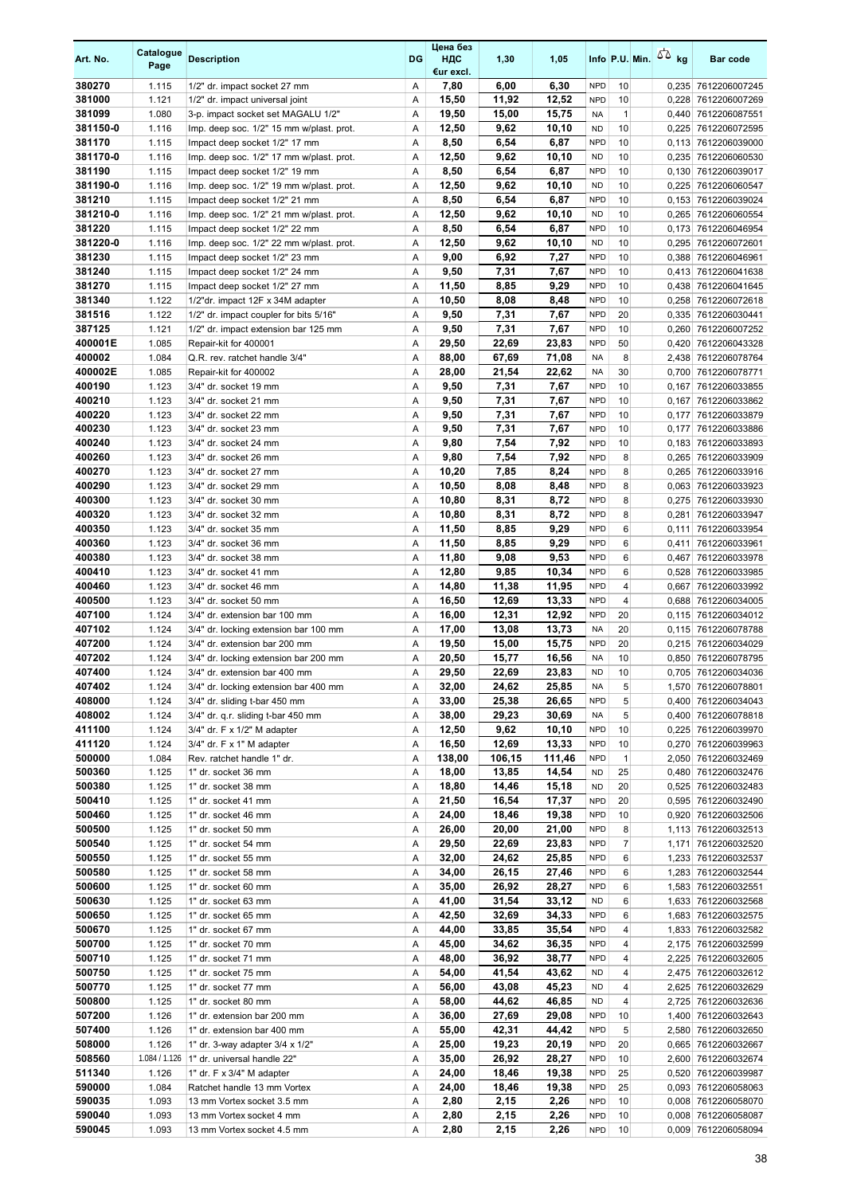| Art. No.           | Catalogue<br>Page | <b>Description</b>                                                             | <b>DG</b> | Цена без<br>ндс<br>€ur excl. | 1,30           | 1,05           |                          |                | Info P.U. Min. $\sqrt{2}$ kg | Bar code                                   |
|--------------------|-------------------|--------------------------------------------------------------------------------|-----------|------------------------------|----------------|----------------|--------------------------|----------------|------------------------------|--------------------------------------------|
| 380270             | 1.115             | 1/2" dr. impact socket 27 mm                                                   | Α         | 7,80                         | 6,00           | 6,30           | <b>NPD</b>               | 10             |                              | 0,235 7612206007245                        |
| 381000             | 1.121             | 1/2" dr. impact universal joint                                                | A         | 15,50                        | 11,92          | 12,52          | <b>NPD</b>               | 10             |                              | 0,228 7612206007269                        |
| 381099             | 1.080             | 3-p. impact socket set MAGALU 1/2"                                             | Α         | 19,50                        | 15,00          | 15,75          | <b>NA</b>                | $\mathbf{1}$   |                              | 0,440 7612206087551                        |
| 381150-0<br>381170 | 1.116             | Imp. deep soc. 1/2" 15 mm w/plast. prot.<br>Impact deep socket 1/2" 17 mm      | Α<br>Α    | 12,50                        | 9,62<br>6,54   | 10,10<br>6,87  | <b>ND</b><br><b>NPD</b>  | 10<br>10       |                              | 0,225 7612206072595                        |
| 381170-0           | 1.115<br>1.116    | Imp. deep soc. 1/2" 17 mm w/plast. prot.                                       | Α         | 8,50<br>12,50                | 9,62           | 10,10          | <b>ND</b>                | 10             |                              | 0,113 7612206039000<br>0,235 7612206060530 |
| 381190             | 1.115             | Impact deep socket 1/2" 19 mm                                                  | Α         | 8,50                         | 6,54           | 6,87           | <b>NPD</b>               | 10             |                              | 0,130 7612206039017                        |
| 381190-0           | 1.116             | Imp. deep soc. 1/2" 19 mm w/plast. prot.                                       | Α         | 12,50                        | 9,62           | 10,10          | <b>ND</b>                | 10             |                              | 0,225 7612206060547                        |
| 381210             | 1.115             | Impact deep socket 1/2" 21 mm                                                  | Α         | 8,50                         | 6,54           | 6,87           | <b>NPD</b>               | 10             |                              | 0,153 7612206039024                        |
| 381210-0           | 1.116             | Imp. deep soc. 1/2" 21 mm w/plast. prot.                                       | Α         | 12,50                        | 9,62           | 10,10          | <b>ND</b>                | 10             |                              | 0,265 7612206060554                        |
| 381220             | 1.115             | Impact deep socket 1/2" 22 mm                                                  | Α         | 8,50                         | 6,54           | 6,87           | <b>NPD</b>               | 10             |                              | 0,173 7612206046954                        |
| 381220-0           | 1.116             | Imp. deep soc. 1/2" 22 mm w/plast. prot.                                       | Α         | 12,50                        | 9,62           | 10,10          | <b>ND</b>                | 10             |                              | 0,295 7612206072601                        |
| 381230             | 1.115             | Impact deep socket 1/2" 23 mm                                                  | Α         | 9,00                         | 6,92           | 7,27           | <b>NPD</b>               | 10             |                              | 0,388 7612206046961                        |
| 381240             | 1.115             | Impact deep socket 1/2" 24 mm                                                  | Α         | 9,50                         | 7,31           | 7,67           | <b>NPD</b>               | 10             |                              | 0,413 7612206041638                        |
| 381270             | 1.115             | Impact deep socket 1/2" 27 mm                                                  | Α         | 11,50                        | 8,85           | 9,29           | <b>NPD</b>               | 10             |                              | 0,438 7612206041645                        |
| 381340             | 1.122             | 1/2"dr. impact 12F x 34M adapter                                               | Α         | 10,50                        | 8,08<br>7,31   | 8,48<br>7,67   | <b>NPD</b><br><b>NPD</b> | 10             |                              | 0,258 7612206072618                        |
| 381516<br>387125   | 1.122<br>1.121    | 1/2" dr. impact coupler for bits 5/16"<br>1/2" dr. impact extension bar 125 mm | Α<br>Α    | 9,50<br>9,50                 | 7,31           | 7,67           | <b>NPD</b>               | 20<br>10       |                              | 0,335 7612206030441<br>0,260 7612206007252 |
| 400001E            | 1.085             | Repair-kit for 400001                                                          | Α         | 29,50                        | 22,69          | 23,83          | <b>NPD</b>               | 50             | 0,420                        | 7612206043328                              |
| 400002             | 1.084             | Q.R. rev. ratchet handle 3/4"                                                  | Α         | 88,00                        | 67,69          | 71,08          | <b>NA</b>                | 8              |                              | 2,438 7612206078764                        |
| 400002E            | 1.085             | Repair-kit for 400002                                                          | Α         | 28,00                        | 21,54          | 22,62          | <b>NA</b>                | 30             |                              | 0,700 7612206078771                        |
| 400190             | 1.123             | 3/4" dr. socket 19 mm                                                          | Α         | 9,50                         | 7,31           | 7,67           | <b>NPD</b>               | 10             | 0,167                        | 7612206033855                              |
| 400210             | 1.123             | 3/4" dr. socket 21 mm                                                          | Α         | 9,50                         | 7,31           | 7,67           | <b>NPD</b>               | 10             |                              | 0,167 7612206033862                        |
| 400220             | 1.123             | 3/4" dr. socket 22 mm                                                          | Α         | 9,50                         | 7,31           | 7,67           | <b>NPD</b>               | 10             |                              | 0,177 7612206033879                        |
| 400230             | 1.123             | 3/4" dr. socket 23 mm                                                          | Α         | 9,50                         | 7,31           | 7,67           | <b>NPD</b>               | 10             |                              | 0,177 7612206033886                        |
| 400240             | 1.123             | 3/4" dr. socket 24 mm                                                          | Α         | 9,80                         | 7,54           | 7,92           | <b>NPD</b>               | 10             |                              | 0,183 7612206033893                        |
| 400260             | 1.123             | 3/4" dr. socket 26 mm                                                          | Α         | 9,80                         | 7,54           | 7,92           | <b>NPD</b>               | 8              |                              | 0,265 7612206033909                        |
| 400270             | 1.123             | 3/4" dr. socket 27 mm                                                          | Α         | 10,20                        | 7,85           | 8,24           | <b>NPD</b>               | 8              |                              | 0,265 7612206033916                        |
| 400290<br>400300   | 1.123<br>1.123    | 3/4" dr. socket 29 mm<br>3/4" dr. socket 30 mm                                 | Α<br>Α    | 10,50<br>10,80               | 8,08<br>8,31   | 8,48<br>8,72   | <b>NPD</b><br><b>NPD</b> | 8<br>8         |                              | 0,063 7612206033923<br>0,275 7612206033930 |
| 400320             | 1.123             | 3/4" dr. socket 32 mm                                                          | Α         | 10,80                        | 8,31           | 8,72           | <b>NPD</b>               | 8              | 0,281                        | 7612206033947                              |
| 400350             | 1.123             | 3/4" dr. socket 35 mm                                                          | Α         | 11,50                        | 8,85           | 9,29           | <b>NPD</b>               | 6              | 0,111                        | 7612206033954                              |
| 400360             | 1.123             | 3/4" dr. socket 36 mm                                                          | Α         | 11,50                        | 8,85           | 9,29           | <b>NPD</b>               | 6              |                              | 0,411 7612206033961                        |
| 400380             | 1.123             | 3/4" dr. socket 38 mm                                                          | Α         | 11,80                        | 9,08           | 9,53           | <b>NPD</b>               | 6              | 0,467                        | 7612206033978                              |
| 400410             | 1.123             | 3/4" dr. socket 41 mm                                                          | Α         | 12,80                        | 9,85           | 10,34          | <b>NPD</b>               | 6              |                              | 0,528 7612206033985                        |
| 400460             | 1.123             | 3/4" dr. socket 46 mm                                                          | Α         | 14,80                        | 11,38          | 11,95          | <b>NPD</b>               | $\overline{4}$ |                              | 0,667 7612206033992                        |
| 400500             | 1.123             | 3/4" dr. socket 50 mm                                                          | Α         | 16,50                        | 12,69          | 13,33          | <b>NPD</b>               | 4              |                              | 0,688 7612206034005                        |
| 407100             | 1.124             | 3/4" dr. extension bar 100 mm                                                  | Α         | 16,00                        | 12,31          | 12,92          | <b>NPD</b>               | 20             |                              | 0,115 7612206034012                        |
| 407102<br>407200   | 1.124             | 3/4" dr. locking extension bar 100 mm                                          | Α         | 17,00                        | 13,08          | 13,73<br>15,75 | <b>NA</b><br><b>NPD</b>  | 20<br>20       |                              | 0,115 7612206078788                        |
| 407202             | 1.124<br>1.124    | 3/4" dr. extension bar 200 mm<br>3/4" dr. locking extension bar 200 mm         | Α<br>Α    | 19,50<br>20,50               | 15,00<br>15,77 | 16,56          | <b>NA</b>                | 10             |                              | 0,215 7612206034029<br>0,850 7612206078795 |
| 407400             | 1.124             | 3/4" dr. extension bar 400 mm                                                  | Α         | 29,50                        | 22,69          | 23,83          | <b>ND</b>                | 10             |                              | 0,705 7612206034036                        |
| 407402             | 1.124             | 3/4" dr. locking extension bar 400 mm                                          | Α         | 32,00                        | 24,62          | 25,85          | NA                       | 5              |                              | 1,570 7612206078801                        |
| 408000             | 1.124             | 3/4" dr. sliding t-bar 450 mm                                                  | Α         | 33,00                        | 25,38          | 26,65          | <b>NPD</b>               | 5              |                              | 0,400 7612206034043                        |
| 408002             | 1.124             | 3/4" dr. q.r. sliding t-bar 450 mm                                             | Α         | 38,00                        | 29,23          | 30,69          | NA                       | 5              |                              | 0,400 7612206078818                        |
| 411100             | 1.124             | 3/4" dr. F x 1/2" M adapter                                                    | Α         | 12,50                        | 9,62           | 10,10          | <b>NPD</b>               | 10             |                              | 0,225 7612206039970                        |
| 411120             | 1.124             | 3/4" dr. F x 1" M adapter                                                      | Α         | 16,50                        | 12,69          | 13,33          | <b>NPD</b>               | 10             |                              | 0,270 7612206039963                        |
| 500000             | 1.084             | Rev. ratchet handle 1" dr.                                                     | Α         | 138,00                       | 106,15         | 111,46         | <b>NPD</b>               | $\mathbf{1}$   |                              | 2,050 7612206032469                        |
| 500360             | 1.125             | 1" dr. socket 36 mm                                                            | Α         | 18,00                        | 13,85          | 14,54          | <b>ND</b>                | 25             |                              | 0,480 7612206032476                        |
| 500380<br>500410   | 1.125<br>1.125    | 1" dr. socket 38 mm<br>1" dr. socket 41 mm                                     | Α<br>Α    | 18,80<br>21,50               | 14,46<br>16,54 | 15,18<br>17,37 | <b>ND</b><br><b>NPD</b>  | 20<br>20       |                              | 0,525 7612206032483<br>0,595 7612206032490 |
| 500460             | 1.125             | 1" dr. socket 46 mm                                                            | Α         | 24,00                        | 18,46          | 19,38          | <b>NPD</b>               | 10             |                              | 0,920 7612206032506                        |
| 500500             | 1.125             | 1" dr. socket 50 mm                                                            | Α         | 26,00                        | 20,00          | 21,00          | <b>NPD</b>               | 8              |                              | 1,113 7612206032513                        |
| 500540             | 1.125             | 1" dr. socket 54 mm                                                            | Α         | 29,50                        | 22,69          | 23,83          | <b>NPD</b>               | $\overline{7}$ |                              | 1,171 7612206032520                        |
| 500550             | 1.125             | 1" dr. socket 55 mm                                                            | Α         | 32,00                        | 24,62          | 25,85          | <b>NPD</b>               | 6              |                              | 1,233 7612206032537                        |
| 500580             | 1.125             | 1" dr. socket 58 mm                                                            | Α         | 34,00                        | 26,15          | 27,46          | <b>NPD</b>               | 6              |                              | 1,283 7612206032544                        |
| 500600             | 1.125             | 1" dr. socket 60 mm                                                            | Α         | 35,00                        | 26,92          | 28,27          | <b>NPD</b>               | 6              |                              | 1,583 7612206032551                        |
| 500630             | 1.125             | 1" dr. socket 63 mm                                                            | Α         | 41,00                        | 31,54          | 33,12          | <b>ND</b>                | 6              |                              | 1,633 7612206032568                        |
| 500650             | 1.125             | 1" dr. socket 65 mm                                                            | Α         | 42,50                        | 32,69          | 34,33          | <b>NPD</b>               | 6              |                              | 1,683 7612206032575                        |
| 500670<br>500700   | 1.125             | 1" dr. socket 67 mm                                                            | Α         | 44,00                        | 33,85          | 35,54          | <b>NPD</b>               | 4              |                              | 1,833 7612206032582                        |
| 500710             | 1.125<br>1.125    | 1" dr. socket 70 mm<br>1" dr. socket 71 mm                                     | Α<br>Α    | 45,00<br>48,00               | 34,62<br>36,92 | 36,35<br>38,77 | <b>NPD</b><br><b>NPD</b> | 4<br>4         |                              | 2,175 7612206032599<br>2,225 7612206032605 |
| 500750             | 1.125             | 1" dr. socket 75 mm                                                            | Α         | 54,00                        | 41,54          | 43,62          | ND                       | 4              |                              | 2,475 7612206032612                        |
| 500770             | 1.125             | 1" dr. socket 77 mm                                                            | Α         | 56,00                        | 43,08          | 45,23          | <b>ND</b>                | 4              |                              | 2,625 7612206032629                        |
| 500800             | 1.125             | 1" dr. socket 80 mm                                                            | Α         | 58,00                        | 44,62          | 46,85          | <b>ND</b>                | 4              |                              | 2,725 7612206032636                        |
| 507200             | 1.126             | 1" dr. extension bar 200 mm                                                    | Α         | 36,00                        | 27,69          | 29,08          | <b>NPD</b>               | 10             |                              | 1,400 7612206032643                        |
| 507400             | 1.126             | 1" dr. extension bar 400 mm                                                    | Α         | 55,00                        | 42,31          | 44,42          | <b>NPD</b>               | 5              |                              | 2,580 7612206032650                        |
| 508000             | 1.126             | 1" dr. 3-way adapter 3/4 x 1/2"                                                | Α         | 25,00                        | 19,23          | 20,19          | <b>NPD</b>               | 20             |                              | 0,665 7612206032667                        |
| 508560             | 1.084 / 1.126     | 1" dr. universal handle 22"                                                    | Α         | 35,00                        | 26,92          | 28,27          | <b>NPD</b>               | 10             |                              | 2,600 7612206032674                        |
| 511340             | 1.126             | 1" dr. F x 3/4" M adapter                                                      | Α         | 24,00                        | 18,46          | 19,38          | <b>NPD</b>               | 25             |                              | 0,520 7612206039987                        |
| 590000             | 1.084             | Ratchet handle 13 mm Vortex                                                    | Α         | 24,00                        | 18,46          | 19,38          | <b>NPD</b>               | 25             |                              | 0,093 7612206058063                        |
| 590035<br>590040   | 1.093<br>1.093    | 13 mm Vortex socket 3.5 mm<br>13 mm Vortex socket 4 mm                         | Α<br>Α    | 2,80<br>2,80                 | 2,15<br>2,15   | 2,26<br>2,26   | <b>NPD</b><br><b>NPD</b> | 10<br>10       |                              | 0,008 7612206058070<br>0,008 7612206058087 |
| 590045             | 1.093             | 13 mm Vortex socket 4.5 mm                                                     | Α         | 2,80                         | 2,15           | 2,26           | <b>NPD</b>               | 10             |                              | 0,009 7612206058094                        |